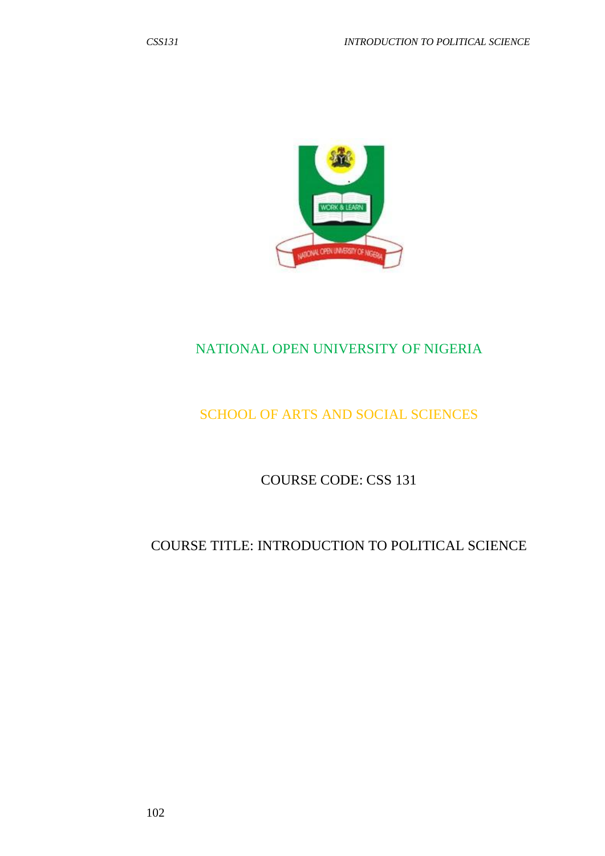

# NATIONAL OPEN UNIVERSITY OF NIGERIA

# SCHOOL OF ARTS AND SOCIAL SCIENCES

COURSE CODE: CSS 131

# COURSE TITLE: INTRODUCTION TO POLITICAL SCIENCE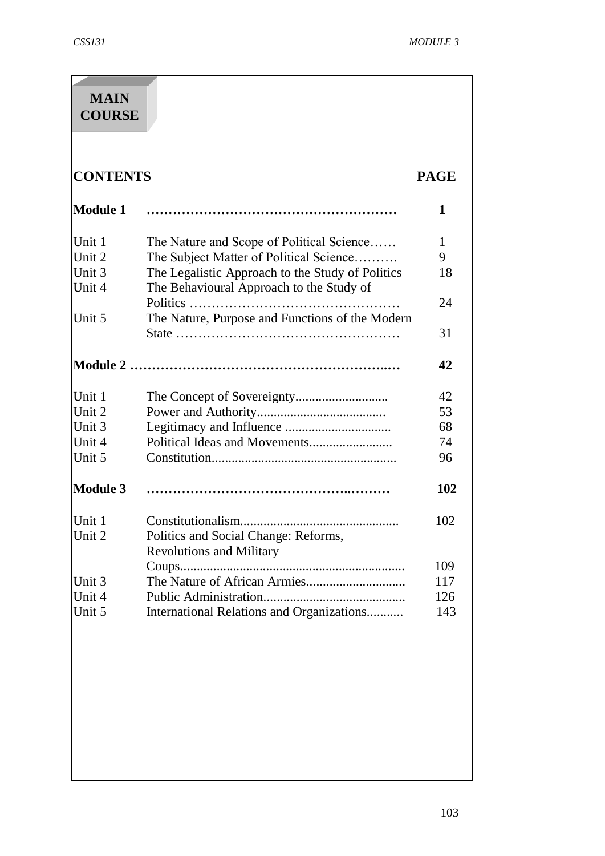| <b>MAIN</b>     |                                                  |             |
|-----------------|--------------------------------------------------|-------------|
| <b>COURSE</b>   |                                                  |             |
|                 |                                                  |             |
|                 |                                                  |             |
|                 |                                                  |             |
| <b>CONTENTS</b> |                                                  | <b>PAGE</b> |
| <b>Module 1</b> |                                                  | 1           |
|                 |                                                  |             |
| Unit 1          | The Nature and Scope of Political Science        | 1           |
| Unit 2          | The Subject Matter of Political Science          | 9           |
| Unit 3          | The Legalistic Approach to the Study of Politics | 18          |
| Unit 4          | The Behavioural Approach to the Study of         |             |
|                 |                                                  | 24          |
| Unit 5          | The Nature, Purpose and Functions of the Modern  |             |
|                 |                                                  | 31          |
|                 |                                                  |             |
|                 |                                                  | 42          |
| Unit 1          |                                                  | 42          |
| Unit 2          |                                                  | 53          |
| Unit 3          |                                                  | 68          |
| Unit 4          |                                                  | 74          |
| Unit 5          |                                                  | 96          |
|                 |                                                  |             |
| <b>Module 3</b> |                                                  | 102         |
|                 |                                                  |             |
| Unit 1          |                                                  | 102         |
| Unit 2          | Politics and Social Change: Reforms,             |             |
|                 | <b>Revolutions and Military</b>                  |             |
|                 | $Coup$ s                                         | 109         |
| Unit 3          |                                                  | 117         |
| Unit 4          |                                                  | 126         |
| Unit 5          | International Relations and Organizations        | 143         |
|                 |                                                  |             |
|                 |                                                  |             |
|                 |                                                  |             |
|                 |                                                  |             |
|                 |                                                  |             |
|                 |                                                  |             |
|                 |                                                  |             |
|                 |                                                  |             |
|                 |                                                  |             |
|                 |                                                  |             |
|                 |                                                  |             |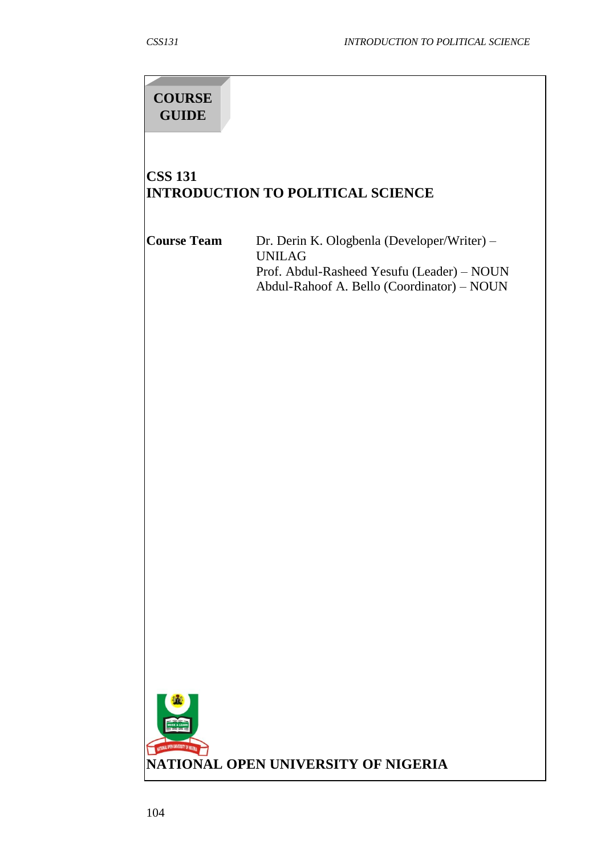# **COURSE GUIDE**

# **CSS 131 INTRODUCTION TO POLITICAL SCIENCE**

| <b>Course Team</b>                  | Dr. Derin K. Ologbenla (Developer/Writer) -<br><b>UNILAG</b><br>Prof. Abdul-Rasheed Yesufu (Leader) - NOUN<br>Abdul-Rahoof A. Bello (Coordinator) - NOUN |
|-------------------------------------|----------------------------------------------------------------------------------------------------------------------------------------------------------|
|                                     |                                                                                                                                                          |
|                                     |                                                                                                                                                          |
|                                     |                                                                                                                                                          |
|                                     |                                                                                                                                                          |
|                                     |                                                                                                                                                          |
|                                     |                                                                                                                                                          |
|                                     |                                                                                                                                                          |
|                                     |                                                                                                                                                          |
| NATIONAL OPEN UNIVERSITY OF INGERIA | NATIONAL OPEN UNIVERSITY OF NIGERIA                                                                                                                      |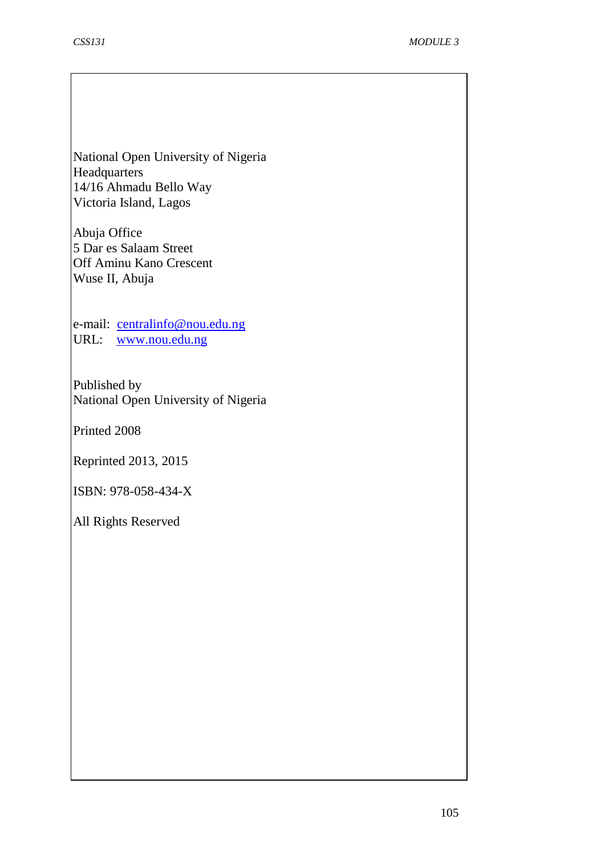National Open University of Nigeria **Headquarters** 14/16 Ahmadu Bello Way Victoria Island, Lagos

Abuja Office 5 Dar es Salaam Street Off Aminu Kano Crescent Wuse II, Abuja

e-mail: [centralinfo@nou.edu.ng](mailto:centralinfo@nou.edu.ng) URL: [www.nou.edu.ng](http://www.nou.edu.ng/)

Published by National Open University of Nigeria

Printed 2008

Reprinted 2013, 2015

ISBN: 978-058-434-X

All Rights Reserved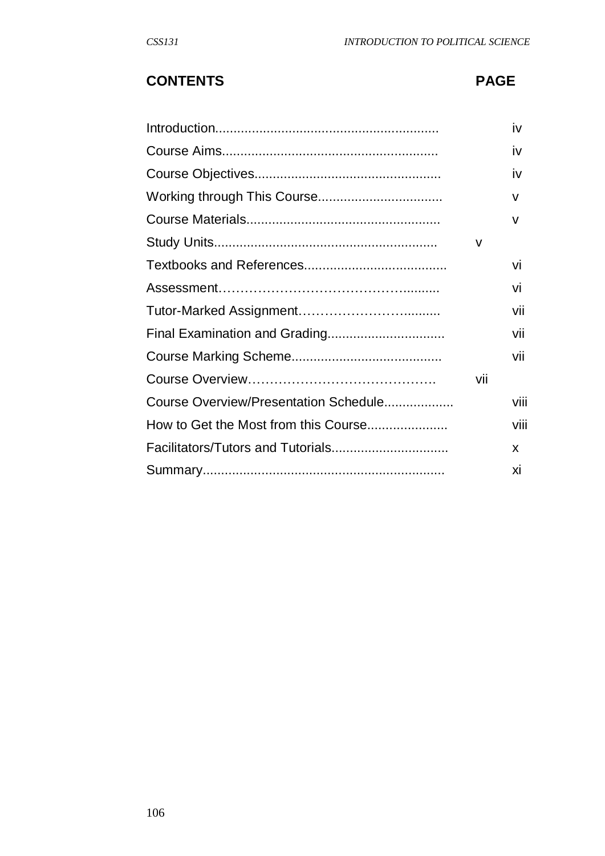# **CONTENTS PAGE**

|                                       |     | iv   |
|---------------------------------------|-----|------|
|                                       |     | iv   |
|                                       |     | iv   |
|                                       |     | v    |
|                                       |     | v    |
|                                       | v   |      |
|                                       |     | Vİ   |
|                                       |     | VÌ   |
|                                       |     | vii  |
|                                       |     | vii  |
|                                       |     | vii  |
|                                       | Vİİ |      |
| Course Overview/Presentation Schedule |     | viii |
| How to Get the Most from this Course  |     | viii |
|                                       |     | X.   |
|                                       |     | XĪ   |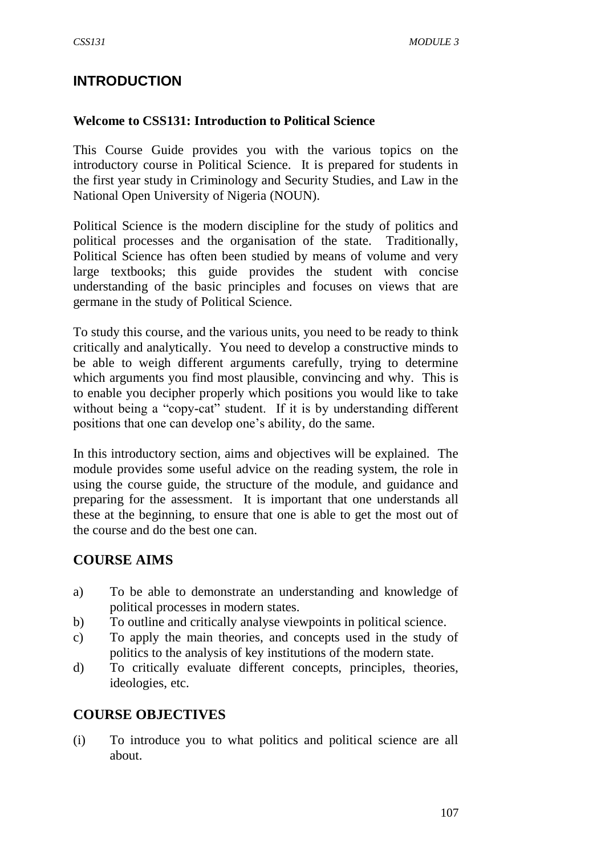# **INTRODUCTION**

#### **Welcome to CSS131: Introduction to Political Science**

This Course Guide provides you with the various topics on the introductory course in Political Science. It is prepared for students in the first year study in Criminology and Security Studies, and Law in the National Open University of Nigeria (NOUN).

Political Science is the modern discipline for the study of politics and political processes and the organisation of the state. Traditionally, Political Science has often been studied by means of volume and very large textbooks; this guide provides the student with concise understanding of the basic principles and focuses on views that are germane in the study of Political Science.

To study this course, and the various units, you need to be ready to think critically and analytically. You need to develop a constructive minds to be able to weigh different arguments carefully, trying to determine which arguments you find most plausible, convincing and why. This is to enable you decipher properly which positions you would like to take without being a "copy-cat" student. If it is by understanding different positions that one can develop one's ability, do the same.

In this introductory section, aims and objectives will be explained. The module provides some useful advice on the reading system, the role in using the course guide, the structure of the module, and guidance and preparing for the assessment. It is important that one understands all these at the beginning, to ensure that one is able to get the most out of the course and do the best one can.

# **COURSE AIMS**

- a) To be able to demonstrate an understanding and knowledge of political processes in modern states.
- b) To outline and critically analyse viewpoints in political science.
- c) To apply the main theories, and concepts used in the study of politics to the analysis of key institutions of the modern state.
- d) To critically evaluate different concepts, principles, theories, ideologies, etc.

#### **COURSE OBJECTIVES**

(i) To introduce you to what politics and political science are all about.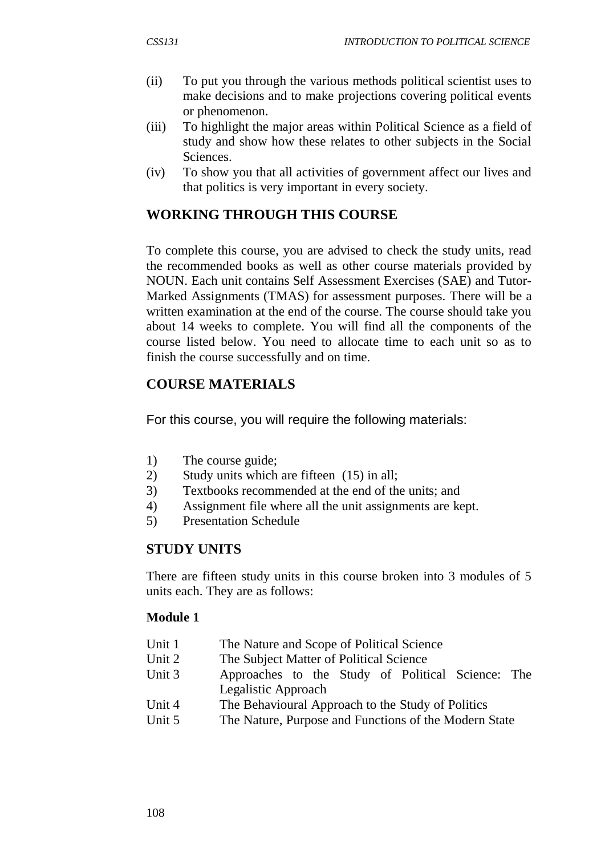- (ii) To put you through the various methods political scientist uses to make decisions and to make projections covering political events or phenomenon.
- (iii) To highlight the major areas within Political Science as a field of study and show how these relates to other subjects in the Social Sciences.
- (iv) To show you that all activities of government affect our lives and that politics is very important in every society.

# **WORKING THROUGH THIS COURSE**

To complete this course, you are advised to check the study units, read the recommended books as well as other course materials provided by NOUN. Each unit contains Self Assessment Exercises (SAE) and Tutor-Marked Assignments (TMAS) for assessment purposes. There will be a written examination at the end of the course. The course should take you about 14 weeks to complete. You will find all the components of the course listed below. You need to allocate time to each unit so as to finish the course successfully and on time.

# **COURSE MATERIALS**

For this course, you will require the following materials:

- 1) The course guide;
- 2) Study units which are fifteen (15) in all;
- 3) Textbooks recommended at the end of the units; and
- 4) Assignment file where all the unit assignments are kept.
- 5) Presentation Schedule

#### **STUDY UNITS**

There are fifteen study units in this course broken into 3 modules of 5 units each. They are as follows:

#### **Module 1**

- Unit 1 The Nature and Scope of Political Science
- Unit 2 The Subject Matter of Political Science
- Unit 3 Approaches to the Study of Political Science: The Legalistic Approach
- Unit 4 The Behavioural Approach to the Study of Politics
- Unit 5 The Nature, Purpose and Functions of the Modern State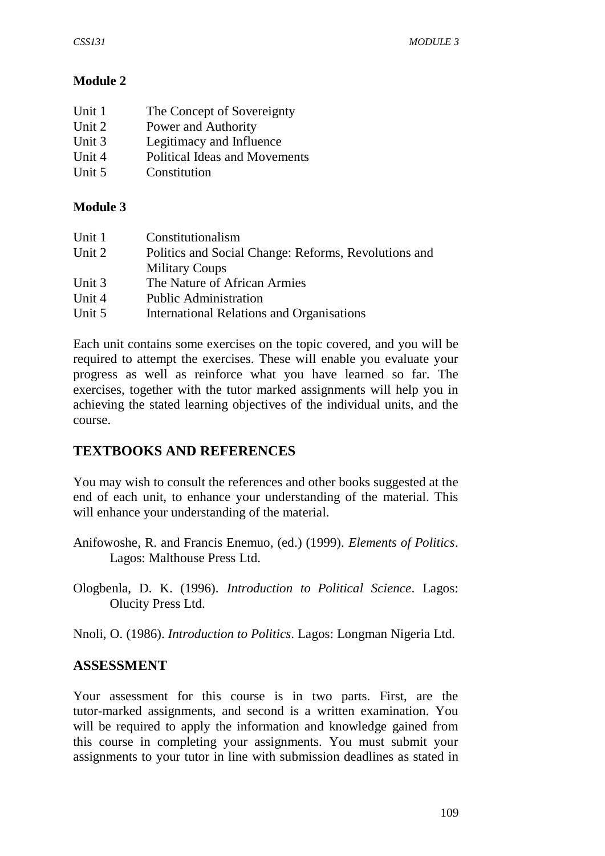# **Module 2**

| Unit 1   | The Concept of Sovereignty           |
|----------|--------------------------------------|
| Unit 2   | Power and Authority                  |
| Unit $3$ | Legitimacy and Influence             |
| Unit 4   | <b>Political Ideas and Movements</b> |
| Unit 5   | Constitution                         |

#### **Module 3**

| Constitutionalism                                    |
|------------------------------------------------------|
| Politics and Social Change: Reforms, Revolutions and |
| <b>Military Coups</b>                                |
| The Nature of African Armies                         |
| <b>Public Administration</b>                         |
| <b>International Relations and Organisations</b>     |
|                                                      |

Each unit contains some exercises on the topic covered, and you will be required to attempt the exercises. These will enable you evaluate your progress as well as reinforce what you have learned so far. The exercises, together with the tutor marked assignments will help you in achieving the stated learning objectives of the individual units, and the course.

# **TEXTBOOKS AND REFERENCES**

You may wish to consult the references and other books suggested at the end of each unit, to enhance your understanding of the material. This will enhance your understanding of the material.

- Anifowoshe, R. and Francis Enemuo, (ed.) (1999). *Elements of Politics*. Lagos: Malthouse Press Ltd.
- Ologbenla, D. K. (1996). *Introduction to Political Science*. Lagos: Olucity Press Ltd.

Nnoli, O. (1986). *Introduction to Politics*. Lagos: Longman Nigeria Ltd.

#### **ASSESSMENT**

Your assessment for this course is in two parts. First, are the tutor-marked assignments, and second is a written examination. You will be required to apply the information and knowledge gained from this course in completing your assignments. You must submit your assignments to your tutor in line with submission deadlines as stated in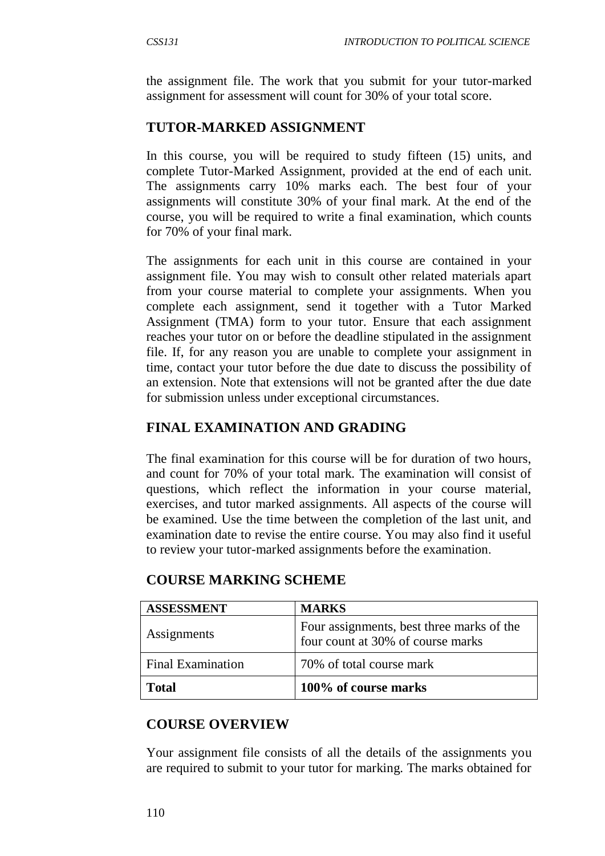the assignment file. The work that you submit for your tutor-marked assignment for assessment will count for 30% of your total score.

# **TUTOR-MARKED ASSIGNMENT**

In this course, you will be required to study fifteen (15) units, and complete Tutor-Marked Assignment, provided at the end of each unit. The assignments carry 10% marks each. The best four of your assignments will constitute 30% of your final mark. At the end of the course, you will be required to write a final examination, which counts for 70% of your final mark.

The assignments for each unit in this course are contained in your assignment file. You may wish to consult other related materials apart from your course material to complete your assignments. When you complete each assignment, send it together with a Tutor Marked Assignment (TMA) form to your tutor. Ensure that each assignment reaches your tutor on or before the deadline stipulated in the assignment file. If, for any reason you are unable to complete your assignment in time, contact your tutor before the due date to discuss the possibility of an extension. Note that extensions will not be granted after the due date for submission unless under exceptional circumstances.

# **FINAL EXAMINATION AND GRADING**

The final examination for this course will be for duration of two hours, and count for 70% of your total mark. The examination will consist of questions, which reflect the information in your course material, exercises, and tutor marked assignments. All aspects of the course will be examined. Use the time between the completion of the last unit, and examination date to revise the entire course. You may also find it useful to review your tutor-marked assignments before the examination.

| <b>ASSESSMENT</b>        | <b>MARKS</b>                                                                   |
|--------------------------|--------------------------------------------------------------------------------|
| Assignments              | Four assignments, best three marks of the<br>four count at 30% of course marks |
| <b>Final Examination</b> | 70% of total course mark                                                       |
| <b>Total</b>             | 100% of course marks                                                           |

# **COURSE MARKING SCHEME**

# **COURSE OVERVIEW**

Your assignment file consists of all the details of the assignments you are required to submit to your tutor for marking. The marks obtained for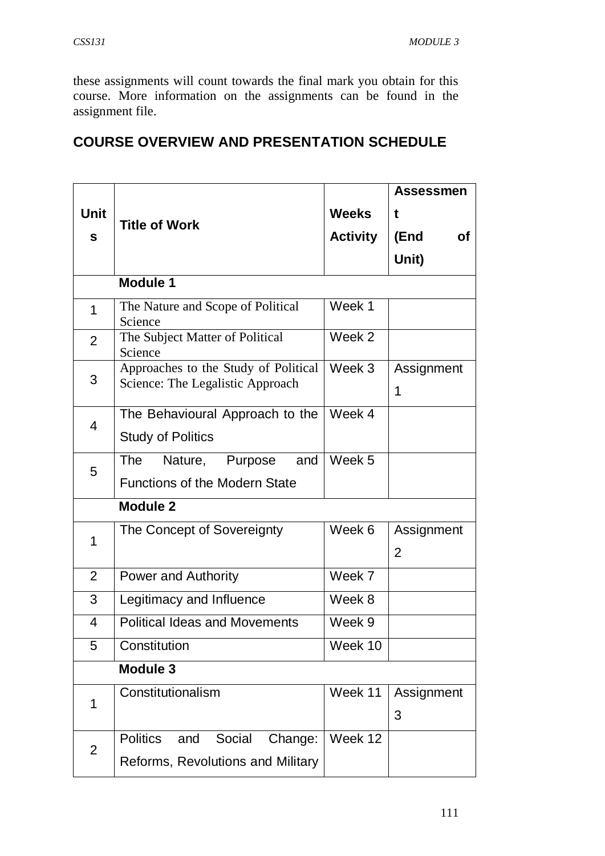these assignments will count towards the final mark you obtain for this course. More information on the assignments can be found in the assignment file.

# **COURSE OVERVIEW AND PRESENTATION SCHEDULE**

|                  |                                                                              |                 | <b>Assessmen</b>             |  |  |
|------------------|------------------------------------------------------------------------------|-----------------|------------------------------|--|--|
| <b>Unit</b><br>S |                                                                              | <b>Weeks</b>    | t                            |  |  |
|                  | <b>Title of Work</b>                                                         | <b>Activity</b> | (End<br><b>of</b>            |  |  |
|                  |                                                                              |                 | Unit)                        |  |  |
|                  | <b>Module 1</b>                                                              |                 |                              |  |  |
| 1                | The Nature and Scope of Political<br>Science                                 | Week 1          |                              |  |  |
| $\overline{2}$   | The Subject Matter of Political<br>Science                                   | Week 2          |                              |  |  |
| 3                | Approaches to the Study of Political<br>Science: The Legalistic Approach     | Week 3          | Assignment<br>1              |  |  |
| 4                | The Behavioural Approach to the<br><b>Study of Politics</b>                  | Week 4          |                              |  |  |
| 5                | <b>The</b><br>Nature, Purpose<br>and<br><b>Functions of the Modern State</b> | Week 5          |                              |  |  |
|                  | <b>Module 2</b>                                                              |                 |                              |  |  |
| 1                | The Concept of Sovereignty                                                   | Week 6          | Assignment<br>$\overline{2}$ |  |  |
| $\overline{2}$   | <b>Power and Authority</b>                                                   | Week 7          |                              |  |  |
| 3                | Legitimacy and Influence                                                     | Week 8          |                              |  |  |
| 4                | <b>Political Ideas and Movements</b>                                         | Week 9          |                              |  |  |
| 5                | Constitution                                                                 | Week 10         |                              |  |  |
|                  | <b>Module 3</b>                                                              |                 |                              |  |  |
| 1                | Constitutionalism                                                            | Week 11         | Assignment                   |  |  |
|                  |                                                                              |                 | 3                            |  |  |
| $\overline{2}$   | Social<br><b>Politics</b><br>Change:<br>and                                  | Week 12         |                              |  |  |
|                  | Reforms, Revolutions and Military                                            |                 |                              |  |  |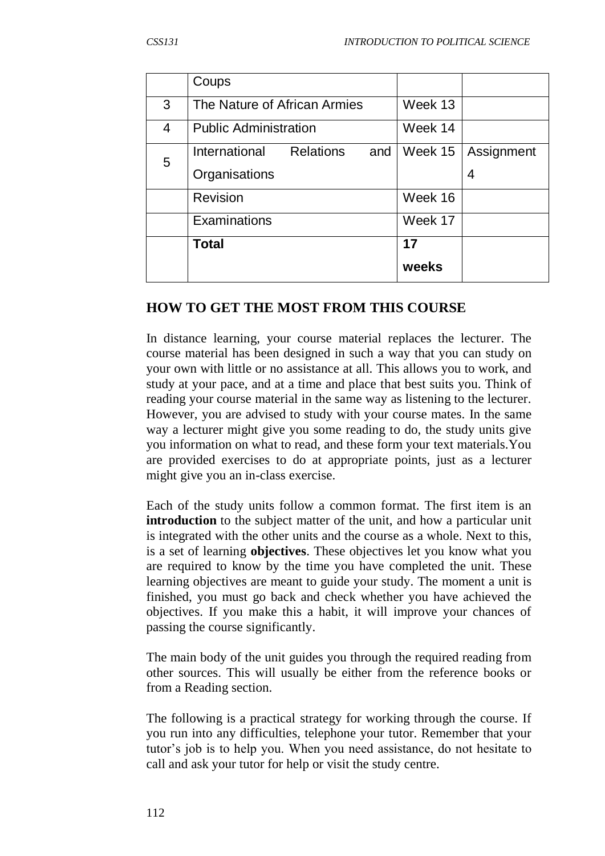|   | Coups                                    |         |            |
|---|------------------------------------------|---------|------------|
| 3 | The Nature of African Armies             | Week 13 |            |
| 4 | <b>Public Administration</b>             | Week 14 |            |
| 5 | <b>Relations</b><br>International<br>and | Week 15 | Assignment |
|   | Organisations                            |         | 4          |
|   | Revision                                 | Week 16 |            |
|   | Examinations                             | Week 17 |            |
|   | <b>Total</b>                             | 17      |            |
|   |                                          | weeks   |            |

# **HOW TO GET THE MOST FROM THIS COURSE**

In distance learning, your course material replaces the lecturer. The course material has been designed in such a way that you can study on your own with little or no assistance at all. This allows you to work, and study at your pace, and at a time and place that best suits you. Think of reading your course material in the same way as listening to the lecturer. However, you are advised to study with your course mates. In the same way a lecturer might give you some reading to do, the study units give you information on what to read, and these form your text materials.You are provided exercises to do at appropriate points, just as a lecturer might give you an in-class exercise.

Each of the study units follow a common format. The first item is an **introduction** to the subject matter of the unit, and how a particular unit is integrated with the other units and the course as a whole. Next to this, is a set of learning **objectives**. These objectives let you know what you are required to know by the time you have completed the unit. These learning objectives are meant to guide your study. The moment a unit is finished, you must go back and check whether you have achieved the objectives. If you make this a habit, it will improve your chances of passing the course significantly.

The main body of the unit guides you through the required reading from other sources. This will usually be either from the reference books or from a Reading section.

The following is a practical strategy for working through the course. If you run into any difficulties, telephone your tutor. Remember that your tutor's job is to help you. When you need assistance, do not hesitate to call and ask your tutor for help or visit the study centre.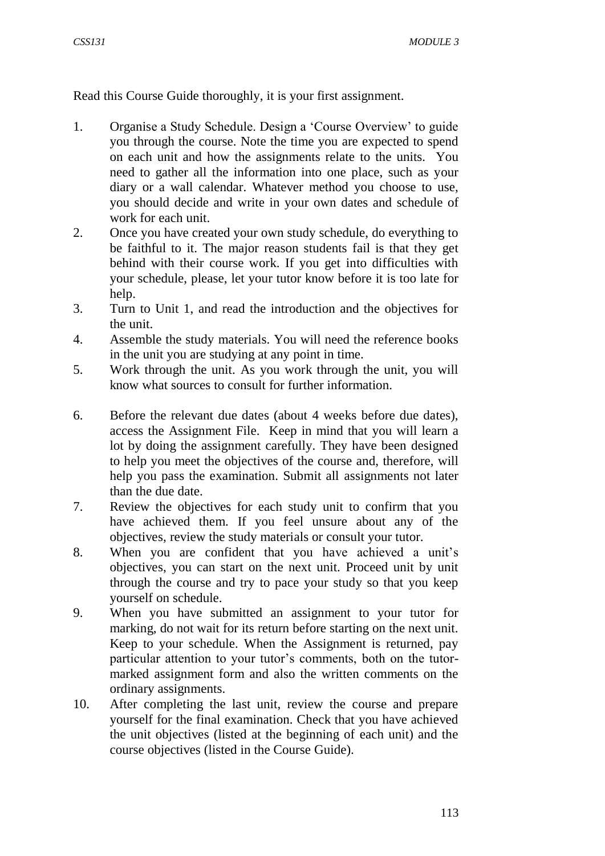Read this Course Guide thoroughly, it is your first assignment.

- 1. Organise a Study Schedule. Design a 'Course Overview' to guide you through the course. Note the time you are expected to spend on each unit and how the assignments relate to the units. You need to gather all the information into one place, such as your diary or a wall calendar. Whatever method you choose to use, you should decide and write in your own dates and schedule of work for each unit.
- 2. Once you have created your own study schedule, do everything to be faithful to it. The major reason students fail is that they get behind with their course work. If you get into difficulties with your schedule, please, let your tutor know before it is too late for help.
- 3. Turn to Unit 1, and read the introduction and the objectives for the unit.
- 4. Assemble the study materials. You will need the reference books in the unit you are studying at any point in time.
- 5. Work through the unit. As you work through the unit, you will know what sources to consult for further information.
- 6. Before the relevant due dates (about 4 weeks before due dates), access the Assignment File. Keep in mind that you will learn a lot by doing the assignment carefully. They have been designed to help you meet the objectives of the course and, therefore, will help you pass the examination. Submit all assignments not later than the due date.
- 7. Review the objectives for each study unit to confirm that you have achieved them. If you feel unsure about any of the objectives, review the study materials or consult your tutor.
- 8. When you are confident that you have achieved a unit's objectives, you can start on the next unit. Proceed unit by unit through the course and try to pace your study so that you keep yourself on schedule.
- 9. When you have submitted an assignment to your tutor for marking, do not wait for its return before starting on the next unit. Keep to your schedule. When the Assignment is returned, pay particular attention to your tutor's comments, both on the tutormarked assignment form and also the written comments on the ordinary assignments.
- 10. After completing the last unit, review the course and prepare yourself for the final examination. Check that you have achieved the unit objectives (listed at the beginning of each unit) and the course objectives (listed in the Course Guide).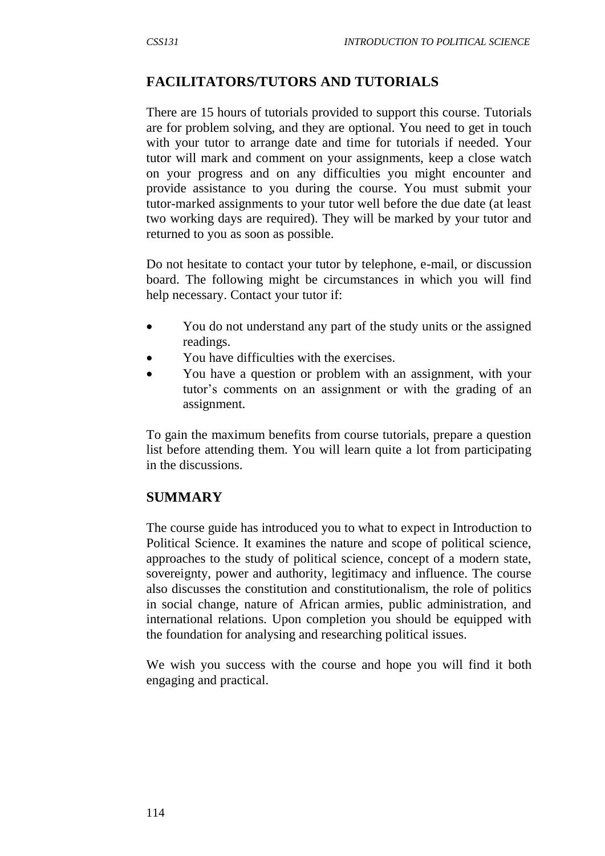# **FACILITATORS/TUTORS AND TUTORIALS**

There are 15 hours of tutorials provided to support this course. Tutorials are for problem solving, and they are optional. You need to get in touch with your tutor to arrange date and time for tutorials if needed. Your tutor will mark and comment on your assignments, keep a close watch on your progress and on any difficulties you might encounter and provide assistance to you during the course. You must submit your tutor-marked assignments to your tutor well before the due date (at least two working days are required). They will be marked by your tutor and returned to you as soon as possible.

Do not hesitate to contact your tutor by telephone, e-mail, or discussion board. The following might be circumstances in which you will find help necessary. Contact your tutor if:

- You do not understand any part of the study units or the assigned readings.
- You have difficulties with the exercises.
- You have a question or problem with an assignment, with your tutor's comments on an assignment or with the grading of an assignment.

To gain the maximum benefits from course tutorials, prepare a question list before attending them. You will learn quite a lot from participating in the discussions.

# **SUMMARY**

The course guide has introduced you to what to expect in Introduction to Political Science. It examines the nature and scope of political science, approaches to the study of political science, concept of a modern state, sovereignty, power and authority, legitimacy and influence. The course also discusses the constitution and constitutionalism, the role of politics in social change, nature of African armies, public administration, and international relations. Upon completion you should be equipped with the foundation for analysing and researching political issues.

We wish you success with the course and hope you will find it both engaging and practical.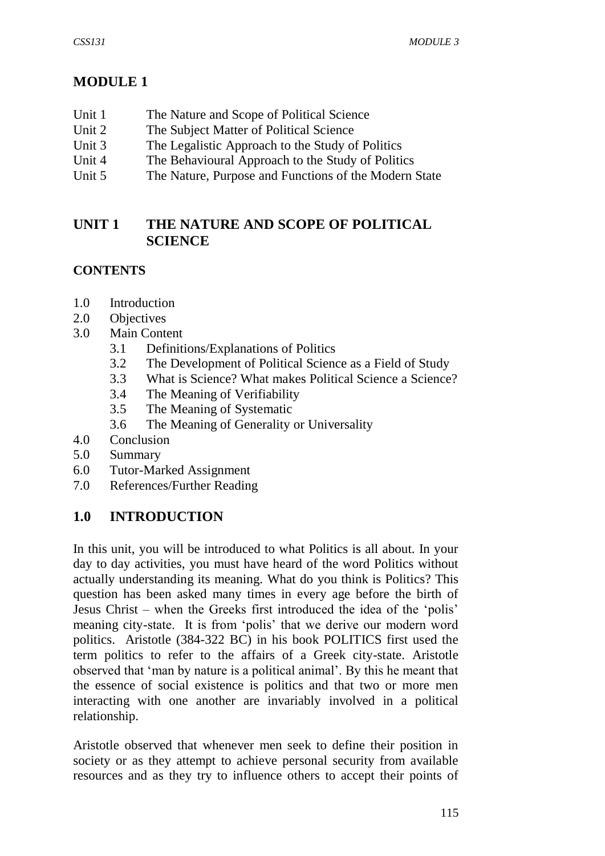# **MODULE 1**

- Unit 1 The Nature and Scope of Political Science
- Unit 2 The Subject Matter of Political Science
- Unit 3 The Legalistic Approach to the Study of Politics
- Unit 4 The Behavioural Approach to the Study of Politics
- Unit 5 The Nature, Purpose and Functions of the Modern State

# **UNIT 1 THE NATURE AND SCOPE OF POLITICAL SCIENCE**

# **CONTENTS**

- 1.0 Introduction
- 2.0 Objectives
- 3.0 Main Content
	- 3.1 Definitions/Explanations of Politics
	- 3.2 The Development of Political Science as a Field of Study
	- 3.3 What is Science? What makes Political Science a Science?
	- 3.4 The Meaning of Verifiability
	- 3.5 The Meaning of Systematic
	- 3.6 The Meaning of Generality or Universality
- 4.0 Conclusion
- 5.0 Summary
- 6.0 Tutor-Marked Assignment
- 7.0 References/Further Reading

# **1.0 INTRODUCTION**

In this unit, you will be introduced to what Politics is all about. In your day to day activities, you must have heard of the word Politics without actually understanding its meaning. What do you think is Politics? This question has been asked many times in every age before the birth of Jesus Christ – when the Greeks first introduced the idea of the 'polis' meaning city-state. It is from 'polis' that we derive our modern word politics. Aristotle (384-322 BC) in his book POLITICS first used the term politics to refer to the affairs of a Greek city-state. Aristotle observed that 'man by nature is a political animal'. By this he meant that the essence of social existence is politics and that two or more men interacting with one another are invariably involved in a political relationship.

Aristotle observed that whenever men seek to define their position in society or as they attempt to achieve personal security from available resources and as they try to influence others to accept their points of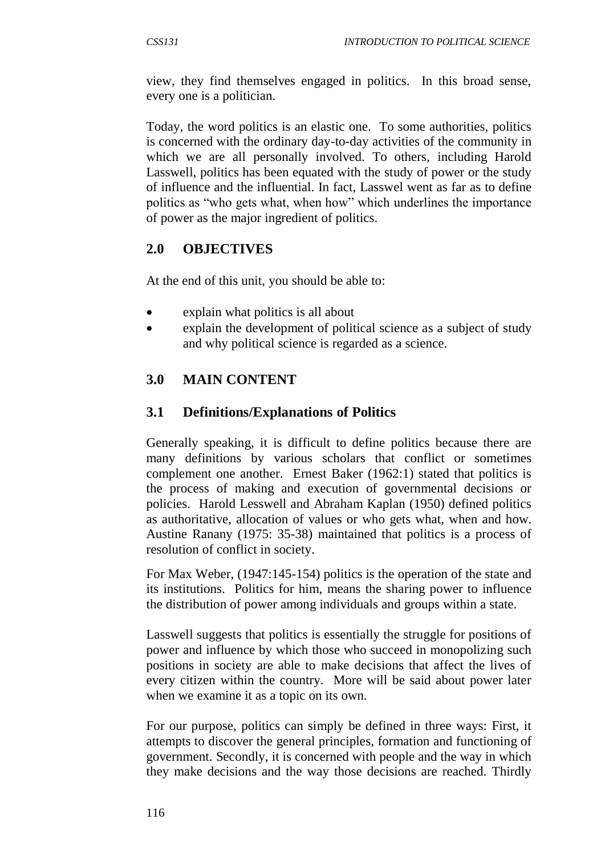view, they find themselves engaged in politics. In this broad sense, every one is a politician.

Today, the word politics is an elastic one. To some authorities, politics is concerned with the ordinary day-to-day activities of the community in which we are all personally involved. To others, including Harold Lasswell, politics has been equated with the study of power or the study of influence and the influential. In fact, Lasswel went as far as to define politics as "who gets what, when how" which underlines the importance of power as the major ingredient of politics.

# **2.0 OBJECTIVES**

At the end of this unit, you should be able to:

- explain what politics is all about
- explain the development of political science as a subject of study and why political science is regarded as a science.

# **3.0 MAIN CONTENT**

# **3.1 Definitions/Explanations of Politics**

Generally speaking, it is difficult to define politics because there are many definitions by various scholars that conflict or sometimes complement one another. Ernest Baker (1962:1) stated that politics is the process of making and execution of governmental decisions or policies. Harold Lesswell and Abraham Kaplan (1950) defined politics as authoritative, allocation of values or who gets what, when and how. Austine Ranany (1975: 35-38) maintained that politics is a process of resolution of conflict in society.

For Max Weber, (1947:145-154) politics is the operation of the state and its institutions. Politics for him, means the sharing power to influence the distribution of power among individuals and groups within a state.

Lasswell suggests that politics is essentially the struggle for positions of power and influence by which those who succeed in monopolizing such positions in society are able to make decisions that affect the lives of every citizen within the country. More will be said about power later when we examine it as a topic on its own.

For our purpose, politics can simply be defined in three ways: First, it attempts to discover the general principles, formation and functioning of government. Secondly, it is concerned with people and the way in which they make decisions and the way those decisions are reached. Thirdly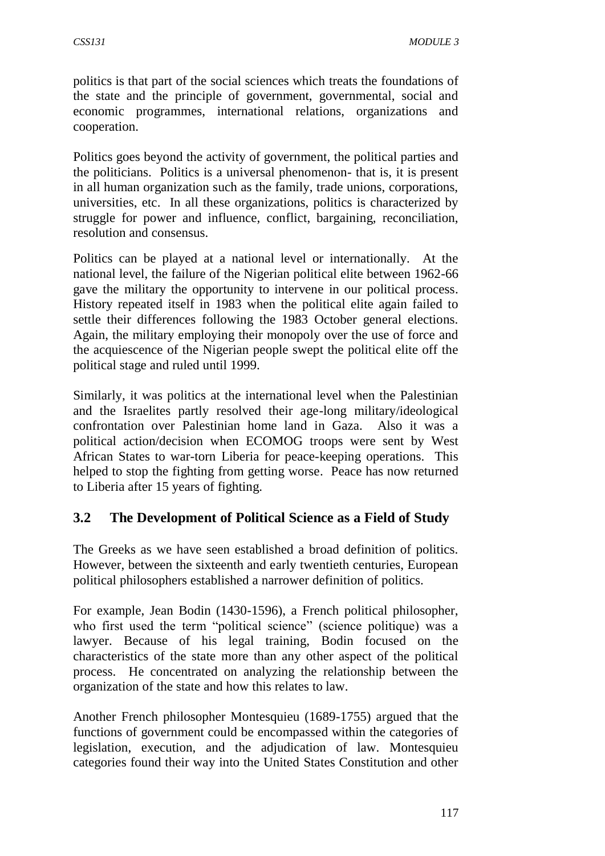politics is that part of the social sciences which treats the foundations of the state and the principle of government, governmental, social and economic programmes, international relations, organizations and cooperation.

Politics goes beyond the activity of government, the political parties and the politicians. Politics is a universal phenomenon- that is, it is present in all human organization such as the family, trade unions, corporations, universities, etc. In all these organizations, politics is characterized by struggle for power and influence, conflict, bargaining, reconciliation, resolution and consensus.

Politics can be played at a national level or internationally. At the national level, the failure of the Nigerian political elite between 1962-66 gave the military the opportunity to intervene in our political process. History repeated itself in 1983 when the political elite again failed to settle their differences following the 1983 October general elections. Again, the military employing their monopoly over the use of force and the acquiescence of the Nigerian people swept the political elite off the political stage and ruled until 1999.

Similarly, it was politics at the international level when the Palestinian and the Israelites partly resolved their age-long military/ideological confrontation over Palestinian home land in Gaza. Also it was a political action/decision when ECOMOG troops were sent by West African States to war-torn Liberia for peace-keeping operations. This helped to stop the fighting from getting worse. Peace has now returned to Liberia after 15 years of fighting.

# **3.2 The Development of Political Science as a Field of Study**

The Greeks as we have seen established a broad definition of politics. However, between the sixteenth and early twentieth centuries, European political philosophers established a narrower definition of politics.

For example, Jean Bodin (1430-1596), a French political philosopher, who first used the term "political science" (science politique) was a lawyer. Because of his legal training, Bodin focused on the characteristics of the state more than any other aspect of the political process. He concentrated on analyzing the relationship between the organization of the state and how this relates to law.

Another French philosopher Montesquieu (1689-1755) argued that the functions of government could be encompassed within the categories of legislation, execution, and the adjudication of law. Montesquieu categories found their way into the United States Constitution and other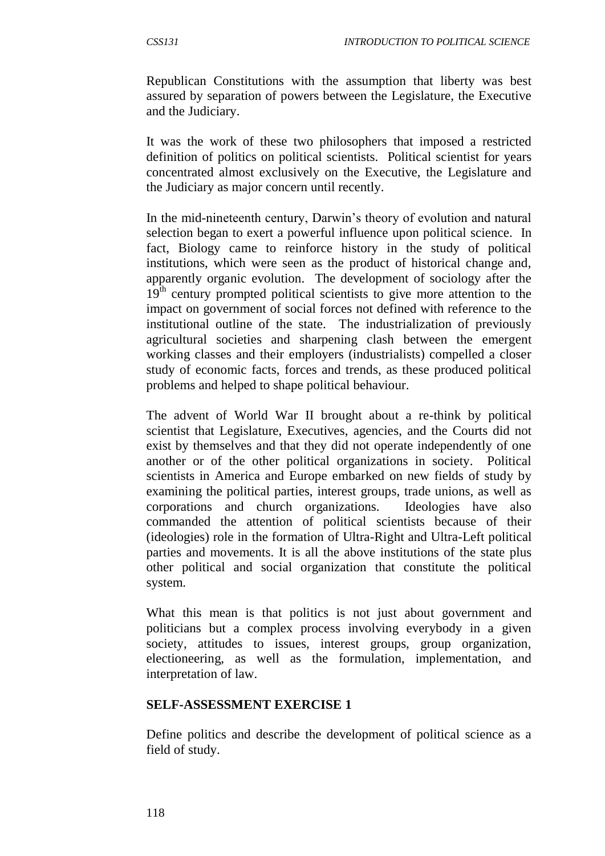Republican Constitutions with the assumption that liberty was best assured by separation of powers between the Legislature, the Executive and the Judiciary.

It was the work of these two philosophers that imposed a restricted definition of politics on political scientists. Political scientist for years concentrated almost exclusively on the Executive, the Legislature and the Judiciary as major concern until recently.

In the mid-nineteenth century, Darwin's theory of evolution and natural selection began to exert a powerful influence upon political science. In fact, Biology came to reinforce history in the study of political institutions, which were seen as the product of historical change and, apparently organic evolution. The development of sociology after the 19<sup>th</sup> century prompted political scientists to give more attention to the impact on government of social forces not defined with reference to the institutional outline of the state. The industrialization of previously agricultural societies and sharpening clash between the emergent working classes and their employers (industrialists) compelled a closer study of economic facts, forces and trends, as these produced political problems and helped to shape political behaviour.

The advent of World War II brought about a re-think by political scientist that Legislature, Executives, agencies, and the Courts did not exist by themselves and that they did not operate independently of one another or of the other political organizations in society. Political scientists in America and Europe embarked on new fields of study by examining the political parties, interest groups, trade unions, as well as corporations and church organizations. Ideologies have also commanded the attention of political scientists because of their (ideologies) role in the formation of Ultra-Right and Ultra-Left political parties and movements. It is all the above institutions of the state plus other political and social organization that constitute the political system.

What this mean is that politics is not just about government and politicians but a complex process involving everybody in a given society, attitudes to issues, interest groups, group organization, electioneering, as well as the formulation, implementation, and interpretation of law.

#### **SELF-ASSESSMENT EXERCISE 1**

Define politics and describe the development of political science as a field of study.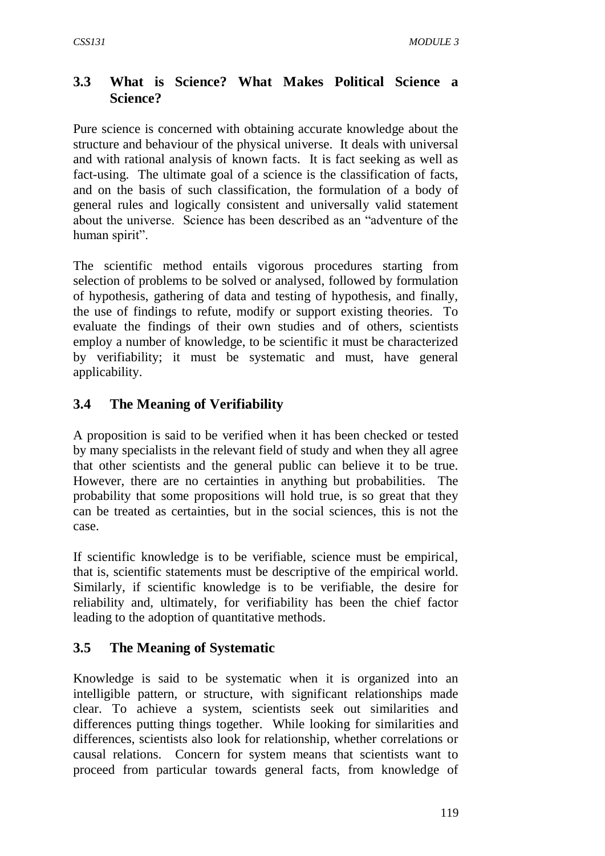# **3.3 What is Science? What Makes Political Science a Science?**

Pure science is concerned with obtaining accurate knowledge about the structure and behaviour of the physical universe. It deals with universal and with rational analysis of known facts. It is fact seeking as well as fact-using. The ultimate goal of a science is the classification of facts, and on the basis of such classification, the formulation of a body of general rules and logically consistent and universally valid statement about the universe. Science has been described as an "adventure of the human spirit".

The scientific method entails vigorous procedures starting from selection of problems to be solved or analysed, followed by formulation of hypothesis, gathering of data and testing of hypothesis, and finally, the use of findings to refute, modify or support existing theories. To evaluate the findings of their own studies and of others, scientists employ a number of knowledge, to be scientific it must be characterized by verifiability; it must be systematic and must, have general applicability.

# **3.4 The Meaning of Verifiability**

A proposition is said to be verified when it has been checked or tested by many specialists in the relevant field of study and when they all agree that other scientists and the general public can believe it to be true. However, there are no certainties in anything but probabilities. The probability that some propositions will hold true, is so great that they can be treated as certainties, but in the social sciences, this is not the case.

If scientific knowledge is to be verifiable, science must be empirical, that is, scientific statements must be descriptive of the empirical world. Similarly, if scientific knowledge is to be verifiable, the desire for reliability and, ultimately, for verifiability has been the chief factor leading to the adoption of quantitative methods.

# **3.5 The Meaning of Systematic**

Knowledge is said to be systematic when it is organized into an intelligible pattern, or structure, with significant relationships made clear. To achieve a system, scientists seek out similarities and differences putting things together. While looking for similarities and differences, scientists also look for relationship, whether correlations or causal relations. Concern for system means that scientists want to proceed from particular towards general facts, from knowledge of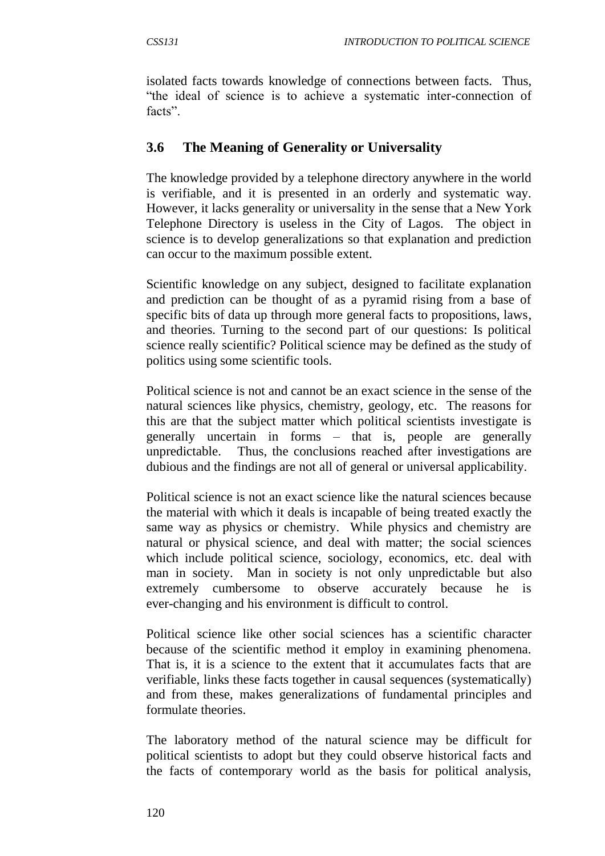isolated facts towards knowledge of connections between facts. Thus, "the ideal of science is to achieve a systematic inter-connection of facts".

# **3.6 The Meaning of Generality or Universality**

The knowledge provided by a telephone directory anywhere in the world is verifiable, and it is presented in an orderly and systematic way. However, it lacks generality or universality in the sense that a New York Telephone Directory is useless in the City of Lagos. The object in science is to develop generalizations so that explanation and prediction can occur to the maximum possible extent.

Scientific knowledge on any subject, designed to facilitate explanation and prediction can be thought of as a pyramid rising from a base of specific bits of data up through more general facts to propositions, laws, and theories. Turning to the second part of our questions: Is political science really scientific? Political science may be defined as the study of politics using some scientific tools.

Political science is not and cannot be an exact science in the sense of the natural sciences like physics, chemistry, geology, etc. The reasons for this are that the subject matter which political scientists investigate is generally uncertain in forms – that is, people are generally unpredictable. Thus, the conclusions reached after investigations are dubious and the findings are not all of general or universal applicability.

Political science is not an exact science like the natural sciences because the material with which it deals is incapable of being treated exactly the same way as physics or chemistry. While physics and chemistry are natural or physical science, and deal with matter; the social sciences which include political science, sociology, economics, etc. deal with man in society. Man in society is not only unpredictable but also extremely cumbersome to observe accurately because he is ever-changing and his environment is difficult to control.

Political science like other social sciences has a scientific character because of the scientific method it employ in examining phenomena. That is, it is a science to the extent that it accumulates facts that are verifiable, links these facts together in causal sequences (systematically) and from these, makes generalizations of fundamental principles and formulate theories.

The laboratory method of the natural science may be difficult for political scientists to adopt but they could observe historical facts and the facts of contemporary world as the basis for political analysis,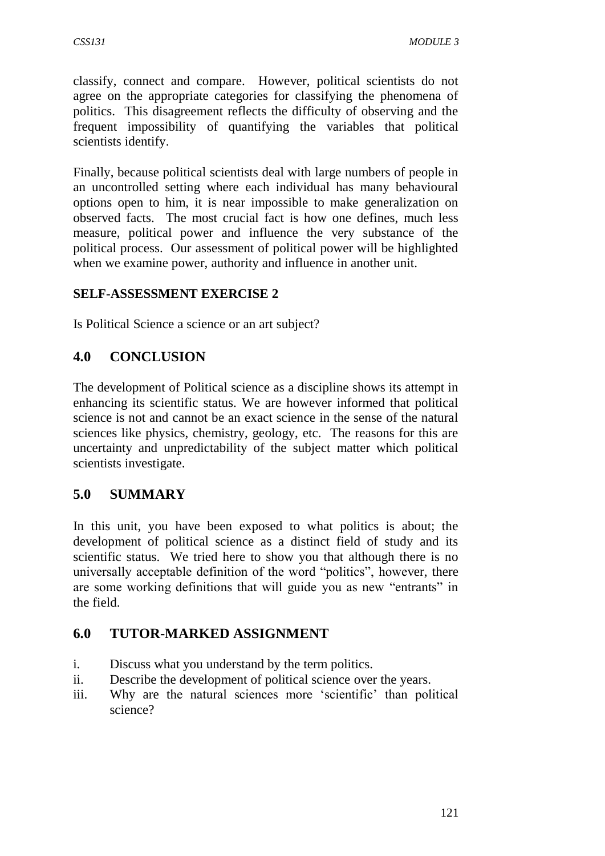classify, connect and compare. However, political scientists do not agree on the appropriate categories for classifying the phenomena of politics. This disagreement reflects the difficulty of observing and the frequent impossibility of quantifying the variables that political scientists identify.

Finally, because political scientists deal with large numbers of people in an uncontrolled setting where each individual has many behavioural options open to him, it is near impossible to make generalization on observed facts. The most crucial fact is how one defines, much less measure, political power and influence the very substance of the political process. Our assessment of political power will be highlighted when we examine power, authority and influence in another unit.

#### **SELF-ASSESSMENT EXERCISE 2**

Is Political Science a science or an art subject?

# **4.0 CONCLUSION**

The development of Political science as a discipline shows its attempt in enhancing its scientific status. We are however informed that political science is not and cannot be an exact science in the sense of the natural sciences like physics, chemistry, geology, etc. The reasons for this are uncertainty and unpredictability of the subject matter which political scientists investigate.

# **5.0 SUMMARY**

In this unit, you have been exposed to what politics is about; the development of political science as a distinct field of study and its scientific status. We tried here to show you that although there is no universally acceptable definition of the word "politics", however, there are some working definitions that will guide you as new "entrants" in the field.

# **6.0 TUTOR-MARKED ASSIGNMENT**

- i. Discuss what you understand by the term politics.
- ii. Describe the development of political science over the years.
- iii. Why are the natural sciences more 'scientific' than political science?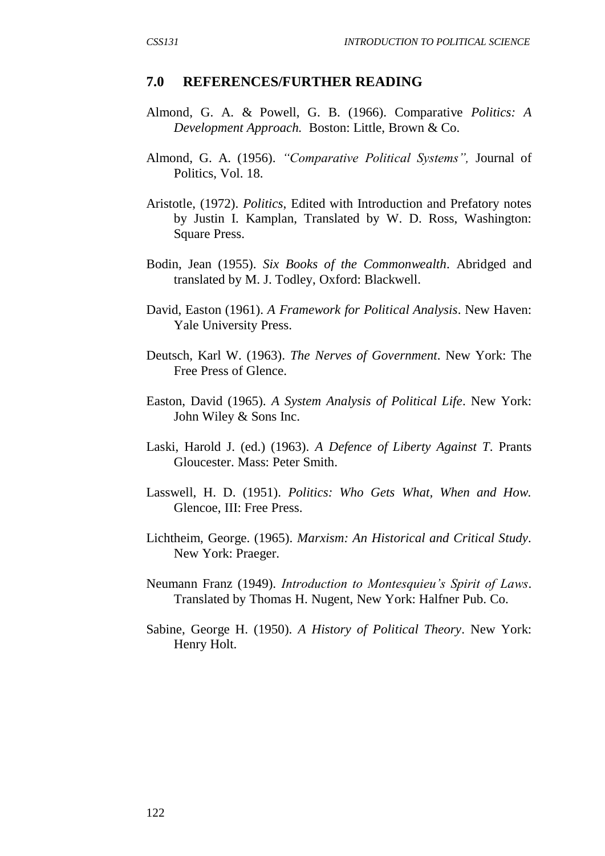#### **7.0 REFERENCES/FURTHER READING**

- Almond, G. A. & Powell, G. B. (1966). Comparative *Politics: A Development Approach.* Boston: Little, Brown & Co.
- Almond, G. A. (1956). *"Comparative Political Systems",* Journal of Politics, Vol. 18.
- Aristotle, (1972). *Politics*, Edited with Introduction and Prefatory notes by Justin I. Kamplan, Translated by W. D. Ross, Washington: Square Press.
- Bodin, Jean (1955). *Six Books of the Commonwealth*. Abridged and translated by M. J. Todley, Oxford: Blackwell.
- David, Easton (1961). *A Framework for Political Analysis*. New Haven: Yale University Press.
- Deutsch, Karl W. (1963). *The Nerves of Government*. New York: The Free Press of Glence.
- Easton, David (1965). *A System Analysis of Political Life*. New York: John Wiley & Sons Inc.
- Laski, Harold J. (ed.) (1963). *A Defence of Liberty Against T*. Prants Gloucester. Mass: Peter Smith.
- Lasswell, H. D. (1951). *Politics: Who Gets What, When and How.* Glencoe, III: Free Press.
- Lichtheim, George. (1965). *Marxism: An Historical and Critical Study.* New York: Praeger.
- Neumann Franz (1949). *Introduction to Montesquieu's Spirit of Laws*. Translated by Thomas H. Nugent, New York: Halfner Pub. Co.
- Sabine, George H. (1950). *A History of Political Theory*. New York: Henry Holt.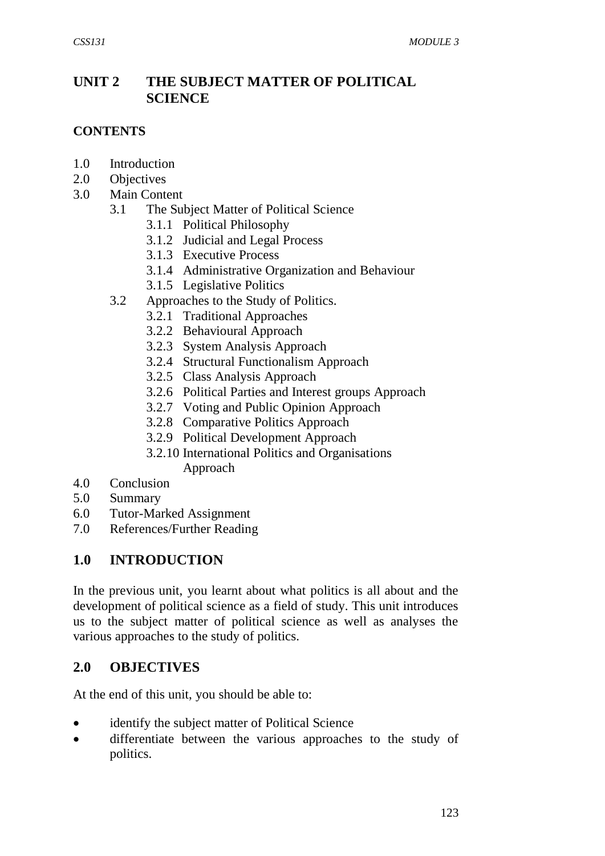# **UNIT 2 THE SUBJECT MATTER OF POLITICAL SCIENCE**

#### **CONTENTS**

- 1.0 Introduction
- 2.0 Objectives
- 3.0 Main Content
	- 3.1 The Subject Matter of Political Science
		- 3.1.1 Political Philosophy
		- 3.1.2 Judicial and Legal Process
		- 3.1.3 Executive Process
		- 3.1.4 Administrative Organization and Behaviour
		- 3.1.5 Legislative Politics
	- 3.2 Approaches to the Study of Politics.
		- 3.2.1 Traditional Approaches
		- 3.2.2 Behavioural Approach
		- 3.2.3 System Analysis Approach
		- 3.2.4 Structural Functionalism Approach
		- 3.2.5 Class Analysis Approach
		- 3.2.6 Political Parties and Interest groups Approach
		- 3.2.7 Voting and Public Opinion Approach
		- 3.2.8 Comparative Politics Approach
		- 3.2.9 Political Development Approach
		- 3.2.10 International Politics and Organisations Approach
- 4.0 Conclusion
- 5.0 Summary
- 6.0 Tutor-Marked Assignment
- 7.0 References/Further Reading

# **1.0 INTRODUCTION**

In the previous unit, you learnt about what politics is all about and the development of political science as a field of study. This unit introduces us to the subject matter of political science as well as analyses the various approaches to the study of politics.

#### **2.0 OBJECTIVES**

At the end of this unit, you should be able to:

- identify the subject matter of Political Science
- differentiate between the various approaches to the study of politics.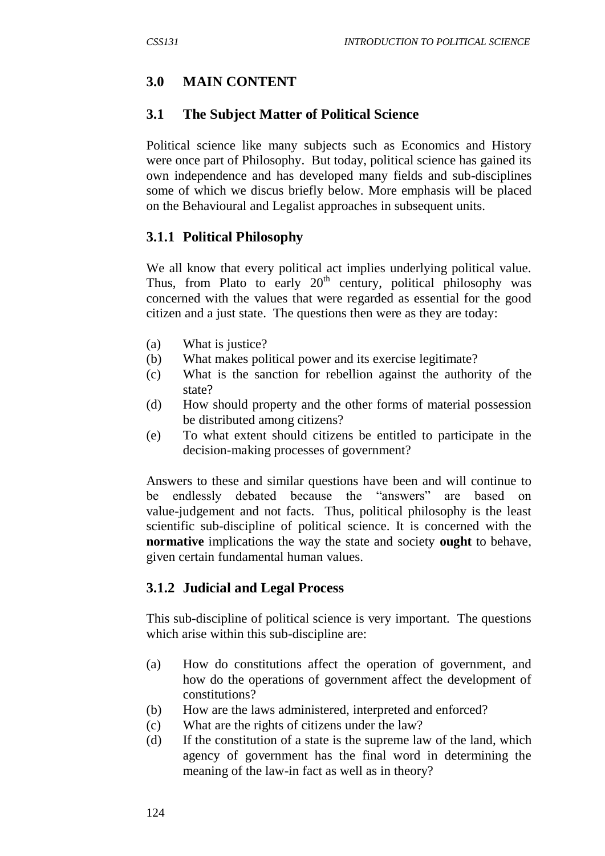# **3.0 MAIN CONTENT**

# **3.1 The Subject Matter of Political Science**

Political science like many subjects such as Economics and History were once part of Philosophy. But today, political science has gained its own independence and has developed many fields and sub-disciplines some of which we discus briefly below. More emphasis will be placed on the Behavioural and Legalist approaches in subsequent units.

# **3.1.1 Political Philosophy**

We all know that every political act implies underlying political value. Thus, from Plato to early  $20<sup>th</sup>$  century, political philosophy was concerned with the values that were regarded as essential for the good citizen and a just state. The questions then were as they are today:

- (a) What is justice?
- (b) What makes political power and its exercise legitimate?
- (c) What is the sanction for rebellion against the authority of the state?
- (d) How should property and the other forms of material possession be distributed among citizens?
- (e) To what extent should citizens be entitled to participate in the decision-making processes of government?

Answers to these and similar questions have been and will continue to be endlessly debated because the "answers" are based on value-judgement and not facts. Thus, political philosophy is the least scientific sub-discipline of political science. It is concerned with the **normative** implications the way the state and society **ought** to behave, given certain fundamental human values.

# **3.1.2 Judicial and Legal Process**

This sub-discipline of political science is very important. The questions which arise within this sub-discipline are:

- (a) How do constitutions affect the operation of government, and how do the operations of government affect the development of constitutions?
- (b) How are the laws administered, interpreted and enforced?
- (c) What are the rights of citizens under the law?
- (d) If the constitution of a state is the supreme law of the land, which agency of government has the final word in determining the meaning of the law-in fact as well as in theory?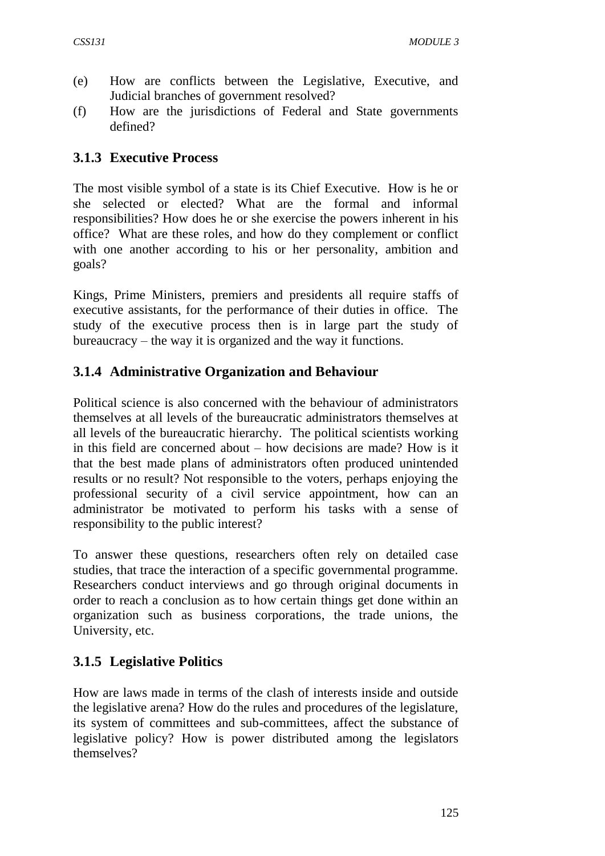- (e) How are conflicts between the Legislative, Executive, and Judicial branches of government resolved?
- (f) How are the jurisdictions of Federal and State governments defined?

# **3.1.3 Executive Process**

The most visible symbol of a state is its Chief Executive. How is he or she selected or elected? What are the formal and informal responsibilities? How does he or she exercise the powers inherent in his office? What are these roles, and how do they complement or conflict with one another according to his or her personality, ambition and goals?

Kings, Prime Ministers, premiers and presidents all require staffs of executive assistants, for the performance of their duties in office. The study of the executive process then is in large part the study of bureaucracy – the way it is organized and the way it functions.

# **3.1.4 Administrative Organization and Behaviour**

Political science is also concerned with the behaviour of administrators themselves at all levels of the bureaucratic administrators themselves at all levels of the bureaucratic hierarchy. The political scientists working in this field are concerned about – how decisions are made? How is it that the best made plans of administrators often produced unintended results or no result? Not responsible to the voters, perhaps enjoying the professional security of a civil service appointment, how can an administrator be motivated to perform his tasks with a sense of responsibility to the public interest?

To answer these questions, researchers often rely on detailed case studies, that trace the interaction of a specific governmental programme. Researchers conduct interviews and go through original documents in order to reach a conclusion as to how certain things get done within an organization such as business corporations, the trade unions, the University, etc.

# **3.1.5 Legislative Politics**

How are laws made in terms of the clash of interests inside and outside the legislative arena? How do the rules and procedures of the legislature, its system of committees and sub-committees, affect the substance of legislative policy? How is power distributed among the legislators themselves?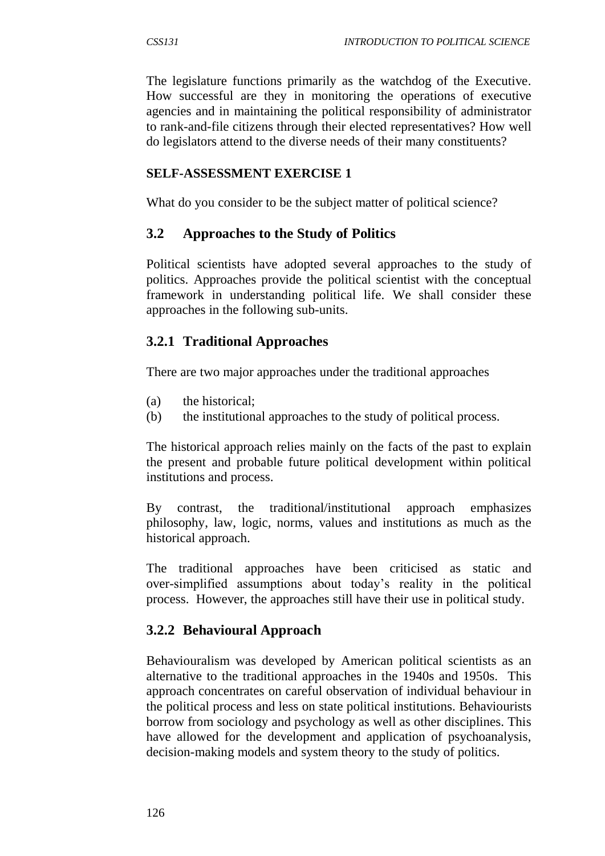The legislature functions primarily as the watchdog of the Executive. How successful are they in monitoring the operations of executive agencies and in maintaining the political responsibility of administrator to rank-and-file citizens through their elected representatives? How well do legislators attend to the diverse needs of their many constituents?

#### **SELF-ASSESSMENT EXERCISE 1**

What do you consider to be the subject matter of political science?

#### **3.2 Approaches to the Study of Politics**

Political scientists have adopted several approaches to the study of politics. Approaches provide the political scientist with the conceptual framework in understanding political life. We shall consider these approaches in the following sub-units.

#### **3.2.1 Traditional Approaches**

There are two major approaches under the traditional approaches

- (a) the historical;
- (b) the institutional approaches to the study of political process.

The historical approach relies mainly on the facts of the past to explain the present and probable future political development within political institutions and process.

By contrast, the traditional/institutional approach emphasizes philosophy, law, logic, norms, values and institutions as much as the historical approach.

The traditional approaches have been criticised as static and over-simplified assumptions about today's reality in the political process. However, the approaches still have their use in political study.

# **3.2.2 Behavioural Approach**

Behaviouralism was developed by American political scientists as an alternative to the traditional approaches in the 1940s and 1950s. This approach concentrates on careful observation of individual behaviour in the political process and less on state political institutions. Behaviourists borrow from sociology and psychology as well as other disciplines. This have allowed for the development and application of psychoanalysis, decision-making models and system theory to the study of politics.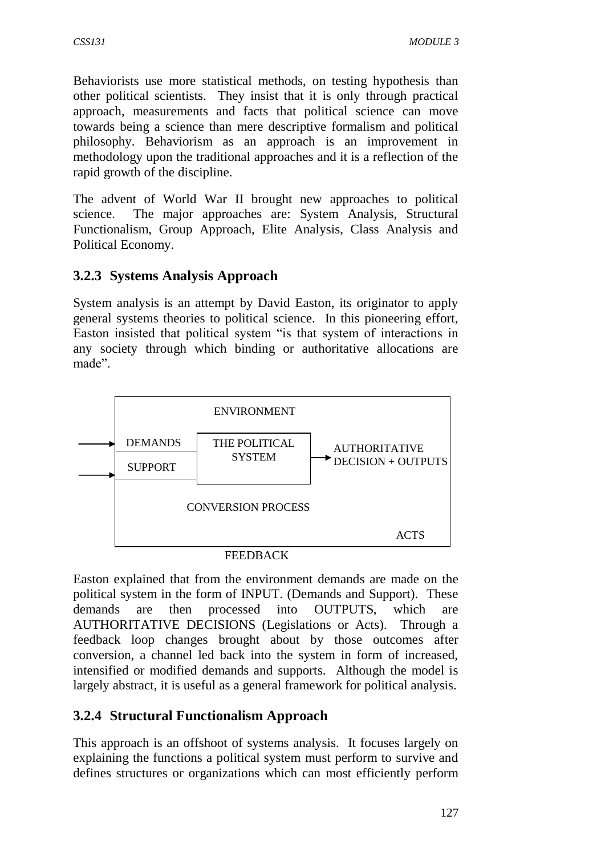Behaviorists use more statistical methods, on testing hypothesis than other political scientists. They insist that it is only through practical approach, measurements and facts that political science can move towards being a science than mere descriptive formalism and political philosophy. Behaviorism as an approach is an improvement in methodology upon the traditional approaches and it is a reflection of the rapid growth of the discipline.

The advent of World War II brought new approaches to political science. The major approaches are: System Analysis, Structural Functionalism, Group Approach, Elite Analysis, Class Analysis and Political Economy.

# **3.2.3 Systems Analysis Approach**

System analysis is an attempt by David Easton, its originator to apply general systems theories to political science. In this pioneering effort, Easton insisted that political system "is that system of interactions in any society through which binding or authoritative allocations are made".



FEEDBACK

Easton explained that from the environment demands are made on the political system in the form of INPUT. (Demands and Support). These demands are then processed into OUTPUTS, which are AUTHORITATIVE DECISIONS (Legislations or Acts). Through a feedback loop changes brought about by those outcomes after conversion, a channel led back into the system in form of increased, intensified or modified demands and supports. Although the model is largely abstract, it is useful as a general framework for political analysis.

# **3.2.4 Structural Functionalism Approach**

This approach is an offshoot of systems analysis. It focuses largely on explaining the functions a political system must perform to survive and defines structures or organizations which can most efficiently perform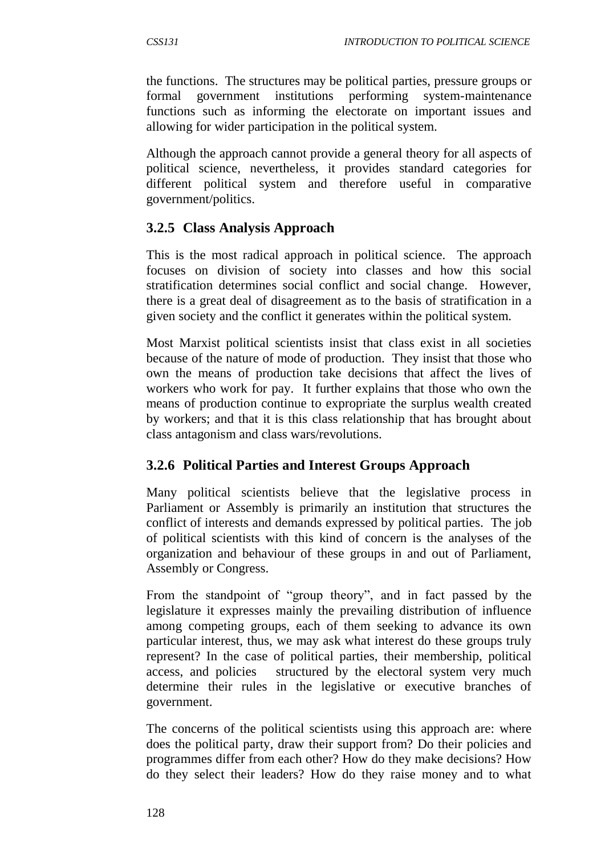the functions. The structures may be political parties, pressure groups or formal government institutions performing system-maintenance functions such as informing the electorate on important issues and allowing for wider participation in the political system.

Although the approach cannot provide a general theory for all aspects of political science, nevertheless, it provides standard categories for different political system and therefore useful in comparative government/politics.

# **3.2.5 Class Analysis Approach**

This is the most radical approach in political science. The approach focuses on division of society into classes and how this social stratification determines social conflict and social change. However, there is a great deal of disagreement as to the basis of stratification in a given society and the conflict it generates within the political system.

Most Marxist political scientists insist that class exist in all societies because of the nature of mode of production. They insist that those who own the means of production take decisions that affect the lives of workers who work for pay. It further explains that those who own the means of production continue to expropriate the surplus wealth created by workers; and that it is this class relationship that has brought about class antagonism and class wars/revolutions.

# **3.2.6 Political Parties and Interest Groups Approach**

Many political scientists believe that the legislative process in Parliament or Assembly is primarily an institution that structures the conflict of interests and demands expressed by political parties. The job of political scientists with this kind of concern is the analyses of the organization and behaviour of these groups in and out of Parliament, Assembly or Congress.

From the standpoint of "group theory", and in fact passed by the legislature it expresses mainly the prevailing distribution of influence among competing groups, each of them seeking to advance its own particular interest, thus, we may ask what interest do these groups truly represent? In the case of political parties, their membership, political access, and policies structured by the electoral system very much determine their rules in the legislative or executive branches of government.

The concerns of the political scientists using this approach are: where does the political party, draw their support from? Do their policies and programmes differ from each other? How do they make decisions? How do they select their leaders? How do they raise money and to what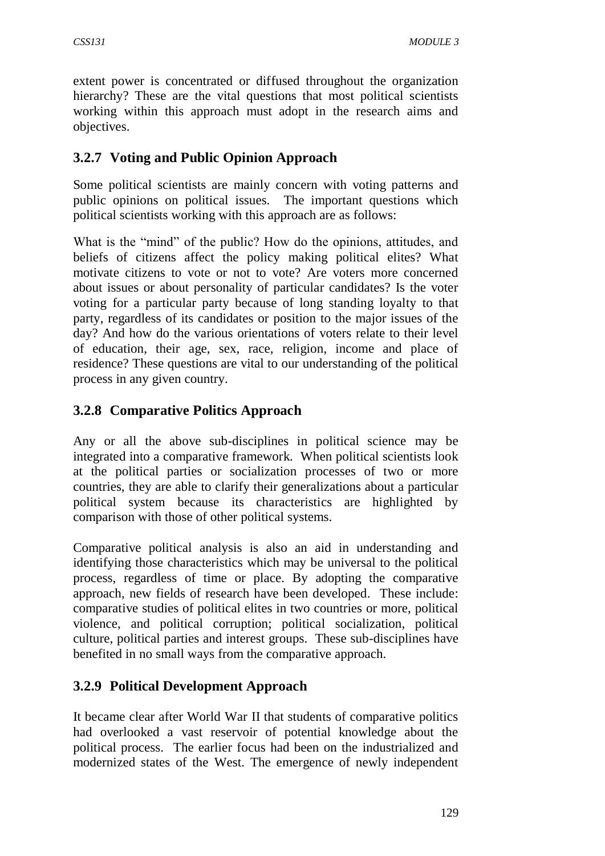extent power is concentrated or diffused throughout the organization hierarchy? These are the vital questions that most political scientists working within this approach must adopt in the research aims and objectives.

# **3.2.7 Voting and Public Opinion Approach**

Some political scientists are mainly concern with voting patterns and public opinions on political issues. The important questions which political scientists working with this approach are as follows:

What is the "mind" of the public? How do the opinions, attitudes, and beliefs of citizens affect the policy making political elites? What motivate citizens to vote or not to vote? Are voters more concerned about issues or about personality of particular candidates? Is the voter voting for a particular party because of long standing loyalty to that party, regardless of its candidates or position to the major issues of the day? And how do the various orientations of voters relate to their level of education, their age, sex, race, religion, income and place of residence? These questions are vital to our understanding of the political process in any given country.

# **3.2.8 Comparative Politics Approach**

Any or all the above sub-disciplines in political science may be integrated into a comparative framework. When political scientists look at the political parties or socialization processes of two or more countries, they are able to clarify their generalizations about a particular political system because its characteristics are highlighted by comparison with those of other political systems.

Comparative political analysis is also an aid in understanding and identifying those characteristics which may be universal to the political process, regardless of time or place. By adopting the comparative approach, new fields of research have been developed. These include: comparative studies of political elites in two countries or more, political violence, and political corruption; political socialization, political culture, political parties and interest groups. These sub-disciplines have benefited in no small ways from the comparative approach.

# **3.2.9 Political Development Approach**

It became clear after World War II that students of comparative politics had overlooked a vast reservoir of potential knowledge about the political process. The earlier focus had been on the industrialized and modernized states of the West. The emergence of newly independent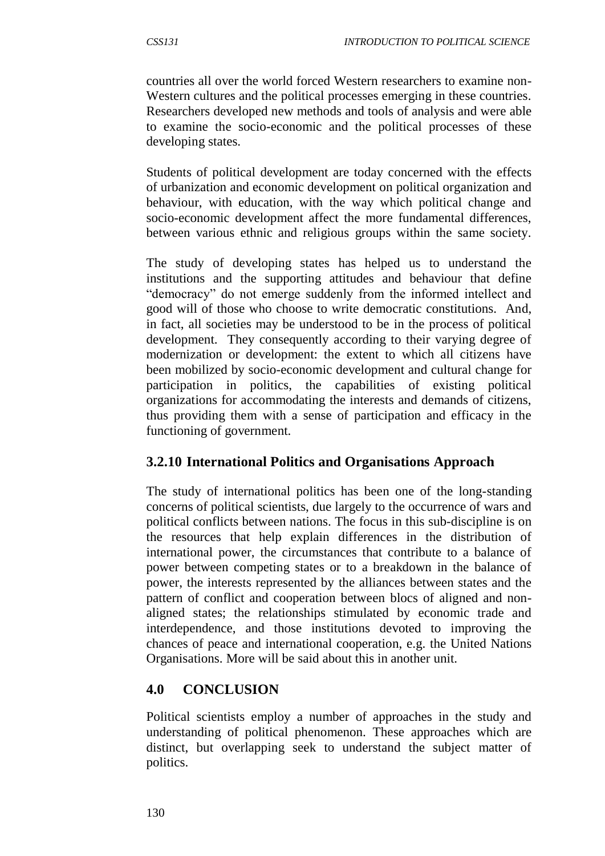countries all over the world forced Western researchers to examine non-Western cultures and the political processes emerging in these countries. Researchers developed new methods and tools of analysis and were able to examine the socio-economic and the political processes of these developing states.

Students of political development are today concerned with the effects of urbanization and economic development on political organization and behaviour, with education, with the way which political change and socio-economic development affect the more fundamental differences, between various ethnic and religious groups within the same society.

The study of developing states has helped us to understand the institutions and the supporting attitudes and behaviour that define "democracy" do not emerge suddenly from the informed intellect and good will of those who choose to write democratic constitutions. And, in fact, all societies may be understood to be in the process of political development. They consequently according to their varying degree of modernization or development: the extent to which all citizens have been mobilized by socio-economic development and cultural change for participation in politics, the capabilities of existing political organizations for accommodating the interests and demands of citizens, thus providing them with a sense of participation and efficacy in the functioning of government.

# **3.2.10 International Politics and Organisations Approach**

The study of international politics has been one of the long-standing concerns of political scientists, due largely to the occurrence of wars and political conflicts between nations. The focus in this sub-discipline is on the resources that help explain differences in the distribution of international power, the circumstances that contribute to a balance of power between competing states or to a breakdown in the balance of power, the interests represented by the alliances between states and the pattern of conflict and cooperation between blocs of aligned and nonaligned states; the relationships stimulated by economic trade and interdependence, and those institutions devoted to improving the chances of peace and international cooperation, e.g. the United Nations Organisations. More will be said about this in another unit.

# **4.0 CONCLUSION**

Political scientists employ a number of approaches in the study and understanding of political phenomenon. These approaches which are distinct, but overlapping seek to understand the subject matter of politics.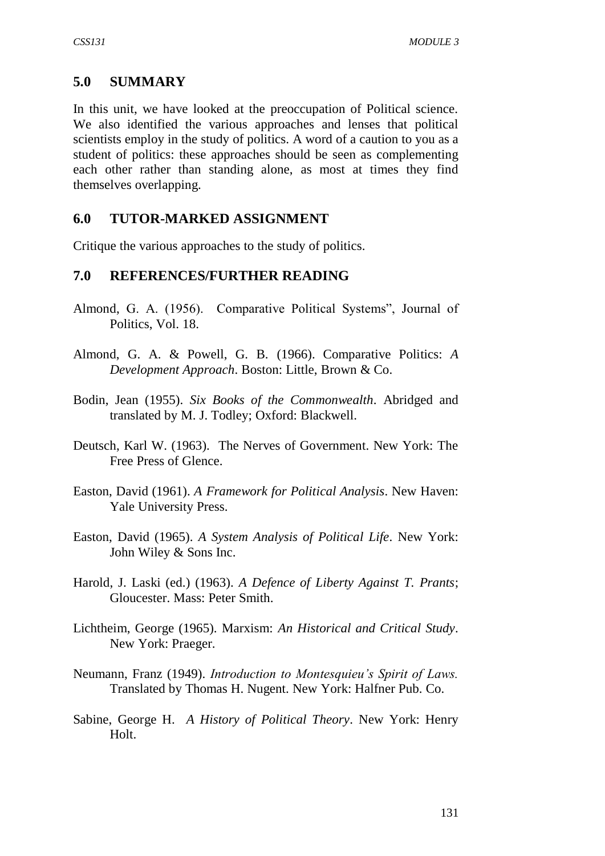#### **5.0 SUMMARY**

In this unit, we have looked at the preoccupation of Political science. We also identified the various approaches and lenses that political scientists employ in the study of politics. A word of a caution to you as a student of politics: these approaches should be seen as complementing each other rather than standing alone, as most at times they find themselves overlapping.

#### **6.0 TUTOR-MARKED ASSIGNMENT**

Critique the various approaches to the study of politics.

#### **7.0 REFERENCES/FURTHER READING**

- Almond, G. A. (1956). Comparative Political Systems", Journal of Politics, Vol. 18.
- Almond, G. A. & Powell, G. B. (1966). Comparative Politics: *A Development Approach*. Boston: Little, Brown & Co.
- Bodin, Jean (1955). *Six Books of the Commonwealth*. Abridged and translated by M. J. Todley; Oxford: Blackwell.
- Deutsch, Karl W. (1963). The Nerves of Government. New York: The Free Press of Glence.
- Easton, David (1961). *A Framework for Political Analysis*. New Haven: Yale University Press.
- Easton, David (1965). *A System Analysis of Political Life*. New York: John Wiley & Sons Inc.
- Harold, J. Laski (ed.) (1963). *A Defence of Liberty Against T. Prants*; Gloucester. Mass: Peter Smith.
- Lichtheim, George (1965). Marxism: *An Historical and Critical Study*. New York: Praeger.
- Neumann, Franz (1949). *Introduction to Montesquieu's Spirit of Laws.* Translated by Thomas H. Nugent. New York: Halfner Pub. Co.
- Sabine, George H. *A History of Political Theory*. New York: Henry Holt.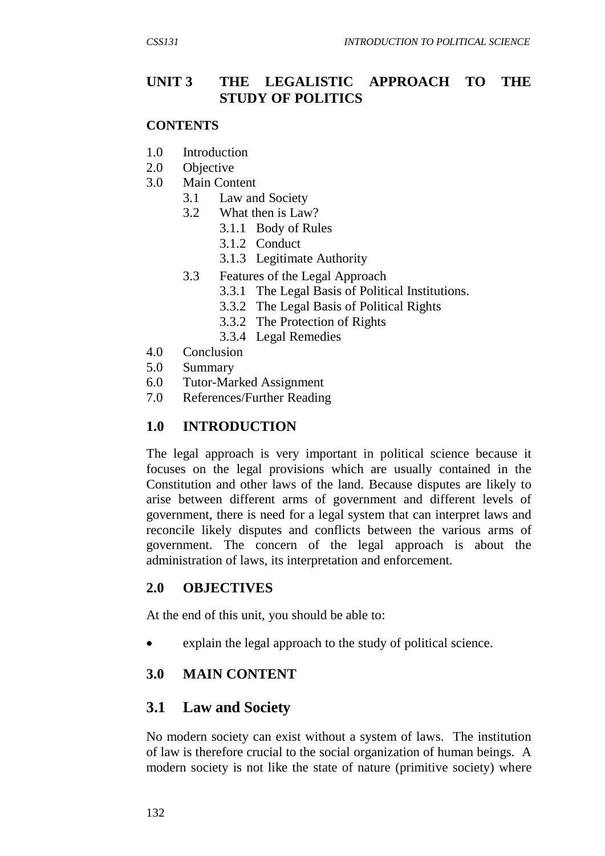# **UNIT 3 THE LEGALISTIC APPROACH TO THE STUDY OF POLITICS**

#### **CONTENTS**

- 1.0 Introduction
- 2.0 Objective
- 3.0 Main Content
	- 3.1 Law and Society
	- 3.2 What then is Law?
		- 3.1.1 Body of Rules
		- 3.1.2 Conduct
		- 3.1.3 Legitimate Authority
	- 3.3 Features of the Legal Approach
		- 3.3.1 The Legal Basis of Political Institutions.
		- 3.3.2 The Legal Basis of Political Rights
		- 3.3.2 The Protection of Rights
		- 3.3.4 Legal Remedies
- 4.0 Conclusion
- 5.0 Summary
- 6.0 Tutor-Marked Assignment
- 7.0 References/Further Reading

#### **1.0 INTRODUCTION**

The legal approach is very important in political science because it focuses on the legal provisions which are usually contained in the Constitution and other laws of the land. Because disputes are likely to arise between different arms of government and different levels of government, there is need for a legal system that can interpret laws and reconcile likely disputes and conflicts between the various arms of government. The concern of the legal approach is about the administration of laws, its interpretation and enforcement.

#### **2.0 OBJECTIVES**

At the end of this unit, you should be able to:

explain the legal approach to the study of political science.

#### **3.0 MAIN CONTENT**

# **3.1 Law and Society**

No modern society can exist without a system of laws. The institution of law is therefore crucial to the social organization of human beings. A modern society is not like the state of nature (primitive society) where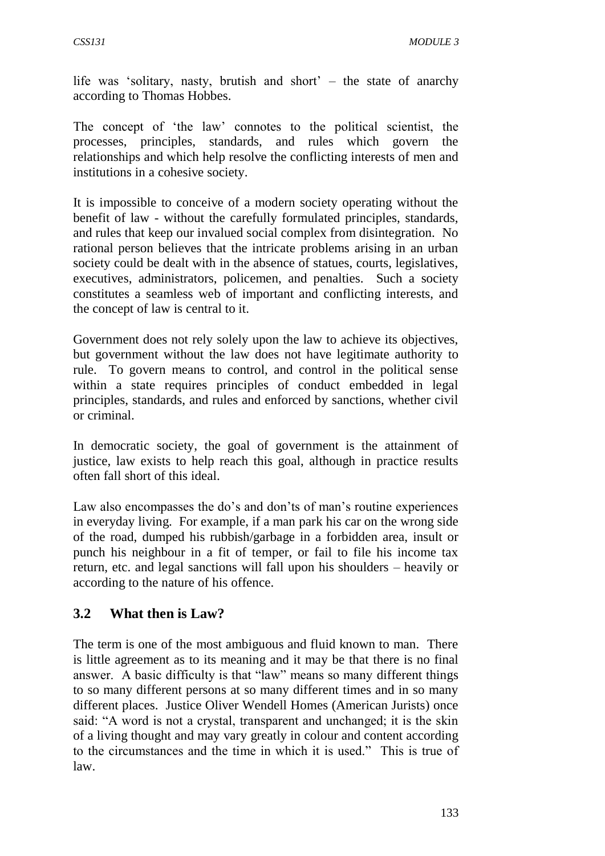life was 'solitary, nasty, brutish and short' – the state of anarchy according to Thomas Hobbes.

The concept of 'the law' connotes to the political scientist, the processes, principles, standards, and rules which govern the relationships and which help resolve the conflicting interests of men and institutions in a cohesive society.

It is impossible to conceive of a modern society operating without the benefit of law - without the carefully formulated principles, standards, and rules that keep our invalued social complex from disintegration. No rational person believes that the intricate problems arising in an urban society could be dealt with in the absence of statues, courts, legislatives, executives, administrators, policemen, and penalties. Such a society constitutes a seamless web of important and conflicting interests, and the concept of law is central to it.

Government does not rely solely upon the law to achieve its objectives, but government without the law does not have legitimate authority to rule. To govern means to control, and control in the political sense within a state requires principles of conduct embedded in legal principles, standards, and rules and enforced by sanctions, whether civil or criminal.

In democratic society, the goal of government is the attainment of justice, law exists to help reach this goal, although in practice results often fall short of this ideal.

Law also encompasses the do's and don'ts of man's routine experiences in everyday living. For example, if a man park his car on the wrong side of the road, dumped his rubbish/garbage in a forbidden area, insult or punch his neighbour in a fit of temper, or fail to file his income tax return, etc. and legal sanctions will fall upon his shoulders – heavily or according to the nature of his offence.

# **3.2 What then is Law?**

The term is one of the most ambiguous and fluid known to man. There is little agreement as to its meaning and it may be that there is no final answer. A basic difficulty is that "law" means so many different things to so many different persons at so many different times and in so many different places. Justice Oliver Wendell Homes (American Jurists) once said: "A word is not a crystal, transparent and unchanged; it is the skin of a living thought and may vary greatly in colour and content according to the circumstances and the time in which it is used." This is true of law.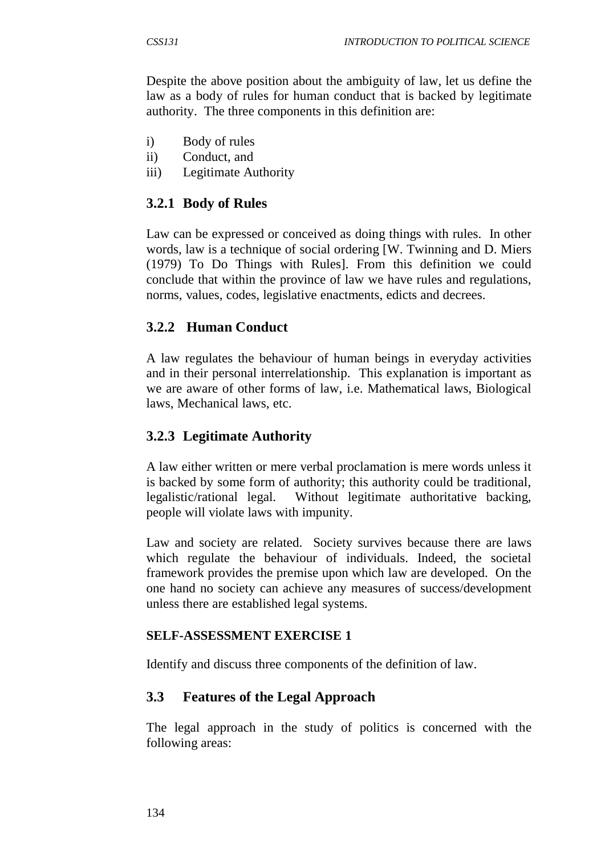Despite the above position about the ambiguity of law, let us define the law as a body of rules for human conduct that is backed by legitimate authority. The three components in this definition are:

- i) Body of rules
- ii) Conduct, and
- iii) Legitimate Authority

# **3.2.1 Body of Rules**

Law can be expressed or conceived as doing things with rules. In other words, law is a technique of social ordering [W. Twinning and D. Miers (1979) To Do Things with Rules]. From this definition we could conclude that within the province of law we have rules and regulations, norms, values, codes, legislative enactments, edicts and decrees.

# **3.2.2 Human Conduct**

A law regulates the behaviour of human beings in everyday activities and in their personal interrelationship. This explanation is important as we are aware of other forms of law, i.e. Mathematical laws, Biological laws, Mechanical laws, etc.

# **3.2.3 Legitimate Authority**

A law either written or mere verbal proclamation is mere words unless it is backed by some form of authority; this authority could be traditional, legalistic/rational legal. Without legitimate authoritative backing, people will violate laws with impunity.

Law and society are related. Society survives because there are laws which regulate the behaviour of individuals. Indeed, the societal framework provides the premise upon which law are developed. On the one hand no society can achieve any measures of success/development unless there are established legal systems.

#### **SELF-ASSESSMENT EXERCISE 1**

Identify and discuss three components of the definition of law.

# **3.3 Features of the Legal Approach**

The legal approach in the study of politics is concerned with the following areas: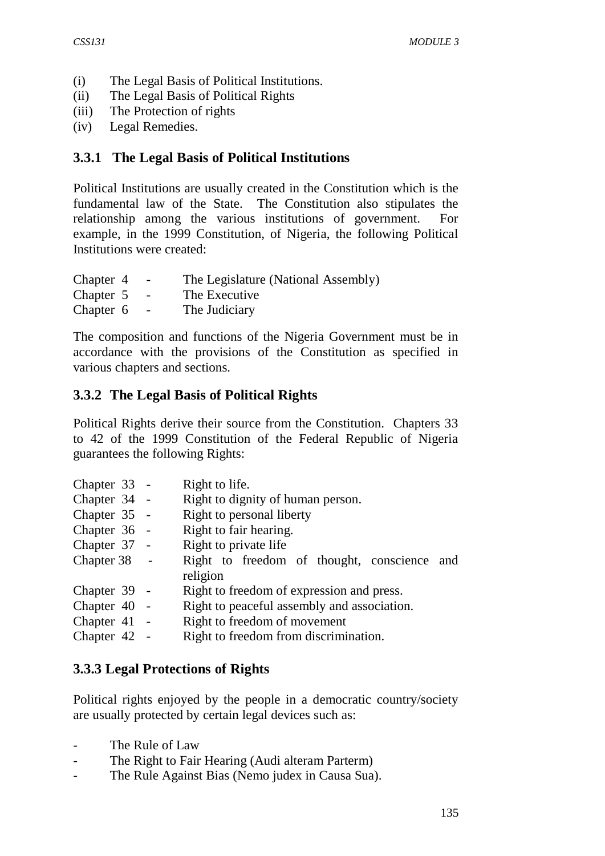- (i) The Legal Basis of Political Institutions.
- (ii) The Legal Basis of Political Rights
- (iii) The Protection of rights
- (iv) Legal Remedies.

# **3.3.1 The Legal Basis of Political Institutions**

Political Institutions are usually created in the Constitution which is the fundamental law of the State. The Constitution also stipulates the relationship among the various institutions of government. For example, in the 1999 Constitution, of Nigeria, the following Political Institutions were created:

| Chapter 4 | - | The Legislature (National Assembly) |
|-----------|---|-------------------------------------|
| Chapter 5 | - | The Executive                       |

Chapter 6 - The Judiciary

The composition and functions of the Nigeria Government must be in accordance with the provisions of the Constitution as specified in various chapters and sections.

# **3.3.2 The Legal Basis of Political Rights**

Political Rights derive their source from the Constitution. Chapters 33 to 42 of the 1999 Constitution of the Federal Republic of Nigeria guarantees the following Rights:

|  | Right to life.                                                                                                                                               |
|--|--------------------------------------------------------------------------------------------------------------------------------------------------------------|
|  | Right to dignity of human person.                                                                                                                            |
|  | Right to personal liberty                                                                                                                                    |
|  | Right to fair hearing.                                                                                                                                       |
|  | Right to private life                                                                                                                                        |
|  | Right to freedom of thought, conscience and                                                                                                                  |
|  | religion                                                                                                                                                     |
|  | Right to freedom of expression and press.                                                                                                                    |
|  | Right to peaceful assembly and association.                                                                                                                  |
|  | Right to freedom of movement                                                                                                                                 |
|  | Right to freedom from discrimination.                                                                                                                        |
|  | Chapter 33 -<br>Chapter 34 -<br>Chapter 35 -<br>Chapter 36 -<br>Chapter 37 -<br>Chapter 38 -<br>Chapter 39 -<br>Chapter 40 -<br>Chapter 41 -<br>Chapter 42 - |

# **3.3.3 Legal Protections of Rights**

Political rights enjoyed by the people in a democratic country/society are usually protected by certain legal devices such as:

- The Rule of Law
- The Right to Fair Hearing (Audi alteram Parterm)
- The Rule Against Bias (Nemo judex in Causa Sua).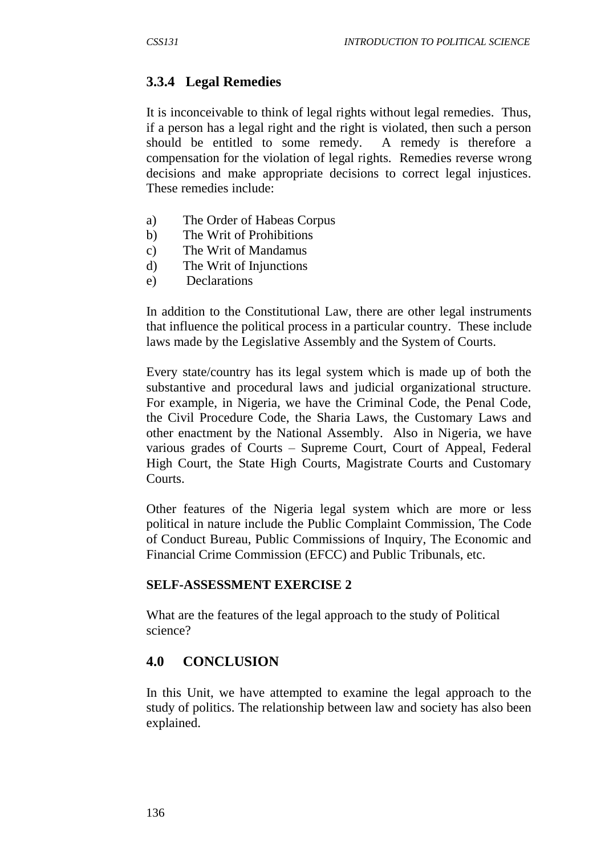# **3.3.4 Legal Remedies**

It is inconceivable to think of legal rights without legal remedies. Thus, if a person has a legal right and the right is violated, then such a person should be entitled to some remedy. A remedy is therefore a compensation for the violation of legal rights. Remedies reverse wrong decisions and make appropriate decisions to correct legal injustices. These remedies include:

- a) The Order of Habeas Corpus
- b) The Writ of Prohibitions
- c) The Writ of Mandamus
- d) The Writ of Injunctions
- e) Declarations

In addition to the Constitutional Law, there are other legal instruments that influence the political process in a particular country. These include laws made by the Legislative Assembly and the System of Courts.

Every state/country has its legal system which is made up of both the substantive and procedural laws and judicial organizational structure. For example, in Nigeria, we have the Criminal Code, the Penal Code, the Civil Procedure Code, the Sharia Laws, the Customary Laws and other enactment by the National Assembly. Also in Nigeria, we have various grades of Courts – Supreme Court, Court of Appeal, Federal High Court, the State High Courts, Magistrate Courts and Customary Courts.

Other features of the Nigeria legal system which are more or less political in nature include the Public Complaint Commission, The Code of Conduct Bureau, Public Commissions of Inquiry, The Economic and Financial Crime Commission (EFCC) and Public Tribunals, etc.

#### **SELF-ASSESSMENT EXERCISE 2**

What are the features of the legal approach to the study of Political science?

# **4.0 CONCLUSION**

In this Unit, we have attempted to examine the legal approach to the study of politics. The relationship between law and society has also been explained.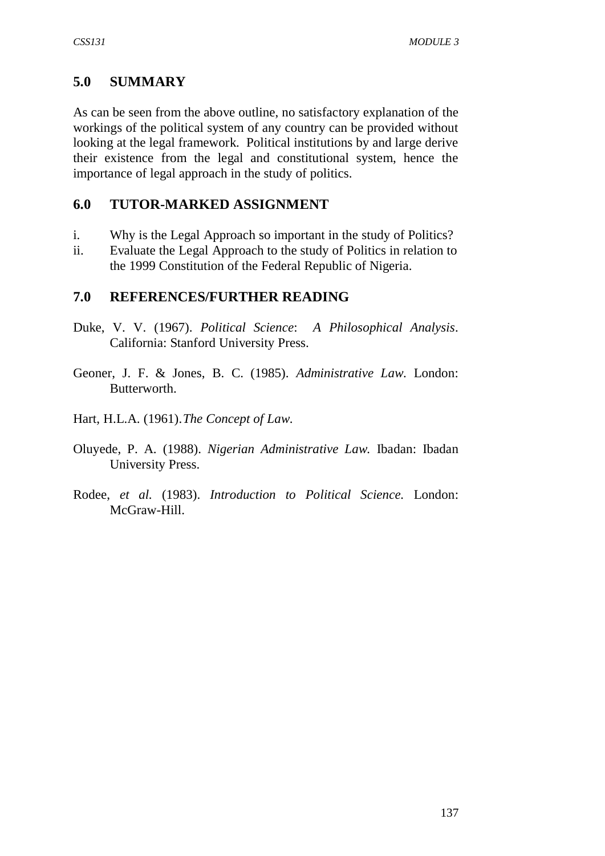# **5.0 SUMMARY**

As can be seen from the above outline, no satisfactory explanation of the workings of the political system of any country can be provided without looking at the legal framework. Political institutions by and large derive their existence from the legal and constitutional system, hence the importance of legal approach in the study of politics.

# **6.0 TUTOR-MARKED ASSIGNMENT**

- i. Why is the Legal Approach so important in the study of Politics?
- ii. Evaluate the Legal Approach to the study of Politics in relation to the 1999 Constitution of the Federal Republic of Nigeria.

# **7.0 REFERENCES/FURTHER READING**

- Duke, V. V. (1967). *Political Science*: *A Philosophical Analysis*. California: Stanford University Press.
- Geoner, J. F. & Jones, B. C. (1985). *Administrative Law*. London: Butterworth.
- Hart, H.L.A. (1961).*The Concept of Law*.
- Oluyede, P. A. (1988). *Nigerian Administrative Law.* Ibadan: Ibadan University Press.
- Rodee, *et al.* (1983). *Introduction to Political Science.* London: McGraw-Hill.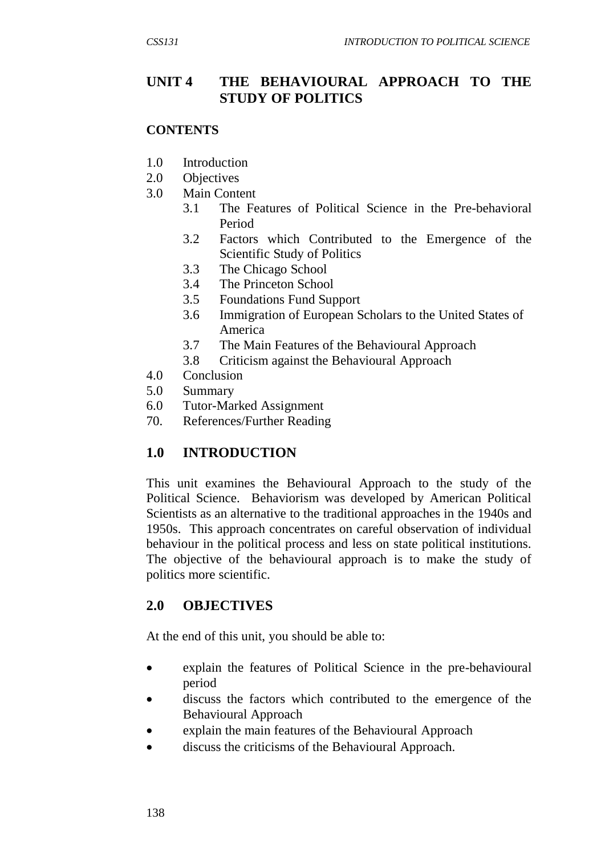## **UNIT 4 THE BEHAVIOURAL APPROACH TO THE STUDY OF POLITICS**

#### **CONTENTS**

- 1.0 Introduction
- 2.0 Objectives
- 3.0 Main Content
	- 3.1 The Features of Political Science in the Pre-behavioral Period
	- 3.2 Factors which Contributed to the Emergence of the Scientific Study of Politics
	- 3.3 The Chicago School
	- 3.4 The Princeton School
	- 3.5 Foundations Fund Support
	- 3.6 Immigration of European Scholars to the United States of America
	- 3.7 The Main Features of the Behavioural Approach
	- 3.8 Criticism against the Behavioural Approach
- 4.0 Conclusion
- 5.0 Summary
- 6.0 Tutor-Marked Assignment
- 70. References/Further Reading

# **1.0 INTRODUCTION**

This unit examines the Behavioural Approach to the study of the Political Science. Behaviorism was developed by American Political Scientists as an alternative to the traditional approaches in the 1940s and 1950s. This approach concentrates on careful observation of individual behaviour in the political process and less on state political institutions. The objective of the behavioural approach is to make the study of politics more scientific.

#### **2.0 OBJECTIVES**

At the end of this unit, you should be able to:

- explain the features of Political Science in the pre-behavioural period
- discuss the factors which contributed to the emergence of the Behavioural Approach
- explain the main features of the Behavioural Approach
- discuss the criticisms of the Behavioural Approach.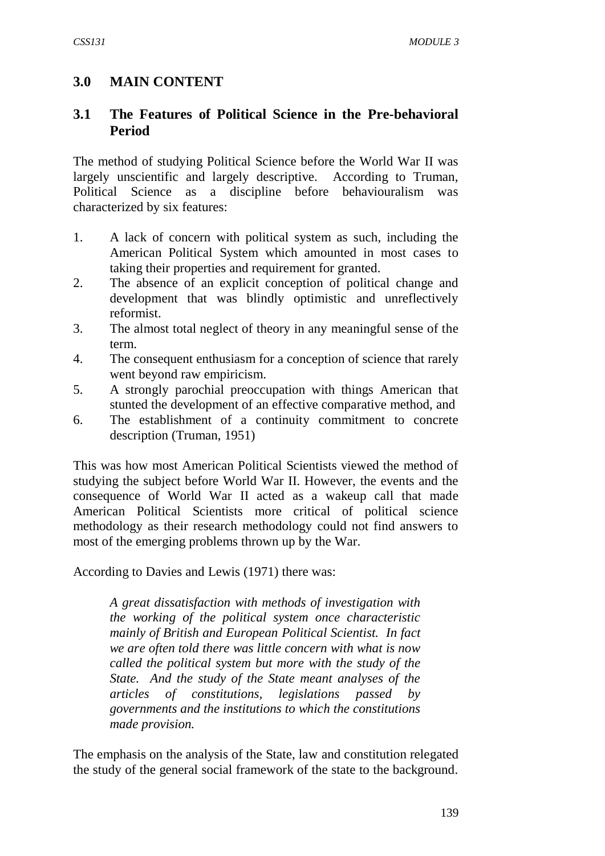# **3.0 MAIN CONTENT**

## **3.1 The Features of Political Science in the Pre-behavioral Period**

The method of studying Political Science before the World War II was largely unscientific and largely descriptive. According to Truman, Political Science as a discipline before behaviouralism was characterized by six features:

- 1. A lack of concern with political system as such, including the American Political System which amounted in most cases to taking their properties and requirement for granted.
- 2. The absence of an explicit conception of political change and development that was blindly optimistic and unreflectively reformist.
- 3. The almost total neglect of theory in any meaningful sense of the term.
- 4. The consequent enthusiasm for a conception of science that rarely went beyond raw empiricism.
- 5. A strongly parochial preoccupation with things American that stunted the development of an effective comparative method, and
- 6. The establishment of a continuity commitment to concrete description (Truman, 1951)

This was how most American Political Scientists viewed the method of studying the subject before World War II. However, the events and the consequence of World War II acted as a wakeup call that made American Political Scientists more critical of political science methodology as their research methodology could not find answers to most of the emerging problems thrown up by the War.

According to Davies and Lewis (1971) there was:

*A great dissatisfaction with methods of investigation with the working of the political system once characteristic mainly of British and European Political Scientist. In fact we are often told there was little concern with what is now called the political system but more with the study of the State. And the study of the State meant analyses of the articles of constitutions, legislations passed by governments and the institutions to which the constitutions made provision.*

The emphasis on the analysis of the State, law and constitution relegated the study of the general social framework of the state to the background.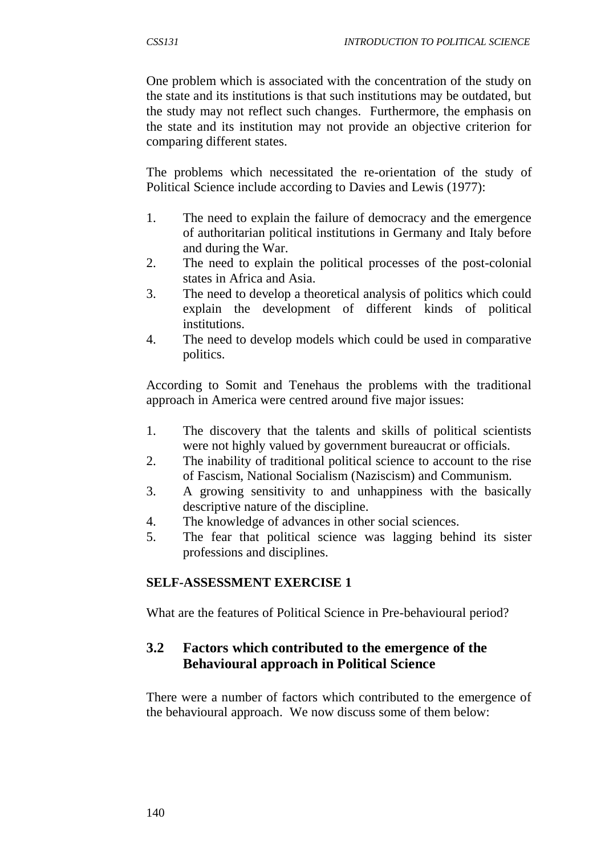One problem which is associated with the concentration of the study on the state and its institutions is that such institutions may be outdated, but the study may not reflect such changes. Furthermore, the emphasis on the state and its institution may not provide an objective criterion for comparing different states.

The problems which necessitated the re-orientation of the study of Political Science include according to Davies and Lewis (1977):

- 1. The need to explain the failure of democracy and the emergence of authoritarian political institutions in Germany and Italy before and during the War.
- 2. The need to explain the political processes of the post-colonial states in Africa and Asia.
- 3. The need to develop a theoretical analysis of politics which could explain the development of different kinds of political institutions.
- 4. The need to develop models which could be used in comparative politics.

According to Somit and Tenehaus the problems with the traditional approach in America were centred around five major issues:

- 1. The discovery that the talents and skills of political scientists were not highly valued by government bureaucrat or officials.
- 2. The inability of traditional political science to account to the rise of Fascism, National Socialism (Naziscism) and Communism.
- 3. A growing sensitivity to and unhappiness with the basically descriptive nature of the discipline.
- 4. The knowledge of advances in other social sciences.
- 5. The fear that political science was lagging behind its sister professions and disciplines.

#### **SELF-ASSESSMENT EXERCISE 1**

What are the features of Political Science in Pre-behavioural period?

#### **3.2 Factors which contributed to the emergence of the Behavioural approach in Political Science**

There were a number of factors which contributed to the emergence of the behavioural approach. We now discuss some of them below: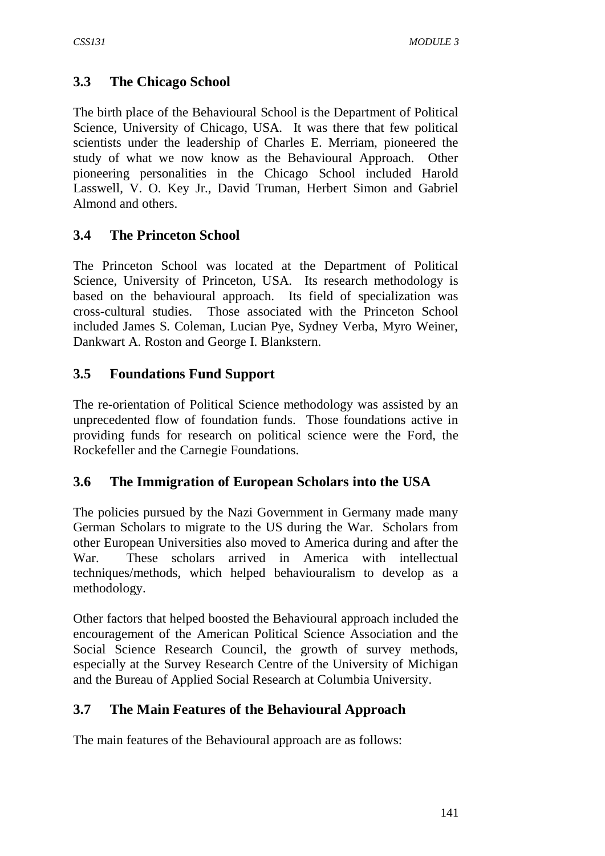# **3.3 The Chicago School**

The birth place of the Behavioural School is the Department of Political Science, University of Chicago, USA. It was there that few political scientists under the leadership of Charles E. Merriam, pioneered the study of what we now know as the Behavioural Approach. Other pioneering personalities in the Chicago School included Harold Lasswell, V. O. Key Jr., David Truman, Herbert Simon and Gabriel Almond and others.

# **3.4 The Princeton School**

The Princeton School was located at the Department of Political Science, University of Princeton, USA. Its research methodology is based on the behavioural approach. Its field of specialization was cross-cultural studies. Those associated with the Princeton School included James S. Coleman, Lucian Pye, Sydney Verba, Myro Weiner, Dankwart A. Roston and George I. Blankstern.

# **3.5 Foundations Fund Support**

The re-orientation of Political Science methodology was assisted by an unprecedented flow of foundation funds. Those foundations active in providing funds for research on political science were the Ford, the Rockefeller and the Carnegie Foundations.

# **3.6 The Immigration of European Scholars into the USA**

The policies pursued by the Nazi Government in Germany made many German Scholars to migrate to the US during the War. Scholars from other European Universities also moved to America during and after the War. These scholars arrived in America with intellectual techniques/methods, which helped behaviouralism to develop as a methodology.

Other factors that helped boosted the Behavioural approach included the encouragement of the American Political Science Association and the Social Science Research Council, the growth of survey methods, especially at the Survey Research Centre of the University of Michigan and the Bureau of Applied Social Research at Columbia University.

# **3.7 The Main Features of the Behavioural Approach**

The main features of the Behavioural approach are as follows: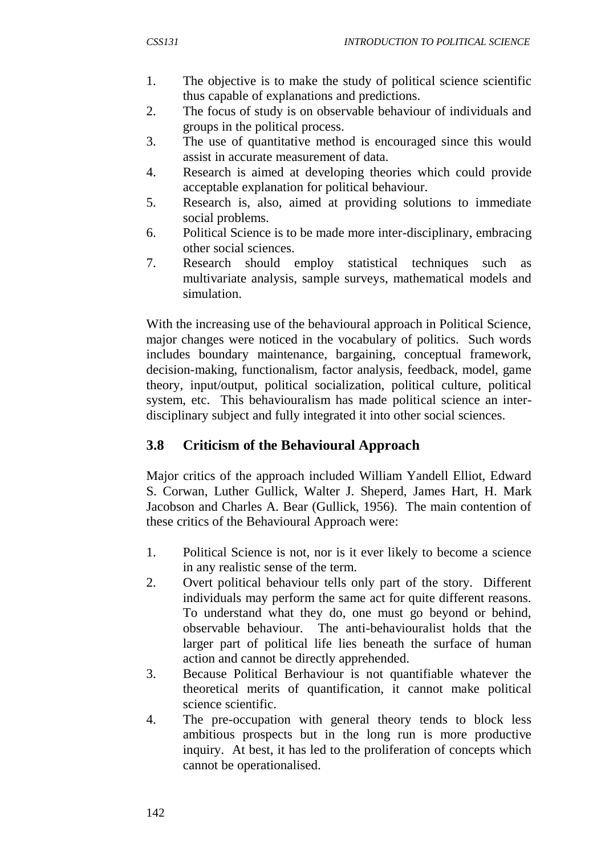- 1. The objective is to make the study of political science scientific thus capable of explanations and predictions.
- 2. The focus of study is on observable behaviour of individuals and groups in the political process.
- 3. The use of quantitative method is encouraged since this would assist in accurate measurement of data.
- 4. Research is aimed at developing theories which could provide acceptable explanation for political behaviour.
- 5. Research is, also, aimed at providing solutions to immediate social problems.
- 6. Political Science is to be made more inter-disciplinary, embracing other social sciences.
- 7. Research should employ statistical techniques such as multivariate analysis, sample surveys, mathematical models and simulation.

With the increasing use of the behavioural approach in Political Science, major changes were noticed in the vocabulary of politics. Such words includes boundary maintenance, bargaining, conceptual framework, decision-making, functionalism, factor analysis, feedback, model, game theory, input/output, political socialization, political culture, political system, etc. This behaviouralism has made political science an interdisciplinary subject and fully integrated it into other social sciences.

# **3.8 Criticism of the Behavioural Approach**

Major critics of the approach included William Yandell Elliot, Edward S. Corwan, Luther Gullick, Walter J. Sheperd, James Hart, H. Mark Jacobson and Charles A. Bear (Gullick, 1956). The main contention of these critics of the Behavioural Approach were:

- 1. Political Science is not, nor is it ever likely to become a science in any realistic sense of the term.
- 2. Overt political behaviour tells only part of the story. Different individuals may perform the same act for quite different reasons. To understand what they do, one must go beyond or behind, observable behaviour. The anti-behaviouralist holds that the larger part of political life lies beneath the surface of human action and cannot be directly apprehended.
- 3. Because Political Berhaviour is not quantifiable whatever the theoretical merits of quantification, it cannot make political science scientific.
- 4. The pre-occupation with general theory tends to block less ambitious prospects but in the long run is more productive inquiry. At best, it has led to the proliferation of concepts which cannot be operationalised.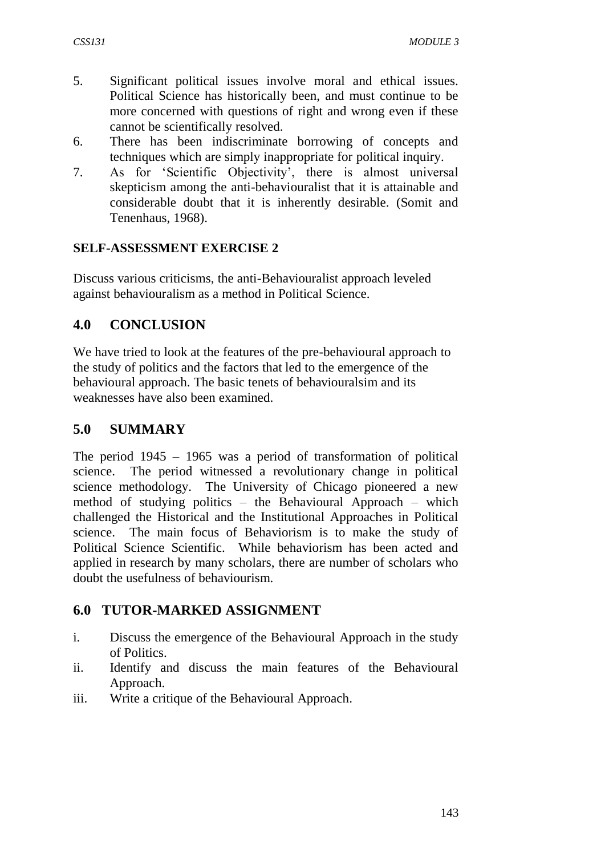- 5. Significant political issues involve moral and ethical issues. Political Science has historically been, and must continue to be more concerned with questions of right and wrong even if these cannot be scientifically resolved.
- 6. There has been indiscriminate borrowing of concepts and techniques which are simply inappropriate for political inquiry.
- 7. As for 'Scientific Objectivity', there is almost universal skepticism among the anti-behaviouralist that it is attainable and considerable doubt that it is inherently desirable. (Somit and Tenenhaus, 1968).

#### **SELF-ASSESSMENT EXERCISE 2**

Discuss various criticisms, the anti-Behaviouralist approach leveled against behaviouralism as a method in Political Science.

## **4.0 CONCLUSION**

We have tried to look at the features of the pre-behavioural approach to the study of politics and the factors that led to the emergence of the behavioural approach. The basic tenets of behaviouralsim and its weaknesses have also been examined.

## **5.0 SUMMARY**

The period 1945 – 1965 was a period of transformation of political science. The period witnessed a revolutionary change in political science methodology. The University of Chicago pioneered a new method of studying politics – the Behavioural Approach – which challenged the Historical and the Institutional Approaches in Political science. The main focus of Behaviorism is to make the study of Political Science Scientific. While behaviorism has been acted and applied in research by many scholars, there are number of scholars who doubt the usefulness of behaviourism.

#### **6.0 TUTOR-MARKED ASSIGNMENT**

- i. Discuss the emergence of the Behavioural Approach in the study of Politics.
- ii. Identify and discuss the main features of the Behavioural Approach.
- iii. Write a critique of the Behavioural Approach.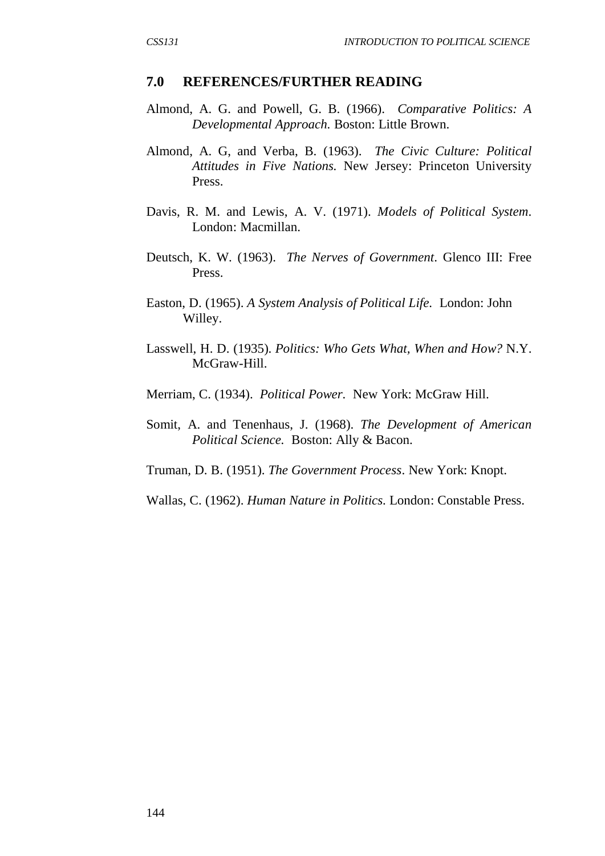#### **7.0 REFERENCES/FURTHER READING**

- Almond, A. G. and Powell, G. B. (1966). *Comparative Politics: A Developmental Approach.* Boston: Little Brown.
- Almond, A. G, and Verba, B. (1963). *The Civic Culture: Political Attitudes in Five Nations.* New Jersey: Princeton University Press.
- Davis, R. M. and Lewis, A. V. (1971). *Models of Political System*. London: Macmillan.
- Deutsch, K. W. (1963). *The Nerves of Government*. Glenco III: Free Press.
- Easton, D. (1965). *A System Analysis of Political Life.* London: John Willey.
- Lasswell, H. D. (1935). *Politics: Who Gets What, When and How?* N.Y. McGraw-Hill.
- Merriam, C. (1934). *Political Power.* New York: McGraw Hill.
- Somit, A. and Tenenhaus, J. (1968). *The Development of American Political Science.* Boston: Ally & Bacon.
- Truman, D. B. (1951). *The Government Process*. New York: Knopt.
- Wallas, C. (1962). *Human Nature in Politics.* London: Constable Press.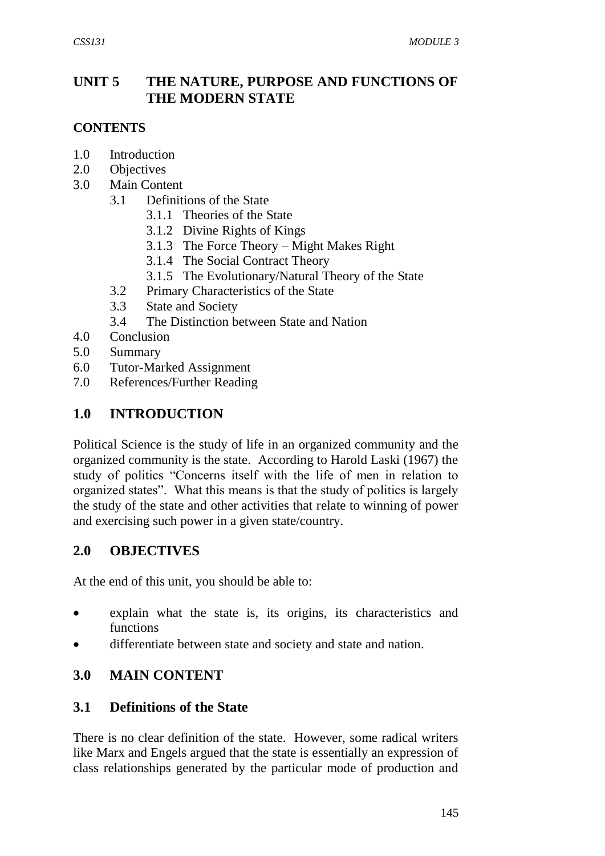## **UNIT 5 THE NATURE, PURPOSE AND FUNCTIONS OF THE MODERN STATE**

#### **CONTENTS**

- 1.0 Introduction
- 2.0 Objectives
- 3.0 Main Content
	- 3.1 Definitions of the State
		- 3.1.1 Theories of the State
		- 3.1.2 Divine Rights of Kings
		- 3.1.3 The Force Theory Might Makes Right
		- 3.1.4 The Social Contract Theory
		- 3.1.5 The Evolutionary/Natural Theory of the State
	- 3.2 Primary Characteristics of the State
	- 3.3 State and Society
	- 3.4 The Distinction between State and Nation
- 4.0 Conclusion
- 5.0 Summary
- 6.0 Tutor-Marked Assignment
- 7.0 References/Further Reading

#### **1.0 INTRODUCTION**

Political Science is the study of life in an organized community and the organized community is the state. According to Harold Laski (1967) the study of politics "Concerns itself with the life of men in relation to organized states". What this means is that the study of politics is largely the study of the state and other activities that relate to winning of power and exercising such power in a given state/country.

#### **2.0 OBJECTIVES**

At the end of this unit, you should be able to:

- explain what the state is, its origins, its characteristics and functions
- differentiate between state and society and state and nation.

#### **3.0 MAIN CONTENT**

#### **3.1 Definitions of the State**

There is no clear definition of the state. However, some radical writers like Marx and Engels argued that the state is essentially an expression of class relationships generated by the particular mode of production and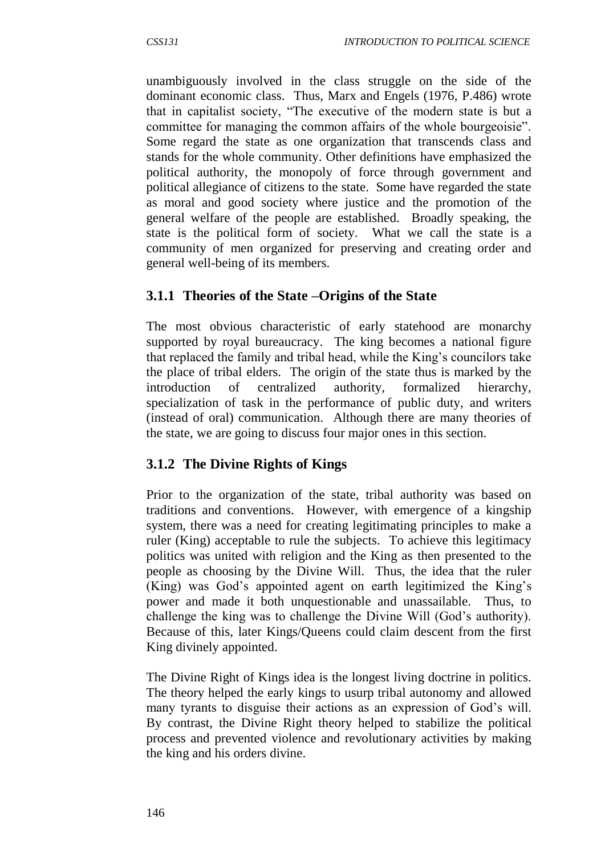unambiguously involved in the class struggle on the side of the dominant economic class. Thus, Marx and Engels (1976, P.486) wrote that in capitalist society, "The executive of the modern state is but a committee for managing the common affairs of the whole bourgeoisie". Some regard the state as one organization that transcends class and stands for the whole community. Other definitions have emphasized the political authority, the monopoly of force through government and political allegiance of citizens to the state. Some have regarded the state as moral and good society where justice and the promotion of the general welfare of the people are established. Broadly speaking, the state is the political form of society. What we call the state is a community of men organized for preserving and creating order and general well-being of its members.

#### **3.1.1 Theories of the State –Origins of the State**

The most obvious characteristic of early statehood are monarchy supported by royal bureaucracy. The king becomes a national figure that replaced the family and tribal head, while the King's councilors take the place of tribal elders. The origin of the state thus is marked by the introduction of centralized authority, formalized hierarchy, specialization of task in the performance of public duty, and writers (instead of oral) communication. Although there are many theories of the state, we are going to discuss four major ones in this section.

#### **3.1.2 The Divine Rights of Kings**

Prior to the organization of the state, tribal authority was based on traditions and conventions. However, with emergence of a kingship system, there was a need for creating legitimating principles to make a ruler (King) acceptable to rule the subjects. To achieve this legitimacy politics was united with religion and the King as then presented to the people as choosing by the Divine Will. Thus, the idea that the ruler (King) was God's appointed agent on earth legitimized the King's power and made it both unquestionable and unassailable. Thus, to challenge the king was to challenge the Divine Will (God's authority). Because of this, later Kings/Queens could claim descent from the first King divinely appointed.

The Divine Right of Kings idea is the longest living doctrine in politics. The theory helped the early kings to usurp tribal autonomy and allowed many tyrants to disguise their actions as an expression of God's will. By contrast, the Divine Right theory helped to stabilize the political process and prevented violence and revolutionary activities by making the king and his orders divine.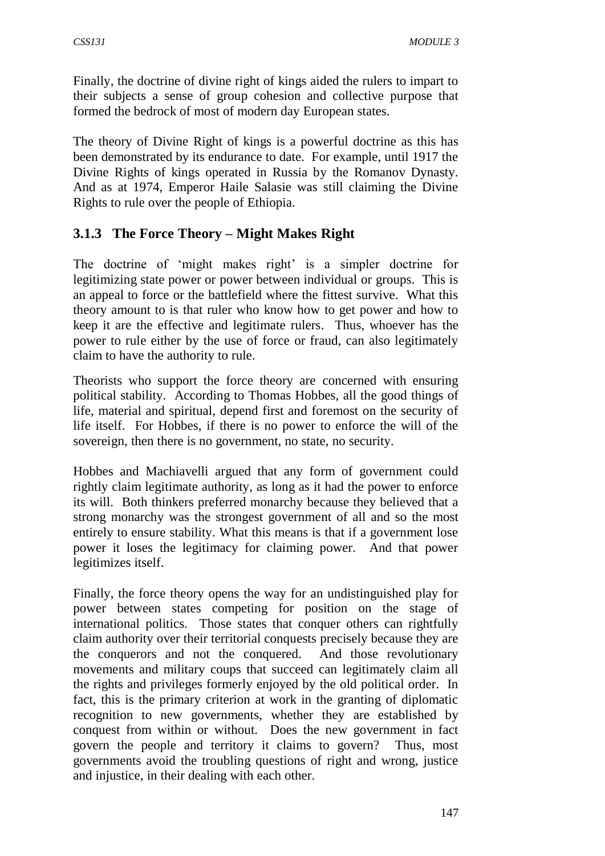Finally, the doctrine of divine right of kings aided the rulers to impart to their subjects a sense of group cohesion and collective purpose that formed the bedrock of most of modern day European states.

The theory of Divine Right of kings is a powerful doctrine as this has been demonstrated by its endurance to date. For example, until 1917 the Divine Rights of kings operated in Russia by the Romanov Dynasty. And as at 1974, Emperor Haile Salasie was still claiming the Divine Rights to rule over the people of Ethiopia.

## **3.1.3 The Force Theory – Might Makes Right**

The doctrine of 'might makes right' is a simpler doctrine for legitimizing state power or power between individual or groups. This is an appeal to force or the battlefield where the fittest survive. What this theory amount to is that ruler who know how to get power and how to keep it are the effective and legitimate rulers. Thus, whoever has the power to rule either by the use of force or fraud, can also legitimately claim to have the authority to rule.

Theorists who support the force theory are concerned with ensuring political stability. According to Thomas Hobbes, all the good things of life, material and spiritual, depend first and foremost on the security of life itself. For Hobbes, if there is no power to enforce the will of the sovereign, then there is no government, no state, no security.

Hobbes and Machiavelli argued that any form of government could rightly claim legitimate authority, as long as it had the power to enforce its will. Both thinkers preferred monarchy because they believed that a strong monarchy was the strongest government of all and so the most entirely to ensure stability. What this means is that if a government lose power it loses the legitimacy for claiming power. And that power legitimizes itself.

Finally, the force theory opens the way for an undistinguished play for power between states competing for position on the stage of international politics. Those states that conquer others can rightfully claim authority over their territorial conquests precisely because they are the conquerors and not the conquered. And those revolutionary movements and military coups that succeed can legitimately claim all the rights and privileges formerly enjoyed by the old political order. In fact, this is the primary criterion at work in the granting of diplomatic recognition to new governments, whether they are established by conquest from within or without. Does the new government in fact govern the people and territory it claims to govern? Thus, most governments avoid the troubling questions of right and wrong, justice and injustice, in their dealing with each other.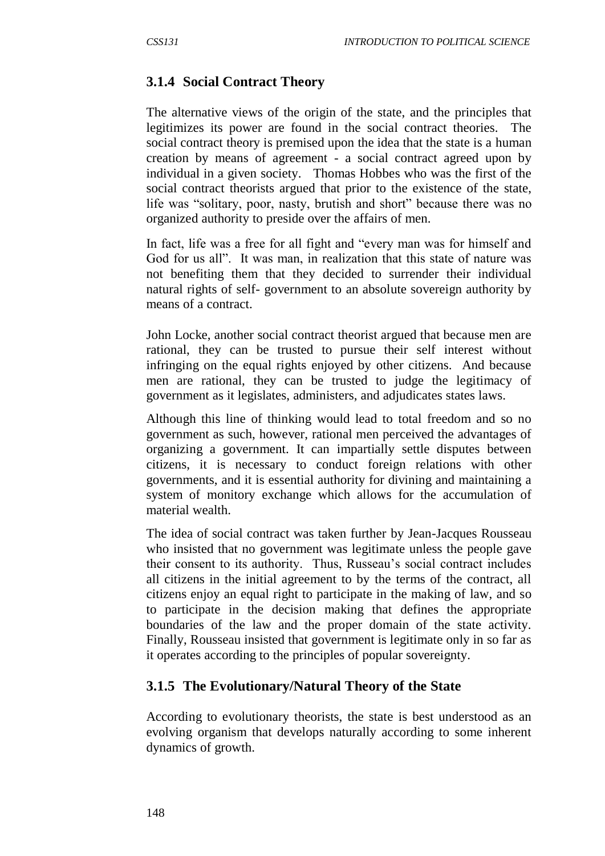# **3.1.4 Social Contract Theory**

The alternative views of the origin of the state, and the principles that legitimizes its power are found in the social contract theories. The social contract theory is premised upon the idea that the state is a human creation by means of agreement - a social contract agreed upon by individual in a given society. Thomas Hobbes who was the first of the social contract theorists argued that prior to the existence of the state, life was "solitary, poor, nasty, brutish and short" because there was no organized authority to preside over the affairs of men.

In fact, life was a free for all fight and "every man was for himself and God for us all". It was man, in realization that this state of nature was not benefiting them that they decided to surrender their individual natural rights of self- government to an absolute sovereign authority by means of a contract.

John Locke, another social contract theorist argued that because men are rational, they can be trusted to pursue their self interest without infringing on the equal rights enjoyed by other citizens. And because men are rational, they can be trusted to judge the legitimacy of government as it legislates, administers, and adjudicates states laws.

Although this line of thinking would lead to total freedom and so no government as such, however, rational men perceived the advantages of organizing a government. It can impartially settle disputes between citizens, it is necessary to conduct foreign relations with other governments, and it is essential authority for divining and maintaining a system of monitory exchange which allows for the accumulation of material wealth.

The idea of social contract was taken further by Jean-Jacques Rousseau who insisted that no government was legitimate unless the people gave their consent to its authority. Thus, Russeau's social contract includes all citizens in the initial agreement to by the terms of the contract, all citizens enjoy an equal right to participate in the making of law, and so to participate in the decision making that defines the appropriate boundaries of the law and the proper domain of the state activity. Finally, Rousseau insisted that government is legitimate only in so far as it operates according to the principles of popular sovereignty.

# **3.1.5 The Evolutionary/Natural Theory of the State**

According to evolutionary theorists, the state is best understood as an evolving organism that develops naturally according to some inherent dynamics of growth.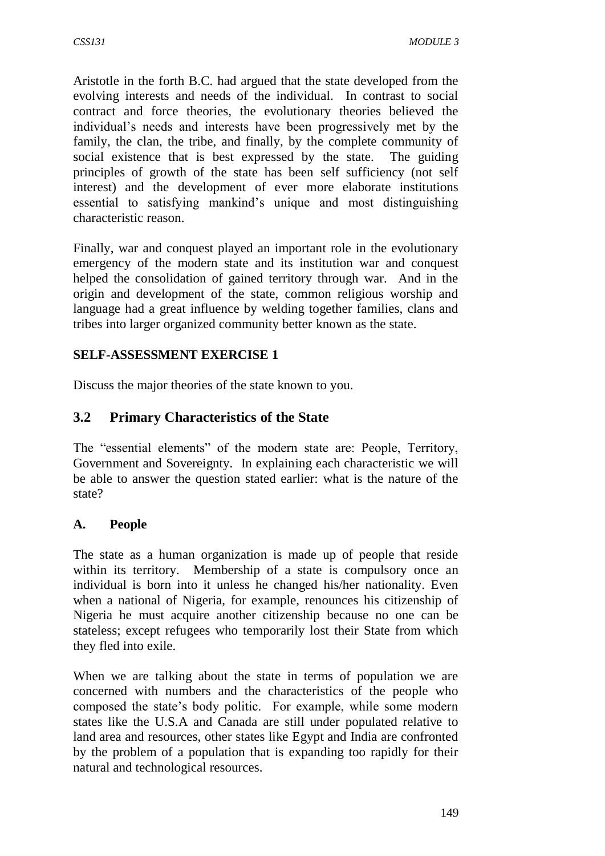Aristotle in the forth B.C. had argued that the state developed from the evolving interests and needs of the individual. In contrast to social contract and force theories, the evolutionary theories believed the individual's needs and interests have been progressively met by the family, the clan, the tribe, and finally, by the complete community of social existence that is best expressed by the state. The guiding principles of growth of the state has been self sufficiency (not self interest) and the development of ever more elaborate institutions essential to satisfying mankind's unique and most distinguishing characteristic reason.

Finally, war and conquest played an important role in the evolutionary emergency of the modern state and its institution war and conquest helped the consolidation of gained territory through war. And in the origin and development of the state, common religious worship and language had a great influence by welding together families, clans and tribes into larger organized community better known as the state.

## **SELF-ASSESSMENT EXERCISE 1**

Discuss the major theories of the state known to you.

# **3.2 Primary Characteristics of the State**

The "essential elements" of the modern state are: People, Territory, Government and Sovereignty. In explaining each characteristic we will be able to answer the question stated earlier: what is the nature of the state?

# **A. People**

The state as a human organization is made up of people that reside within its territory. Membership of a state is compulsory once an individual is born into it unless he changed his/her nationality. Even when a national of Nigeria, for example, renounces his citizenship of Nigeria he must acquire another citizenship because no one can be stateless; except refugees who temporarily lost their State from which they fled into exile.

When we are talking about the state in terms of population we are concerned with numbers and the characteristics of the people who composed the state's body politic. For example, while some modern states like the U.S.A and Canada are still under populated relative to land area and resources, other states like Egypt and India are confronted by the problem of a population that is expanding too rapidly for their natural and technological resources.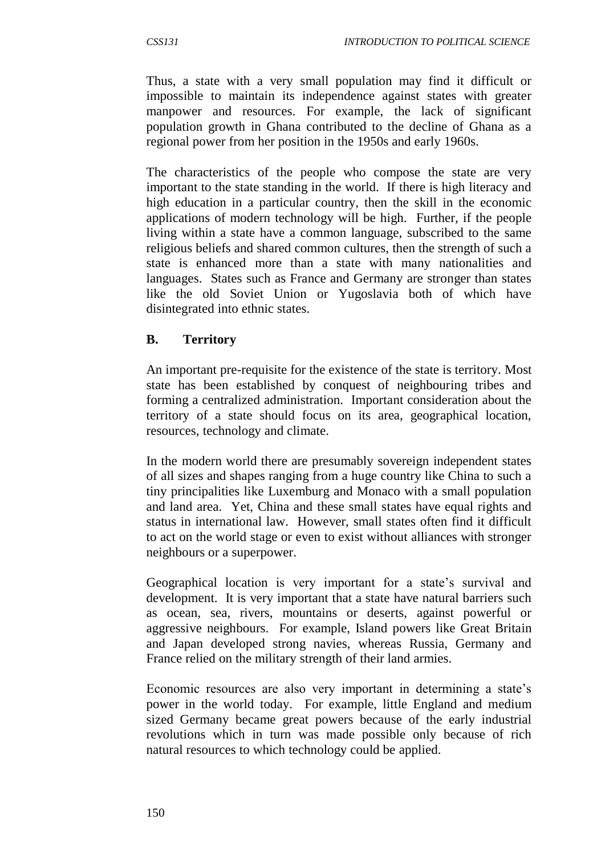Thus, a state with a very small population may find it difficult or impossible to maintain its independence against states with greater manpower and resources. For example, the lack of significant population growth in Ghana contributed to the decline of Ghana as a regional power from her position in the 1950s and early 1960s.

The characteristics of the people who compose the state are very important to the state standing in the world. If there is high literacy and high education in a particular country, then the skill in the economic applications of modern technology will be high. Further, if the people living within a state have a common language, subscribed to the same religious beliefs and shared common cultures, then the strength of such a state is enhanced more than a state with many nationalities and languages. States such as France and Germany are stronger than states like the old Soviet Union or Yugoslavia both of which have disintegrated into ethnic states.

#### **B. Territory**

An important pre-requisite for the existence of the state is territory. Most state has been established by conquest of neighbouring tribes and forming a centralized administration. Important consideration about the territory of a state should focus on its area, geographical location, resources, technology and climate.

In the modern world there are presumably sovereign independent states of all sizes and shapes ranging from a huge country like China to such a tiny principalities like Luxemburg and Monaco with a small population and land area. Yet, China and these small states have equal rights and status in international law. However, small states often find it difficult to act on the world stage or even to exist without alliances with stronger neighbours or a superpower.

Geographical location is very important for a state's survival and development. It is very important that a state have natural barriers such as ocean, sea, rivers, mountains or deserts, against powerful or aggressive neighbours. For example, Island powers like Great Britain and Japan developed strong navies, whereas Russia, Germany and France relied on the military strength of their land armies.

Economic resources are also very important in determining a state's power in the world today. For example, little England and medium sized Germany became great powers because of the early industrial revolutions which in turn was made possible only because of rich natural resources to which technology could be applied.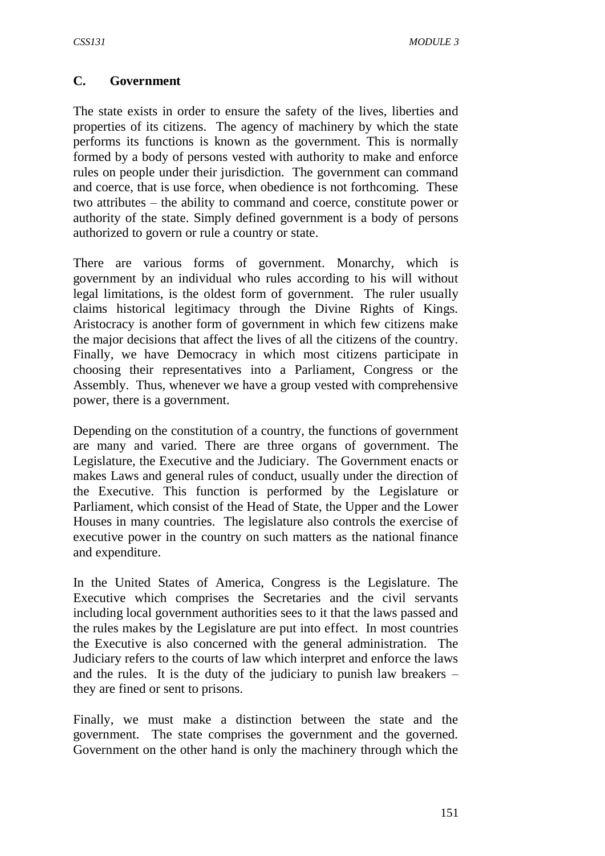#### **C. Government**

The state exists in order to ensure the safety of the lives, liberties and properties of its citizens. The agency of machinery by which the state performs its functions is known as the government. This is normally formed by a body of persons vested with authority to make and enforce rules on people under their jurisdiction. The government can command and coerce, that is use force, when obedience is not forthcoming. These two attributes – the ability to command and coerce, constitute power or authority of the state. Simply defined government is a body of persons authorized to govern or rule a country or state.

There are various forms of government. Monarchy, which is government by an individual who rules according to his will without legal limitations, is the oldest form of government. The ruler usually claims historical legitimacy through the Divine Rights of Kings. Aristocracy is another form of government in which few citizens make the major decisions that affect the lives of all the citizens of the country. Finally, we have Democracy in which most citizens participate in choosing their representatives into a Parliament, Congress or the Assembly. Thus, whenever we have a group vested with comprehensive power, there is a government.

Depending on the constitution of a country, the functions of government are many and varied. There are three organs of government. The Legislature, the Executive and the Judiciary. The Government enacts or makes Laws and general rules of conduct, usually under the direction of the Executive. This function is performed by the Legislature or Parliament, which consist of the Head of State, the Upper and the Lower Houses in many countries. The legislature also controls the exercise of executive power in the country on such matters as the national finance and expenditure.

In the United States of America, Congress is the Legislature. The Executive which comprises the Secretaries and the civil servants including local government authorities sees to it that the laws passed and the rules makes by the Legislature are put into effect. In most countries the Executive is also concerned with the general administration. The Judiciary refers to the courts of law which interpret and enforce the laws and the rules. It is the duty of the judiciary to punish law breakers – they are fined or sent to prisons.

Finally, we must make a distinction between the state and the government. The state comprises the government and the governed. Government on the other hand is only the machinery through which the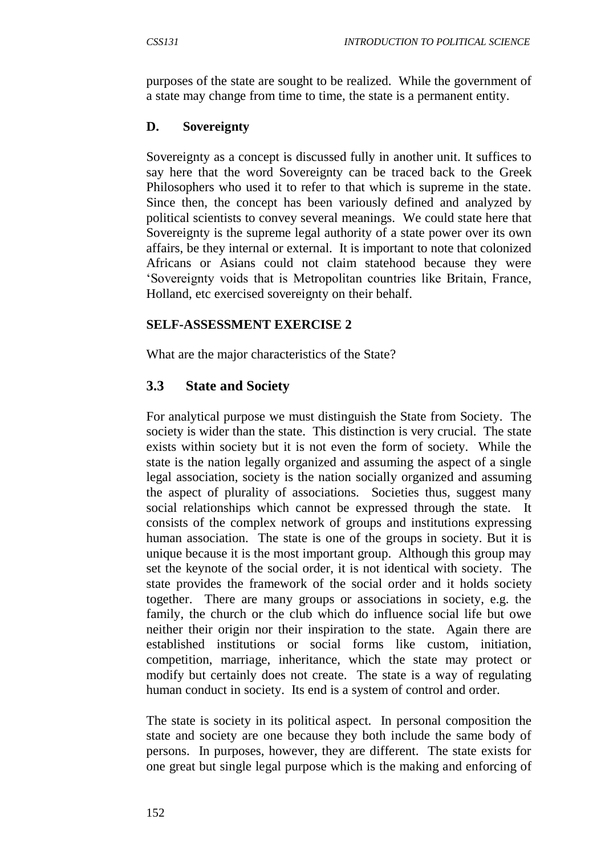purposes of the state are sought to be realized. While the government of a state may change from time to time, the state is a permanent entity.

#### **D. Sovereignty**

Sovereignty as a concept is discussed fully in another unit. It suffices to say here that the word Sovereignty can be traced back to the Greek Philosophers who used it to refer to that which is supreme in the state. Since then, the concept has been variously defined and analyzed by political scientists to convey several meanings. We could state here that Sovereignty is the supreme legal authority of a state power over its own affairs, be they internal or external. It is important to note that colonized Africans or Asians could not claim statehood because they were 'Sovereignty voids that is Metropolitan countries like Britain, France, Holland, etc exercised sovereignty on their behalf.

#### **SELF-ASSESSMENT EXERCISE 2**

What are the major characteristics of the State?

# **3.3 State and Society**

For analytical purpose we must distinguish the State from Society. The society is wider than the state. This distinction is very crucial. The state exists within society but it is not even the form of society. While the state is the nation legally organized and assuming the aspect of a single legal association, society is the nation socially organized and assuming the aspect of plurality of associations. Societies thus, suggest many social relationships which cannot be expressed through the state. It consists of the complex network of groups and institutions expressing human association. The state is one of the groups in society. But it is unique because it is the most important group. Although this group may set the keynote of the social order, it is not identical with society. The state provides the framework of the social order and it holds society together. There are many groups or associations in society, e.g. the family, the church or the club which do influence social life but owe neither their origin nor their inspiration to the state. Again there are established institutions or social forms like custom, initiation, competition, marriage, inheritance, which the state may protect or modify but certainly does not create. The state is a way of regulating human conduct in society. Its end is a system of control and order.

The state is society in its political aspect. In personal composition the state and society are one because they both include the same body of persons. In purposes, however, they are different. The state exists for one great but single legal purpose which is the making and enforcing of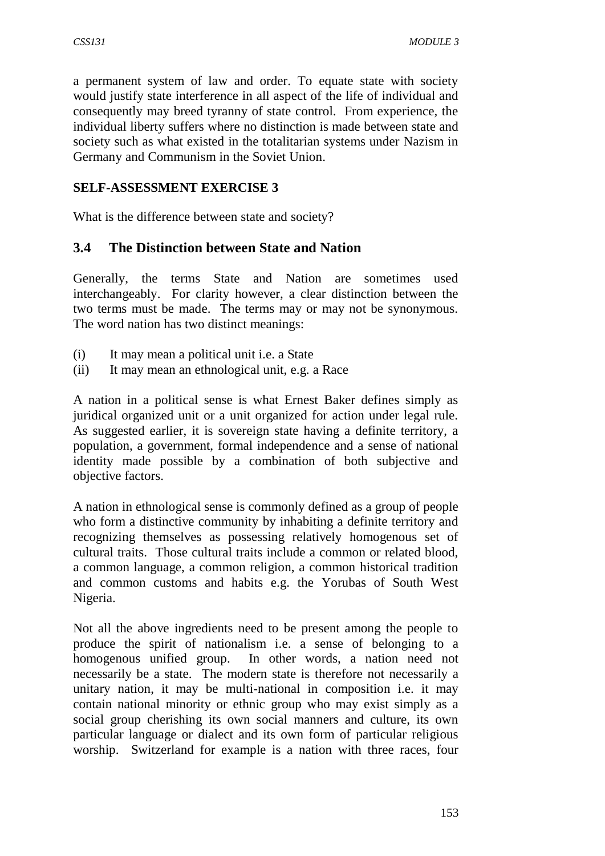a permanent system of law and order. To equate state with society would justify state interference in all aspect of the life of individual and consequently may breed tyranny of state control. From experience, the individual liberty suffers where no distinction is made between state and society such as what existed in the totalitarian systems under Nazism in Germany and Communism in the Soviet Union.

#### **SELF-ASSESSMENT EXERCISE 3**

What is the difference between state and society?

#### **3.4 The Distinction between State and Nation**

Generally, the terms State and Nation are sometimes used interchangeably. For clarity however, a clear distinction between the two terms must be made. The terms may or may not be synonymous. The word nation has two distinct meanings:

- (i) It may mean a political unit i.e. a State
- (ii) It may mean an ethnological unit, e.g. a Race

A nation in a political sense is what Ernest Baker defines simply as juridical organized unit or a unit organized for action under legal rule. As suggested earlier, it is sovereign state having a definite territory, a population, a government, formal independence and a sense of national identity made possible by a combination of both subjective and objective factors.

A nation in ethnological sense is commonly defined as a group of people who form a distinctive community by inhabiting a definite territory and recognizing themselves as possessing relatively homogenous set of cultural traits. Those cultural traits include a common or related blood, a common language, a common religion, a common historical tradition and common customs and habits e.g. the Yorubas of South West Nigeria.

Not all the above ingredients need to be present among the people to produce the spirit of nationalism i.e. a sense of belonging to a homogenous unified group. In other words, a nation need not necessarily be a state. The modern state is therefore not necessarily a unitary nation, it may be multi-national in composition i.e. it may contain national minority or ethnic group who may exist simply as a social group cherishing its own social manners and culture, its own particular language or dialect and its own form of particular religious worship. Switzerland for example is a nation with three races, four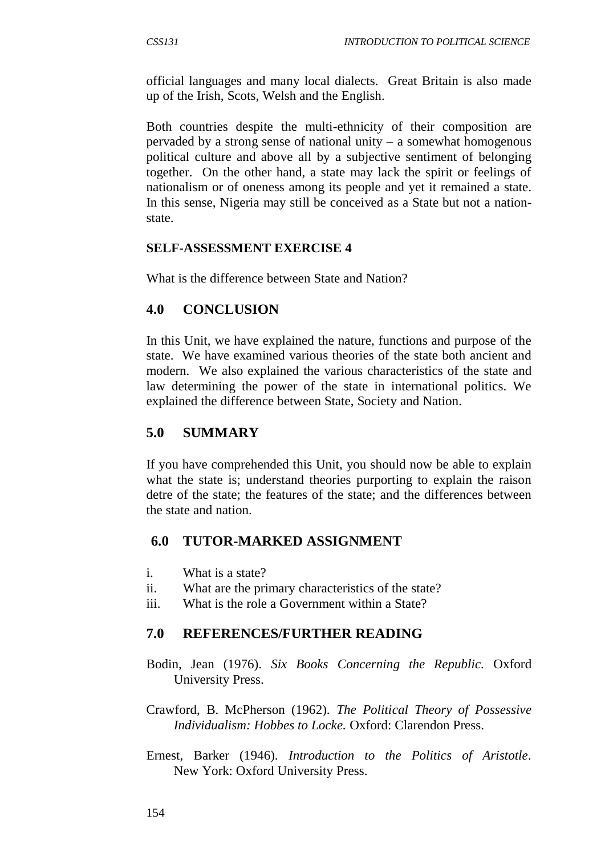official languages and many local dialects. Great Britain is also made up of the Irish, Scots, Welsh and the English.

Both countries despite the multi-ethnicity of their composition are pervaded by a strong sense of national unity  $-$  a somewhat homogenous political culture and above all by a subjective sentiment of belonging together. On the other hand, a state may lack the spirit or feelings of nationalism or of oneness among its people and yet it remained a state. In this sense, Nigeria may still be conceived as a State but not a nationstate.

#### **SELF-ASSESSMENT EXERCISE 4**

What is the difference between State and Nation?

#### **4.0 CONCLUSION**

In this Unit, we have explained the nature, functions and purpose of the state. We have examined various theories of the state both ancient and modern. We also explained the various characteristics of the state and law determining the power of the state in international politics. We explained the difference between State, Society and Nation.

#### **5.0 SUMMARY**

If you have comprehended this Unit, you should now be able to explain what the state is; understand theories purporting to explain the raison detre of the state; the features of the state; and the differences between the state and nation.

#### **6.0 TUTOR-MARKED ASSIGNMENT**

- i. What is a state?
- ii. What are the primary characteristics of the state?
- iii. What is the role a Government within a State?

#### **7.0 REFERENCES/FURTHER READING**

- Bodin, Jean (1976). *Six Books Concerning the Republic.* Oxford University Press.
- Crawford, B. McPherson (1962). *The Political Theory of Possessive Individualism: Hobbes to Locke.* Oxford: Clarendon Press.
- Ernest, Barker (1946). *Introduction to the Politics of Aristotle.*  New York: Oxford University Press.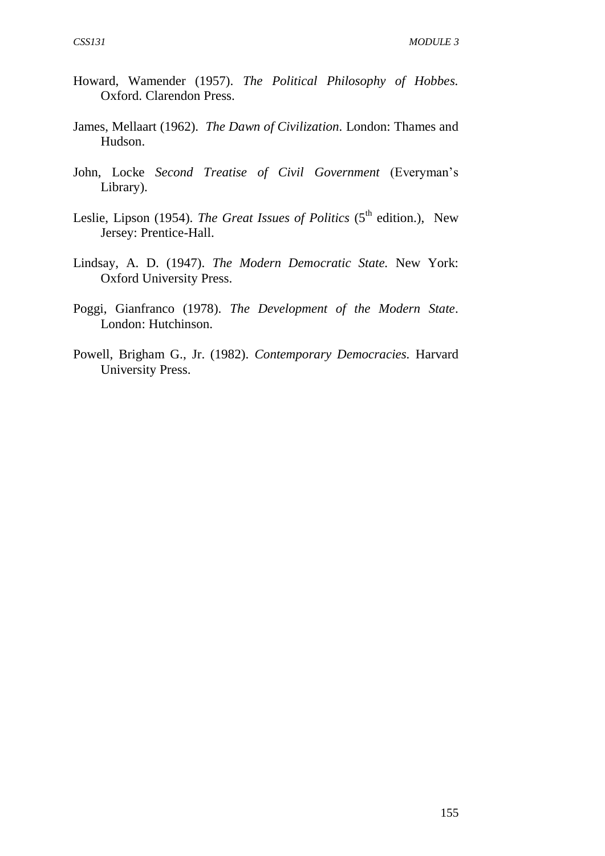- Howard, Wamender (1957). *The Political Philosophy of Hobbes.* Oxford. Clarendon Press.
- James, Mellaart (1962). *The Dawn of Civilization.* London: Thames and Hudson.
- John, Locke *Second Treatise of Civil Government* (Everyman's Library).
- Leslie, Lipson (1954). *The Great Issues of Politics* (5<sup>th</sup> edition.), New Jersey: Prentice-Hall.
- Lindsay, A. D. (1947). *The Modern Democratic State.* New York: Oxford University Press.
- Poggi, Gianfranco (1978). *The Development of the Modern State*. London: Hutchinson.
- Powell, Brigham G., Jr. (1982). *Contemporary Democracies.* Harvard University Press.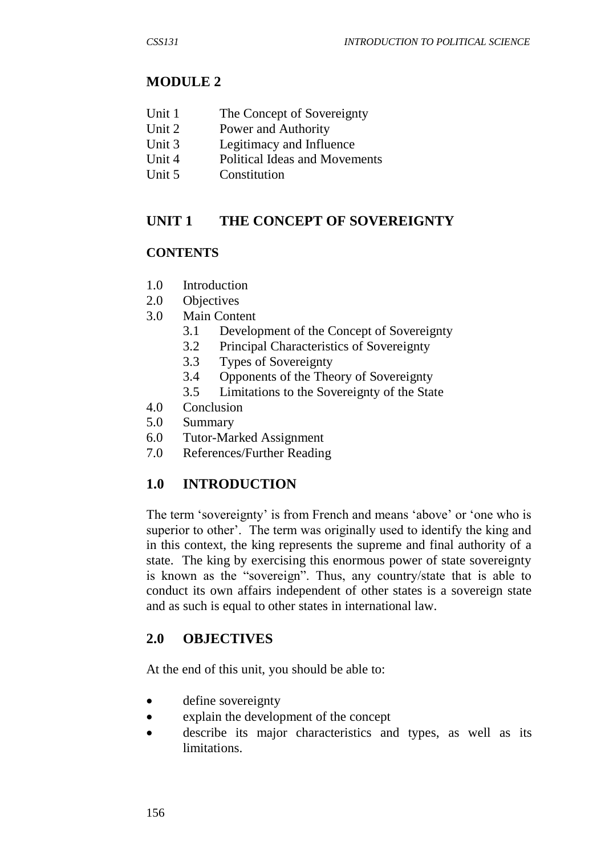# **MODULE 2**

- Unit 1 The Concept of Sovereignty
- Unit 2 Power and Authority
- Unit 3 Legitimacy and Influence
- Unit 4 Political Ideas and Movements
- Unit 5 Constitution

# **UNIT 1 THE CONCEPT OF SOVEREIGNTY**

#### **CONTENTS**

- 1.0 Introduction
- 2.0 Objectives
- 3.0 Main Content
	- 3.1 Development of the Concept of Sovereignty
	- 3.2 Principal Characteristics of Sovereignty
	- 3.3 Types of Sovereignty
	- 3.4 Opponents of the Theory of Sovereignty
	- 3.5 Limitations to the Sovereignty of the State
- 4.0 Conclusion
- 5.0 Summary
- 6.0 Tutor-Marked Assignment
- 7.0 References/Further Reading

# **1.0 INTRODUCTION**

The term 'sovereignty' is from French and means 'above' or 'one who is superior to other'. The term was originally used to identify the king and in this context, the king represents the supreme and final authority of a state. The king by exercising this enormous power of state sovereignty is known as the "sovereign". Thus, any country/state that is able to conduct its own affairs independent of other states is a sovereign state and as such is equal to other states in international law.

#### **2.0 OBJECTIVES**

At the end of this unit, you should be able to:

- define sovereignty
- explain the development of the concept
- describe its major characteristics and types, as well as its limitations.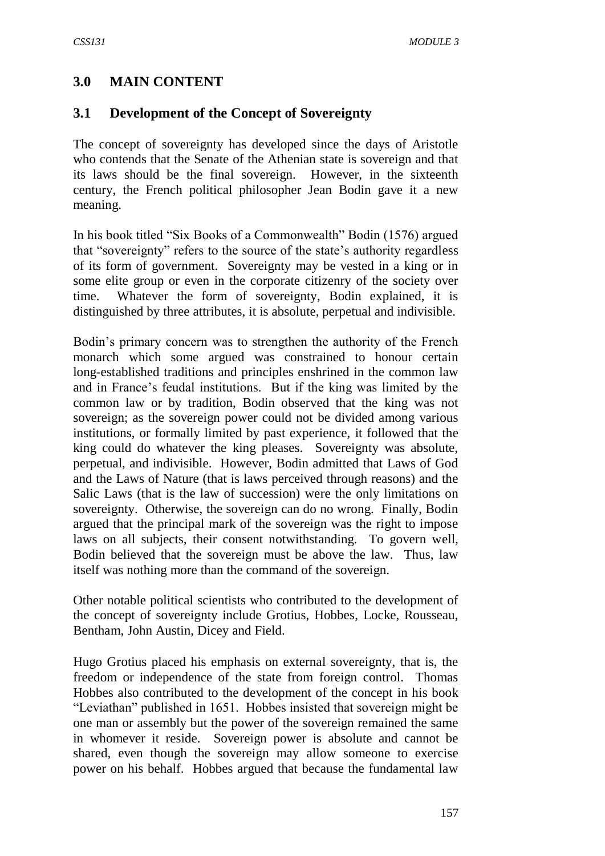## **3.0 MAIN CONTENT**

#### **3.1 Development of the Concept of Sovereignty**

The concept of sovereignty has developed since the days of Aristotle who contends that the Senate of the Athenian state is sovereign and that its laws should be the final sovereign. However, in the sixteenth century, the French political philosopher Jean Bodin gave it a new meaning.

In his book titled "Six Books of a Commonwealth" Bodin (1576) argued that "sovereignty" refers to the source of the state's authority regardless of its form of government. Sovereignty may be vested in a king or in some elite group or even in the corporate citizenry of the society over time. Whatever the form of sovereignty, Bodin explained, it is distinguished by three attributes, it is absolute, perpetual and indivisible.

Bodin's primary concern was to strengthen the authority of the French monarch which some argued was constrained to honour certain long-established traditions and principles enshrined in the common law and in France's feudal institutions. But if the king was limited by the common law or by tradition, Bodin observed that the king was not sovereign; as the sovereign power could not be divided among various institutions, or formally limited by past experience, it followed that the king could do whatever the king pleases. Sovereignty was absolute, perpetual, and indivisible. However, Bodin admitted that Laws of God and the Laws of Nature (that is laws perceived through reasons) and the Salic Laws (that is the law of succession) were the only limitations on sovereignty. Otherwise, the sovereign can do no wrong. Finally, Bodin argued that the principal mark of the sovereign was the right to impose laws on all subjects, their consent notwithstanding. To govern well, Bodin believed that the sovereign must be above the law. Thus, law itself was nothing more than the command of the sovereign.

Other notable political scientists who contributed to the development of the concept of sovereignty include Grotius, Hobbes, Locke, Rousseau, Bentham, John Austin, Dicey and Field.

Hugo Grotius placed his emphasis on external sovereignty, that is, the freedom or independence of the state from foreign control. Thomas Hobbes also contributed to the development of the concept in his book "Leviathan" published in 1651. Hobbes insisted that sovereign might be one man or assembly but the power of the sovereign remained the same in whomever it reside. Sovereign power is absolute and cannot be shared, even though the sovereign may allow someone to exercise power on his behalf. Hobbes argued that because the fundamental law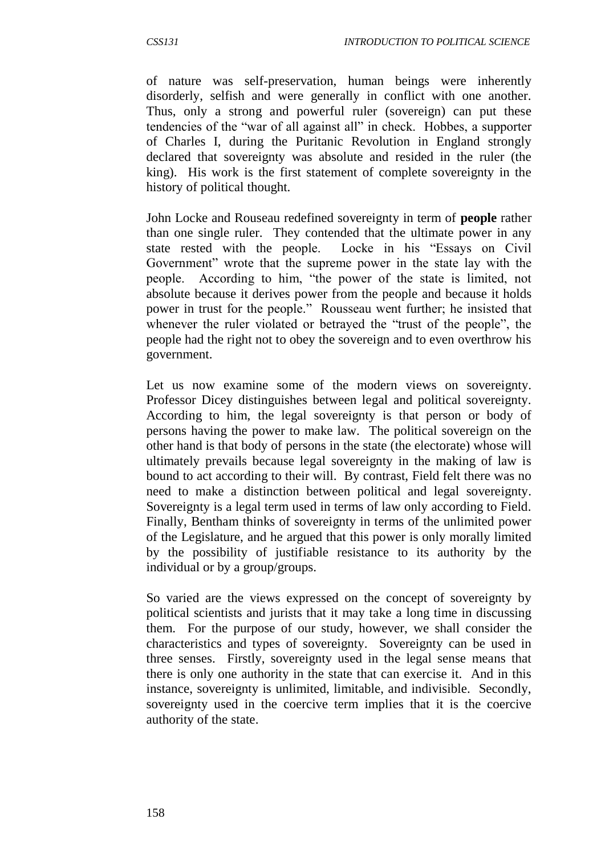of nature was self-preservation, human beings were inherently disorderly, selfish and were generally in conflict with one another. Thus, only a strong and powerful ruler (sovereign) can put these tendencies of the "war of all against all" in check. Hobbes, a supporter of Charles I, during the Puritanic Revolution in England strongly declared that sovereignty was absolute and resided in the ruler (the king). His work is the first statement of complete sovereignty in the history of political thought.

John Locke and Rouseau redefined sovereignty in term of **people** rather than one single ruler. They contended that the ultimate power in any state rested with the people. Locke in his "Essays on Civil Government" wrote that the supreme power in the state lay with the people. According to him, "the power of the state is limited, not absolute because it derives power from the people and because it holds power in trust for the people." Rousseau went further; he insisted that whenever the ruler violated or betrayed the "trust of the people", the people had the right not to obey the sovereign and to even overthrow his government.

Let us now examine some of the modern views on sovereignty. Professor Dicey distinguishes between legal and political sovereignty. According to him, the legal sovereignty is that person or body of persons having the power to make law. The political sovereign on the other hand is that body of persons in the state (the electorate) whose will ultimately prevails because legal sovereignty in the making of law is bound to act according to their will. By contrast, Field felt there was no need to make a distinction between political and legal sovereignty. Sovereignty is a legal term used in terms of law only according to Field. Finally, Bentham thinks of sovereignty in terms of the unlimited power of the Legislature, and he argued that this power is only morally limited by the possibility of justifiable resistance to its authority by the individual or by a group/groups.

So varied are the views expressed on the concept of sovereignty by political scientists and jurists that it may take a long time in discussing them. For the purpose of our study, however, we shall consider the characteristics and types of sovereignty. Sovereignty can be used in three senses. Firstly, sovereignty used in the legal sense means that there is only one authority in the state that can exercise it. And in this instance, sovereignty is unlimited, limitable, and indivisible. Secondly, sovereignty used in the coercive term implies that it is the coercive authority of the state.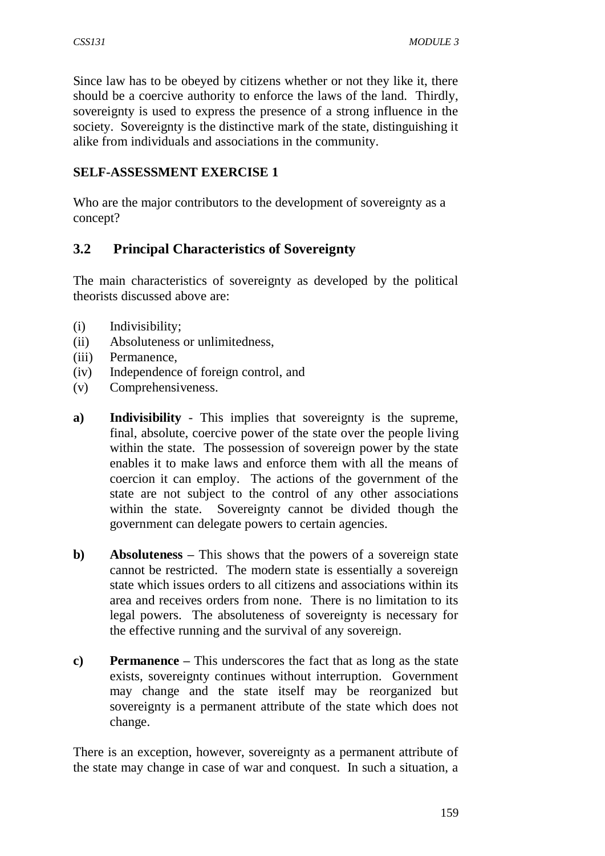Since law has to be obeyed by citizens whether or not they like it, there should be a coercive authority to enforce the laws of the land. Thirdly, sovereignty is used to express the presence of a strong influence in the society. Sovereignty is the distinctive mark of the state, distinguishing it alike from individuals and associations in the community.

## **SELF-ASSESSMENT EXERCISE 1**

Who are the major contributors to the development of sovereignty as a concept?

# **3.2 Principal Characteristics of Sovereignty**

The main characteristics of sovereignty as developed by the political theorists discussed above are:

- (i) Indivisibility;
- (ii) Absoluteness or unlimitedness,
- (iii) Permanence,
- (iv) Independence of foreign control, and
- (v) Comprehensiveness.
- **a) Indivisibility** This implies that sovereignty is the supreme, final, absolute, coercive power of the state over the people living within the state. The possession of sovereign power by the state enables it to make laws and enforce them with all the means of coercion it can employ. The actions of the government of the state are not subject to the control of any other associations within the state. Sovereignty cannot be divided though the government can delegate powers to certain agencies.
- **b) Absoluteness** This shows that the powers of a sovereign state cannot be restricted. The modern state is essentially a sovereign state which issues orders to all citizens and associations within its area and receives orders from none. There is no limitation to its legal powers. The absoluteness of sovereignty is necessary for the effective running and the survival of any sovereign.
- **c) Permanence –** This underscores the fact that as long as the state exists, sovereignty continues without interruption. Government may change and the state itself may be reorganized but sovereignty is a permanent attribute of the state which does not change.

There is an exception, however, sovereignty as a permanent attribute of the state may change in case of war and conquest. In such a situation, a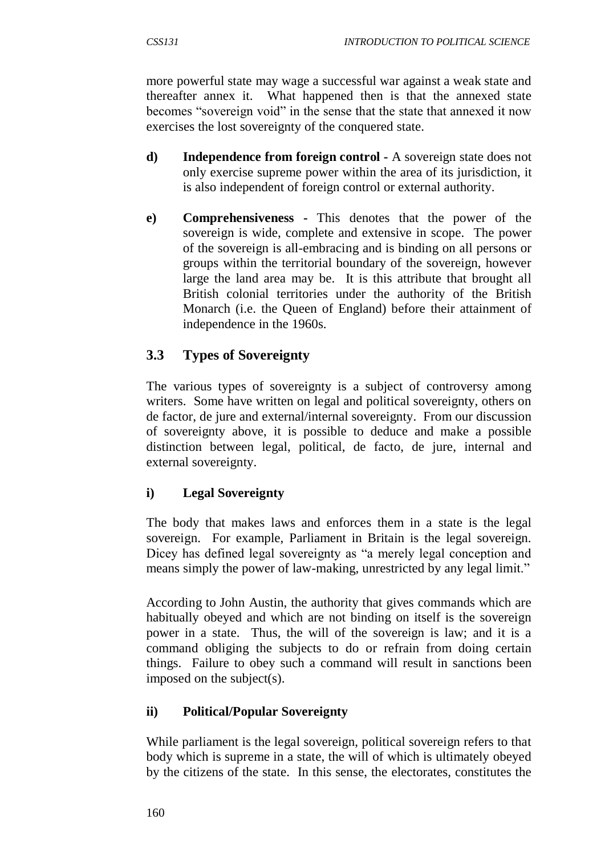more powerful state may wage a successful war against a weak state and thereafter annex it. What happened then is that the annexed state becomes "sovereign void" in the sense that the state that annexed it now exercises the lost sovereignty of the conquered state.

- **d) Independence from foreign control -** A sovereign state does not only exercise supreme power within the area of its jurisdiction, it is also independent of foreign control or external authority.
- **e) Comprehensiveness -** This denotes that the power of the sovereign is wide, complete and extensive in scope. The power of the sovereign is all-embracing and is binding on all persons or groups within the territorial boundary of the sovereign, however large the land area may be. It is this attribute that brought all British colonial territories under the authority of the British Monarch (i.e. the Queen of England) before their attainment of independence in the 1960s.

# **3.3 Types of Sovereignty**

The various types of sovereignty is a subject of controversy among writers. Some have written on legal and political sovereignty, others on de factor, de jure and external/internal sovereignty. From our discussion of sovereignty above, it is possible to deduce and make a possible distinction between legal, political, de facto, de jure, internal and external sovereignty.

# **i) Legal Sovereignty**

The body that makes laws and enforces them in a state is the legal sovereign. For example, Parliament in Britain is the legal sovereign. Dicey has defined legal sovereignty as "a merely legal conception and means simply the power of law-making, unrestricted by any legal limit."

According to John Austin, the authority that gives commands which are habitually obeyed and which are not binding on itself is the sovereign power in a state. Thus, the will of the sovereign is law; and it is a command obliging the subjects to do or refrain from doing certain things. Failure to obey such a command will result in sanctions been imposed on the subject(s).

# **ii) Political/Popular Sovereignty**

While parliament is the legal sovereign, political sovereign refers to that body which is supreme in a state, the will of which is ultimately obeyed by the citizens of the state. In this sense, the electorates, constitutes the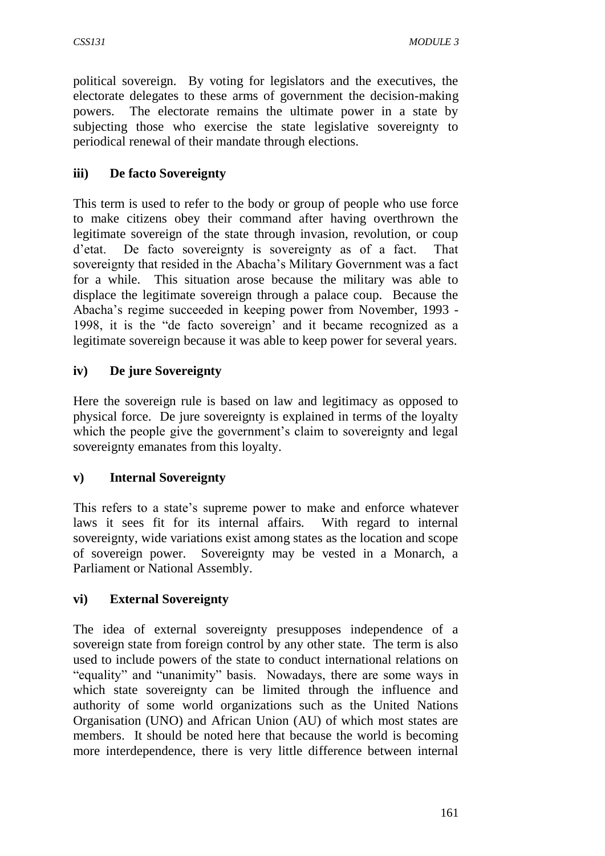political sovereign. By voting for legislators and the executives, the electorate delegates to these arms of government the decision-making powers. The electorate remains the ultimate power in a state by subjecting those who exercise the state legislative sovereignty to periodical renewal of their mandate through elections.

## **iii) De facto Sovereignty**

This term is used to refer to the body or group of people who use force to make citizens obey their command after having overthrown the legitimate sovereign of the state through invasion, revolution, or coup d'etat. De facto sovereignty is sovereignty as of a fact. That sovereignty that resided in the Abacha's Military Government was a fact for a while. This situation arose because the military was able to displace the legitimate sovereign through a palace coup. Because the Abacha's regime succeeded in keeping power from November, 1993 - 1998, it is the "de facto sovereign' and it became recognized as a legitimate sovereign because it was able to keep power for several years.

## **iv) De jure Sovereignty**

Here the sovereign rule is based on law and legitimacy as opposed to physical force. De jure sovereignty is explained in terms of the loyalty which the people give the government's claim to sovereignty and legal sovereignty emanates from this loyalty.

#### **v) Internal Sovereignty**

This refers to a state's supreme power to make and enforce whatever laws it sees fit for its internal affairs. With regard to internal sovereignty, wide variations exist among states as the location and scope of sovereign power. Sovereignty may be vested in a Monarch, a Parliament or National Assembly.

#### **vi) External Sovereignty**

The idea of external sovereignty presupposes independence of a sovereign state from foreign control by any other state. The term is also used to include powers of the state to conduct international relations on "equality" and "unanimity" basis. Nowadays, there are some ways in which state sovereignty can be limited through the influence and authority of some world organizations such as the United Nations Organisation (UNO) and African Union (AU) of which most states are members. It should be noted here that because the world is becoming more interdependence, there is very little difference between internal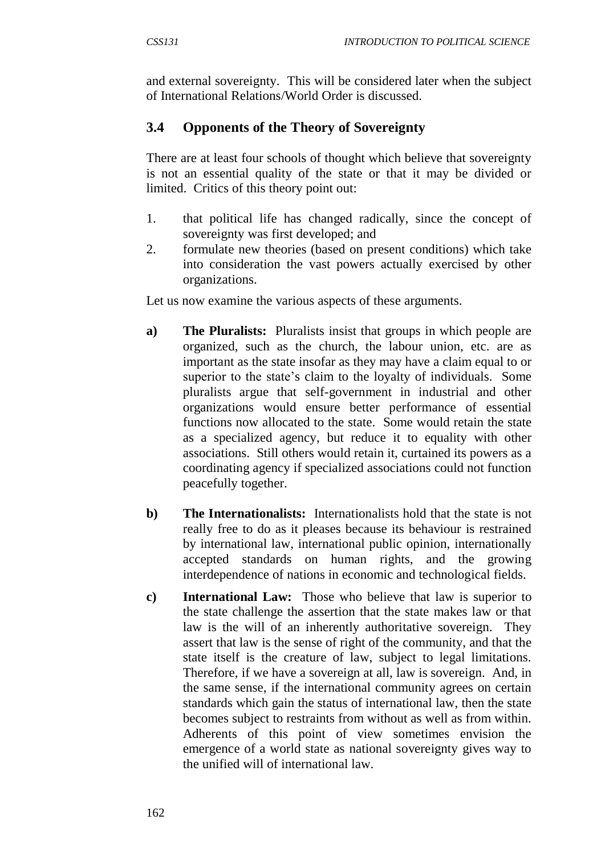and external sovereignty. This will be considered later when the subject of International Relations/World Order is discussed.

# **3.4 Opponents of the Theory of Sovereignty**

There are at least four schools of thought which believe that sovereignty is not an essential quality of the state or that it may be divided or limited. Critics of this theory point out:

- 1. that political life has changed radically, since the concept of sovereignty was first developed; and
- 2. formulate new theories (based on present conditions) which take into consideration the vast powers actually exercised by other organizations.

Let us now examine the various aspects of these arguments.

- **a) The Pluralists:** Pluralists insist that groups in which people are organized, such as the church, the labour union, etc. are as important as the state insofar as they may have a claim equal to or superior to the state's claim to the loyalty of individuals. Some pluralists argue that self-government in industrial and other organizations would ensure better performance of essential functions now allocated to the state. Some would retain the state as a specialized agency, but reduce it to equality with other associations. Still others would retain it, curtained its powers as a coordinating agency if specialized associations could not function peacefully together.
- **b) The Internationalists:** Internationalists hold that the state is not really free to do as it pleases because its behaviour is restrained by international law, international public opinion, internationally accepted standards on human rights, and the growing interdependence of nations in economic and technological fields.
- **c) International Law:** Those who believe that law is superior to the state challenge the assertion that the state makes law or that law is the will of an inherently authoritative sovereign. They assert that law is the sense of right of the community, and that the state itself is the creature of law, subject to legal limitations. Therefore, if we have a sovereign at all, law is sovereign. And, in the same sense, if the international community agrees on certain standards which gain the status of international law, then the state becomes subject to restraints from without as well as from within. Adherents of this point of view sometimes envision the emergence of a world state as national sovereignty gives way to the unified will of international law.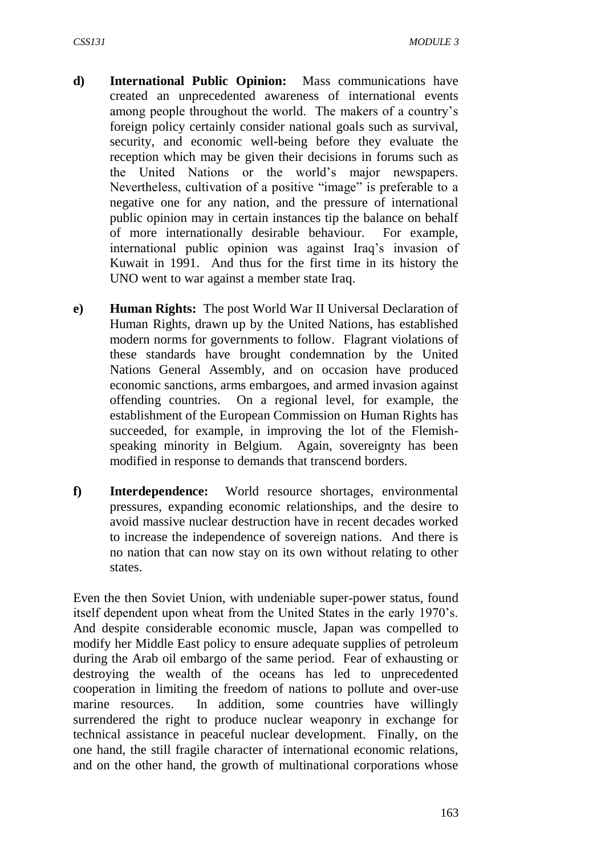- **d) International Public Opinion:** Mass communications have created an unprecedented awareness of international events among people throughout the world. The makers of a country's foreign policy certainly consider national goals such as survival, security, and economic well-being before they evaluate the reception which may be given their decisions in forums such as the United Nations or the world's major newspapers. Nevertheless, cultivation of a positive "image" is preferable to a negative one for any nation, and the pressure of international public opinion may in certain instances tip the balance on behalf of more internationally desirable behaviour. For example, international public opinion was against Iraq's invasion of Kuwait in 1991. And thus for the first time in its history the UNO went to war against a member state Iraq.
- **e) Human Rights:** The post World War II Universal Declaration of Human Rights, drawn up by the United Nations, has established modern norms for governments to follow. Flagrant violations of these standards have brought condemnation by the United Nations General Assembly, and on occasion have produced economic sanctions, arms embargoes, and armed invasion against offending countries. On a regional level, for example, the establishment of the European Commission on Human Rights has succeeded, for example, in improving the lot of the Flemishspeaking minority in Belgium. Again, sovereignty has been modified in response to demands that transcend borders.
- **f) Interdependence:** World resource shortages, environmental pressures, expanding economic relationships, and the desire to avoid massive nuclear destruction have in recent decades worked to increase the independence of sovereign nations. And there is no nation that can now stay on its own without relating to other states.

Even the then Soviet Union, with undeniable super-power status, found itself dependent upon wheat from the United States in the early 1970's. And despite considerable economic muscle, Japan was compelled to modify her Middle East policy to ensure adequate supplies of petroleum during the Arab oil embargo of the same period. Fear of exhausting or destroying the wealth of the oceans has led to unprecedented cooperation in limiting the freedom of nations to pollute and over-use marine resources. In addition, some countries have willingly surrendered the right to produce nuclear weaponry in exchange for technical assistance in peaceful nuclear development. Finally, on the one hand, the still fragile character of international economic relations, and on the other hand, the growth of multinational corporations whose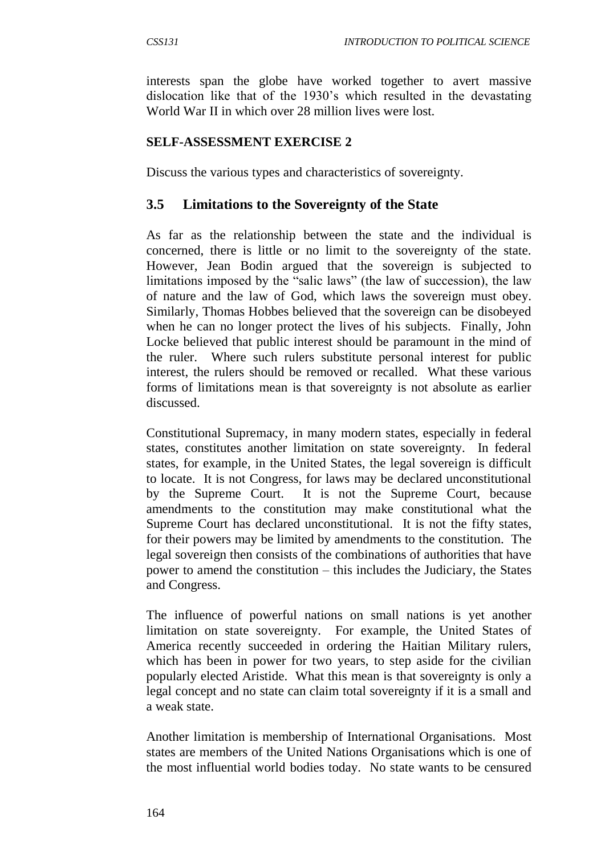interests span the globe have worked together to avert massive dislocation like that of the 1930's which resulted in the devastating World War II in which over 28 million lives were lost.

#### **SELF-ASSESSMENT EXERCISE 2**

Discuss the various types and characteristics of sovereignty.

#### **3.5 Limitations to the Sovereignty of the State**

As far as the relationship between the state and the individual is concerned, there is little or no limit to the sovereignty of the state. However, Jean Bodin argued that the sovereign is subjected to limitations imposed by the "salic laws" (the law of succession), the law of nature and the law of God, which laws the sovereign must obey. Similarly, Thomas Hobbes believed that the sovereign can be disobeyed when he can no longer protect the lives of his subjects. Finally, John Locke believed that public interest should be paramount in the mind of the ruler. Where such rulers substitute personal interest for public interest, the rulers should be removed or recalled. What these various forms of limitations mean is that sovereignty is not absolute as earlier discussed.

Constitutional Supremacy, in many modern states, especially in federal states, constitutes another limitation on state sovereignty. In federal states, for example, in the United States, the legal sovereign is difficult to locate. It is not Congress, for laws may be declared unconstitutional by the Supreme Court. It is not the Supreme Court, because amendments to the constitution may make constitutional what the Supreme Court has declared unconstitutional. It is not the fifty states, for their powers may be limited by amendments to the constitution. The legal sovereign then consists of the combinations of authorities that have power to amend the constitution – this includes the Judiciary, the States and Congress.

The influence of powerful nations on small nations is yet another limitation on state sovereignty. For example, the United States of America recently succeeded in ordering the Haitian Military rulers, which has been in power for two years, to step aside for the civilian popularly elected Aristide. What this mean is that sovereignty is only a legal concept and no state can claim total sovereignty if it is a small and a weak state.

Another limitation is membership of International Organisations. Most states are members of the United Nations Organisations which is one of the most influential world bodies today. No state wants to be censured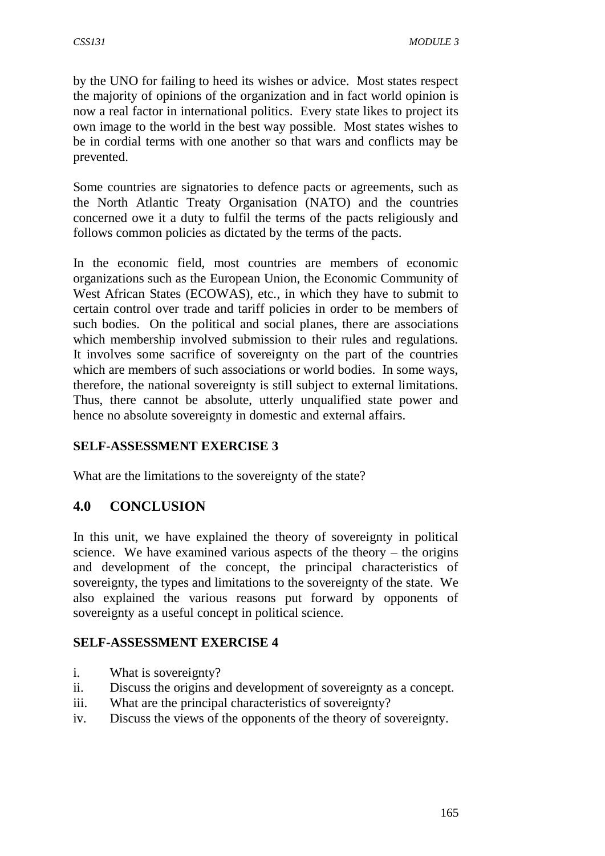by the UNO for failing to heed its wishes or advice. Most states respect the majority of opinions of the organization and in fact world opinion is now a real factor in international politics. Every state likes to project its own image to the world in the best way possible. Most states wishes to be in cordial terms with one another so that wars and conflicts may be prevented.

Some countries are signatories to defence pacts or agreements, such as the North Atlantic Treaty Organisation (NATO) and the countries concerned owe it a duty to fulfil the terms of the pacts religiously and follows common policies as dictated by the terms of the pacts.

In the economic field, most countries are members of economic organizations such as the European Union, the Economic Community of West African States (ECOWAS), etc., in which they have to submit to certain control over trade and tariff policies in order to be members of such bodies. On the political and social planes, there are associations which membership involved submission to their rules and regulations. It involves some sacrifice of sovereignty on the part of the countries which are members of such associations or world bodies. In some ways, therefore, the national sovereignty is still subject to external limitations. Thus, there cannot be absolute, utterly unqualified state power and hence no absolute sovereignty in domestic and external affairs.

#### **SELF-ASSESSMENT EXERCISE 3**

What are the limitations to the sovereignty of the state?

# **4.0 CONCLUSION**

In this unit, we have explained the theory of sovereignty in political science. We have examined various aspects of the theory – the origins and development of the concept, the principal characteristics of sovereignty, the types and limitations to the sovereignty of the state. We also explained the various reasons put forward by opponents of sovereignty as a useful concept in political science.

#### **SELF-ASSESSMENT EXERCISE 4**

- i. What is sovereignty?
- ii. Discuss the origins and development of sovereignty as a concept.
- iii. What are the principal characteristics of sovereignty?
- iv. Discuss the views of the opponents of the theory of sovereignty.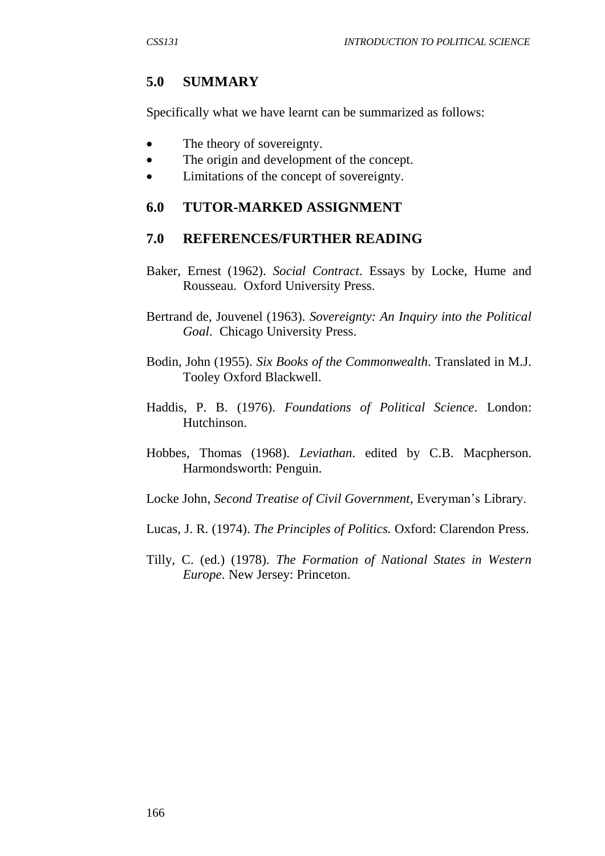## **5.0 SUMMARY**

Specifically what we have learnt can be summarized as follows:

- The theory of sovereignty.
- The origin and development of the concept.
- Limitations of the concept of sovereignty.

#### **6.0 TUTOR-MARKED ASSIGNMENT**

#### **7.0 REFERENCES/FURTHER READING**

- Baker, Ernest (1962). *Social Contract*. Essays by Locke, Hume and Rousseau. Oxford University Press.
- Bertrand de, Jouvenel (1963). *Sovereignty: An Inquiry into the Political Goal*. Chicago University Press.
- Bodin, John (1955). *Six Books of the Commonwealth*. Translated in M.J. Tooley Oxford Blackwell.
- Haddis, P. B. (1976). *Foundations of Political Science.* London: Hutchinson.
- Hobbes, Thomas (1968). *Leviathan*. edited by C.B. Macpherson. Harmondsworth: Penguin.
- Locke John, *Second Treatise of Civil Government*, Everyman's Library.
- Lucas, J. R. (1974). *The Principles of Politics.* Oxford: Clarendon Press.
- Tilly, C. (ed.) (1978). *The Formation of National States in Western Europe*. New Jersey: Princeton.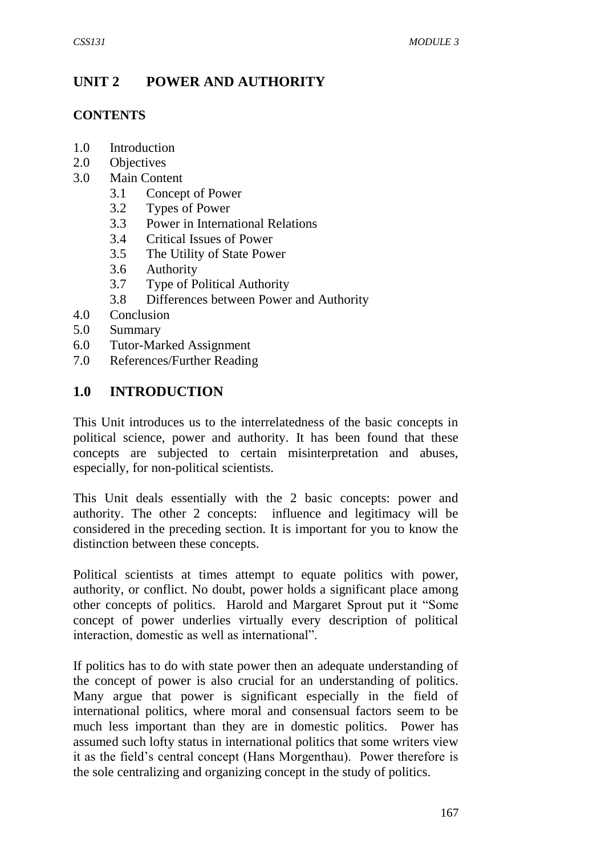# **UNIT 2 POWER AND AUTHORITY**

#### **CONTENTS**

- 1.0 Introduction
- 2.0 Objectives
- 3.0 Main Content
	- 3.1 Concept of Power
	- 3.2 Types of Power
	- 3.3 Power in International Relations
	- 3.4 Critical Issues of Power
	- 3.5 The Utility of State Power
	- 3.6 Authority
	- 3.7 Type of Political Authority
	- 3.8 Differences between Power and Authority
- 4.0 Conclusion
- 5.0 Summary
- 6.0 Tutor-Marked Assignment
- 7.0 References/Further Reading

## **1.0 INTRODUCTION**

This Unit introduces us to the interrelatedness of the basic concepts in political science, power and authority. It has been found that these concepts are subjected to certain misinterpretation and abuses, especially, for non-political scientists.

This Unit deals essentially with the 2 basic concepts: power and authority. The other 2 concepts: influence and legitimacy will be considered in the preceding section. It is important for you to know the distinction between these concepts.

Political scientists at times attempt to equate politics with power, authority, or conflict. No doubt, power holds a significant place among other concepts of politics. Harold and Margaret Sprout put it "Some concept of power underlies virtually every description of political interaction, domestic as well as international".

If politics has to do with state power then an adequate understanding of the concept of power is also crucial for an understanding of politics. Many argue that power is significant especially in the field of international politics, where moral and consensual factors seem to be much less important than they are in domestic politics. Power has assumed such lofty status in international politics that some writers view it as the field's central concept (Hans Morgenthau). Power therefore is the sole centralizing and organizing concept in the study of politics.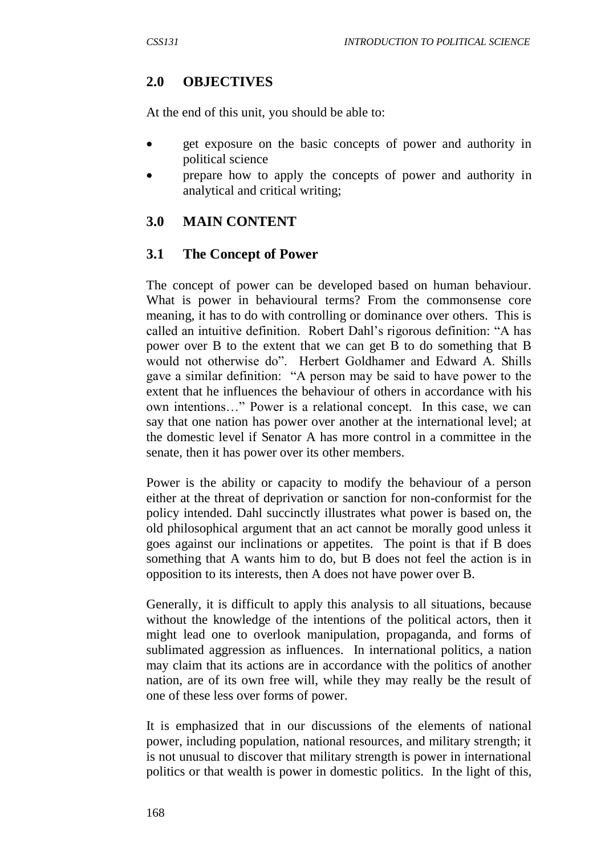# **2.0 OBJECTIVES**

At the end of this unit, you should be able to:

- **e** get exposure on the basic concepts of power and authority in political science
- prepare how to apply the concepts of power and authority in analytical and critical writing;

# **3.0 MAIN CONTENT**

## **3.1 The Concept of Power**

The concept of power can be developed based on human behaviour. What is power in behavioural terms? From the commonsense core meaning, it has to do with controlling or dominance over others. This is called an intuitive definition. Robert Dahl's rigorous definition: "A has power over B to the extent that we can get B to do something that B would not otherwise do". Herbert Goldhamer and Edward A. Shills gave a similar definition: "A person may be said to have power to the extent that he influences the behaviour of others in accordance with his own intentions…" Power is a relational concept. In this case, we can say that one nation has power over another at the international level; at the domestic level if Senator A has more control in a committee in the senate, then it has power over its other members.

Power is the ability or capacity to modify the behaviour of a person either at the threat of deprivation or sanction for non-conformist for the policy intended. Dahl succinctly illustrates what power is based on, the old philosophical argument that an act cannot be morally good unless it goes against our inclinations or appetites. The point is that if B does something that A wants him to do, but B does not feel the action is in opposition to its interests, then A does not have power over B.

Generally, it is difficult to apply this analysis to all situations, because without the knowledge of the intentions of the political actors, then it might lead one to overlook manipulation, propaganda, and forms of sublimated aggression as influences. In international politics, a nation may claim that its actions are in accordance with the politics of another nation, are of its own free will, while they may really be the result of one of these less over forms of power.

It is emphasized that in our discussions of the elements of national power, including population, national resources, and military strength; it is not unusual to discover that military strength is power in international politics or that wealth is power in domestic politics. In the light of this,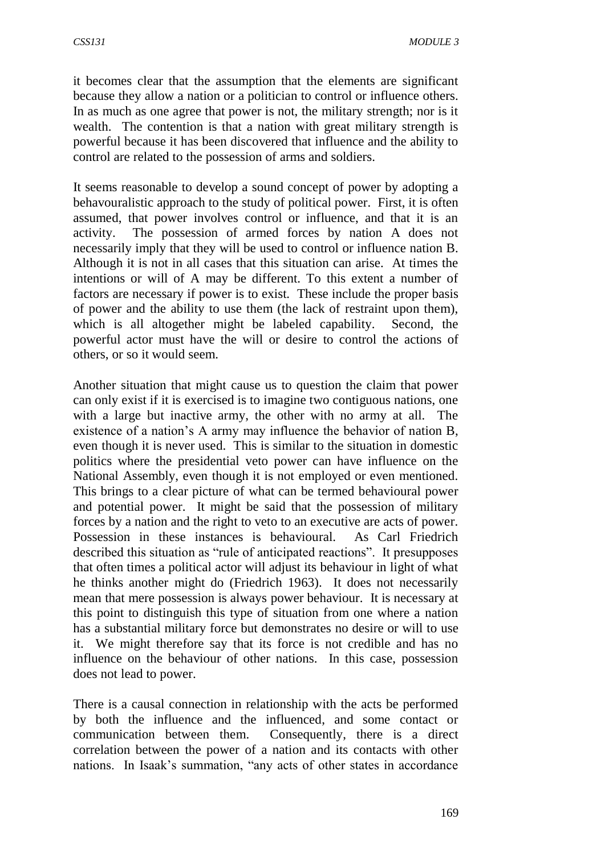it becomes clear that the assumption that the elements are significant because they allow a nation or a politician to control or influence others. In as much as one agree that power is not, the military strength; nor is it wealth. The contention is that a nation with great military strength is powerful because it has been discovered that influence and the ability to control are related to the possession of arms and soldiers.

It seems reasonable to develop a sound concept of power by adopting a behavouralistic approach to the study of political power. First, it is often assumed, that power involves control or influence, and that it is an activity. The possession of armed forces by nation A does not necessarily imply that they will be used to control or influence nation B. Although it is not in all cases that this situation can arise. At times the intentions or will of A may be different. To this extent a number of factors are necessary if power is to exist. These include the proper basis of power and the ability to use them (the lack of restraint upon them), which is all altogether might be labeled capability. Second, the powerful actor must have the will or desire to control the actions of others, or so it would seem.

Another situation that might cause us to question the claim that power can only exist if it is exercised is to imagine two contiguous nations, one with a large but inactive army, the other with no army at all. The existence of a nation's A army may influence the behavior of nation B, even though it is never used. This is similar to the situation in domestic politics where the presidential veto power can have influence on the National Assembly, even though it is not employed or even mentioned. This brings to a clear picture of what can be termed behavioural power and potential power. It might be said that the possession of military forces by a nation and the right to veto to an executive are acts of power. Possession in these instances is behavioural. As Carl Friedrich described this situation as "rule of anticipated reactions". It presupposes that often times a political actor will adjust its behaviour in light of what he thinks another might do (Friedrich 1963). It does not necessarily mean that mere possession is always power behaviour. It is necessary at this point to distinguish this type of situation from one where a nation has a substantial military force but demonstrates no desire or will to use it. We might therefore say that its force is not credible and has no influence on the behaviour of other nations. In this case, possession does not lead to power.

There is a causal connection in relationship with the acts be performed by both the influence and the influenced, and some contact or communication between them. Consequently, there is a direct correlation between the power of a nation and its contacts with other nations. In Isaak's summation, "any acts of other states in accordance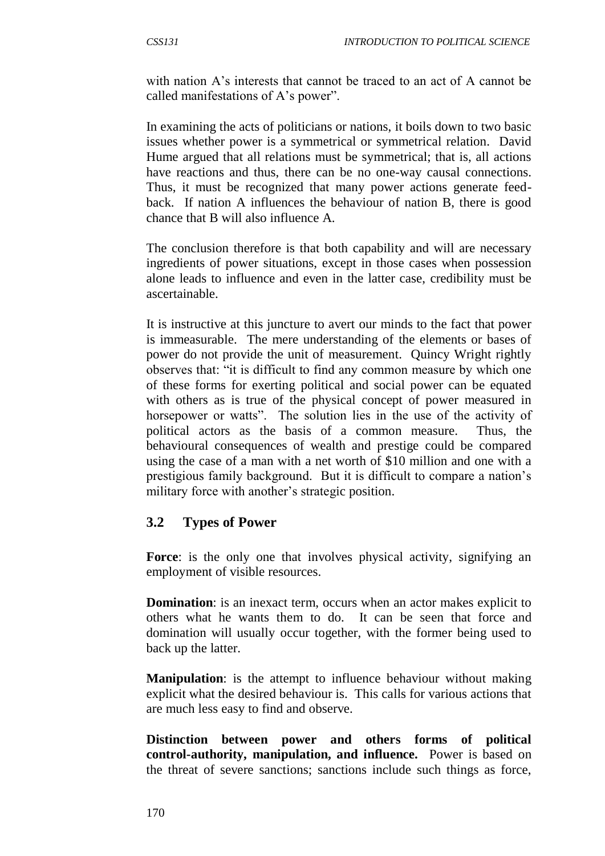with nation A's interests that cannot be traced to an act of A cannot be called manifestations of A's power".

In examining the acts of politicians or nations, it boils down to two basic issues whether power is a symmetrical or symmetrical relation. David Hume argued that all relations must be symmetrical; that is, all actions have reactions and thus, there can be no one-way causal connections. Thus, it must be recognized that many power actions generate feedback. If nation A influences the behaviour of nation B, there is good chance that B will also influence A.

The conclusion therefore is that both capability and will are necessary ingredients of power situations, except in those cases when possession alone leads to influence and even in the latter case, credibility must be ascertainable.

It is instructive at this juncture to avert our minds to the fact that power is immeasurable. The mere understanding of the elements or bases of power do not provide the unit of measurement. Quincy Wright rightly observes that: "it is difficult to find any common measure by which one of these forms for exerting political and social power can be equated with others as is true of the physical concept of power measured in horsepower or watts". The solution lies in the use of the activity of political actors as the basis of a common measure. Thus, the behavioural consequences of wealth and prestige could be compared using the case of a man with a net worth of \$10 million and one with a prestigious family background. But it is difficult to compare a nation's military force with another's strategic position.

#### **3.2 Types of Power**

Force: is the only one that involves physical activity, signifying an employment of visible resources.

**Domination**: is an inexact term, occurs when an actor makes explicit to others what he wants them to do. It can be seen that force and domination will usually occur together, with the former being used to back up the latter.

**Manipulation**: is the attempt to influence behaviour without making explicit what the desired behaviour is. This calls for various actions that are much less easy to find and observe.

**Distinction between power and others forms of political control-authority, manipulation, and influence.** Power is based on the threat of severe sanctions; sanctions include such things as force,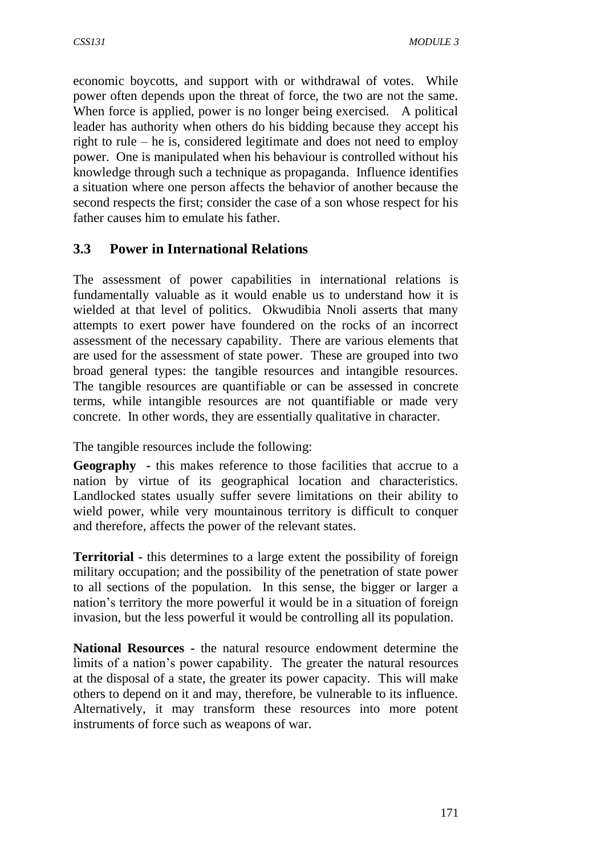economic boycotts, and support with or withdrawal of votes. While power often depends upon the threat of force, the two are not the same. When force is applied, power is no longer being exercised. A political leader has authority when others do his bidding because they accept his right to rule – he is, considered legitimate and does not need to employ power. One is manipulated when his behaviour is controlled without his knowledge through such a technique as propaganda. Influence identifies a situation where one person affects the behavior of another because the second respects the first; consider the case of a son whose respect for his father causes him to emulate his father.

## **3.3 Power in International Relations**

The assessment of power capabilities in international relations is fundamentally valuable as it would enable us to understand how it is wielded at that level of politics. Okwudibia Nnoli asserts that many attempts to exert power have foundered on the rocks of an incorrect assessment of the necessary capability. There are various elements that are used for the assessment of state power. These are grouped into two broad general types: the tangible resources and intangible resources. The tangible resources are quantifiable or can be assessed in concrete terms, while intangible resources are not quantifiable or made very concrete. In other words, they are essentially qualitative in character.

The tangible resources include the following:

**Geography -** this makes reference to those facilities that accrue to a nation by virtue of its geographical location and characteristics. Landlocked states usually suffer severe limitations on their ability to wield power, while very mountainous territory is difficult to conquer and therefore, affects the power of the relevant states.

**Territorial -** this determines to a large extent the possibility of foreign military occupation; and the possibility of the penetration of state power to all sections of the population. In this sense, the bigger or larger a nation's territory the more powerful it would be in a situation of foreign invasion, but the less powerful it would be controlling all its population.

**National Resources -** the natural resource endowment determine the limits of a nation's power capability. The greater the natural resources at the disposal of a state, the greater its power capacity. This will make others to depend on it and may, therefore, be vulnerable to its influence. Alternatively, it may transform these resources into more potent instruments of force such as weapons of war.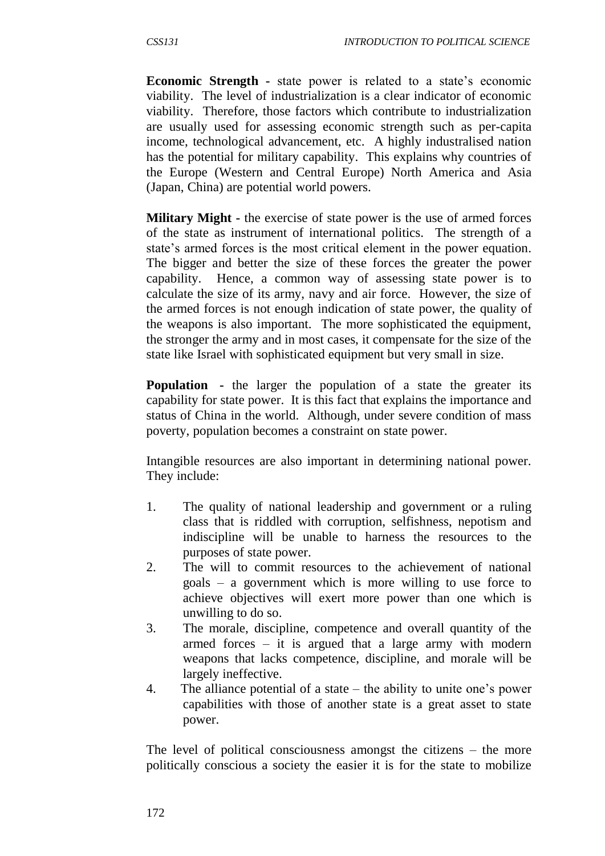**Economic Strength -** state power is related to a state's economic viability. The level of industrialization is a clear indicator of economic viability. Therefore, those factors which contribute to industrialization are usually used for assessing economic strength such as per-capita income, technological advancement, etc. A highly industralised nation has the potential for military capability. This explains why countries of the Europe (Western and Central Europe) North America and Asia (Japan, China) are potential world powers.

**Military Might -** the exercise of state power is the use of armed forces of the state as instrument of international politics. The strength of a state's armed forces is the most critical element in the power equation. The bigger and better the size of these forces the greater the power capability. Hence, a common way of assessing state power is to calculate the size of its army, navy and air force. However, the size of the armed forces is not enough indication of state power, the quality of the weapons is also important. The more sophisticated the equipment, the stronger the army and in most cases, it compensate for the size of the state like Israel with sophisticated equipment but very small in size.

**Population -** the larger the population of a state the greater its capability for state power. It is this fact that explains the importance and status of China in the world. Although, under severe condition of mass poverty, population becomes a constraint on state power.

Intangible resources are also important in determining national power. They include:

- 1. The quality of national leadership and government or a ruling class that is riddled with corruption, selfishness, nepotism and indiscipline will be unable to harness the resources to the purposes of state power.
- 2. The will to commit resources to the achievement of national goals – a government which is more willing to use force to achieve objectives will exert more power than one which is unwilling to do so.
- 3. The morale, discipline, competence and overall quantity of the armed forces  $-$  it is argued that a large army with modern weapons that lacks competence, discipline, and morale will be largely ineffective.
- 4. The alliance potential of a state the ability to unite one's power capabilities with those of another state is a great asset to state power.

The level of political consciousness amongst the citizens – the more politically conscious a society the easier it is for the state to mobilize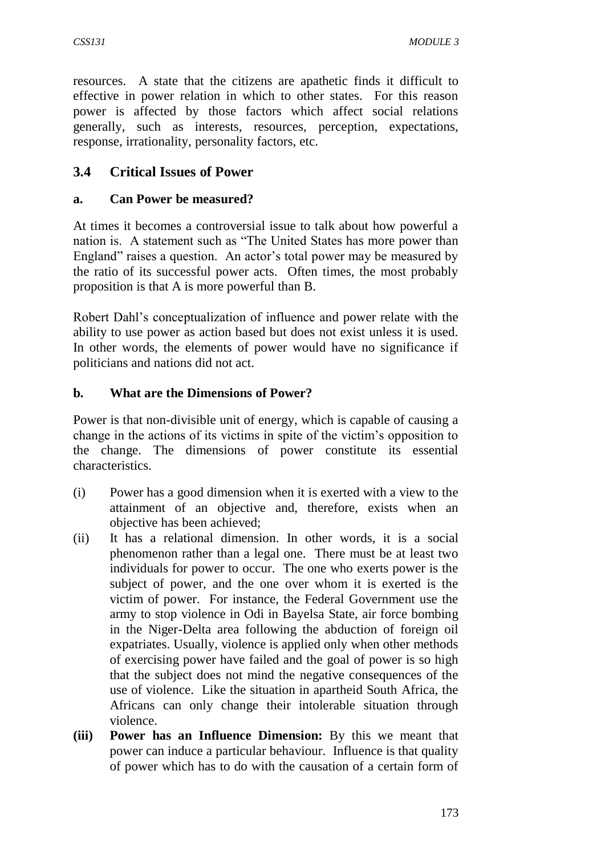resources. A state that the citizens are apathetic finds it difficult to effective in power relation in which to other states. For this reason power is affected by those factors which affect social relations generally, such as interests, resources, perception, expectations, response, irrationality, personality factors, etc.

# **3.4 Critical Issues of Power**

## **a. Can Power be measured?**

At times it becomes a controversial issue to talk about how powerful a nation is. A statement such as "The United States has more power than England" raises a question. An actor's total power may be measured by the ratio of its successful power acts. Often times, the most probably proposition is that A is more powerful than B.

Robert Dahl's conceptualization of influence and power relate with the ability to use power as action based but does not exist unless it is used. In other words, the elements of power would have no significance if politicians and nations did not act.

#### **b. What are the Dimensions of Power?**

Power is that non-divisible unit of energy, which is capable of causing a change in the actions of its victims in spite of the victim's opposition to the change. The dimensions of power constitute its essential characteristics.

- (i) Power has a good dimension when it is exerted with a view to the attainment of an objective and, therefore, exists when an objective has been achieved;
- (ii) It has a relational dimension. In other words, it is a social phenomenon rather than a legal one. There must be at least two individuals for power to occur. The one who exerts power is the subject of power, and the one over whom it is exerted is the victim of power. For instance, the Federal Government use the army to stop violence in Odi in Bayelsa State, air force bombing in the Niger-Delta area following the abduction of foreign oil expatriates. Usually, violence is applied only when other methods of exercising power have failed and the goal of power is so high that the subject does not mind the negative consequences of the use of violence. Like the situation in apartheid South Africa, the Africans can only change their intolerable situation through violence.
- **(iii) Power has an Influence Dimension:** By this we meant that power can induce a particular behaviour. Influence is that quality of power which has to do with the causation of a certain form of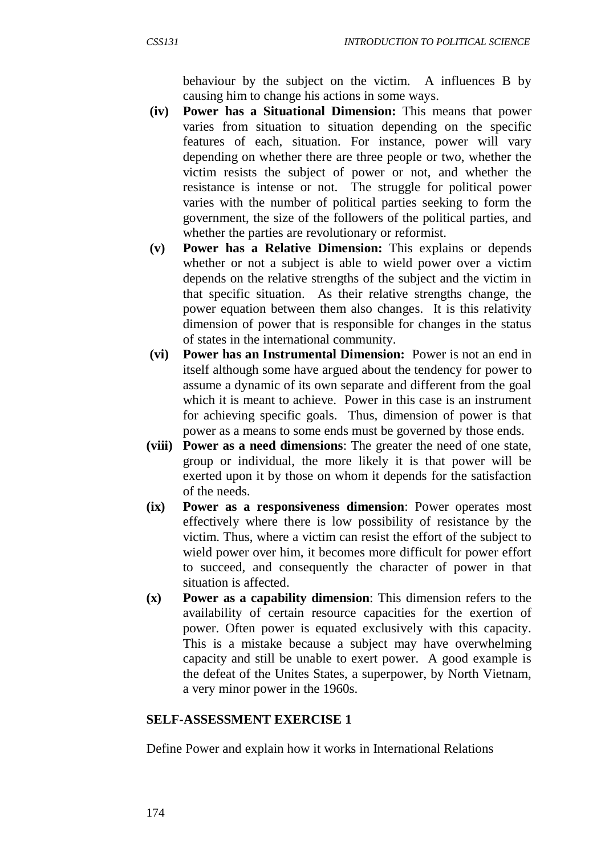behaviour by the subject on the victim. A influences B by causing him to change his actions in some ways.

- **(iv) Power has a Situational Dimension:** This means that power varies from situation to situation depending on the specific features of each, situation. For instance, power will vary depending on whether there are three people or two, whether the victim resists the subject of power or not, and whether the resistance is intense or not. The struggle for political power varies with the number of political parties seeking to form the government, the size of the followers of the political parties, and whether the parties are revolutionary or reformist.
- **(v) Power has a Relative Dimension:** This explains or depends whether or not a subject is able to wield power over a victim depends on the relative strengths of the subject and the victim in that specific situation. As their relative strengths change, the power equation between them also changes. It is this relativity dimension of power that is responsible for changes in the status of states in the international community.
- **(vi) Power has an Instrumental Dimension:** Power is not an end in itself although some have argued about the tendency for power to assume a dynamic of its own separate and different from the goal which it is meant to achieve. Power in this case is an instrument for achieving specific goals. Thus, dimension of power is that power as a means to some ends must be governed by those ends.
- **(viii) Power as a need dimensions**: The greater the need of one state, group or individual, the more likely it is that power will be exerted upon it by those on whom it depends for the satisfaction of the needs.
- **(ix) Power as a responsiveness dimension**: Power operates most effectively where there is low possibility of resistance by the victim. Thus, where a victim can resist the effort of the subject to wield power over him, it becomes more difficult for power effort to succeed, and consequently the character of power in that situation is affected.
- **(x) Power as a capability dimension**: This dimension refers to the availability of certain resource capacities for the exertion of power. Often power is equated exclusively with this capacity. This is a mistake because a subject may have overwhelming capacity and still be unable to exert power. A good example is the defeat of the Unites States, a superpower, by North Vietnam, a very minor power in the 1960s.

#### **SELF-ASSESSMENT EXERCISE 1**

Define Power and explain how it works in International Relations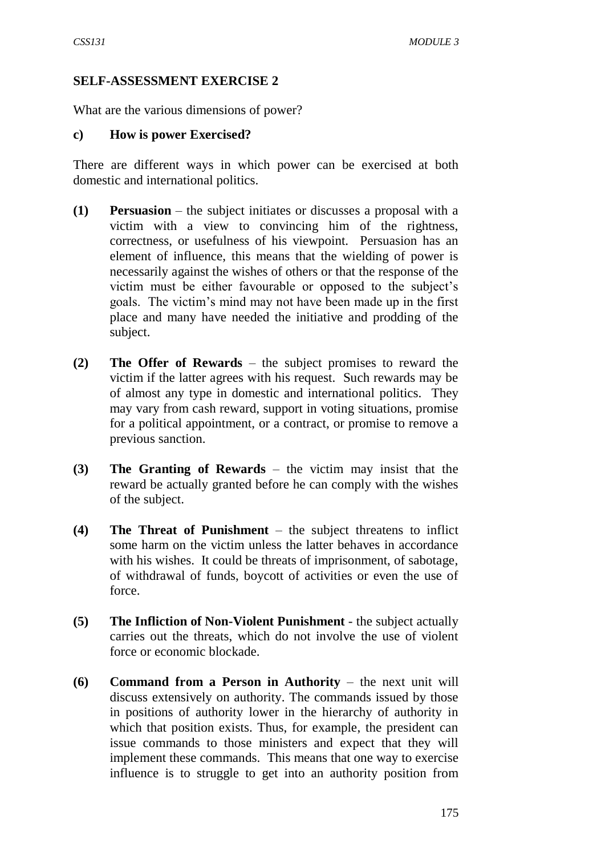### **SELF-ASSESSMENT EXERCISE 2**

What are the various dimensions of power?

#### **c) How is power Exercised?**

There are different ways in which power can be exercised at both domestic and international politics.

- **(1) Persuasion** the subject initiates or discusses a proposal with a victim with a view to convincing him of the rightness, correctness, or usefulness of his viewpoint. Persuasion has an element of influence, this means that the wielding of power is necessarily against the wishes of others or that the response of the victim must be either favourable or opposed to the subject's goals. The victim's mind may not have been made up in the first place and many have needed the initiative and prodding of the subject.
- **(2) The Offer of Rewards** the subject promises to reward the victim if the latter agrees with his request. Such rewards may be of almost any type in domestic and international politics. They may vary from cash reward, support in voting situations, promise for a political appointment, or a contract, or promise to remove a previous sanction.
- **(3) The Granting of Rewards** the victim may insist that the reward be actually granted before he can comply with the wishes of the subject.
- **(4) The Threat of Punishment** the subject threatens to inflict some harm on the victim unless the latter behaves in accordance with his wishes. It could be threats of imprisonment, of sabotage, of withdrawal of funds, boycott of activities or even the use of force.
- **(5) The Infliction of Non-Violent Punishment** the subject actually carries out the threats, which do not involve the use of violent force or economic blockade.
- **(6) Command from a Person in Authority** the next unit will discuss extensively on authority. The commands issued by those in positions of authority lower in the hierarchy of authority in which that position exists. Thus, for example, the president can issue commands to those ministers and expect that they will implement these commands. This means that one way to exercise influence is to struggle to get into an authority position from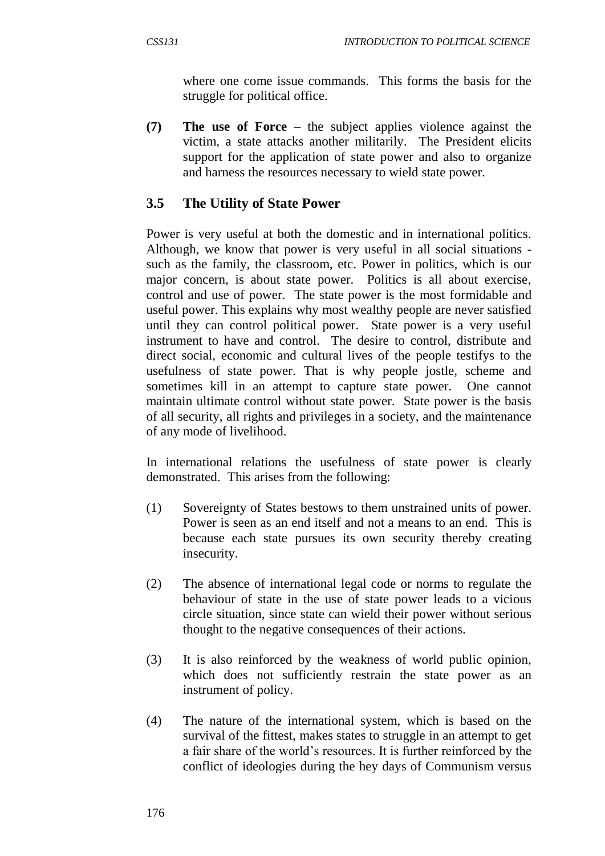where one come issue commands. This forms the basis for the struggle for political office.

**(7) The use of Force** – the subject applies violence against the victim, a state attacks another militarily. The President elicits support for the application of state power and also to organize and harness the resources necessary to wield state power.

# **3.5 The Utility of State Power**

Power is very useful at both the domestic and in international politics. Although, we know that power is very useful in all social situations such as the family, the classroom, etc. Power in politics, which is our major concern, is about state power. Politics is all about exercise, control and use of power. The state power is the most formidable and useful power. This explains why most wealthy people are never satisfied until they can control political power. State power is a very useful instrument to have and control. The desire to control, distribute and direct social, economic and cultural lives of the people testifys to the usefulness of state power. That is why people jostle, scheme and sometimes kill in an attempt to capture state power. One cannot maintain ultimate control without state power. State power is the basis of all security, all rights and privileges in a society, and the maintenance of any mode of livelihood.

In international relations the usefulness of state power is clearly demonstrated. This arises from the following:

- (1) Sovereignty of States bestows to them unstrained units of power. Power is seen as an end itself and not a means to an end. This is because each state pursues its own security thereby creating insecurity.
- (2) The absence of international legal code or norms to regulate the behaviour of state in the use of state power leads to a vicious circle situation, since state can wield their power without serious thought to the negative consequences of their actions.
- (3) It is also reinforced by the weakness of world public opinion, which does not sufficiently restrain the state power as an instrument of policy.
- (4) The nature of the international system, which is based on the survival of the fittest, makes states to struggle in an attempt to get a fair share of the world's resources. It is further reinforced by the conflict of ideologies during the hey days of Communism versus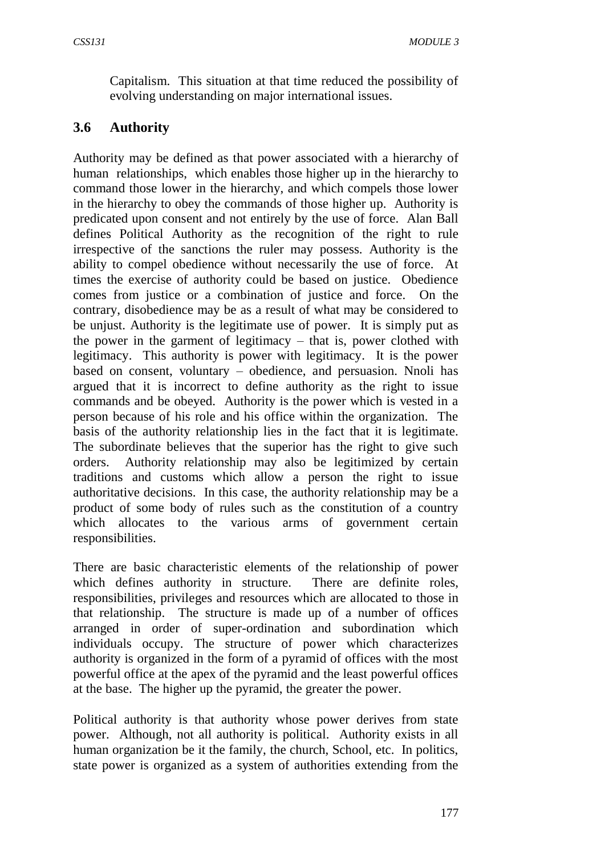Capitalism. This situation at that time reduced the possibility of evolving understanding on major international issues.

## **3.6 Authority**

Authority may be defined as that power associated with a hierarchy of human relationships, which enables those higher up in the hierarchy to command those lower in the hierarchy, and which compels those lower in the hierarchy to obey the commands of those higher up. Authority is predicated upon consent and not entirely by the use of force. Alan Ball defines Political Authority as the recognition of the right to rule irrespective of the sanctions the ruler may possess. Authority is the ability to compel obedience without necessarily the use of force. At times the exercise of authority could be based on justice. Obedience comes from justice or a combination of justice and force. On the contrary, disobedience may be as a result of what may be considered to be unjust. Authority is the legitimate use of power. It is simply put as the power in the garment of legitimacy – that is, power clothed with legitimacy. This authority is power with legitimacy. It is the power based on consent, voluntary – obedience, and persuasion. Nnoli has argued that it is incorrect to define authority as the right to issue commands and be obeyed. Authority is the power which is vested in a person because of his role and his office within the organization. The basis of the authority relationship lies in the fact that it is legitimate. The subordinate believes that the superior has the right to give such orders. Authority relationship may also be legitimized by certain traditions and customs which allow a person the right to issue authoritative decisions. In this case, the authority relationship may be a product of some body of rules such as the constitution of a country which allocates to the various arms of government certain responsibilities.

There are basic characteristic elements of the relationship of power which defines authority in structure. There are definite roles, responsibilities, privileges and resources which are allocated to those in that relationship. The structure is made up of a number of offices arranged in order of super-ordination and subordination which individuals occupy. The structure of power which characterizes authority is organized in the form of a pyramid of offices with the most powerful office at the apex of the pyramid and the least powerful offices at the base. The higher up the pyramid, the greater the power.

Political authority is that authority whose power derives from state power. Although, not all authority is political. Authority exists in all human organization be it the family, the church, School, etc. In politics, state power is organized as a system of authorities extending from the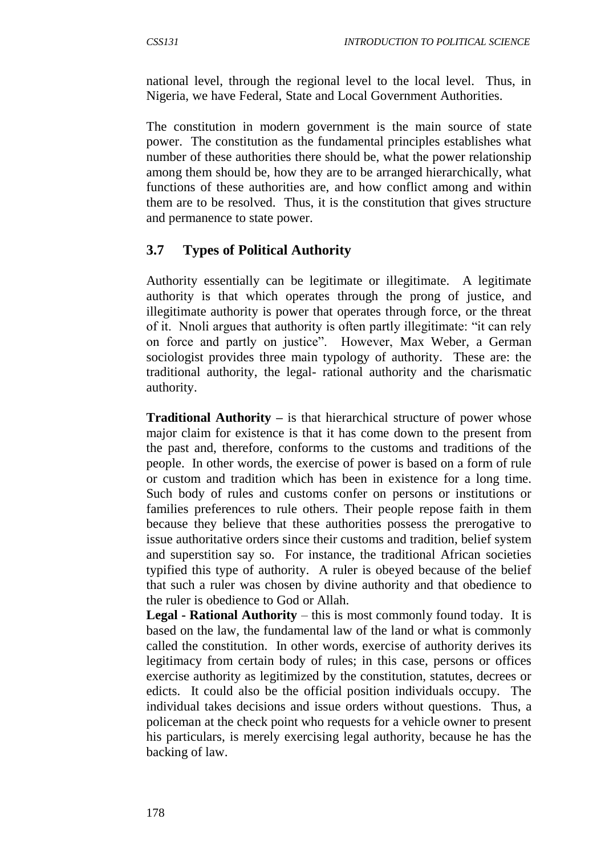national level, through the regional level to the local level. Thus, in Nigeria, we have Federal, State and Local Government Authorities.

The constitution in modern government is the main source of state power. The constitution as the fundamental principles establishes what number of these authorities there should be, what the power relationship among them should be, how they are to be arranged hierarchically, what functions of these authorities are, and how conflict among and within them are to be resolved. Thus, it is the constitution that gives structure and permanence to state power.

# **3.7 Types of Political Authority**

Authority essentially can be legitimate or illegitimate. A legitimate authority is that which operates through the prong of justice, and illegitimate authority is power that operates through force, or the threat of it. Nnoli argues that authority is often partly illegitimate: "it can rely on force and partly on justice". However, Max Weber, a German sociologist provides three main typology of authority. These are: the traditional authority, the legal- rational authority and the charismatic authority.

**Traditional Authority** – is that hierarchical structure of power whose major claim for existence is that it has come down to the present from the past and, therefore, conforms to the customs and traditions of the people. In other words, the exercise of power is based on a form of rule or custom and tradition which has been in existence for a long time. Such body of rules and customs confer on persons or institutions or families preferences to rule others. Their people repose faith in them because they believe that these authorities possess the prerogative to issue authoritative orders since their customs and tradition, belief system and superstition say so. For instance, the traditional African societies typified this type of authority. A ruler is obeyed because of the belief that such a ruler was chosen by divine authority and that obedience to the ruler is obedience to God or Allah.

**Legal - Rational Authority** – this is most commonly found today. It is based on the law, the fundamental law of the land or what is commonly called the constitution. In other words, exercise of authority derives its legitimacy from certain body of rules; in this case, persons or offices exercise authority as legitimized by the constitution, statutes, decrees or edicts. It could also be the official position individuals occupy. The individual takes decisions and issue orders without questions. Thus, a policeman at the check point who requests for a vehicle owner to present his particulars, is merely exercising legal authority, because he has the backing of law.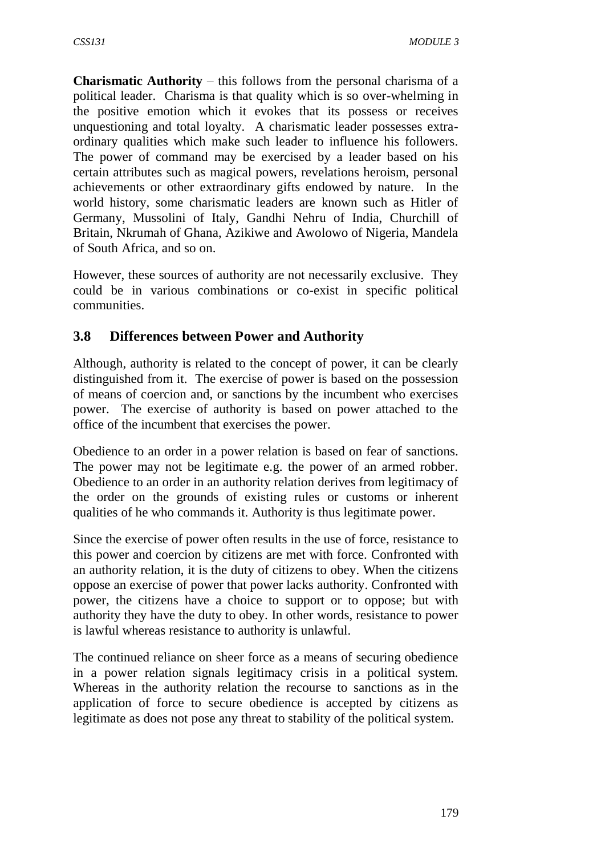**Charismatic Authority** – this follows from the personal charisma of a political leader. Charisma is that quality which is so over-whelming in the positive emotion which it evokes that its possess or receives unquestioning and total loyalty. A charismatic leader possesses extraordinary qualities which make such leader to influence his followers. The power of command may be exercised by a leader based on his certain attributes such as magical powers, revelations heroism, personal achievements or other extraordinary gifts endowed by nature. In the world history, some charismatic leaders are known such as Hitler of Germany, Mussolini of Italy, Gandhi Nehru of India, Churchill of Britain, Nkrumah of Ghana, Azikiwe and Awolowo of Nigeria, Mandela of South Africa, and so on.

However, these sources of authority are not necessarily exclusive. They could be in various combinations or co-exist in specific political communities.

## **3.8 Differences between Power and Authority**

Although, authority is related to the concept of power, it can be clearly distinguished from it. The exercise of power is based on the possession of means of coercion and, or sanctions by the incumbent who exercises power. The exercise of authority is based on power attached to the office of the incumbent that exercises the power.

Obedience to an order in a power relation is based on fear of sanctions. The power may not be legitimate e.g. the power of an armed robber. Obedience to an order in an authority relation derives from legitimacy of the order on the grounds of existing rules or customs or inherent qualities of he who commands it. Authority is thus legitimate power.

Since the exercise of power often results in the use of force, resistance to this power and coercion by citizens are met with force. Confronted with an authority relation, it is the duty of citizens to obey. When the citizens oppose an exercise of power that power lacks authority. Confronted with power, the citizens have a choice to support or to oppose; but with authority they have the duty to obey. In other words, resistance to power is lawful whereas resistance to authority is unlawful.

The continued reliance on sheer force as a means of securing obedience in a power relation signals legitimacy crisis in a political system. Whereas in the authority relation the recourse to sanctions as in the application of force to secure obedience is accepted by citizens as legitimate as does not pose any threat to stability of the political system.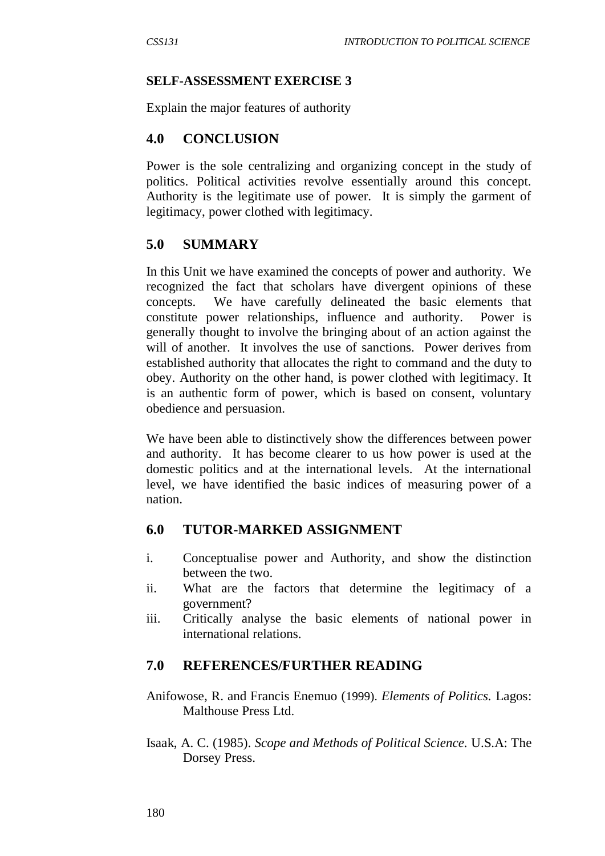#### **SELF-ASSESSMENT EXERCISE 3**

Explain the major features of authority

### **4.0 CONCLUSION**

Power is the sole centralizing and organizing concept in the study of politics. Political activities revolve essentially around this concept. Authority is the legitimate use of power. It is simply the garment of legitimacy, power clothed with legitimacy.

### **5.0 SUMMARY**

In this Unit we have examined the concepts of power and authority. We recognized the fact that scholars have divergent opinions of these concepts. We have carefully delineated the basic elements that constitute power relationships, influence and authority. Power is generally thought to involve the bringing about of an action against the will of another. It involves the use of sanctions. Power derives from established authority that allocates the right to command and the duty to obey. Authority on the other hand, is power clothed with legitimacy. It is an authentic form of power, which is based on consent, voluntary obedience and persuasion.

We have been able to distinctively show the differences between power and authority. It has become clearer to us how power is used at the domestic politics and at the international levels. At the international level, we have identified the basic indices of measuring power of a nation.

### **6.0 TUTOR-MARKED ASSIGNMENT**

- i. Conceptualise power and Authority, and show the distinction between the two.
- ii. What are the factors that determine the legitimacy of a government?
- iii. Critically analyse the basic elements of national power in international relations.

#### **7.0 REFERENCES/FURTHER READING**

- Anifowose, R. and Francis Enemuo (1999). *Elements of Politics.* Lagos: Malthouse Press Ltd.
- Isaak, A. C. (1985). *Scope and Methods of Political Science.* U.S.A: The Dorsey Press.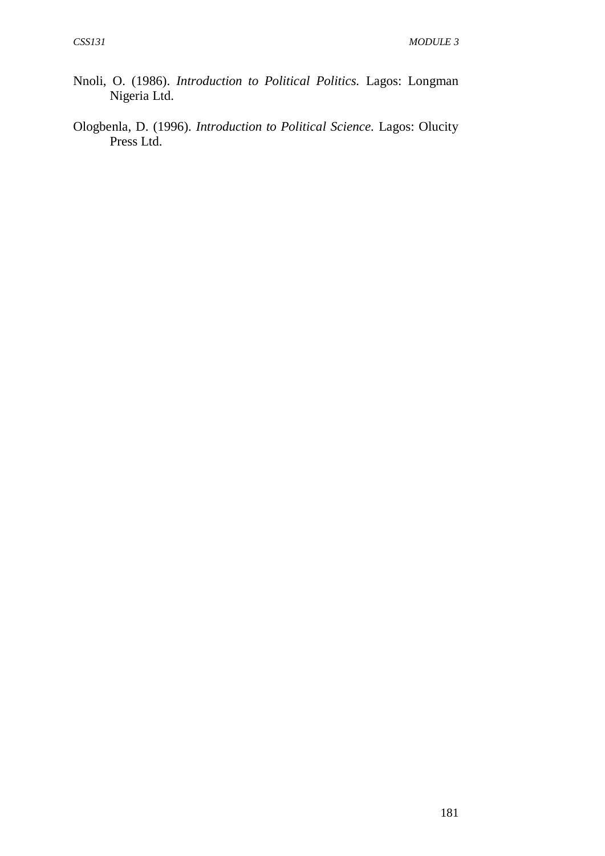- Nnoli, O. (1986). *Introduction to Political Politics.* Lagos: Longman Nigeria Ltd.
- Ologbenla, D. (1996). *Introduction to Political Science.* Lagos: Olucity Press Ltd.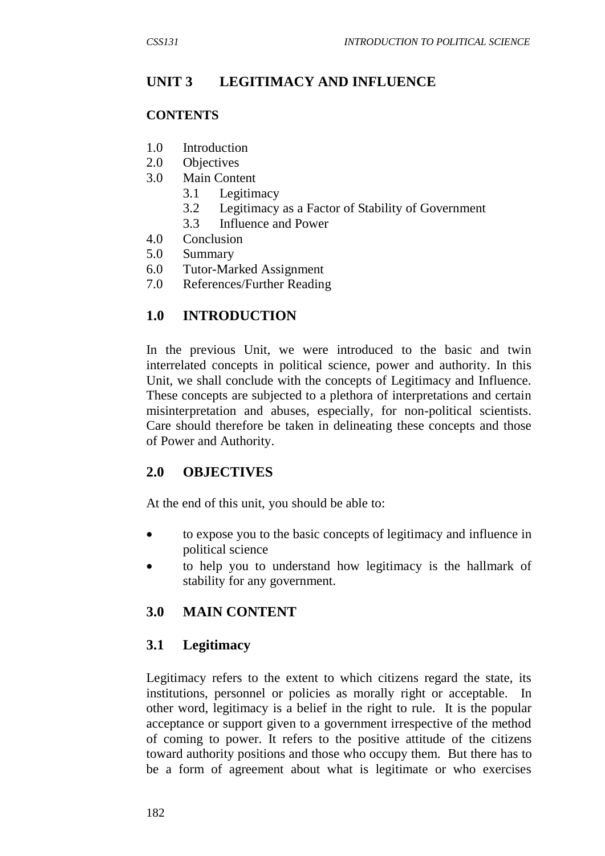# **UNIT 3 LEGITIMACY AND INFLUENCE**

#### **CONTENTS**

- 1.0 Introduction
- 2.0 Objectives
- 3.0 Main Content
	- 3.1 Legitimacy
	- 3.2 Legitimacy as a Factor of Stability of Government
	- 3.3 Influence and Power
- 4.0 Conclusion
- 5.0 Summary
- 6.0 Tutor-Marked Assignment
- 7.0 References/Further Reading

### **1.0 INTRODUCTION**

In the previous Unit, we were introduced to the basic and twin interrelated concepts in political science, power and authority. In this Unit, we shall conclude with the concepts of Legitimacy and Influence. These concepts are subjected to a plethora of interpretations and certain misinterpretation and abuses, especially, for non-political scientists. Care should therefore be taken in delineating these concepts and those of Power and Authority.

#### **2.0 OBJECTIVES**

At the end of this unit, you should be able to:

- to expose you to the basic concepts of legitimacy and influence in political science
- to help you to understand how legitimacy is the hallmark of stability for any government.

### **3.0 MAIN CONTENT**

### **3.1 Legitimacy**

Legitimacy refers to the extent to which citizens regard the state, its institutions, personnel or policies as morally right or acceptable. In other word, legitimacy is a belief in the right to rule. It is the popular acceptance or support given to a government irrespective of the method of coming to power. It refers to the positive attitude of the citizens toward authority positions and those who occupy them. But there has to be a form of agreement about what is legitimate or who exercises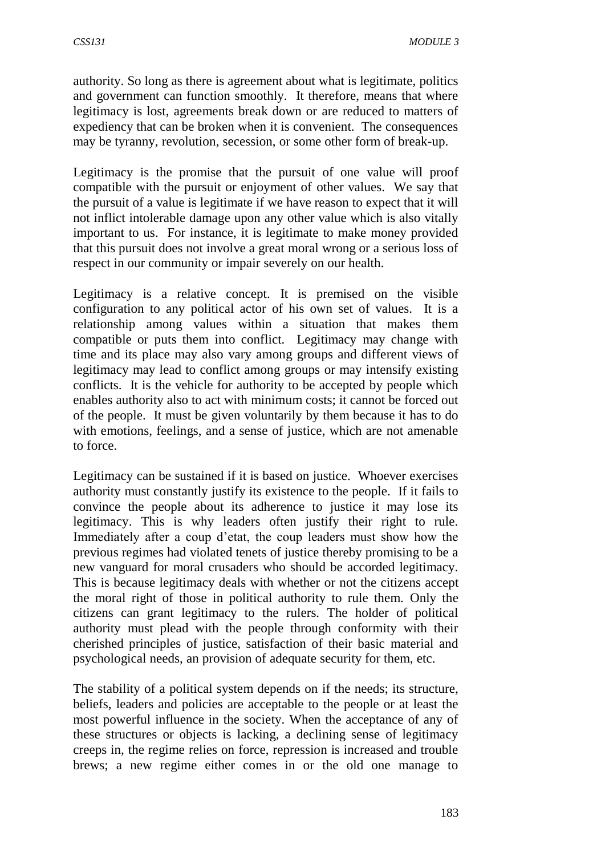authority. So long as there is agreement about what is legitimate, politics and government can function smoothly. It therefore, means that where legitimacy is lost, agreements break down or are reduced to matters of expediency that can be broken when it is convenient. The consequences may be tyranny, revolution, secession, or some other form of break-up.

Legitimacy is the promise that the pursuit of one value will proof compatible with the pursuit or enjoyment of other values. We say that the pursuit of a value is legitimate if we have reason to expect that it will not inflict intolerable damage upon any other value which is also vitally important to us. For instance, it is legitimate to make money provided that this pursuit does not involve a great moral wrong or a serious loss of respect in our community or impair severely on our health.

Legitimacy is a relative concept. It is premised on the visible configuration to any political actor of his own set of values. It is a relationship among values within a situation that makes them compatible or puts them into conflict. Legitimacy may change with time and its place may also vary among groups and different views of legitimacy may lead to conflict among groups or may intensify existing conflicts. It is the vehicle for authority to be accepted by people which enables authority also to act with minimum costs; it cannot be forced out of the people. It must be given voluntarily by them because it has to do with emotions, feelings, and a sense of justice, which are not amenable to force.

Legitimacy can be sustained if it is based on justice. Whoever exercises authority must constantly justify its existence to the people. If it fails to convince the people about its adherence to justice it may lose its legitimacy. This is why leaders often justify their right to rule. Immediately after a coup d'etat, the coup leaders must show how the previous regimes had violated tenets of justice thereby promising to be a new vanguard for moral crusaders who should be accorded legitimacy. This is because legitimacy deals with whether or not the citizens accept the moral right of those in political authority to rule them. Only the citizens can grant legitimacy to the rulers. The holder of political authority must plead with the people through conformity with their cherished principles of justice, satisfaction of their basic material and psychological needs, an provision of adequate security for them, etc.

The stability of a political system depends on if the needs; its structure, beliefs, leaders and policies are acceptable to the people or at least the most powerful influence in the society. When the acceptance of any of these structures or objects is lacking, a declining sense of legitimacy creeps in, the regime relies on force, repression is increased and trouble brews; a new regime either comes in or the old one manage to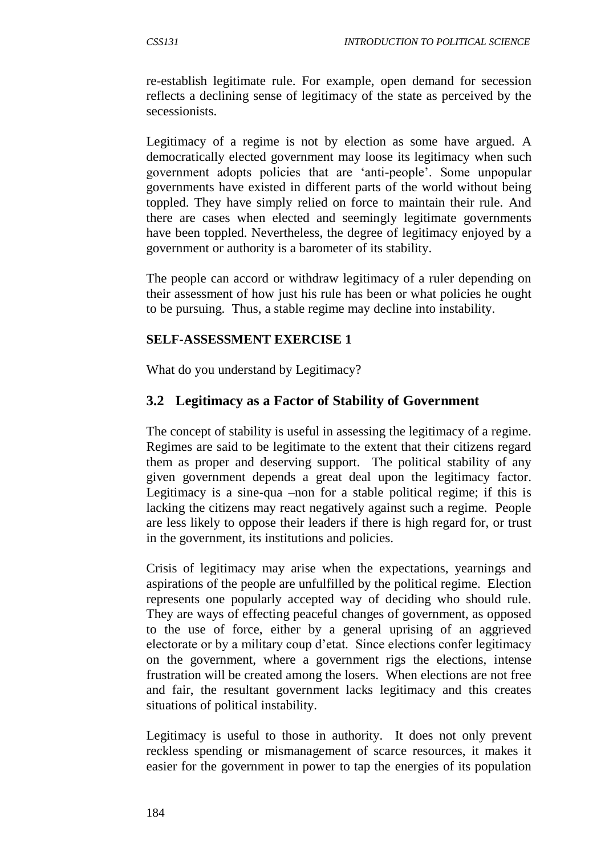re-establish legitimate rule. For example, open demand for secession reflects a declining sense of legitimacy of the state as perceived by the secessionists.

Legitimacy of a regime is not by election as some have argued. A democratically elected government may loose its legitimacy when such government adopts policies that are 'anti-people'. Some unpopular governments have existed in different parts of the world without being toppled. They have simply relied on force to maintain their rule. And there are cases when elected and seemingly legitimate governments have been toppled. Nevertheless, the degree of legitimacy enjoyed by a government or authority is a barometer of its stability.

The people can accord or withdraw legitimacy of a ruler depending on their assessment of how just his rule has been or what policies he ought to be pursuing. Thus, a stable regime may decline into instability.

### **SELF-ASSESSMENT EXERCISE 1**

What do you understand by Legitimacy?

## **3.2 Legitimacy as a Factor of Stability of Government**

The concept of stability is useful in assessing the legitimacy of a regime. Regimes are said to be legitimate to the extent that their citizens regard them as proper and deserving support. The political stability of any given government depends a great deal upon the legitimacy factor. Legitimacy is a sine-qua –non for a stable political regime; if this is lacking the citizens may react negatively against such a regime. People are less likely to oppose their leaders if there is high regard for, or trust in the government, its institutions and policies.

Crisis of legitimacy may arise when the expectations, yearnings and aspirations of the people are unfulfilled by the political regime. Election represents one popularly accepted way of deciding who should rule. They are ways of effecting peaceful changes of government, as opposed to the use of force, either by a general uprising of an aggrieved electorate or by a military coup d'etat. Since elections confer legitimacy on the government, where a government rigs the elections, intense frustration will be created among the losers. When elections are not free and fair, the resultant government lacks legitimacy and this creates situations of political instability.

Legitimacy is useful to those in authority. It does not only prevent reckless spending or mismanagement of scarce resources, it makes it easier for the government in power to tap the energies of its population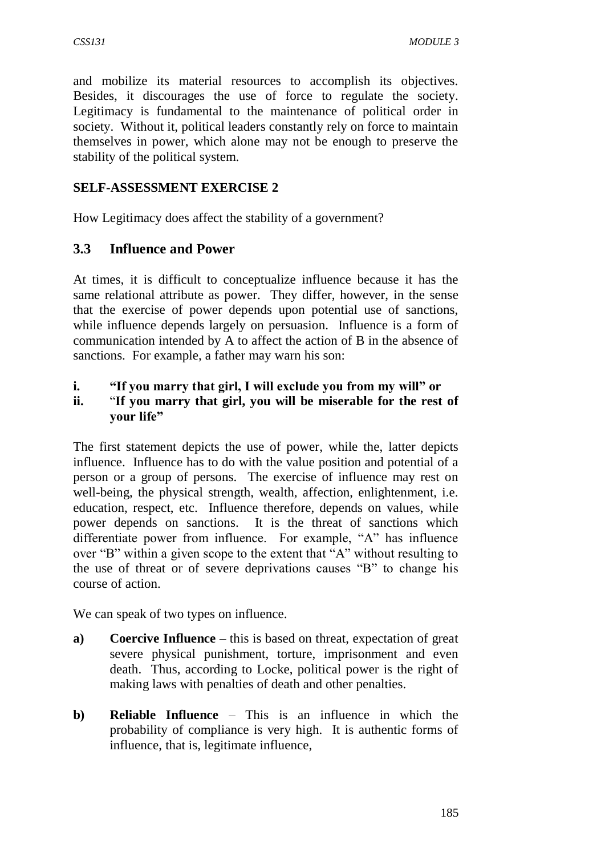and mobilize its material resources to accomplish its objectives. Besides, it discourages the use of force to regulate the society. Legitimacy is fundamental to the maintenance of political order in society. Without it, political leaders constantly rely on force to maintain themselves in power, which alone may not be enough to preserve the stability of the political system.

### **SELF-ASSESSMENT EXERCISE 2**

How Legitimacy does affect the stability of a government?

### **3.3 Influence and Power**

At times, it is difficult to conceptualize influence because it has the same relational attribute as power. They differ, however, in the sense that the exercise of power depends upon potential use of sanctions, while influence depends largely on persuasion. Influence is a form of communication intended by A to affect the action of B in the absence of sanctions. For example, a father may warn his son:

#### **i. "If you marry that girl, I will exclude you from my will" or**

# **ii.** "**If you marry that girl, you will be miserable for the rest of your life"**

The first statement depicts the use of power, while the, latter depicts influence. Influence has to do with the value position and potential of a person or a group of persons. The exercise of influence may rest on well-being, the physical strength, wealth, affection, enlightenment, i.e. education, respect, etc. Influence therefore, depends on values, while power depends on sanctions. It is the threat of sanctions which differentiate power from influence. For example, "A" has influence over "B" within a given scope to the extent that "A" without resulting to the use of threat or of severe deprivations causes "B" to change his course of action.

We can speak of two types on influence.

- **a) Coercive Influence** this is based on threat, expectation of great severe physical punishment, torture, imprisonment and even death. Thus, according to Locke, political power is the right of making laws with penalties of death and other penalties.
- **b) Reliable Influence** This is an influence in which the probability of compliance is very high. It is authentic forms of influence, that is, legitimate influence,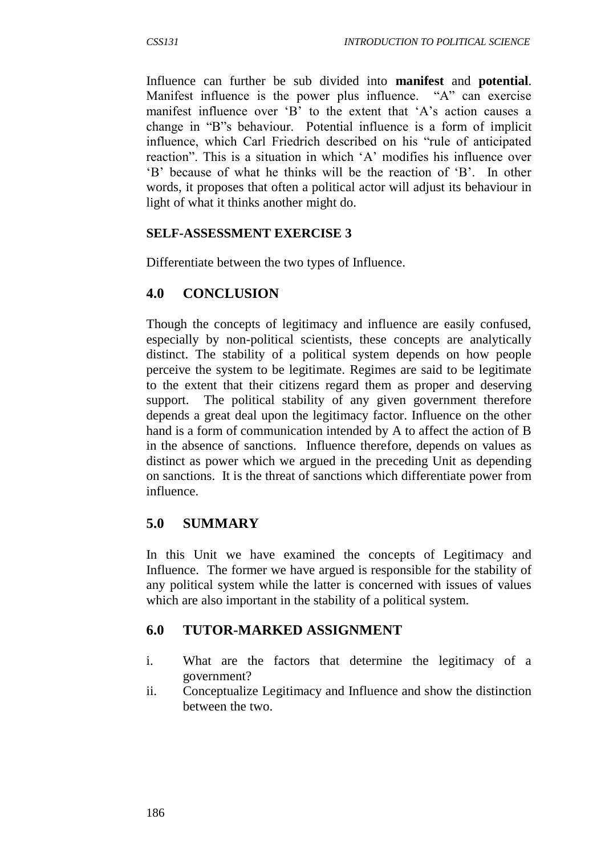Influence can further be sub divided into **manifest** and **potential**. Manifest influence is the power plus influence. "A" can exercise manifest influence over 'B' to the extent that 'A's action causes a change in "B"s behaviour. Potential influence is a form of implicit influence, which Carl Friedrich described on his "rule of anticipated reaction". This is a situation in which 'A' modifies his influence over 'B' because of what he thinks will be the reaction of 'B'. In other words, it proposes that often a political actor will adjust its behaviour in light of what it thinks another might do.

### **SELF-ASSESSMENT EXERCISE 3**

Differentiate between the two types of Influence.

### **4.0 CONCLUSION**

Though the concepts of legitimacy and influence are easily confused, especially by non-political scientists, these concepts are analytically distinct. The stability of a political system depends on how people perceive the system to be legitimate. Regimes are said to be legitimate to the extent that their citizens regard them as proper and deserving support. The political stability of any given government therefore depends a great deal upon the legitimacy factor. Influence on the other hand is a form of communication intended by A to affect the action of B in the absence of sanctions. Influence therefore, depends on values as distinct as power which we argued in the preceding Unit as depending on sanctions. It is the threat of sanctions which differentiate power from influence.

## **5.0 SUMMARY**

In this Unit we have examined the concepts of Legitimacy and Influence. The former we have argued is responsible for the stability of any political system while the latter is concerned with issues of values which are also important in the stability of a political system.

## **6.0 TUTOR-MARKED ASSIGNMENT**

- i. What are the factors that determine the legitimacy of a government?
- ii. Conceptualize Legitimacy and Influence and show the distinction between the two.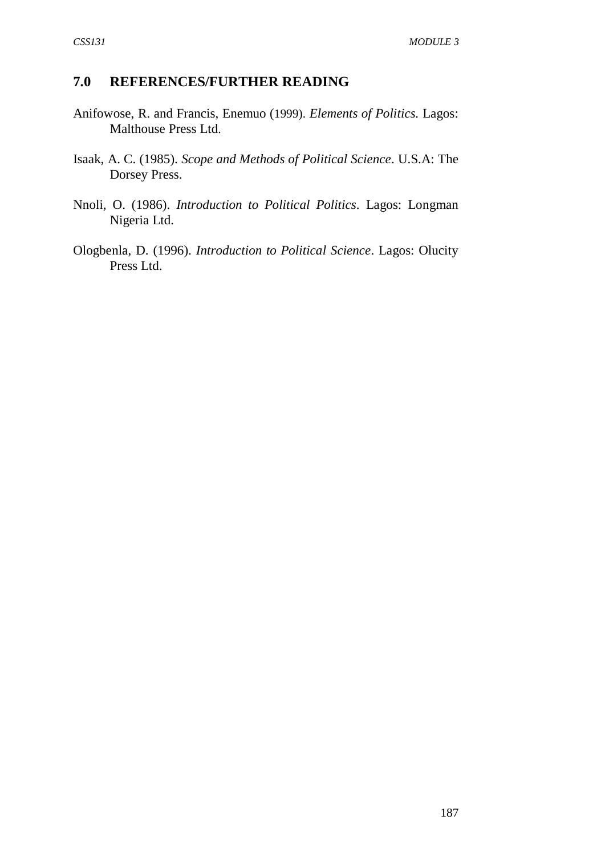### **7.0 REFERENCES/FURTHER READING**

- Anifowose, R. and Francis, Enemuo (1999). *Elements of Politics.* Lagos: Malthouse Press Ltd.
- Isaak, A. C. (1985). *Scope and Methods of Political Science*. U.S.A: The Dorsey Press.
- Nnoli, O. (1986). *Introduction to Political Politics*. Lagos: Longman Nigeria Ltd.
- Ologbenla, D. (1996). *Introduction to Political Science*. Lagos: Olucity Press Ltd.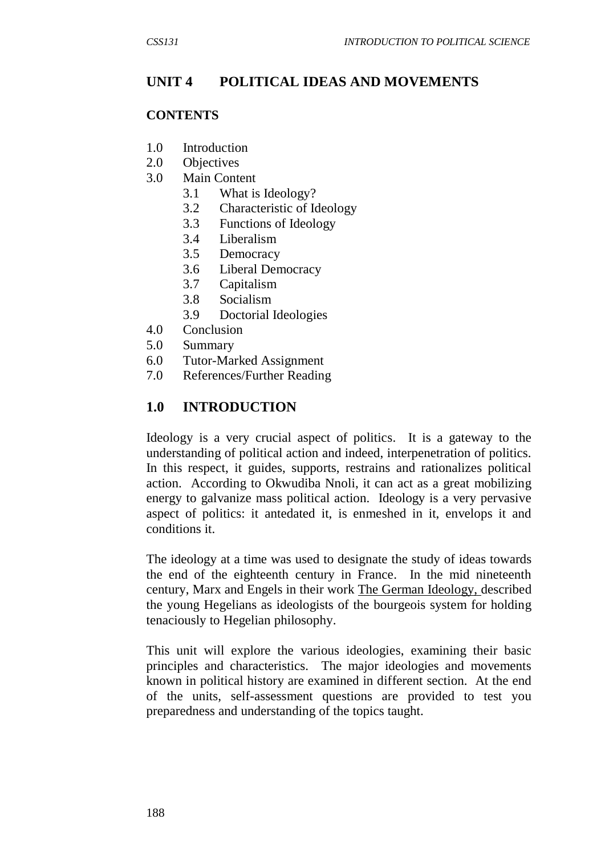## **UNIT 4 POLITICAL IDEAS AND MOVEMENTS**

#### **CONTENTS**

- 1.0 Introduction
- 2.0 Objectives
- 3.0 Main Content
	- 3.1 What is Ideology?
	- 3.2 Characteristic of Ideology
	- 3.3 Functions of Ideology
	- 3.4 Liberalism
	- 3.5 Democracy
	- 3.6 Liberal Democracy
	- 3.7 Capitalism
	- 3.8 Socialism
	- 3.9 Doctorial Ideologies
- 4.0 Conclusion
- 5.0 Summary
- 6.0 Tutor-Marked Assignment
- 7.0 References/Further Reading

### **1.0 INTRODUCTION**

Ideology is a very crucial aspect of politics. It is a gateway to the understanding of political action and indeed, interpenetration of politics. In this respect, it guides, supports, restrains and rationalizes political action. According to Okwudiba Nnoli, it can act as a great mobilizing energy to galvanize mass political action. Ideology is a very pervasive aspect of politics: it antedated it, is enmeshed in it, envelops it and conditions it.

The ideology at a time was used to designate the study of ideas towards the end of the eighteenth century in France. In the mid nineteenth century, Marx and Engels in their work The German Ideology, described the young Hegelians as ideologists of the bourgeois system for holding tenaciously to Hegelian philosophy.

This unit will explore the various ideologies, examining their basic principles and characteristics. The major ideologies and movements known in political history are examined in different section. At the end of the units, self-assessment questions are provided to test you preparedness and understanding of the topics taught.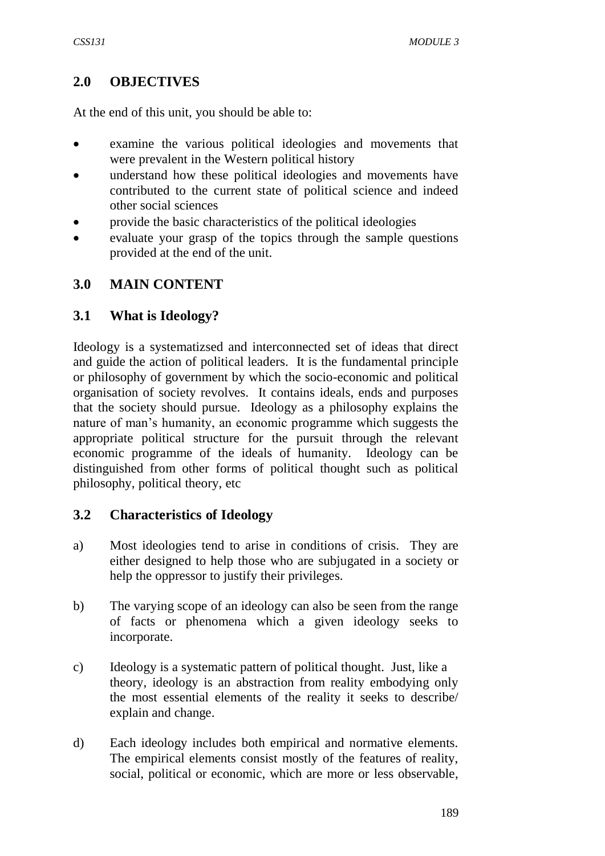## **2.0 OBJECTIVES**

At the end of this unit, you should be able to:

- examine the various political ideologies and movements that were prevalent in the Western political history
- understand how these political ideologies and movements have contributed to the current state of political science and indeed other social sciences
- provide the basic characteristics of the political ideologies
- evaluate your grasp of the topics through the sample questions provided at the end of the unit.

### **3.0 MAIN CONTENT**

### **3.1 What is Ideology?**

Ideology is a systematizsed and interconnected set of ideas that direct and guide the action of political leaders. It is the fundamental principle or philosophy of government by which the socio-economic and political organisation of society revolves. It contains ideals, ends and purposes that the society should pursue. Ideology as a philosophy explains the nature of man's humanity, an economic programme which suggests the appropriate political structure for the pursuit through the relevant economic programme of the ideals of humanity. Ideology can be distinguished from other forms of political thought such as political philosophy, political theory, etc

### **3.2 Characteristics of Ideology**

- a) Most ideologies tend to arise in conditions of crisis. They are either designed to help those who are subjugated in a society or help the oppressor to justify their privileges.
- b) The varying scope of an ideology can also be seen from the range of facts or phenomena which a given ideology seeks to incorporate.
- c) Ideology is a systematic pattern of political thought. Just, like a theory, ideology is an abstraction from reality embodying only the most essential elements of the reality it seeks to describe/ explain and change.
- d) Each ideology includes both empirical and normative elements. The empirical elements consist mostly of the features of reality, social, political or economic, which are more or less observable,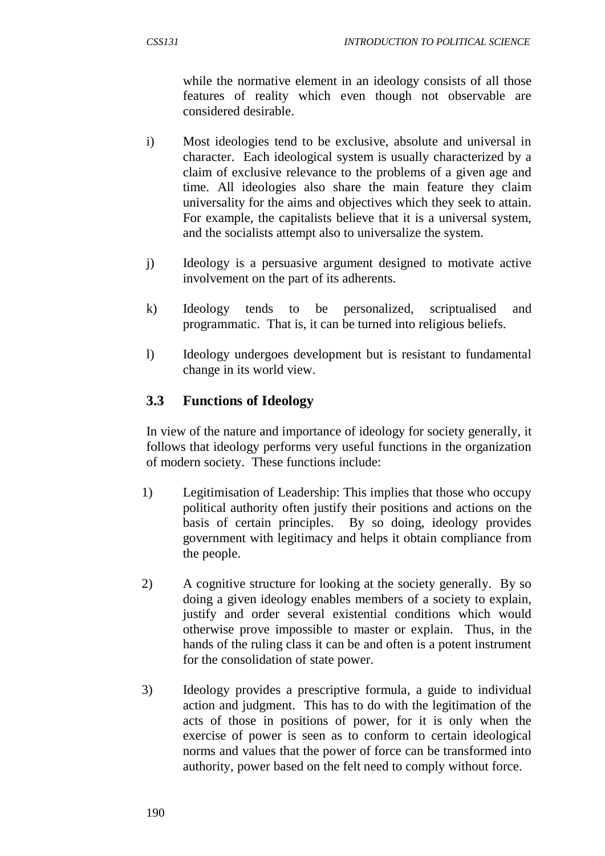while the normative element in an ideology consists of all those features of reality which even though not observable are considered desirable.

- i) Most ideologies tend to be exclusive, absolute and universal in character. Each ideological system is usually characterized by a claim of exclusive relevance to the problems of a given age and time. All ideologies also share the main feature they claim universality for the aims and objectives which they seek to attain. For example, the capitalists believe that it is a universal system, and the socialists attempt also to universalize the system.
- j) Ideology is a persuasive argument designed to motivate active involvement on the part of its adherents.
- k) Ideology tends to be personalized, scriptualised and programmatic. That is, it can be turned into religious beliefs.
- l) Ideology undergoes development but is resistant to fundamental change in its world view.

# **3.3 Functions of Ideology**

In view of the nature and importance of ideology for society generally, it follows that ideology performs very useful functions in the organization of modern society. These functions include:

- 1) Legitimisation of Leadership: This implies that those who occupy political authority often justify their positions and actions on the basis of certain principles. By so doing, ideology provides government with legitimacy and helps it obtain compliance from the people.
- 2) A cognitive structure for looking at the society generally. By so doing a given ideology enables members of a society to explain, justify and order several existential conditions which would otherwise prove impossible to master or explain. Thus, in the hands of the ruling class it can be and often is a potent instrument for the consolidation of state power.
- 3) Ideology provides a prescriptive formula, a guide to individual action and judgment. This has to do with the legitimation of the acts of those in positions of power, for it is only when the exercise of power is seen as to conform to certain ideological norms and values that the power of force can be transformed into authority, power based on the felt need to comply without force.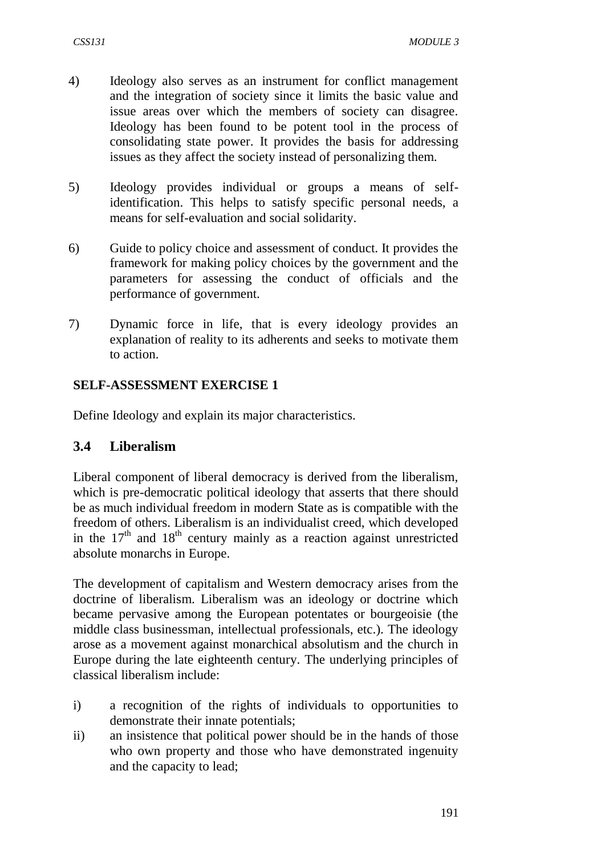- 4) Ideology also serves as an instrument for conflict management and the integration of society since it limits the basic value and issue areas over which the members of society can disagree. Ideology has been found to be potent tool in the process of consolidating state power. It provides the basis for addressing issues as they affect the society instead of personalizing them.
- 5) Ideology provides individual or groups a means of selfidentification. This helps to satisfy specific personal needs, a means for self-evaluation and social solidarity.
- 6) Guide to policy choice and assessment of conduct. It provides the framework for making policy choices by the government and the parameters for assessing the conduct of officials and the performance of government.
- 7) Dynamic force in life, that is every ideology provides an explanation of reality to its adherents and seeks to motivate them to action.

#### **SELF-ASSESSMENT EXERCISE 1**

Define Ideology and explain its major characteristics.

#### **3.4 Liberalism**

Liberal component of liberal democracy is derived from the liberalism, which is pre-democratic political ideology that asserts that there should be as much individual freedom in modern State as is compatible with the freedom of others. Liberalism is an individualist creed, which developed in the  $17<sup>th</sup>$  and  $18<sup>th</sup>$  century mainly as a reaction against unrestricted absolute monarchs in Europe.

The development of capitalism and Western democracy arises from the doctrine of liberalism. Liberalism was an ideology or doctrine which became pervasive among the European potentates or bourgeoisie (the middle class businessman, intellectual professionals, etc.). The ideology arose as a movement against monarchical absolutism and the church in Europe during the late eighteenth century. The underlying principles of classical liberalism include:

- i) a recognition of the rights of individuals to opportunities to demonstrate their innate potentials;
- ii) an insistence that political power should be in the hands of those who own property and those who have demonstrated ingenuity and the capacity to lead;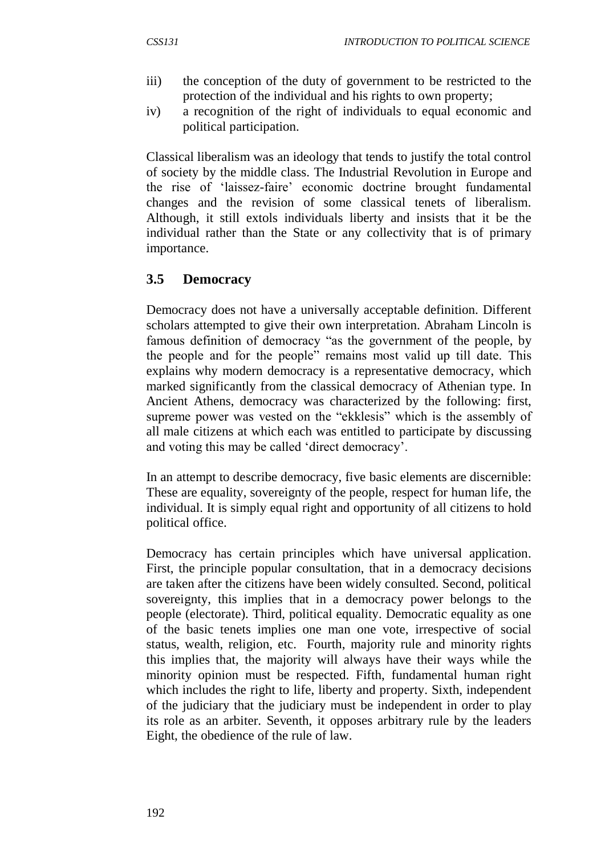- iii) the conception of the duty of government to be restricted to the protection of the individual and his rights to own property;
- iv) a recognition of the right of individuals to equal economic and political participation.

Classical liberalism was an ideology that tends to justify the total control of society by the middle class. The Industrial Revolution in Europe and the rise of 'laissez-faire' economic doctrine brought fundamental changes and the revision of some classical tenets of liberalism. Although, it still extols individuals liberty and insists that it be the individual rather than the State or any collectivity that is of primary importance.

## **3.5 Democracy**

Democracy does not have a universally acceptable definition. Different scholars attempted to give their own interpretation. Abraham Lincoln is famous definition of democracy "as the government of the people, by the people and for the people" remains most valid up till date. This explains why modern democracy is a representative democracy, which marked significantly from the classical democracy of Athenian type. In Ancient Athens, democracy was characterized by the following: first, supreme power was vested on the "ekklesis" which is the assembly of all male citizens at which each was entitled to participate by discussing and voting this may be called 'direct democracy'.

In an attempt to describe democracy, five basic elements are discernible: These are equality, sovereignty of the people, respect for human life, the individual. It is simply equal right and opportunity of all citizens to hold political office.

Democracy has certain principles which have universal application. First, the principle popular consultation, that in a democracy decisions are taken after the citizens have been widely consulted. Second, political sovereignty, this implies that in a democracy power belongs to the people (electorate). Third, political equality. Democratic equality as one of the basic tenets implies one man one vote, irrespective of social status, wealth, religion, etc. Fourth, majority rule and minority rights this implies that, the majority will always have their ways while the minority opinion must be respected. Fifth, fundamental human right which includes the right to life, liberty and property. Sixth, independent of the judiciary that the judiciary must be independent in order to play its role as an arbiter. Seventh, it opposes arbitrary rule by the leaders Eight, the obedience of the rule of law.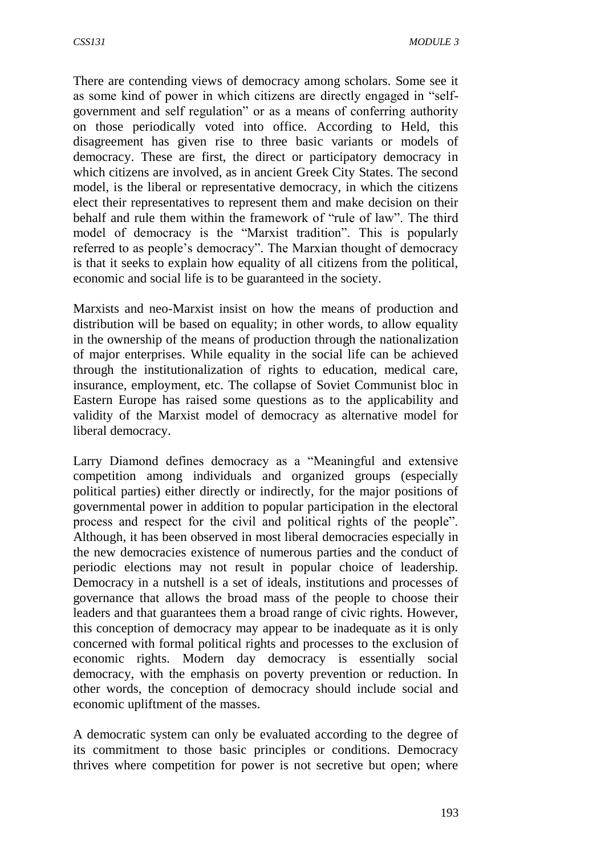There are contending views of democracy among scholars. Some see it as some kind of power in which citizens are directly engaged in "selfgovernment and self regulation" or as a means of conferring authority on those periodically voted into office. According to Held, this disagreement has given rise to three basic variants or models of democracy. These are first, the direct or participatory democracy in which citizens are involved, as in ancient Greek City States. The second model, is the liberal or representative democracy, in which the citizens elect their representatives to represent them and make decision on their behalf and rule them within the framework of "rule of law". The third model of democracy is the "Marxist tradition". This is popularly referred to as people's democracy". The Marxian thought of democracy is that it seeks to explain how equality of all citizens from the political, economic and social life is to be guaranteed in the society.

Marxists and neo-Marxist insist on how the means of production and distribution will be based on equality; in other words, to allow equality in the ownership of the means of production through the nationalization of major enterprises. While equality in the social life can be achieved through the institutionalization of rights to education, medical care, insurance, employment, etc. The collapse of Soviet Communist bloc in Eastern Europe has raised some questions as to the applicability and validity of the Marxist model of democracy as alternative model for liberal democracy.

Larry Diamond defines democracy as a "Meaningful and extensive competition among individuals and organized groups (especially political parties) either directly or indirectly, for the major positions of governmental power in addition to popular participation in the electoral process and respect for the civil and political rights of the people". Although, it has been observed in most liberal democracies especially in the new democracies existence of numerous parties and the conduct of periodic elections may not result in popular choice of leadership. Democracy in a nutshell is a set of ideals, institutions and processes of governance that allows the broad mass of the people to choose their leaders and that guarantees them a broad range of civic rights. However, this conception of democracy may appear to be inadequate as it is only concerned with formal political rights and processes to the exclusion of economic rights. Modern day democracy is essentially social democracy, with the emphasis on poverty prevention or reduction. In other words, the conception of democracy should include social and economic upliftment of the masses.

A democratic system can only be evaluated according to the degree of its commitment to those basic principles or conditions. Democracy thrives where competition for power is not secretive but open; where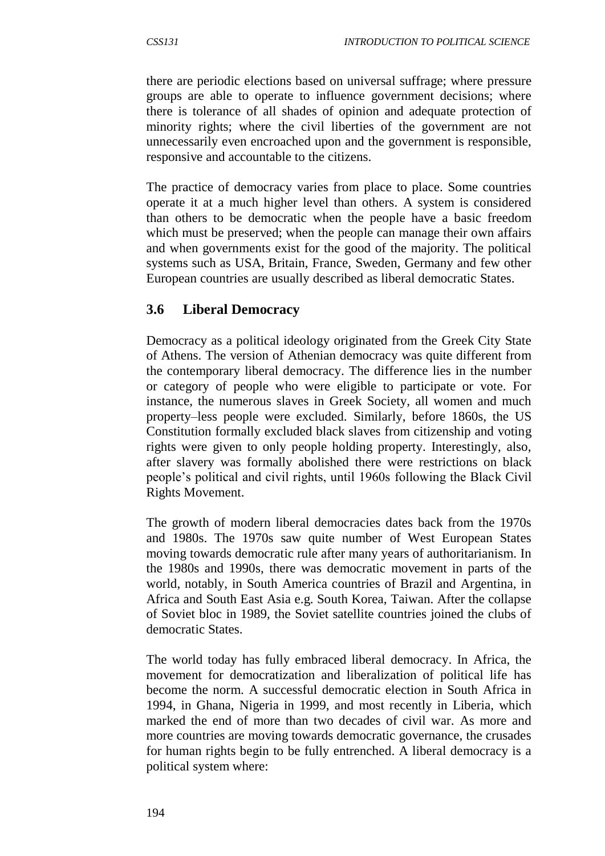there are periodic elections based on universal suffrage; where pressure groups are able to operate to influence government decisions; where there is tolerance of all shades of opinion and adequate protection of minority rights; where the civil liberties of the government are not unnecessarily even encroached upon and the government is responsible, responsive and accountable to the citizens.

The practice of democracy varies from place to place. Some countries operate it at a much higher level than others. A system is considered than others to be democratic when the people have a basic freedom which must be preserved; when the people can manage their own affairs and when governments exist for the good of the majority. The political systems such as USA, Britain, France, Sweden, Germany and few other European countries are usually described as liberal democratic States.

## **3.6 Liberal Democracy**

Democracy as a political ideology originated from the Greek City State of Athens. The version of Athenian democracy was quite different from the contemporary liberal democracy. The difference lies in the number or category of people who were eligible to participate or vote. For instance, the numerous slaves in Greek Society, all women and much property–less people were excluded. Similarly, before 1860s, the US Constitution formally excluded black slaves from citizenship and voting rights were given to only people holding property. Interestingly, also, after slavery was formally abolished there were restrictions on black people's political and civil rights, until 1960s following the Black Civil Rights Movement.

The growth of modern liberal democracies dates back from the 1970s and 1980s. The 1970s saw quite number of West European States moving towards democratic rule after many years of authoritarianism. In the 1980s and 1990s, there was democratic movement in parts of the world, notably, in South America countries of Brazil and Argentina, in Africa and South East Asia e.g. South Korea, Taiwan. After the collapse of Soviet bloc in 1989, the Soviet satellite countries joined the clubs of democratic States.

The world today has fully embraced liberal democracy. In Africa, the movement for democratization and liberalization of political life has become the norm. A successful democratic election in South Africa in 1994, in Ghana, Nigeria in 1999, and most recently in Liberia, which marked the end of more than two decades of civil war. As more and more countries are moving towards democratic governance, the crusades for human rights begin to be fully entrenched. A liberal democracy is a political system where: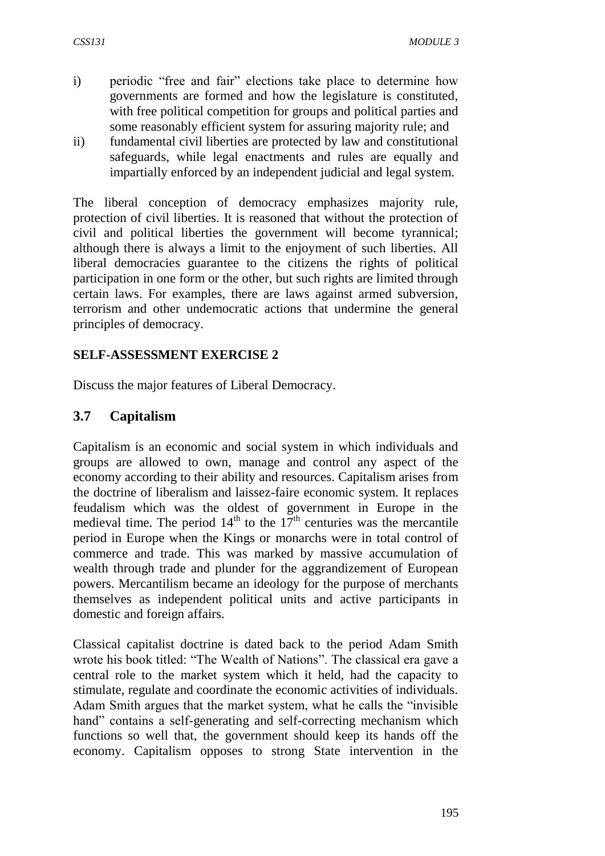- i) periodic "free and fair" elections take place to determine how governments are formed and how the legislature is constituted, with free political competition for groups and political parties and some reasonably efficient system for assuring majority rule; and
- ii) fundamental civil liberties are protected by law and constitutional safeguards, while legal enactments and rules are equally and impartially enforced by an independent judicial and legal system.

The liberal conception of democracy emphasizes majority rule, protection of civil liberties. It is reasoned that without the protection of civil and political liberties the government will become tyrannical; although there is always a limit to the enjoyment of such liberties. All liberal democracies guarantee to the citizens the rights of political participation in one form or the other, but such rights are limited through certain laws. For examples, there are laws against armed subversion, terrorism and other undemocratic actions that undermine the general principles of democracy.

### **SELF-ASSESSMENT EXERCISE 2**

Discuss the major features of Liberal Democracy.

### **3.7 Capitalism**

Capitalism is an economic and social system in which individuals and groups are allowed to own, manage and control any aspect of the economy according to their ability and resources. Capitalism arises from the doctrine of liberalism and laissez-faire economic system. It replaces feudalism which was the oldest of government in Europe in the medieval time. The period  $14<sup>th</sup>$  to the  $17<sup>th</sup>$  centuries was the mercantile period in Europe when the Kings or monarchs were in total control of commerce and trade. This was marked by massive accumulation of wealth through trade and plunder for the aggrandizement of European powers. Mercantilism became an ideology for the purpose of merchants themselves as independent political units and active participants in domestic and foreign affairs.

Classical capitalist doctrine is dated back to the period Adam Smith wrote his book titled: "The Wealth of Nations". The classical era gave a central role to the market system which it held, had the capacity to stimulate, regulate and coordinate the economic activities of individuals. Adam Smith argues that the market system, what he calls the "invisible hand" contains a self-generating and self-correcting mechanism which functions so well that, the government should keep its hands off the economy. Capitalism opposes to strong State intervention in the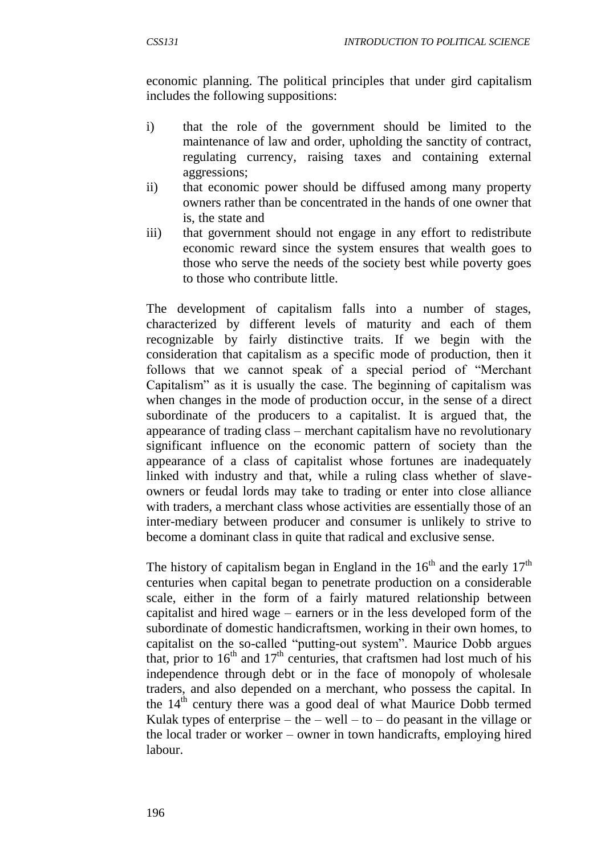economic planning. The political principles that under gird capitalism includes the following suppositions:

- i) that the role of the government should be limited to the maintenance of law and order, upholding the sanctity of contract, regulating currency, raising taxes and containing external aggressions;
- ii) that economic power should be diffused among many property owners rather than be concentrated in the hands of one owner that is, the state and
- iii) that government should not engage in any effort to redistribute economic reward since the system ensures that wealth goes to those who serve the needs of the society best while poverty goes to those who contribute little.

The development of capitalism falls into a number of stages, characterized by different levels of maturity and each of them recognizable by fairly distinctive traits. If we begin with the consideration that capitalism as a specific mode of production, then it follows that we cannot speak of a special period of "Merchant Capitalism" as it is usually the case. The beginning of capitalism was when changes in the mode of production occur, in the sense of a direct subordinate of the producers to a capitalist. It is argued that, the appearance of trading class – merchant capitalism have no revolutionary significant influence on the economic pattern of society than the appearance of a class of capitalist whose fortunes are inadequately linked with industry and that, while a ruling class whether of slaveowners or feudal lords may take to trading or enter into close alliance with traders, a merchant class whose activities are essentially those of an inter-mediary between producer and consumer is unlikely to strive to become a dominant class in quite that radical and exclusive sense.

The history of capitalism began in England in the  $16<sup>th</sup>$  and the early  $17<sup>th</sup>$ centuries when capital began to penetrate production on a considerable scale, either in the form of a fairly matured relationship between capitalist and hired wage – earners or in the less developed form of the subordinate of domestic handicraftsmen, working in their own homes, to capitalist on the so-called "putting-out system". Maurice Dobb argues that, prior to  $16<sup>th</sup>$  and  $17<sup>th</sup>$  centuries, that craftsmen had lost much of his independence through debt or in the face of monopoly of wholesale traders, and also depended on a merchant, who possess the capital. In the  $14<sup>th</sup>$  century there was a good deal of what Maurice Dobb termed Kulak types of enterprise – the – well – to – do peasant in the village or the local trader or worker – owner in town handicrafts, employing hired labour.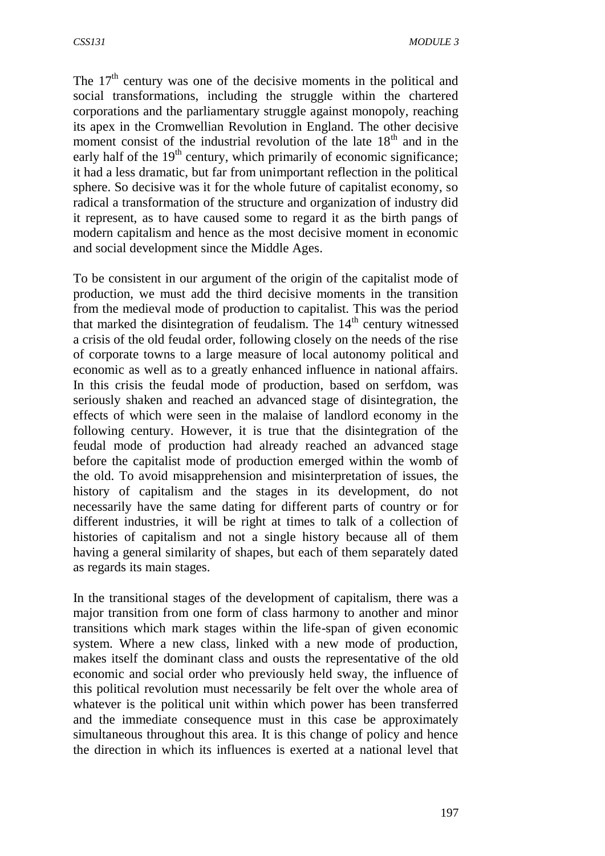The  $17<sup>th</sup>$  century was one of the decisive moments in the political and social transformations, including the struggle within the chartered corporations and the parliamentary struggle against monopoly, reaching its apex in the Cromwellian Revolution in England. The other decisive moment consist of the industrial revolution of the late  $18<sup>th</sup>$  and in the early half of the  $19<sup>th</sup>$  century, which primarily of economic significance; it had a less dramatic, but far from unimportant reflection in the political sphere. So decisive was it for the whole future of capitalist economy, so radical a transformation of the structure and organization of industry did it represent, as to have caused some to regard it as the birth pangs of modern capitalism and hence as the most decisive moment in economic and social development since the Middle Ages.

To be consistent in our argument of the origin of the capitalist mode of production, we must add the third decisive moments in the transition from the medieval mode of production to capitalist. This was the period that marked the disintegration of feudalism. The  $14<sup>th</sup>$  century witnessed a crisis of the old feudal order, following closely on the needs of the rise of corporate towns to a large measure of local autonomy political and economic as well as to a greatly enhanced influence in national affairs. In this crisis the feudal mode of production, based on serfdom, was seriously shaken and reached an advanced stage of disintegration, the effects of which were seen in the malaise of landlord economy in the following century. However, it is true that the disintegration of the feudal mode of production had already reached an advanced stage before the capitalist mode of production emerged within the womb of the old. To avoid misapprehension and misinterpretation of issues, the history of capitalism and the stages in its development, do not necessarily have the same dating for different parts of country or for different industries, it will be right at times to talk of a collection of histories of capitalism and not a single history because all of them having a general similarity of shapes, but each of them separately dated as regards its main stages.

In the transitional stages of the development of capitalism, there was a major transition from one form of class harmony to another and minor transitions which mark stages within the life-span of given economic system. Where a new class, linked with a new mode of production, makes itself the dominant class and ousts the representative of the old economic and social order who previously held sway, the influence of this political revolution must necessarily be felt over the whole area of whatever is the political unit within which power has been transferred and the immediate consequence must in this case be approximately simultaneous throughout this area. It is this change of policy and hence the direction in which its influences is exerted at a national level that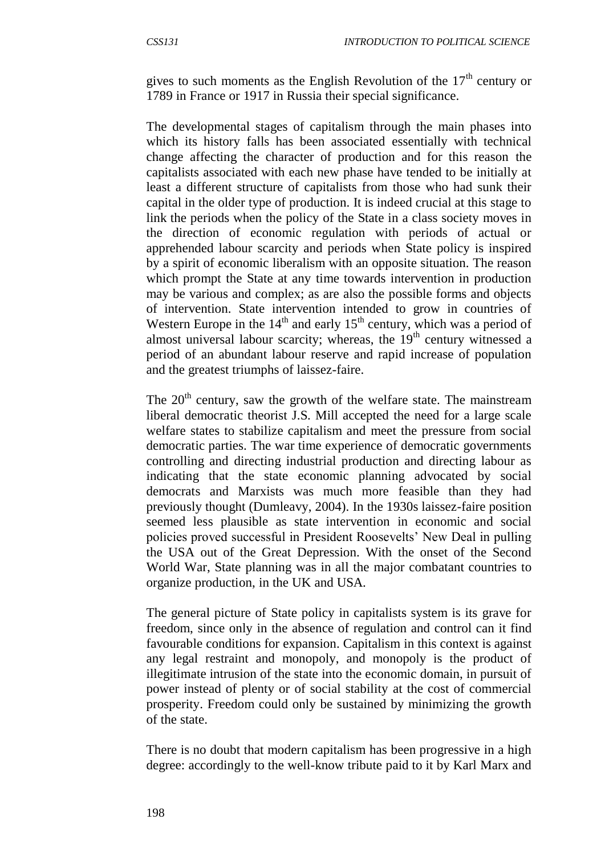gives to such moments as the English Revolution of the  $17<sup>th</sup>$  century or 1789 in France or 1917 in Russia their special significance.

The developmental stages of capitalism through the main phases into which its history falls has been associated essentially with technical change affecting the character of production and for this reason the capitalists associated with each new phase have tended to be initially at least a different structure of capitalists from those who had sunk their capital in the older type of production. It is indeed crucial at this stage to link the periods when the policy of the State in a class society moves in the direction of economic regulation with periods of actual or apprehended labour scarcity and periods when State policy is inspired by a spirit of economic liberalism with an opposite situation. The reason which prompt the State at any time towards intervention in production may be various and complex; as are also the possible forms and objects of intervention. State intervention intended to grow in countries of Western Europe in the  $14<sup>th</sup>$  and early  $15<sup>th</sup>$  century, which was a period of almost universal labour scarcity; whereas, the  $19<sup>th</sup>$  century witnessed a period of an abundant labour reserve and rapid increase of population and the greatest triumphs of laissez-faire.

The  $20<sup>th</sup>$  century, saw the growth of the welfare state. The mainstream liberal democratic theorist J.S. Mill accepted the need for a large scale welfare states to stabilize capitalism and meet the pressure from social democratic parties. The war time experience of democratic governments controlling and directing industrial production and directing labour as indicating that the state economic planning advocated by social democrats and Marxists was much more feasible than they had previously thought (Dumleavy, 2004). In the 1930s laissez-faire position seemed less plausible as state intervention in economic and social policies proved successful in President Roosevelts' New Deal in pulling the USA out of the Great Depression. With the onset of the Second World War, State planning was in all the major combatant countries to organize production, in the UK and USA.

The general picture of State policy in capitalists system is its grave for freedom, since only in the absence of regulation and control can it find favourable conditions for expansion. Capitalism in this context is against any legal restraint and monopoly, and monopoly is the product of illegitimate intrusion of the state into the economic domain, in pursuit of power instead of plenty or of social stability at the cost of commercial prosperity. Freedom could only be sustained by minimizing the growth of the state.

There is no doubt that modern capitalism has been progressive in a high degree: accordingly to the well-know tribute paid to it by Karl Marx and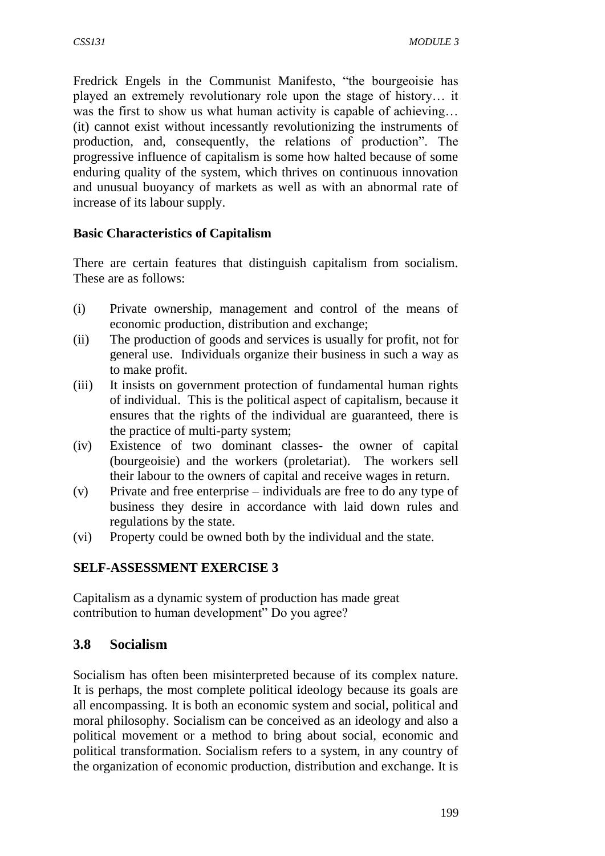Fredrick Engels in the Communist Manifesto, "the bourgeoisie has played an extremely revolutionary role upon the stage of history… it was the first to show us what human activity is capable of achieving... (it) cannot exist without incessantly revolutionizing the instruments of production, and, consequently, the relations of production". The progressive influence of capitalism is some how halted because of some enduring quality of the system, which thrives on continuous innovation and unusual buoyancy of markets as well as with an abnormal rate of increase of its labour supply.

### **Basic Characteristics of Capitalism**

There are certain features that distinguish capitalism from socialism. These are as follows:

- (i) Private ownership, management and control of the means of economic production, distribution and exchange;
- (ii) The production of goods and services is usually for profit, not for general use. Individuals organize their business in such a way as to make profit.
- (iii) It insists on government protection of fundamental human rights of individual. This is the political aspect of capitalism, because it ensures that the rights of the individual are guaranteed, there is the practice of multi-party system;
- (iv) Existence of two dominant classes- the owner of capital (bourgeoisie) and the workers (proletariat). The workers sell their labour to the owners of capital and receive wages in return.
- (v) Private and free enterprise individuals are free to do any type of business they desire in accordance with laid down rules and regulations by the state.
- (vi) Property could be owned both by the individual and the state.

### **SELF-ASSESSMENT EXERCISE 3**

Capitalism as a dynamic system of production has made great contribution to human development" Do you agree?

### **3.8 Socialism**

Socialism has often been misinterpreted because of its complex nature. It is perhaps, the most complete political ideology because its goals are all encompassing. It is both an economic system and social, political and moral philosophy. Socialism can be conceived as an ideology and also a political movement or a method to bring about social, economic and political transformation. Socialism refers to a system, in any country of the organization of economic production, distribution and exchange. It is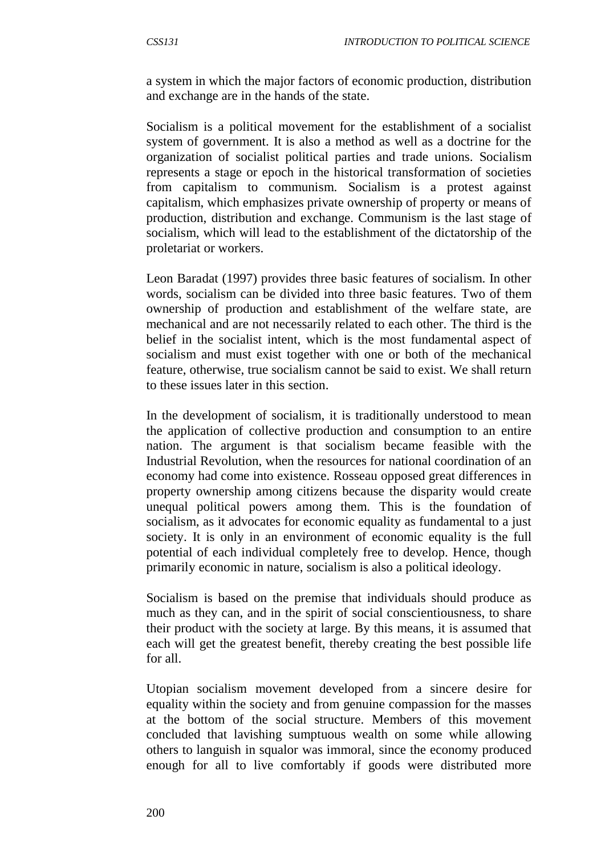a system in which the major factors of economic production, distribution and exchange are in the hands of the state.

Socialism is a political movement for the establishment of a socialist system of government. It is also a method as well as a doctrine for the organization of socialist political parties and trade unions. Socialism represents a stage or epoch in the historical transformation of societies from capitalism to communism. Socialism is a protest against capitalism, which emphasizes private ownership of property or means of production, distribution and exchange. Communism is the last stage of socialism, which will lead to the establishment of the dictatorship of the proletariat or workers.

Leon Baradat (1997) provides three basic features of socialism. In other words, socialism can be divided into three basic features. Two of them ownership of production and establishment of the welfare state, are mechanical and are not necessarily related to each other. The third is the belief in the socialist intent, which is the most fundamental aspect of socialism and must exist together with one or both of the mechanical feature, otherwise, true socialism cannot be said to exist. We shall return to these issues later in this section.

In the development of socialism, it is traditionally understood to mean the application of collective production and consumption to an entire nation. The argument is that socialism became feasible with the Industrial Revolution, when the resources for national coordination of an economy had come into existence. Rosseau opposed great differences in property ownership among citizens because the disparity would create unequal political powers among them. This is the foundation of socialism, as it advocates for economic equality as fundamental to a just society. It is only in an environment of economic equality is the full potential of each individual completely free to develop. Hence, though primarily economic in nature, socialism is also a political ideology.

Socialism is based on the premise that individuals should produce as much as they can, and in the spirit of social conscientiousness, to share their product with the society at large. By this means, it is assumed that each will get the greatest benefit, thereby creating the best possible life for all.

Utopian socialism movement developed from a sincere desire for equality within the society and from genuine compassion for the masses at the bottom of the social structure. Members of this movement concluded that lavishing sumptuous wealth on some while allowing others to languish in squalor was immoral, since the economy produced enough for all to live comfortably if goods were distributed more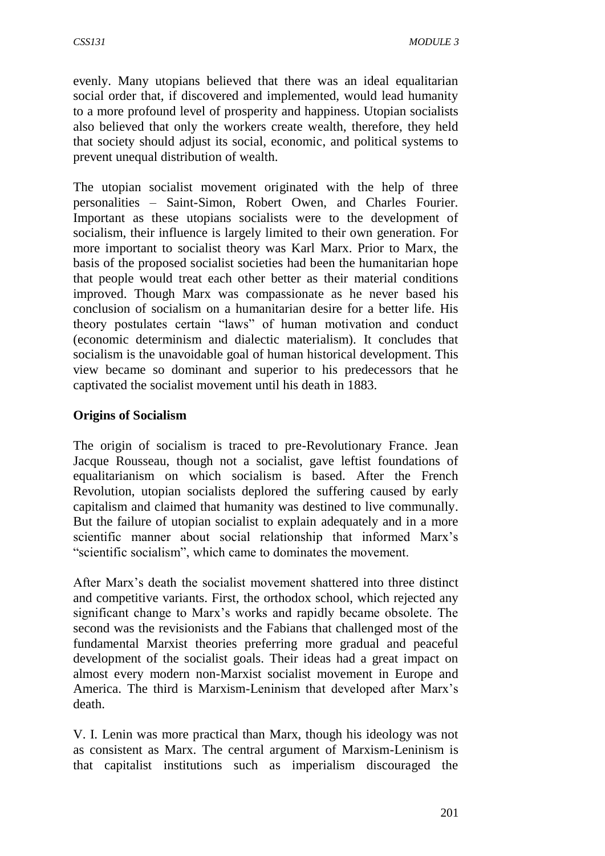evenly. Many utopians believed that there was an ideal equalitarian social order that, if discovered and implemented, would lead humanity to a more profound level of prosperity and happiness. Utopian socialists also believed that only the workers create wealth, therefore, they held that society should adjust its social, economic, and political systems to prevent unequal distribution of wealth.

The utopian socialist movement originated with the help of three personalities – Saint-Simon, Robert Owen, and Charles Fourier. Important as these utopians socialists were to the development of socialism, their influence is largely limited to their own generation. For more important to socialist theory was Karl Marx. Prior to Marx, the basis of the proposed socialist societies had been the humanitarian hope that people would treat each other better as their material conditions improved. Though Marx was compassionate as he never based his conclusion of socialism on a humanitarian desire for a better life. His theory postulates certain "laws" of human motivation and conduct (economic determinism and dialectic materialism). It concludes that socialism is the unavoidable goal of human historical development. This view became so dominant and superior to his predecessors that he captivated the socialist movement until his death in 1883.

### **Origins of Socialism**

The origin of socialism is traced to pre-Revolutionary France. Jean Jacque Rousseau, though not a socialist, gave leftist foundations of equalitarianism on which socialism is based. After the French Revolution, utopian socialists deplored the suffering caused by early capitalism and claimed that humanity was destined to live communally. But the failure of utopian socialist to explain adequately and in a more scientific manner about social relationship that informed Marx's "scientific socialism", which came to dominates the movement.

After Marx's death the socialist movement shattered into three distinct and competitive variants. First, the orthodox school, which rejected any significant change to Marx's works and rapidly became obsolete. The second was the revisionists and the Fabians that challenged most of the fundamental Marxist theories preferring more gradual and peaceful development of the socialist goals. Their ideas had a great impact on almost every modern non-Marxist socialist movement in Europe and America. The third is Marxism-Leninism that developed after Marx's death.

V. I. Lenin was more practical than Marx, though his ideology was not as consistent as Marx. The central argument of Marxism-Leninism is that capitalist institutions such as imperialism discouraged the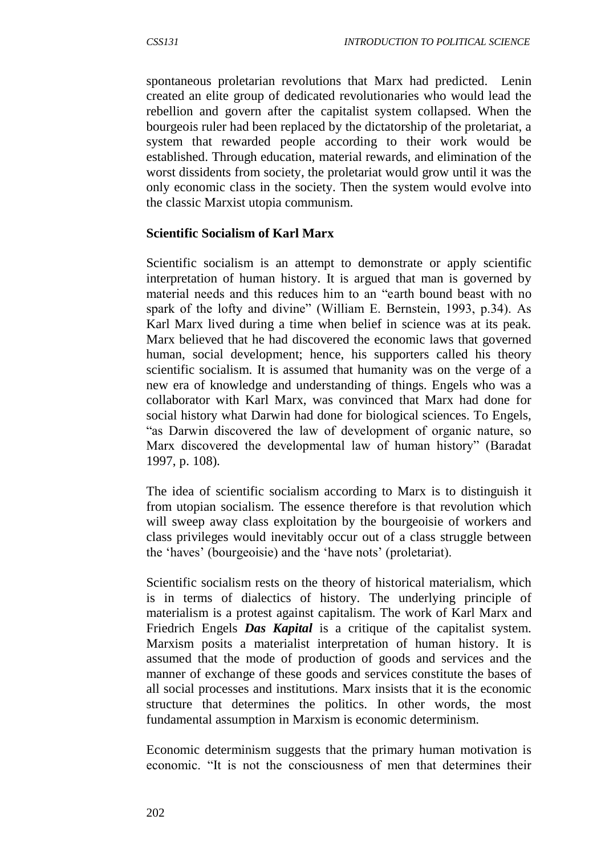spontaneous proletarian revolutions that Marx had predicted. Lenin created an elite group of dedicated revolutionaries who would lead the rebellion and govern after the capitalist system collapsed. When the bourgeois ruler had been replaced by the dictatorship of the proletariat, a system that rewarded people according to their work would be established. Through education, material rewards, and elimination of the worst dissidents from society, the proletariat would grow until it was the only economic class in the society. Then the system would evolve into the classic Marxist utopia communism.

#### **Scientific Socialism of Karl Marx**

Scientific socialism is an attempt to demonstrate or apply scientific interpretation of human history. It is argued that man is governed by material needs and this reduces him to an "earth bound beast with no spark of the lofty and divine" (William E. Bernstein, 1993, p.34). As Karl Marx lived during a time when belief in science was at its peak. Marx believed that he had discovered the economic laws that governed human, social development; hence, his supporters called his theory scientific socialism. It is assumed that humanity was on the verge of a new era of knowledge and understanding of things. Engels who was a collaborator with Karl Marx, was convinced that Marx had done for social history what Darwin had done for biological sciences. To Engels, "as Darwin discovered the law of development of organic nature, so Marx discovered the developmental law of human history" (Baradat 1997, p. 108).

The idea of scientific socialism according to Marx is to distinguish it from utopian socialism. The essence therefore is that revolution which will sweep away class exploitation by the bourgeoisie of workers and class privileges would inevitably occur out of a class struggle between the 'haves' (bourgeoisie) and the 'have nots' (proletariat).

Scientific socialism rests on the theory of historical materialism, which is in terms of dialectics of history. The underlying principle of materialism is a protest against capitalism. The work of Karl Marx and Friedrich Engels *Das Kapital* is a critique of the capitalist system. Marxism posits a materialist interpretation of human history. It is assumed that the mode of production of goods and services and the manner of exchange of these goods and services constitute the bases of all social processes and institutions. Marx insists that it is the economic structure that determines the politics. In other words, the most fundamental assumption in Marxism is economic determinism.

Economic determinism suggests that the primary human motivation is economic. "It is not the consciousness of men that determines their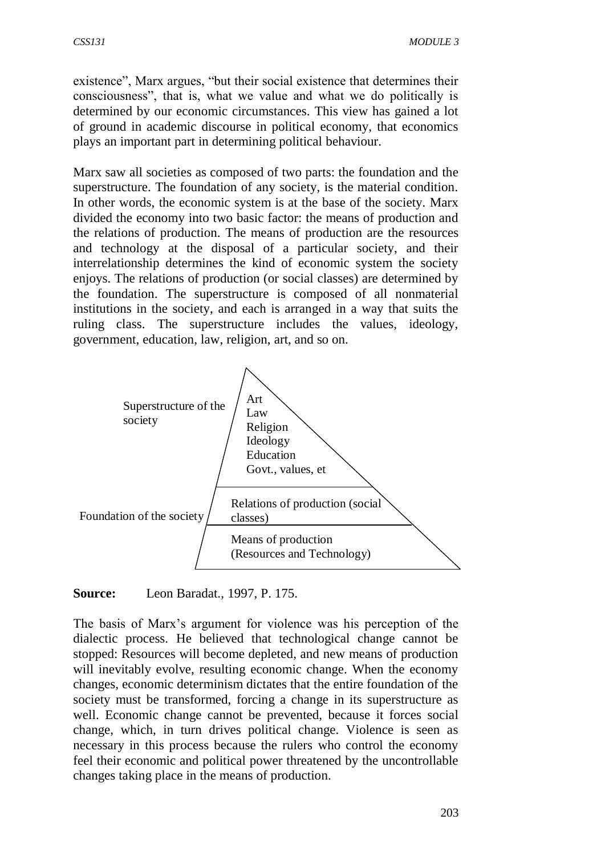existence", Marx argues, "but their social existence that determines their consciousness", that is, what we value and what we do politically is determined by our economic circumstances. This view has gained a lot of ground in academic discourse in political economy, that economics plays an important part in determining political behaviour.

Marx saw all societies as composed of two parts: the foundation and the superstructure. The foundation of any society, is the material condition. In other words, the economic system is at the base of the society. Marx divided the economy into two basic factor: the means of production and the relations of production. The means of production are the resources and technology at the disposal of a particular society, and their interrelationship determines the kind of economic system the society enjoys. The relations of production (or social classes) are determined by the foundation. The superstructure is composed of all nonmaterial institutions in the society, and each is arranged in a way that suits the ruling class. The superstructure includes the values, ideology, government, education, law, religion, art, and so on.



**Source:** Leon Baradat., 1997, P. 175.

The basis of Marx's argument for violence was his perception of the dialectic process. He believed that technological change cannot be stopped: Resources will become depleted, and new means of production will inevitably evolve, resulting economic change. When the economy changes, economic determinism dictates that the entire foundation of the society must be transformed, forcing a change in its superstructure as well. Economic change cannot be prevented, because it forces social change, which, in turn drives political change. Violence is seen as necessary in this process because the rulers who control the economy feel their economic and political power threatened by the uncontrollable changes taking place in the means of production.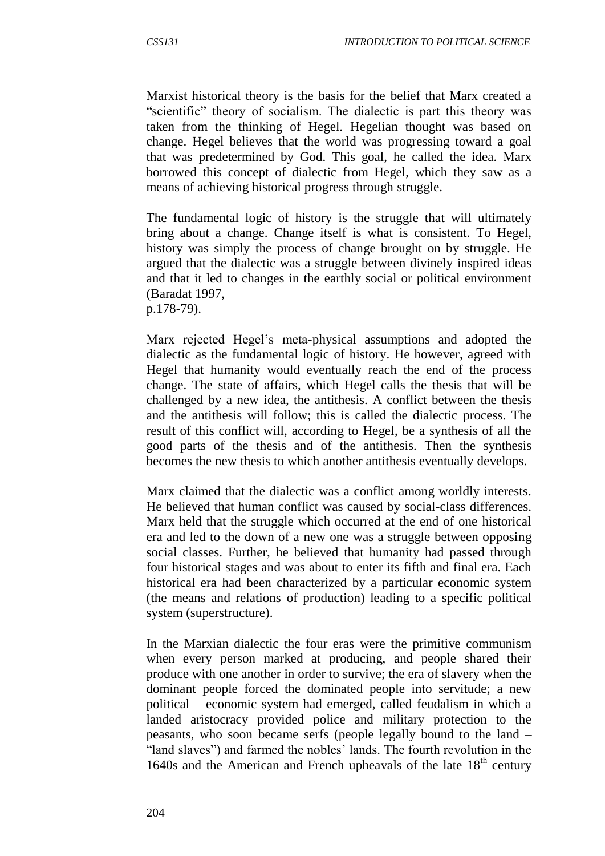Marxist historical theory is the basis for the belief that Marx created a "scientific" theory of socialism. The dialectic is part this theory was taken from the thinking of Hegel. Hegelian thought was based on change. Hegel believes that the world was progressing toward a goal that was predetermined by God. This goal, he called the idea. Marx borrowed this concept of dialectic from Hegel, which they saw as a means of achieving historical progress through struggle.

The fundamental logic of history is the struggle that will ultimately bring about a change. Change itself is what is consistent. To Hegel, history was simply the process of change brought on by struggle. He argued that the dialectic was a struggle between divinely inspired ideas and that it led to changes in the earthly social or political environment (Baradat 1997,

p.178-79).

Marx rejected Hegel's meta-physical assumptions and adopted the dialectic as the fundamental logic of history. He however, agreed with Hegel that humanity would eventually reach the end of the process change. The state of affairs, which Hegel calls the thesis that will be challenged by a new idea, the antithesis. A conflict between the thesis and the antithesis will follow; this is called the dialectic process. The result of this conflict will, according to Hegel, be a synthesis of all the good parts of the thesis and of the antithesis. Then the synthesis becomes the new thesis to which another antithesis eventually develops.

Marx claimed that the dialectic was a conflict among worldly interests. He believed that human conflict was caused by social-class differences. Marx held that the struggle which occurred at the end of one historical era and led to the down of a new one was a struggle between opposing social classes. Further, he believed that humanity had passed through four historical stages and was about to enter its fifth and final era. Each historical era had been characterized by a particular economic system (the means and relations of production) leading to a specific political system (superstructure).

In the Marxian dialectic the four eras were the primitive communism when every person marked at producing, and people shared their produce with one another in order to survive; the era of slavery when the dominant people forced the dominated people into servitude; a new political – economic system had emerged, called feudalism in which a landed aristocracy provided police and military protection to the peasants, who soon became serfs (people legally bound to the land – "land slaves") and farmed the nobles' lands. The fourth revolution in the 1640s and the American and French upheavals of the late  $18<sup>th</sup>$  century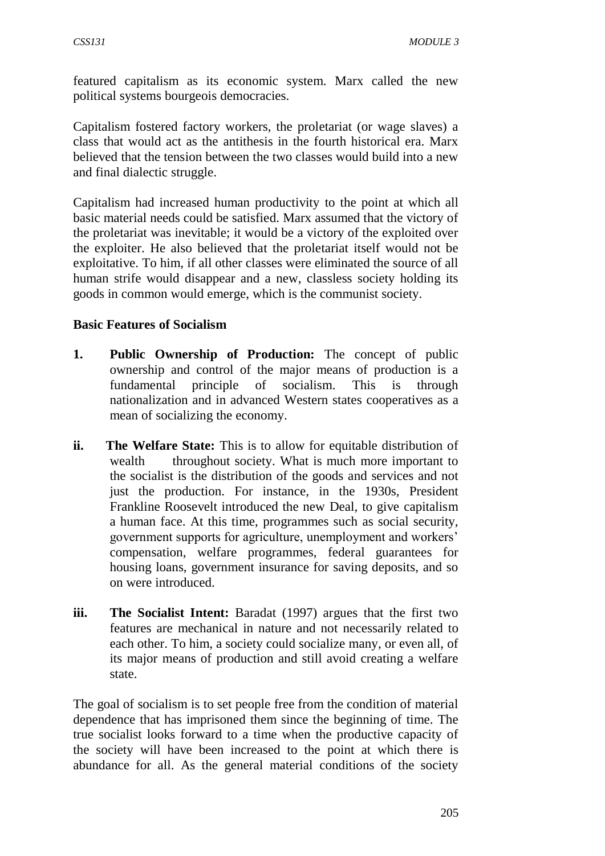featured capitalism as its economic system. Marx called the new political systems bourgeois democracies.

Capitalism fostered factory workers, the proletariat (or wage slaves) a class that would act as the antithesis in the fourth historical era. Marx believed that the tension between the two classes would build into a new and final dialectic struggle.

Capitalism had increased human productivity to the point at which all basic material needs could be satisfied. Marx assumed that the victory of the proletariat was inevitable; it would be a victory of the exploited over the exploiter. He also believed that the proletariat itself would not be exploitative. To him, if all other classes were eliminated the source of all human strife would disappear and a new, classless society holding its goods in common would emerge, which is the communist society.

#### **Basic Features of Socialism**

- **1. Public Ownership of Production:** The concept of public ownership and control of the major means of production is a fundamental principle of socialism. This is through nationalization and in advanced Western states cooperatives as a mean of socializing the economy.
- **ii. The Welfare State:** This is to allow for equitable distribution of wealth throughout society. What is much more important to the socialist is the distribution of the goods and services and not just the production. For instance, in the 1930s, President Frankline Roosevelt introduced the new Deal, to give capitalism a human face. At this time, programmes such as social security, government supports for agriculture, unemployment and workers' compensation, welfare programmes, federal guarantees for housing loans, government insurance for saving deposits, and so on were introduced.
- **iii. The Socialist Intent:** Baradat (1997) argues that the first two features are mechanical in nature and not necessarily related to each other. To him, a society could socialize many, or even all, of its major means of production and still avoid creating a welfare state.

The goal of socialism is to set people free from the condition of material dependence that has imprisoned them since the beginning of time. The true socialist looks forward to a time when the productive capacity of the society will have been increased to the point at which there is abundance for all. As the general material conditions of the society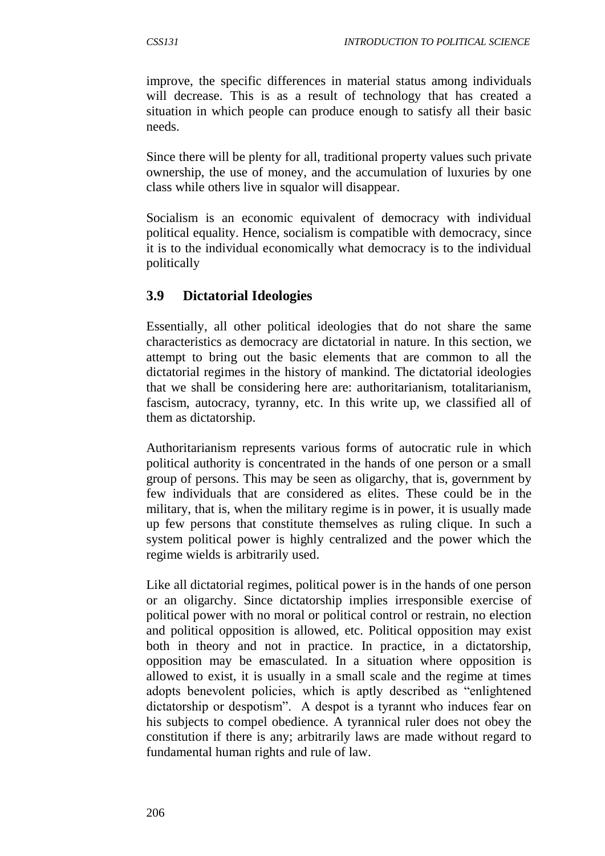improve, the specific differences in material status among individuals will decrease. This is as a result of technology that has created a situation in which people can produce enough to satisfy all their basic needs.

Since there will be plenty for all, traditional property values such private ownership, the use of money, and the accumulation of luxuries by one class while others live in squalor will disappear.

Socialism is an economic equivalent of democracy with individual political equality. Hence, socialism is compatible with democracy, since it is to the individual economically what democracy is to the individual politically

## **3.9 Dictatorial Ideologies**

Essentially, all other political ideologies that do not share the same characteristics as democracy are dictatorial in nature. In this section, we attempt to bring out the basic elements that are common to all the dictatorial regimes in the history of mankind. The dictatorial ideologies that we shall be considering here are: authoritarianism, totalitarianism, fascism, autocracy, tyranny, etc. In this write up, we classified all of them as dictatorship.

Authoritarianism represents various forms of autocratic rule in which political authority is concentrated in the hands of one person or a small group of persons. This may be seen as oligarchy, that is, government by few individuals that are considered as elites. These could be in the military, that is, when the military regime is in power, it is usually made up few persons that constitute themselves as ruling clique. In such a system political power is highly centralized and the power which the regime wields is arbitrarily used.

Like all dictatorial regimes, political power is in the hands of one person or an oligarchy. Since dictatorship implies irresponsible exercise of political power with no moral or political control or restrain, no election and political opposition is allowed, etc. Political opposition may exist both in theory and not in practice. In practice, in a dictatorship, opposition may be emasculated. In a situation where opposition is allowed to exist, it is usually in a small scale and the regime at times adopts benevolent policies, which is aptly described as "enlightened dictatorship or despotism". A despot is a tyrannt who induces fear on his subjects to compel obedience. A tyrannical ruler does not obey the constitution if there is any; arbitrarily laws are made without regard to fundamental human rights and rule of law.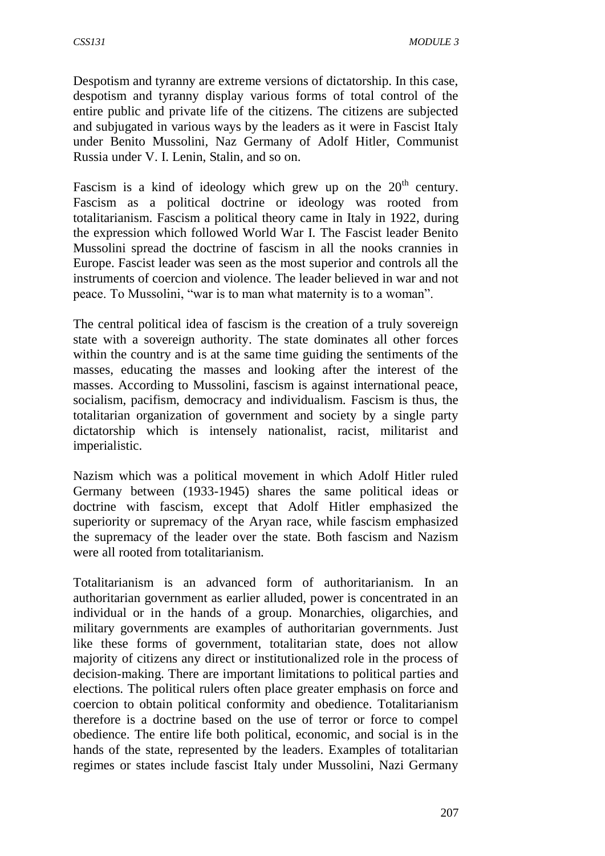Despotism and tyranny are extreme versions of dictatorship. In this case, despotism and tyranny display various forms of total control of the entire public and private life of the citizens. The citizens are subjected and subjugated in various ways by the leaders as it were in Fascist Italy under Benito Mussolini, Naz Germany of Adolf Hitler, Communist Russia under V. I. Lenin, Stalin, and so on.

Fascism is a kind of ideology which grew up on the  $20<sup>th</sup>$  century. Fascism as a political doctrine or ideology was rooted from totalitarianism. Fascism a political theory came in Italy in 1922, during the expression which followed World War I. The Fascist leader Benito Mussolini spread the doctrine of fascism in all the nooks crannies in Europe. Fascist leader was seen as the most superior and controls all the instruments of coercion and violence. The leader believed in war and not peace. To Mussolini, "war is to man what maternity is to a woman".

The central political idea of fascism is the creation of a truly sovereign state with a sovereign authority. The state dominates all other forces within the country and is at the same time guiding the sentiments of the masses, educating the masses and looking after the interest of the masses. According to Mussolini, fascism is against international peace, socialism, pacifism, democracy and individualism. Fascism is thus, the totalitarian organization of government and society by a single party dictatorship which is intensely nationalist, racist, militarist and imperialistic.

Nazism which was a political movement in which Adolf Hitler ruled Germany between (1933-1945) shares the same political ideas or doctrine with fascism, except that Adolf Hitler emphasized the superiority or supremacy of the Aryan race, while fascism emphasized the supremacy of the leader over the state. Both fascism and Nazism were all rooted from totalitarianism.

Totalitarianism is an advanced form of authoritarianism. In an authoritarian government as earlier alluded, power is concentrated in an individual or in the hands of a group. Monarchies, oligarchies, and military governments are examples of authoritarian governments. Just like these forms of government, totalitarian state, does not allow majority of citizens any direct or institutionalized role in the process of decision-making. There are important limitations to political parties and elections. The political rulers often place greater emphasis on force and coercion to obtain political conformity and obedience. Totalitarianism therefore is a doctrine based on the use of terror or force to compel obedience. The entire life both political, economic, and social is in the hands of the state, represented by the leaders. Examples of totalitarian regimes or states include fascist Italy under Mussolini, Nazi Germany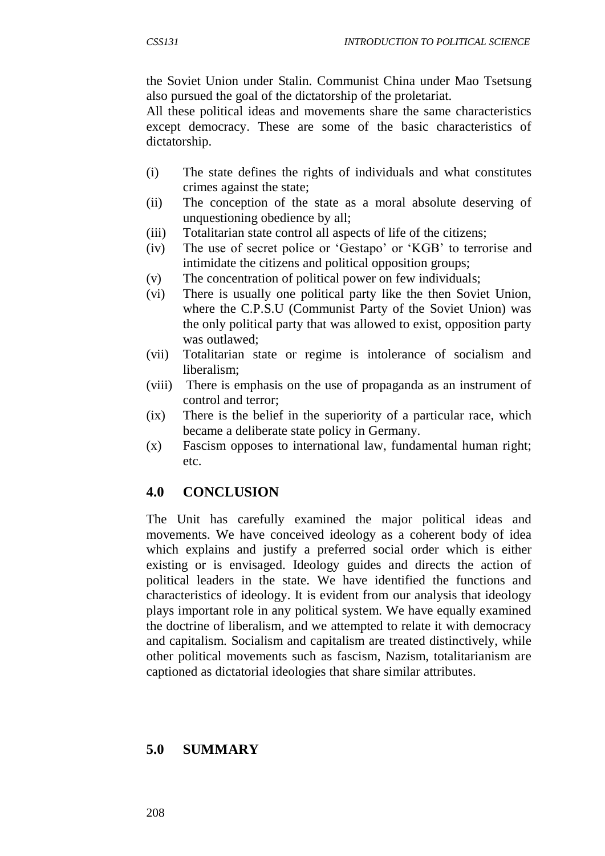the Soviet Union under Stalin. Communist China under Mao Tsetsung also pursued the goal of the dictatorship of the proletariat.

All these political ideas and movements share the same characteristics except democracy. These are some of the basic characteristics of dictatorship.

- (i) The state defines the rights of individuals and what constitutes crimes against the state;
- (ii) The conception of the state as a moral absolute deserving of unquestioning obedience by all;
- (iii) Totalitarian state control all aspects of life of the citizens;
- (iv) The use of secret police or 'Gestapo' or 'KGB' to terrorise and intimidate the citizens and political opposition groups;
- (v) The concentration of political power on few individuals;
- (vi) There is usually one political party like the then Soviet Union, where the C.P.S.U (Communist Party of the Soviet Union) was the only political party that was allowed to exist, opposition party was outlawed;
- (vii) Totalitarian state or regime is intolerance of socialism and liberalism;
- (viii) There is emphasis on the use of propaganda as an instrument of control and terror;
- (ix) There is the belief in the superiority of a particular race, which became a deliberate state policy in Germany.
- (x) Fascism opposes to international law, fundamental human right; etc.

# **4.0 CONCLUSION**

The Unit has carefully examined the major political ideas and movements. We have conceived ideology as a coherent body of idea which explains and justify a preferred social order which is either existing or is envisaged. Ideology guides and directs the action of political leaders in the state. We have identified the functions and characteristics of ideology. It is evident from our analysis that ideology plays important role in any political system. We have equally examined the doctrine of liberalism, and we attempted to relate it with democracy and capitalism. Socialism and capitalism are treated distinctively, while other political movements such as fascism, Nazism, totalitarianism are captioned as dictatorial ideologies that share similar attributes.

## **5.0 SUMMARY**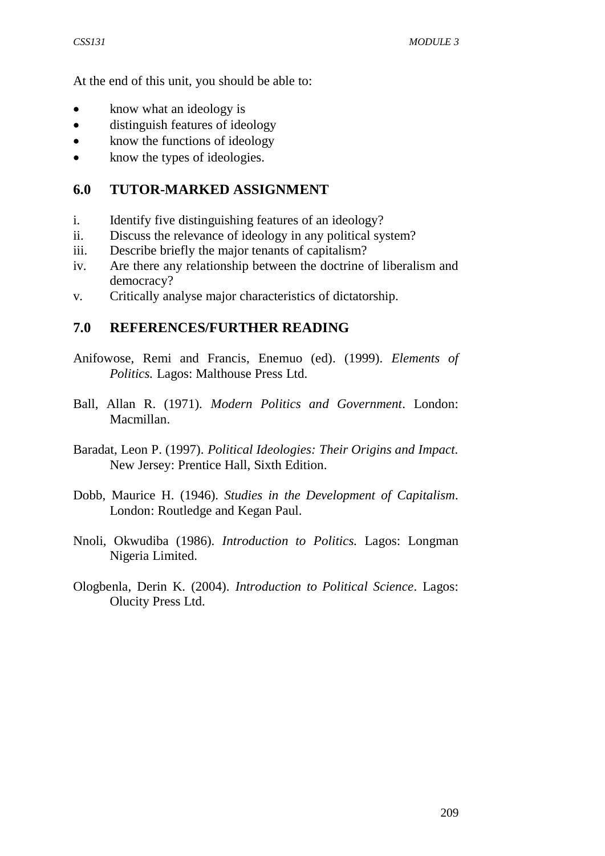At the end of this unit, you should be able to:

- know what an ideology is
- distinguish features of ideology
- know the functions of ideology
- know the types of ideologies.

## **6.0 TUTOR-MARKED ASSIGNMENT**

- i. Identify five distinguishing features of an ideology?
- ii. Discuss the relevance of ideology in any political system?
- iii. Describe briefly the major tenants of capitalism?
- iv. Are there any relationship between the doctrine of liberalism and democracy?
- v. Critically analyse major characteristics of dictatorship.

### **7.0 REFERENCES/FURTHER READING**

- Anifowose, Remi and Francis, Enemuo (ed). (1999). *Elements of Politics.* Lagos: Malthouse Press Ltd.
- Ball, Allan R. (1971). *Modern Politics and Government*. London: Macmillan.
- Baradat, Leon P. (1997). *Political Ideologies: Their Origins and Impact.* New Jersey: Prentice Hall, Sixth Edition.
- Dobb, Maurice H. (1946). *Studies in the Development of Capitalism*. London: Routledge and Kegan Paul.
- Nnoli, Okwudiba (1986). *Introduction to Politics.* Lagos: Longman Nigeria Limited.
- Ologbenla, Derin K. (2004). *Introduction to Political Science*. Lagos: Olucity Press Ltd.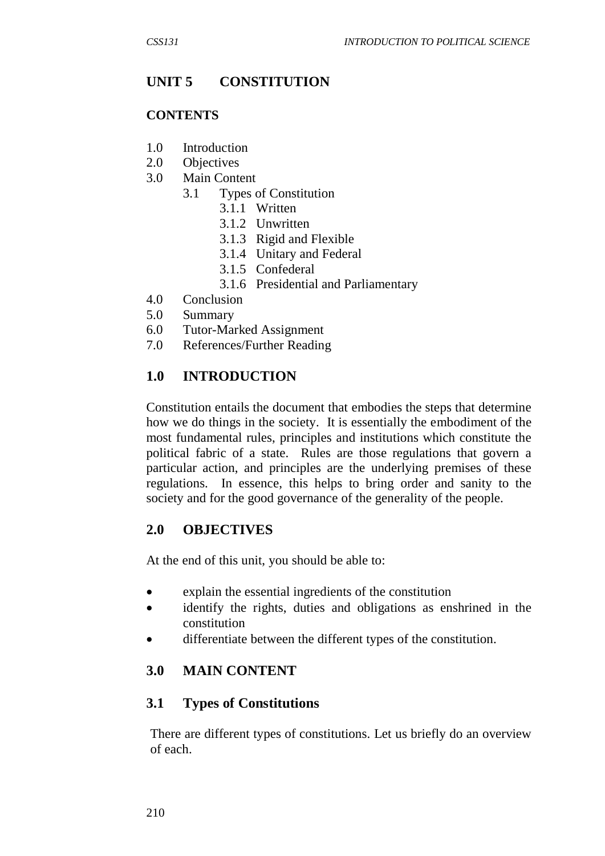# **UNIT 5 CONSTITUTION**

#### **CONTENTS**

- 1.0 Introduction
- 2.0 Objectives
- 3.0 Main Content
	- 3.1 Types of Constitution
		- 3.1.1 Written
			- 3.1.2 Unwritten
			- 3.1.3 Rigid and Flexible
			- 3.1.4 Unitary and Federal
			- 3.1.5 Confederal
			- 3.1.6 Presidential and Parliamentary
- 4.0 Conclusion
- 5.0 Summary
- 6.0 Tutor-Marked Assignment
- 7.0 References/Further Reading

### **1.0 INTRODUCTION**

Constitution entails the document that embodies the steps that determine how we do things in the society. It is essentially the embodiment of the most fundamental rules, principles and institutions which constitute the political fabric of a state. Rules are those regulations that govern a particular action, and principles are the underlying premises of these regulations. In essence, this helps to bring order and sanity to the society and for the good governance of the generality of the people.

### **2.0 OBJECTIVES**

At the end of this unit, you should be able to:

- explain the essential ingredients of the constitution
- identify the rights, duties and obligations as enshrined in the constitution
- differentiate between the different types of the constitution.

### **3.0 MAIN CONTENT**

### **3.1 Types of Constitutions**

There are different types of constitutions. Let us briefly do an overview of each.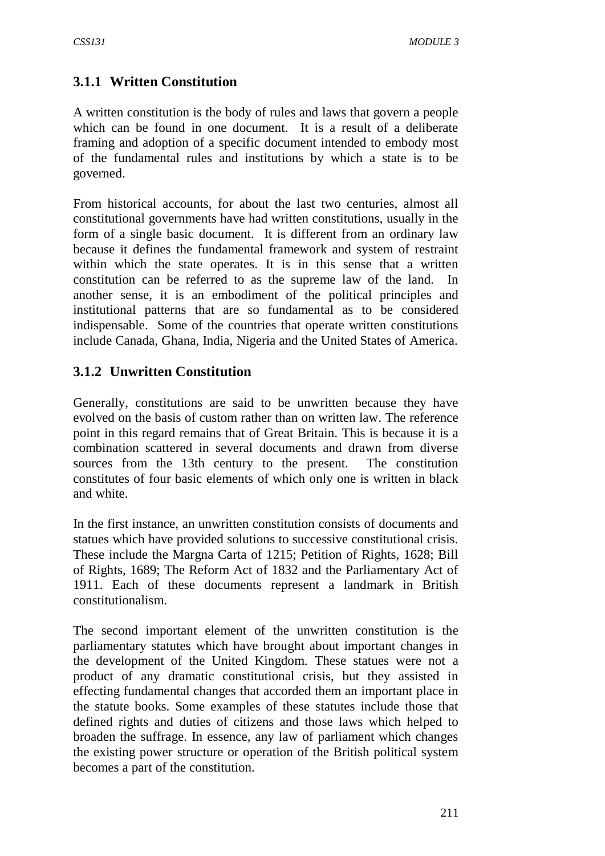## **3.1.1 Written Constitution**

A written constitution is the body of rules and laws that govern a people which can be found in one document. It is a result of a deliberate framing and adoption of a specific document intended to embody most of the fundamental rules and institutions by which a state is to be governed.

From historical accounts, for about the last two centuries, almost all constitutional governments have had written constitutions, usually in the form of a single basic document. It is different from an ordinary law because it defines the fundamental framework and system of restraint within which the state operates. It is in this sense that a written constitution can be referred to as the supreme law of the land. In another sense, it is an embodiment of the political principles and institutional patterns that are so fundamental as to be considered indispensable. Some of the countries that operate written constitutions include Canada, Ghana, India, Nigeria and the United States of America.

### **3.1.2 Unwritten Constitution**

Generally, constitutions are said to be unwritten because they have evolved on the basis of custom rather than on written law. The reference point in this regard remains that of Great Britain. This is because it is a combination scattered in several documents and drawn from diverse sources from the 13th century to the present. The constitution constitutes of four basic elements of which only one is written in black and white.

In the first instance, an unwritten constitution consists of documents and statues which have provided solutions to successive constitutional crisis. These include the Margna Carta of 1215; Petition of Rights, 1628; Bill of Rights, 1689; The Reform Act of 1832 and the Parliamentary Act of 1911. Each of these documents represent a landmark in British constitutionalism.

The second important element of the unwritten constitution is the parliamentary statutes which have brought about important changes in the development of the United Kingdom. These statues were not a product of any dramatic constitutional crisis, but they assisted in effecting fundamental changes that accorded them an important place in the statute books. Some examples of these statutes include those that defined rights and duties of citizens and those laws which helped to broaden the suffrage. In essence, any law of parliament which changes the existing power structure or operation of the British political system becomes a part of the constitution.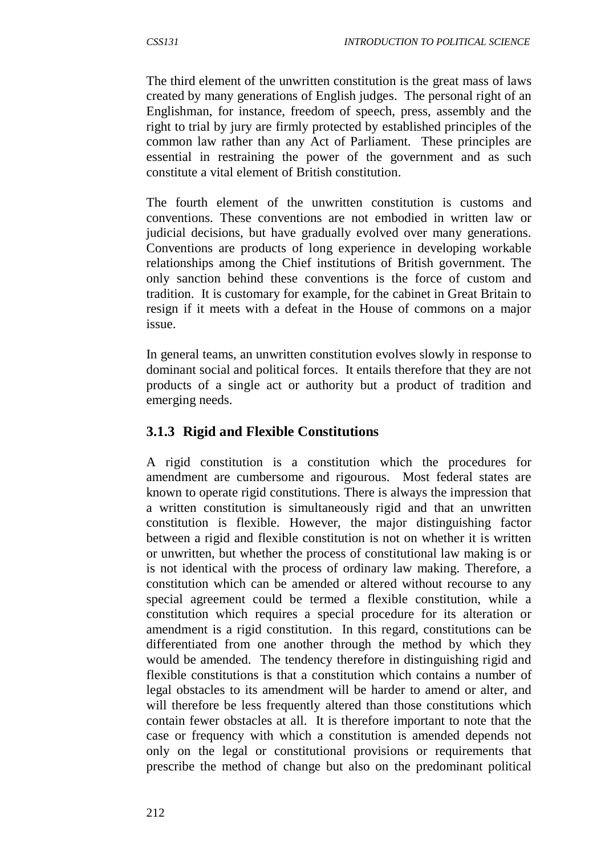The third element of the unwritten constitution is the great mass of laws created by many generations of English judges. The personal right of an Englishman, for instance, freedom of speech, press, assembly and the right to trial by jury are firmly protected by established principles of the common law rather than any Act of Parliament. These principles are essential in restraining the power of the government and as such constitute a vital element of British constitution.

The fourth element of the unwritten constitution is customs and conventions. These conventions are not embodied in written law or judicial decisions, but have gradually evolved over many generations. Conventions are products of long experience in developing workable relationships among the Chief institutions of British government. The only sanction behind these conventions is the force of custom and tradition. It is customary for example, for the cabinet in Great Britain to resign if it meets with a defeat in the House of commons on a major issue.

In general teams, an unwritten constitution evolves slowly in response to dominant social and political forces. It entails therefore that they are not products of a single act or authority but a product of tradition and emerging needs.

### **3.1.3 Rigid and Flexible Constitutions**

A rigid constitution is a constitution which the procedures for amendment are cumbersome and rigourous. Most federal states are known to operate rigid constitutions. There is always the impression that a written constitution is simultaneously rigid and that an unwritten constitution is flexible. However, the major distinguishing factor between a rigid and flexible constitution is not on whether it is written or unwritten, but whether the process of constitutional law making is or is not identical with the process of ordinary law making. Therefore, a constitution which can be amended or altered without recourse to any special agreement could be termed a flexible constitution, while a constitution which requires a special procedure for its alteration or amendment is a rigid constitution. In this regard, constitutions can be differentiated from one another through the method by which they would be amended. The tendency therefore in distinguishing rigid and flexible constitutions is that a constitution which contains a number of legal obstacles to its amendment will be harder to amend or alter, and will therefore be less frequently altered than those constitutions which contain fewer obstacles at all. It is therefore important to note that the case or frequency with which a constitution is amended depends not only on the legal or constitutional provisions or requirements that prescribe the method of change but also on the predominant political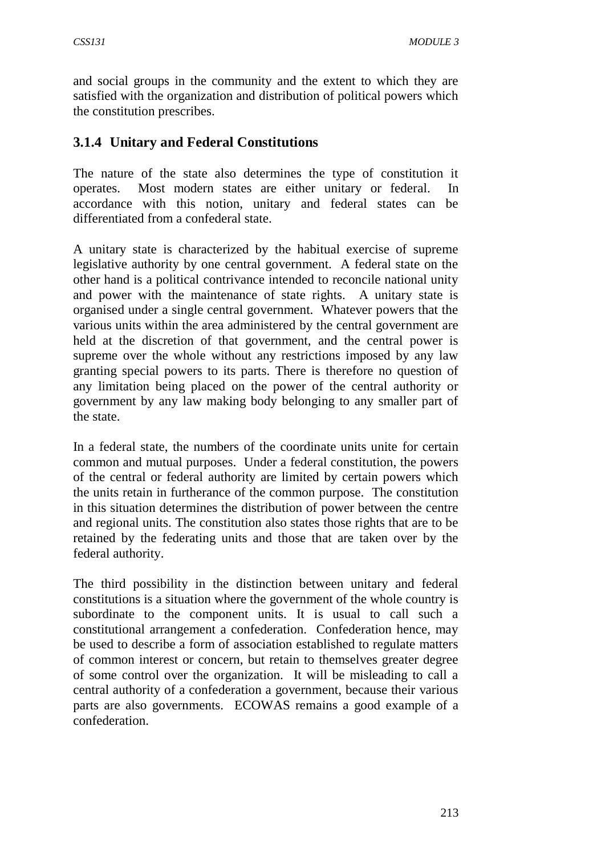and social groups in the community and the extent to which they are satisfied with the organization and distribution of political powers which the constitution prescribes.

### **3.1.4 Unitary and Federal Constitutions**

The nature of the state also determines the type of constitution it operates. Most modern states are either unitary or federal. In accordance with this notion, unitary and federal states can be differentiated from a confederal state.

A unitary state is characterized by the habitual exercise of supreme legislative authority by one central government. A federal state on the other hand is a political contrivance intended to reconcile national unity and power with the maintenance of state rights. A unitary state is organised under a single central government. Whatever powers that the various units within the area administered by the central government are held at the discretion of that government, and the central power is supreme over the whole without any restrictions imposed by any law granting special powers to its parts. There is therefore no question of any limitation being placed on the power of the central authority or government by any law making body belonging to any smaller part of the state.

In a federal state, the numbers of the coordinate units unite for certain common and mutual purposes. Under a federal constitution, the powers of the central or federal authority are limited by certain powers which the units retain in furtherance of the common purpose. The constitution in this situation determines the distribution of power between the centre and regional units. The constitution also states those rights that are to be retained by the federating units and those that are taken over by the federal authority.

The third possibility in the distinction between unitary and federal constitutions is a situation where the government of the whole country is subordinate to the component units. It is usual to call such a constitutional arrangement a confederation. Confederation hence, may be used to describe a form of association established to regulate matters of common interest or concern, but retain to themselves greater degree of some control over the organization. It will be misleading to call a central authority of a confederation a government, because their various parts are also governments. ECOWAS remains a good example of a confederation.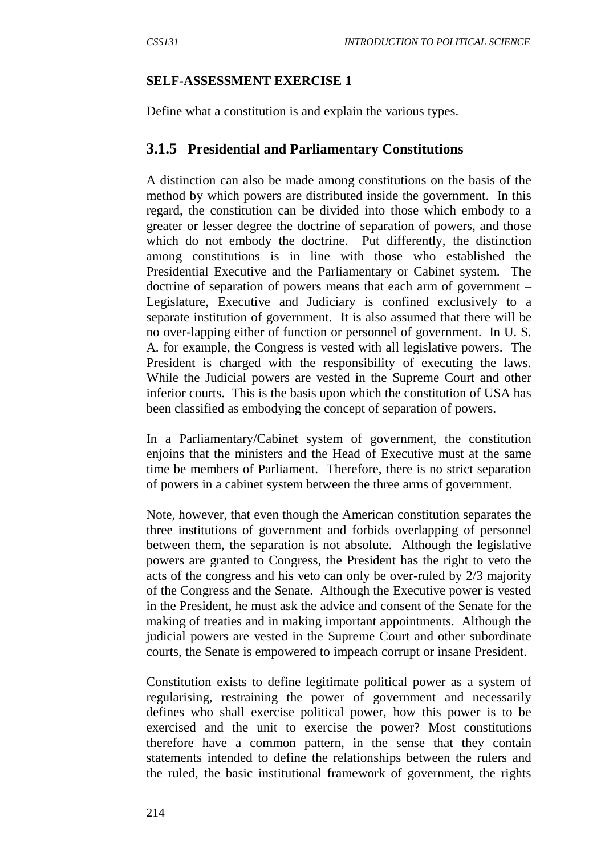#### **SELF-ASSESSMENT EXERCISE 1**

Define what a constitution is and explain the various types.

### **3.1.5 Presidential and Parliamentary Constitutions**

A distinction can also be made among constitutions on the basis of the method by which powers are distributed inside the government. In this regard, the constitution can be divided into those which embody to a greater or lesser degree the doctrine of separation of powers, and those which do not embody the doctrine. Put differently, the distinction among constitutions is in line with those who established the Presidential Executive and the Parliamentary or Cabinet system. The doctrine of separation of powers means that each arm of government – Legislature, Executive and Judiciary is confined exclusively to a separate institution of government. It is also assumed that there will be no over-lapping either of function or personnel of government. In U. S. A. for example, the Congress is vested with all legislative powers. The President is charged with the responsibility of executing the laws. While the Judicial powers are vested in the Supreme Court and other inferior courts. This is the basis upon which the constitution of USA has been classified as embodying the concept of separation of powers.

In a Parliamentary/Cabinet system of government, the constitution enjoins that the ministers and the Head of Executive must at the same time be members of Parliament. Therefore, there is no strict separation of powers in a cabinet system between the three arms of government.

Note, however, that even though the American constitution separates the three institutions of government and forbids overlapping of personnel between them, the separation is not absolute. Although the legislative powers are granted to Congress, the President has the right to veto the acts of the congress and his veto can only be over-ruled by 2/3 majority of the Congress and the Senate. Although the Executive power is vested in the President, he must ask the advice and consent of the Senate for the making of treaties and in making important appointments. Although the judicial powers are vested in the Supreme Court and other subordinate courts, the Senate is empowered to impeach corrupt or insane President.

Constitution exists to define legitimate political power as a system of regularising, restraining the power of government and necessarily defines who shall exercise political power, how this power is to be exercised and the unit to exercise the power? Most constitutions therefore have a common pattern, in the sense that they contain statements intended to define the relationships between the rulers and the ruled, the basic institutional framework of government, the rights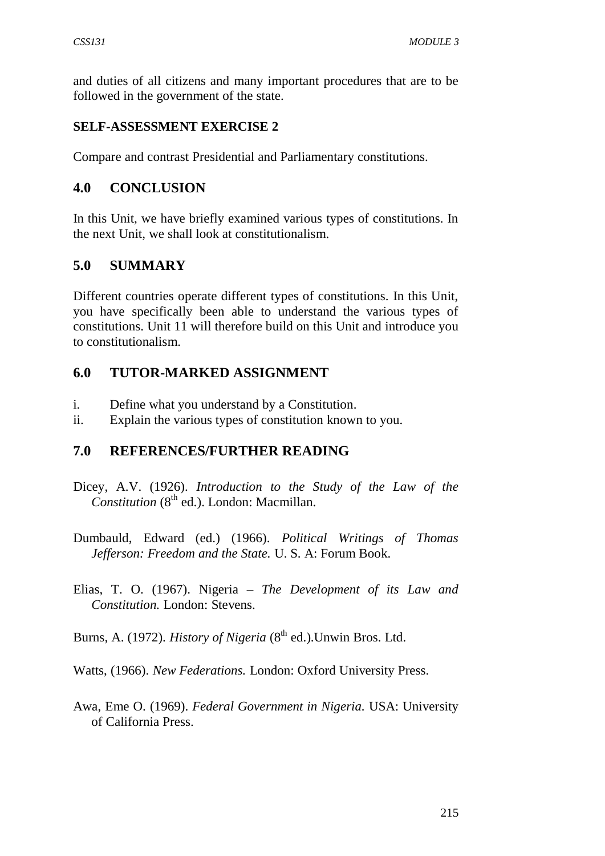and duties of all citizens and many important procedures that are to be followed in the government of the state.

#### **SELF-ASSESSMENT EXERCISE 2**

Compare and contrast Presidential and Parliamentary constitutions.

### **4.0 CONCLUSION**

In this Unit, we have briefly examined various types of constitutions. In the next Unit, we shall look at constitutionalism.

### **5.0 SUMMARY**

Different countries operate different types of constitutions. In this Unit, you have specifically been able to understand the various types of constitutions. Unit 11 will therefore build on this Unit and introduce you to constitutionalism.

### **6.0 TUTOR-MARKED ASSIGNMENT**

- i. Define what you understand by a Constitution.
- ii. Explain the various types of constitution known to you.

### **7.0 REFERENCES/FURTHER READING**

- Dicey, A.V. (1926). *Introduction to the Study of the Law of the Constitution* (8<sup>th</sup> ed.). London: Macmillan.
- Dumbauld, Edward (ed.) (1966). *Political Writings of Thomas Jefferson: Freedom and the State.* U. S. A: Forum Book.
- Elias, T. O. (1967). Nigeria *The Development of its Law and Constitution.* London: Stevens.
- Burns, A. (1972). *History of Nigeria* (8<sup>th</sup> ed.). Unwin Bros. Ltd.
- Watts, (1966). *New Federations.* London: Oxford University Press.
- Awa, Eme O. (1969). *Federal Government in Nigeria.* USA: University of California Press.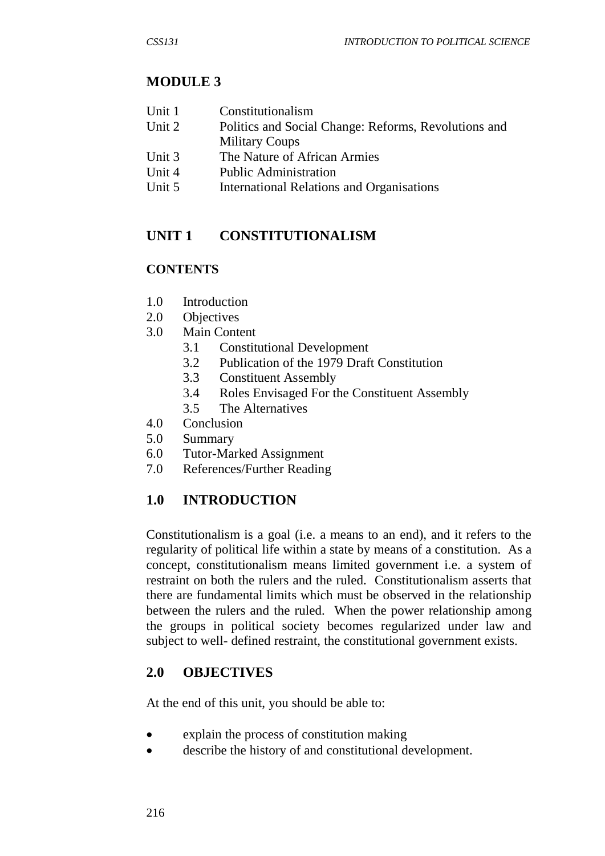### **MODULE 3**

- Unit 1 Constitutionalism
- Unit 2 Politics and Social Change: Reforms, Revolutions and Military Coups
- Unit 3 The Nature of African Armies
- Unit 4 Public Administration
- Unit 5 International Relations and Organisations

### **UNIT 1 CONSTITUTIONALISM**

### **CONTENTS**

- 1.0 Introduction
- 2.0 Objectives
- 3.0 Main Content
	- 3.1 Constitutional Development
	- 3.2 Publication of the 1979 Draft Constitution
	- 3.3 Constituent Assembly
	- 3.4 Roles Envisaged For the Constituent Assembly
	- 3.5 The Alternatives
- 4.0 Conclusion
- 5.0 Summary
- 6.0 Tutor-Marked Assignment
- 7.0 References/Further Reading

### **1.0 INTRODUCTION**

Constitutionalism is a goal (i.e. a means to an end), and it refers to the regularity of political life within a state by means of a constitution. As a concept, constitutionalism means limited government i.e. a system of restraint on both the rulers and the ruled. Constitutionalism asserts that there are fundamental limits which must be observed in the relationship between the rulers and the ruled. When the power relationship among the groups in political society becomes regularized under law and subject to well- defined restraint, the constitutional government exists.

### **2.0 OBJECTIVES**

At the end of this unit, you should be able to:

- explain the process of constitution making
- describe the history of and constitutional development.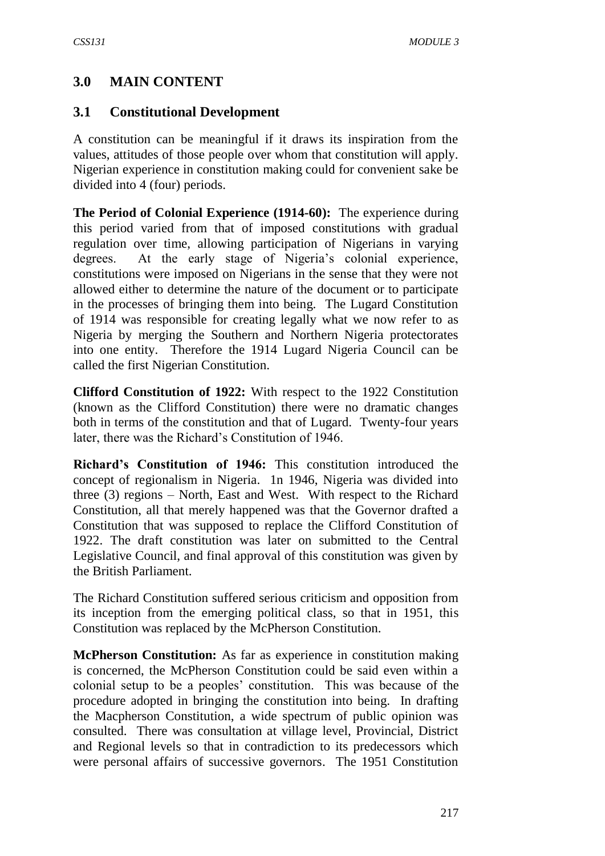### **3.0 MAIN CONTENT**

#### **3.1 Constitutional Development**

A constitution can be meaningful if it draws its inspiration from the values, attitudes of those people over whom that constitution will apply. Nigerian experience in constitution making could for convenient sake be divided into 4 (four) periods.

**The Period of Colonial Experience (1914-60):** The experience during this period varied from that of imposed constitutions with gradual regulation over time, allowing participation of Nigerians in varying degrees. At the early stage of Nigeria's colonial experience, constitutions were imposed on Nigerians in the sense that they were not allowed either to determine the nature of the document or to participate in the processes of bringing them into being. The Lugard Constitution of 1914 was responsible for creating legally what we now refer to as Nigeria by merging the Southern and Northern Nigeria protectorates into one entity. Therefore the 1914 Lugard Nigeria Council can be called the first Nigerian Constitution.

**Clifford Constitution of 1922:** With respect to the 1922 Constitution (known as the Clifford Constitution) there were no dramatic changes both in terms of the constitution and that of Lugard. Twenty-four years later, there was the Richard's Constitution of 1946.

**Richard's Constitution of 1946:** This constitution introduced the concept of regionalism in Nigeria. 1n 1946, Nigeria was divided into three (3) regions – North, East and West. With respect to the Richard Constitution, all that merely happened was that the Governor drafted a Constitution that was supposed to replace the Clifford Constitution of 1922. The draft constitution was later on submitted to the Central Legislative Council, and final approval of this constitution was given by the British Parliament.

The Richard Constitution suffered serious criticism and opposition from its inception from the emerging political class, so that in 1951, this Constitution was replaced by the McPherson Constitution.

**McPherson Constitution:** As far as experience in constitution making is concerned, the McPherson Constitution could be said even within a colonial setup to be a peoples' constitution. This was because of the procedure adopted in bringing the constitution into being. In drafting the Macpherson Constitution, a wide spectrum of public opinion was consulted. There was consultation at village level, Provincial, District and Regional levels so that in contradiction to its predecessors which were personal affairs of successive governors. The 1951 Constitution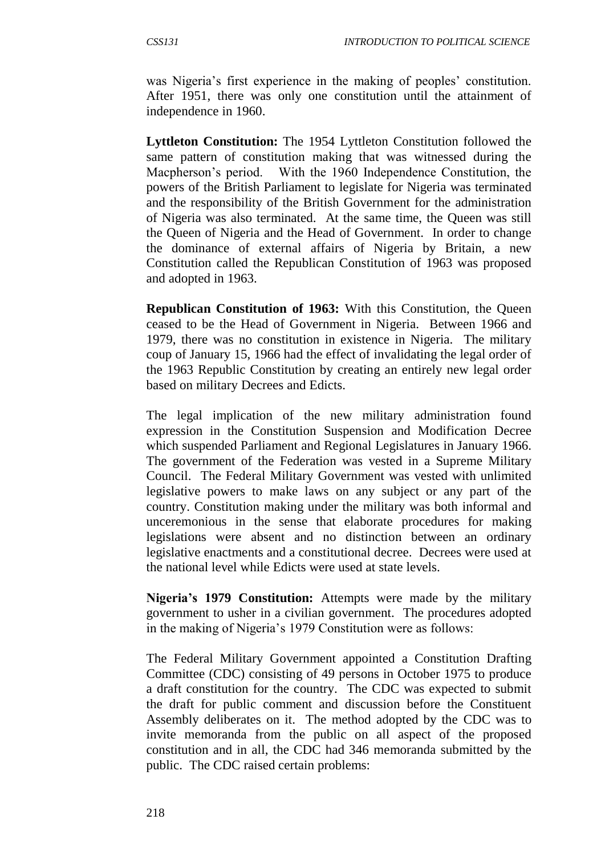was Nigeria's first experience in the making of peoples' constitution. After 1951, there was only one constitution until the attainment of independence in 1960.

**Lyttleton Constitution:** The 1954 Lyttleton Constitution followed the same pattern of constitution making that was witnessed during the Macpherson's period. With the 1960 Independence Constitution, the powers of the British Parliament to legislate for Nigeria was terminated and the responsibility of the British Government for the administration of Nigeria was also terminated. At the same time, the Queen was still the Queen of Nigeria and the Head of Government. In order to change the dominance of external affairs of Nigeria by Britain, a new Constitution called the Republican Constitution of 1963 was proposed and adopted in 1963.

**Republican Constitution of 1963:** With this Constitution, the Queen ceased to be the Head of Government in Nigeria. Between 1966 and 1979, there was no constitution in existence in Nigeria. The military coup of January 15, 1966 had the effect of invalidating the legal order of the 1963 Republic Constitution by creating an entirely new legal order based on military Decrees and Edicts.

The legal implication of the new military administration found expression in the Constitution Suspension and Modification Decree which suspended Parliament and Regional Legislatures in January 1966. The government of the Federation was vested in a Supreme Military Council. The Federal Military Government was vested with unlimited legislative powers to make laws on any subject or any part of the country. Constitution making under the military was both informal and unceremonious in the sense that elaborate procedures for making legislations were absent and no distinction between an ordinary legislative enactments and a constitutional decree. Decrees were used at the national level while Edicts were used at state levels.

**Nigeria's 1979 Constitution:** Attempts were made by the military government to usher in a civilian government. The procedures adopted in the making of Nigeria's 1979 Constitution were as follows:

The Federal Military Government appointed a Constitution Drafting Committee (CDC) consisting of 49 persons in October 1975 to produce a draft constitution for the country. The CDC was expected to submit the draft for public comment and discussion before the Constituent Assembly deliberates on it. The method adopted by the CDC was to invite memoranda from the public on all aspect of the proposed constitution and in all, the CDC had 346 memoranda submitted by the public. The CDC raised certain problems: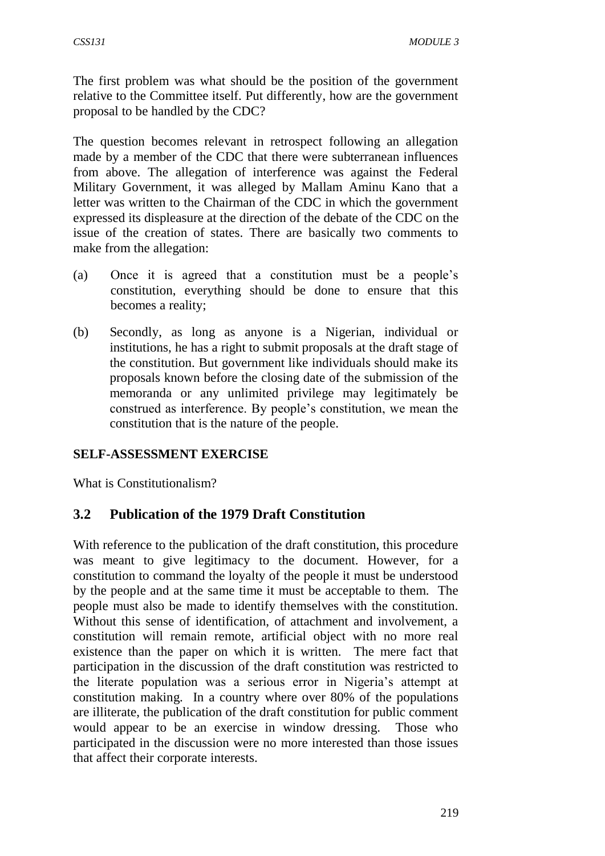The first problem was what should be the position of the government relative to the Committee itself. Put differently, how are the government proposal to be handled by the CDC?

The question becomes relevant in retrospect following an allegation made by a member of the CDC that there were subterranean influences from above. The allegation of interference was against the Federal Military Government, it was alleged by Mallam Aminu Kano that a letter was written to the Chairman of the CDC in which the government expressed its displeasure at the direction of the debate of the CDC on the issue of the creation of states. There are basically two comments to make from the allegation:

- (a) Once it is agreed that a constitution must be a people's constitution, everything should be done to ensure that this becomes a reality;
- (b) Secondly, as long as anyone is a Nigerian, individual or institutions, he has a right to submit proposals at the draft stage of the constitution. But government like individuals should make its proposals known before the closing date of the submission of the memoranda or any unlimited privilege may legitimately be construed as interference. By people's constitution, we mean the constitution that is the nature of the people.

#### **SELF-ASSESSMENT EXERCISE**

What is Constitutionalism?

### **3.2 Publication of the 1979 Draft Constitution**

With reference to the publication of the draft constitution, this procedure was meant to give legitimacy to the document. However, for a constitution to command the loyalty of the people it must be understood by the people and at the same time it must be acceptable to them. The people must also be made to identify themselves with the constitution. Without this sense of identification, of attachment and involvement, a constitution will remain remote, artificial object with no more real existence than the paper on which it is written. The mere fact that participation in the discussion of the draft constitution was restricted to the literate population was a serious error in Nigeria's attempt at constitution making. In a country where over 80% of the populations are illiterate, the publication of the draft constitution for public comment would appear to be an exercise in window dressing. Those who participated in the discussion were no more interested than those issues that affect their corporate interests.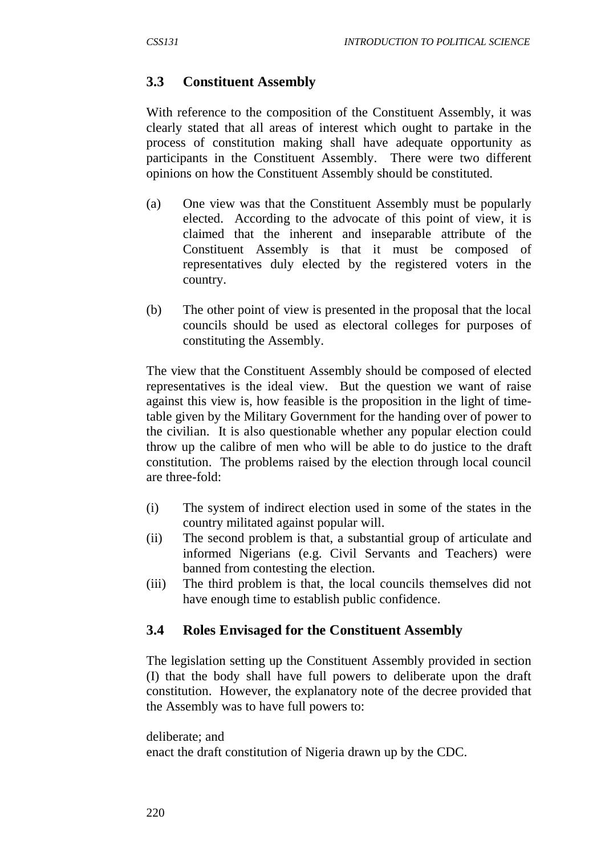### **3.3 Constituent Assembly**

With reference to the composition of the Constituent Assembly, it was clearly stated that all areas of interest which ought to partake in the process of constitution making shall have adequate opportunity as participants in the Constituent Assembly. There were two different opinions on how the Constituent Assembly should be constituted.

- (a) One view was that the Constituent Assembly must be popularly elected. According to the advocate of this point of view, it is claimed that the inherent and inseparable attribute of the Constituent Assembly is that it must be composed of representatives duly elected by the registered voters in the country.
- (b) The other point of view is presented in the proposal that the local councils should be used as electoral colleges for purposes of constituting the Assembly.

The view that the Constituent Assembly should be composed of elected representatives is the ideal view. But the question we want of raise against this view is, how feasible is the proposition in the light of timetable given by the Military Government for the handing over of power to the civilian. It is also questionable whether any popular election could throw up the calibre of men who will be able to do justice to the draft constitution. The problems raised by the election through local council are three-fold:

- (i) The system of indirect election used in some of the states in the country militated against popular will.
- (ii) The second problem is that, a substantial group of articulate and informed Nigerians (e.g. Civil Servants and Teachers) were banned from contesting the election.
- (iii) The third problem is that, the local councils themselves did not have enough time to establish public confidence.

### **3.4 Roles Envisaged for the Constituent Assembly**

The legislation setting up the Constituent Assembly provided in section (I) that the body shall have full powers to deliberate upon the draft constitution. However, the explanatory note of the decree provided that the Assembly was to have full powers to:

```
deliberate; and
```
enact the draft constitution of Nigeria drawn up by the CDC.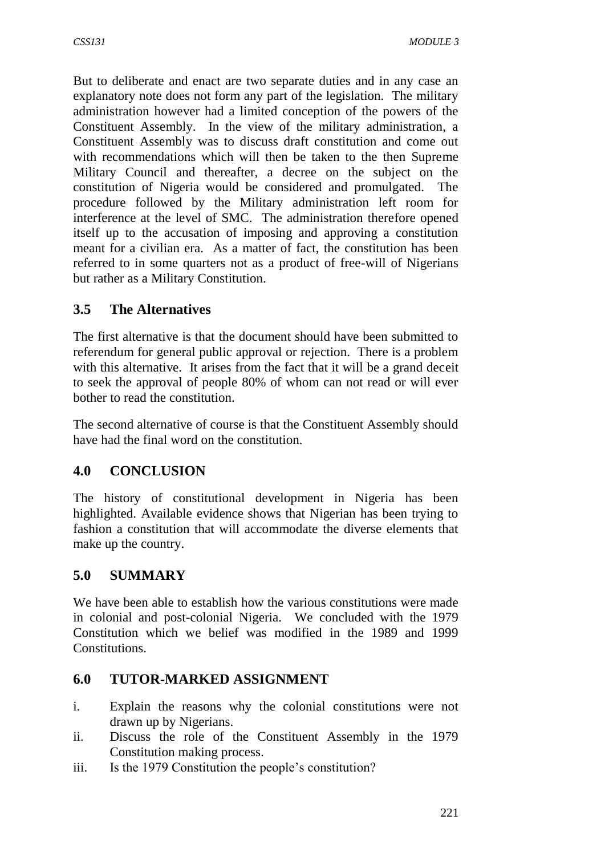But to deliberate and enact are two separate duties and in any case an explanatory note does not form any part of the legislation. The military administration however had a limited conception of the powers of the Constituent Assembly. In the view of the military administration, a Constituent Assembly was to discuss draft constitution and come out with recommendations which will then be taken to the then Supreme Military Council and thereafter, a decree on the subject on the constitution of Nigeria would be considered and promulgated. The procedure followed by the Military administration left room for interference at the level of SMC. The administration therefore opened itself up to the accusation of imposing and approving a constitution meant for a civilian era. As a matter of fact, the constitution has been referred to in some quarters not as a product of free-will of Nigerians but rather as a Military Constitution.

# **3.5 The Alternatives**

The first alternative is that the document should have been submitted to referendum for general public approval or rejection. There is a problem with this alternative. It arises from the fact that it will be a grand deceit to seek the approval of people 80% of whom can not read or will ever bother to read the constitution.

The second alternative of course is that the Constituent Assembly should have had the final word on the constitution.

### **4.0 CONCLUSION**

The history of constitutional development in Nigeria has been highlighted. Available evidence shows that Nigerian has been trying to fashion a constitution that will accommodate the diverse elements that make up the country.

# **5.0 SUMMARY**

We have been able to establish how the various constitutions were made in colonial and post-colonial Nigeria. We concluded with the 1979 Constitution which we belief was modified in the 1989 and 1999 Constitutions.

### **6.0 TUTOR-MARKED ASSIGNMENT**

- i. Explain the reasons why the colonial constitutions were not drawn up by Nigerians.
- ii. Discuss the role of the Constituent Assembly in the 1979 Constitution making process.
- iii. Is the 1979 Constitution the people's constitution?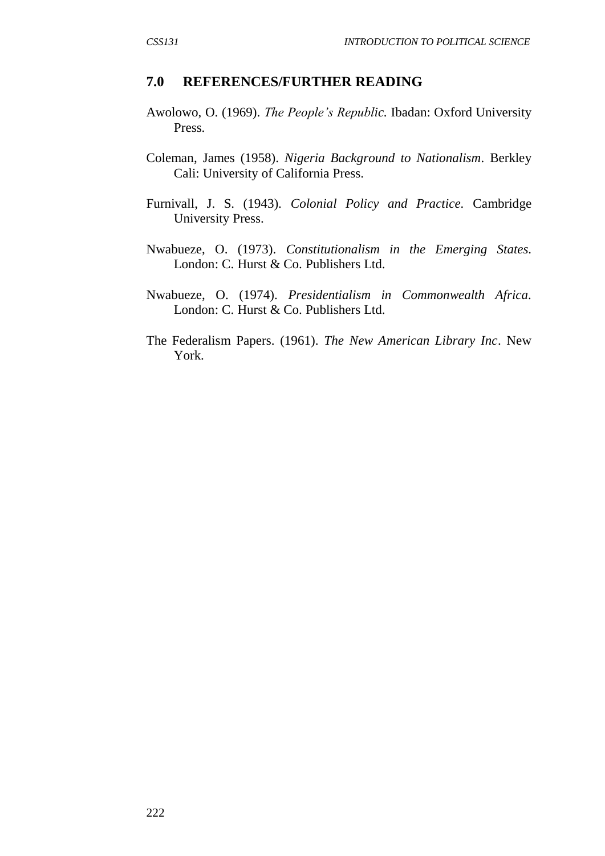#### **7.0 REFERENCES/FURTHER READING**

- Awolowo, O. (1969). *The People's Republic.* Ibadan: Oxford University Press.
- Coleman, James (1958). *Nigeria Background to Nationalism*. Berkley Cali: University of California Press.
- Furnivall, J. S. (1943). *Colonial Policy and Practice.* Cambridge University Press.
- Nwabueze, O. (1973). *Constitutionalism in the Emerging States.*  London: C. Hurst & Co. Publishers Ltd.
- Nwabueze, O. (1974). *Presidentialism in Commonwealth Africa.* London: C. Hurst & Co. Publishers Ltd.
- The Federalism Papers. (1961). *The New American Library Inc*. New York.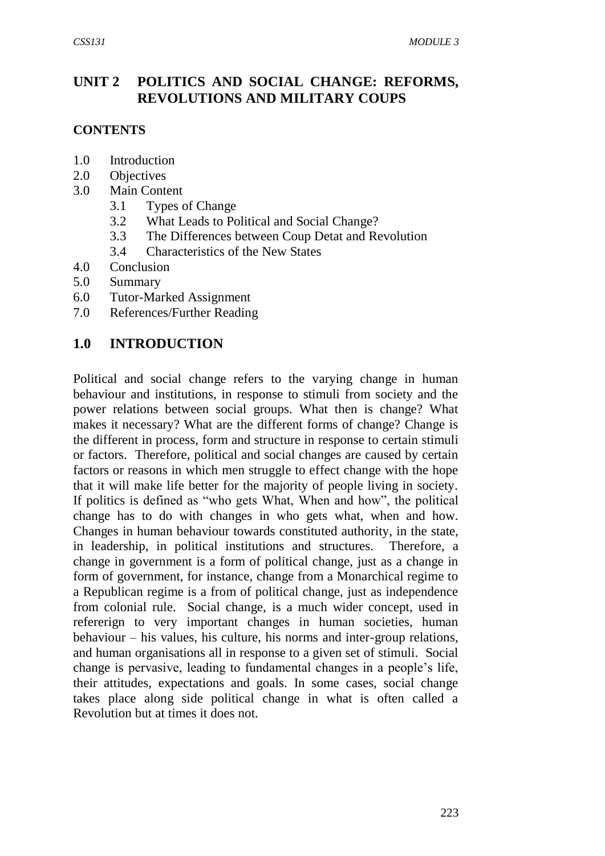### **UNIT 2 POLITICS AND SOCIAL CHANGE: REFORMS, REVOLUTIONS AND MILITARY COUPS**

#### **CONTENTS**

- 1.0 Introduction
- 2.0 Objectives
- 3.0 Main Content
	- 3.1 Types of Change
	- 3.2 What Leads to Political and Social Change?
	- 3.3 The Differences between Coup Detat and Revolution
	- 3.4 Characteristics of the New States
- 4.0 Conclusion
- 5.0 Summary
- 6.0 Tutor-Marked Assignment
- 7.0 References/Further Reading

### **1.0 INTRODUCTION**

Political and social change refers to the varying change in human behaviour and institutions, in response to stimuli from society and the power relations between social groups. What then is change? What makes it necessary? What are the different forms of change? Change is the different in process, form and structure in response to certain stimuli or factors. Therefore, political and social changes are caused by certain factors or reasons in which men struggle to effect change with the hope that it will make life better for the majority of people living in society. If politics is defined as "who gets What, When and how", the political change has to do with changes in who gets what, when and how. Changes in human behaviour towards constituted authority, in the state, in leadership, in political institutions and structures. Therefore, a change in government is a form of political change, just as a change in form of government, for instance, change from a Monarchical regime to a Republican regime is a from of political change, just as independence from colonial rule. Social change, is a much wider concept, used in refererign to very important changes in human societies, human behaviour – his values, his culture, his norms and inter-group relations, and human organisations all in response to a given set of stimuli. Social change is pervasive, leading to fundamental changes in a people's life, their attitudes, expectations and goals. In some cases, social change takes place along side political change in what is often called a Revolution but at times it does not.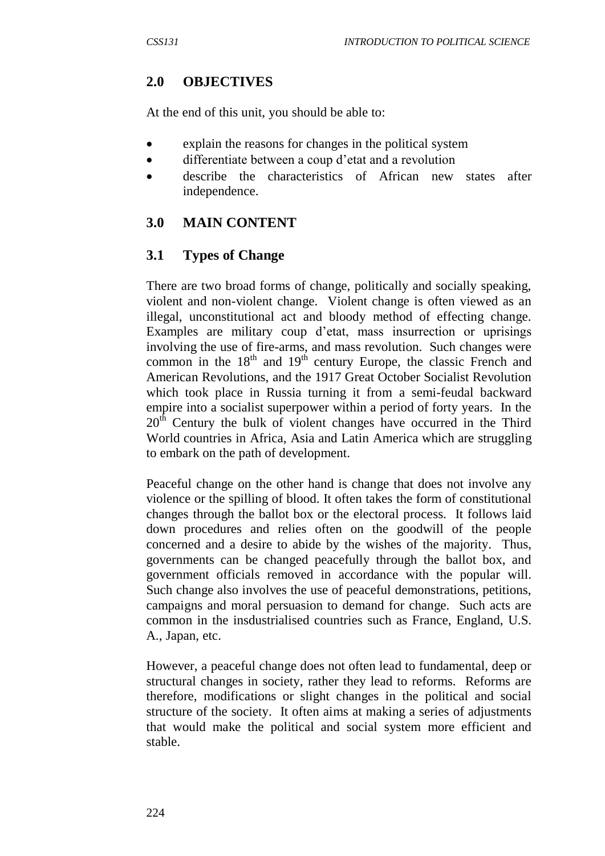### **2.0 OBJECTIVES**

At the end of this unit, you should be able to:

- explain the reasons for changes in the political system
- differentiate between a coup d'etat and a revolution
- describe the characteristics of African new states after independence.

### **3.0 MAIN CONTENT**

### **3.1 Types of Change**

There are two broad forms of change, politically and socially speaking, violent and non-violent change. Violent change is often viewed as an illegal, unconstitutional act and bloody method of effecting change. Examples are military coup d'etat, mass insurrection or uprisings involving the use of fire-arms, and mass revolution. Such changes were common in the  $18<sup>th</sup>$  and  $19<sup>th</sup>$  century Europe, the classic French and American Revolutions, and the 1917 Great October Socialist Revolution which took place in Russia turning it from a semi-feudal backward empire into a socialist superpower within a period of forty years. In the 20<sup>th</sup> Century the bulk of violent changes have occurred in the Third World countries in Africa, Asia and Latin America which are struggling to embark on the path of development.

Peaceful change on the other hand is change that does not involve any violence or the spilling of blood. It often takes the form of constitutional changes through the ballot box or the electoral process. It follows laid down procedures and relies often on the goodwill of the people concerned and a desire to abide by the wishes of the majority. Thus, governments can be changed peacefully through the ballot box, and government officials removed in accordance with the popular will. Such change also involves the use of peaceful demonstrations, petitions, campaigns and moral persuasion to demand for change. Such acts are common in the insdustrialised countries such as France, England, U.S. A., Japan, etc.

However, a peaceful change does not often lead to fundamental, deep or structural changes in society, rather they lead to reforms. Reforms are therefore, modifications or slight changes in the political and social structure of the society. It often aims at making a series of adjustments that would make the political and social system more efficient and stable.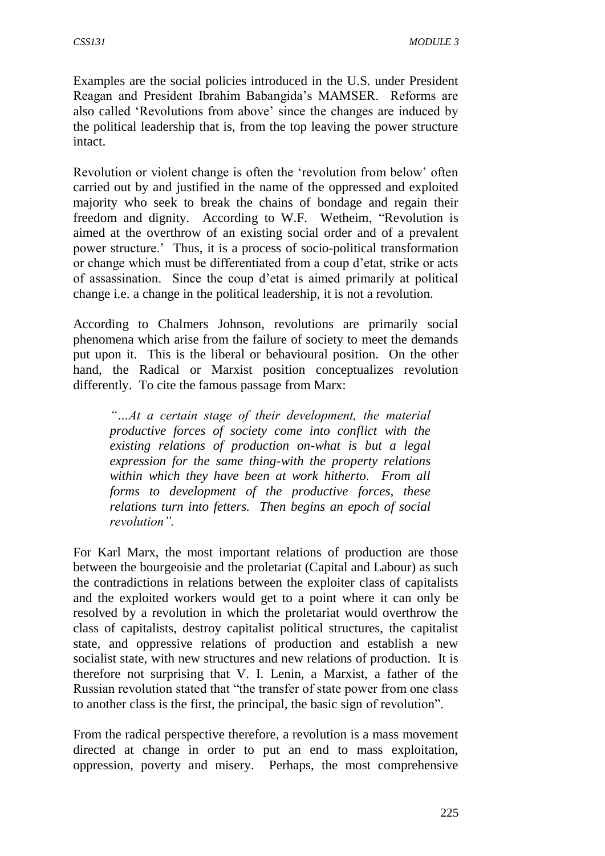Examples are the social policies introduced in the U.S. under President Reagan and President Ibrahim Babangida's MAMSER. Reforms are also called 'Revolutions from above' since the changes are induced by the political leadership that is, from the top leaving the power structure intact.

Revolution or violent change is often the 'revolution from below' often carried out by and justified in the name of the oppressed and exploited majority who seek to break the chains of bondage and regain their freedom and dignity. According to W.F. Wetheim, "Revolution is aimed at the overthrow of an existing social order and of a prevalent power structure.' Thus, it is a process of socio-political transformation or change which must be differentiated from a coup d'etat, strike or acts of assassination. Since the coup d'etat is aimed primarily at political change i.e. a change in the political leadership, it is not a revolution.

According to Chalmers Johnson, revolutions are primarily social phenomena which arise from the failure of society to meet the demands put upon it. This is the liberal or behavioural position. On the other hand, the Radical or Marxist position conceptualizes revolution differently. To cite the famous passage from Marx:

*"…At a certain stage of their development, the material productive forces of society come into conflict with the existing relations of production on-what is but a legal expression for the same thing-with the property relations within which they have been at work hitherto. From all forms to development of the productive forces, these relations turn into fetters. Then begins an epoch of social revolution".*

For Karl Marx, the most important relations of production are those between the bourgeoisie and the proletariat (Capital and Labour) as such the contradictions in relations between the exploiter class of capitalists and the exploited workers would get to a point where it can only be resolved by a revolution in which the proletariat would overthrow the class of capitalists, destroy capitalist political structures, the capitalist state, and oppressive relations of production and establish a new socialist state, with new structures and new relations of production. It is therefore not surprising that V. I. Lenin, a Marxist, a father of the Russian revolution stated that "the transfer of state power from one class to another class is the first, the principal, the basic sign of revolution".

From the radical perspective therefore, a revolution is a mass movement directed at change in order to put an end to mass exploitation, oppression, poverty and misery. Perhaps, the most comprehensive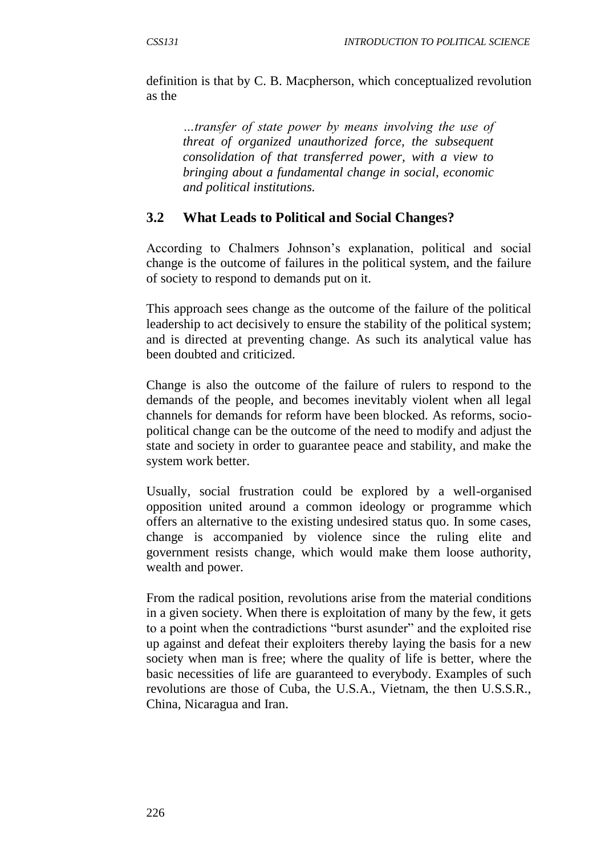definition is that by C. B. Macpherson, which conceptualized revolution as the

*…transfer of state power by means involving the use of threat of organized unauthorized force, the subsequent consolidation of that transferred power, with a view to bringing about a fundamental change in social, economic and political institutions.*

### **3.2 What Leads to Political and Social Changes?**

According to Chalmers Johnson's explanation, political and social change is the outcome of failures in the political system, and the failure of society to respond to demands put on it.

This approach sees change as the outcome of the failure of the political leadership to act decisively to ensure the stability of the political system; and is directed at preventing change. As such its analytical value has been doubted and criticized.

Change is also the outcome of the failure of rulers to respond to the demands of the people, and becomes inevitably violent when all legal channels for demands for reform have been blocked. As reforms, sociopolitical change can be the outcome of the need to modify and adjust the state and society in order to guarantee peace and stability, and make the system work better.

Usually, social frustration could be explored by a well-organised opposition united around a common ideology or programme which offers an alternative to the existing undesired status quo. In some cases, change is accompanied by violence since the ruling elite and government resists change, which would make them loose authority, wealth and power.

From the radical position, revolutions arise from the material conditions in a given society. When there is exploitation of many by the few, it gets to a point when the contradictions "burst asunder" and the exploited rise up against and defeat their exploiters thereby laying the basis for a new society when man is free; where the quality of life is better, where the basic necessities of life are guaranteed to everybody. Examples of such revolutions are those of Cuba, the U.S.A., Vietnam, the then U.S.S.R., China, Nicaragua and Iran.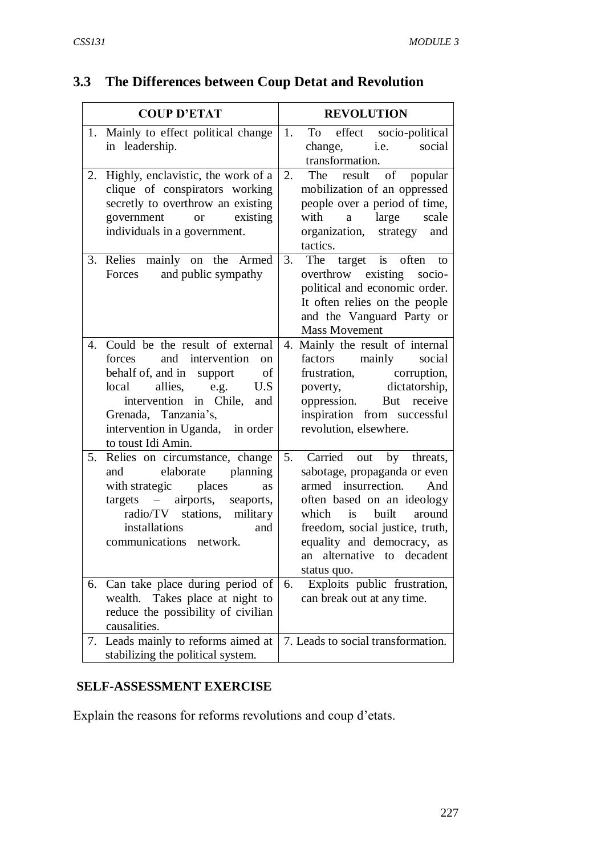# **3.3 The Differences between Coup Detat and Revolution**

|    | <b>COUP D'ETAT</b>                                                                                                                                                                                                                                           |    | <b>REVOLUTION</b>                                                                                                                                                                                                                                                      |
|----|--------------------------------------------------------------------------------------------------------------------------------------------------------------------------------------------------------------------------------------------------------------|----|------------------------------------------------------------------------------------------------------------------------------------------------------------------------------------------------------------------------------------------------------------------------|
|    | 1. Mainly to effect political change<br>in leadership.                                                                                                                                                                                                       | 1. | effect<br>socio-political<br>To<br>social<br>i.e.<br>change,<br>transformation.                                                                                                                                                                                        |
| 2. | Highly, enclavistic, the work of a<br>clique of conspirators working<br>secretly to overthrow an existing<br>government<br>existing<br><b>or</b><br>individuals in a government.                                                                             | 2. | of popular<br>The<br>result<br>mobilization of an oppressed<br>people over a period of time,<br>with<br>large<br>scale<br>$\mathbf{a}$<br>organization, strategy<br>and<br>tactics.                                                                                    |
|    | 3. Relies mainly on the Armed<br>and public sympathy<br>Forces                                                                                                                                                                                               | 3. | The target is often<br>to<br>overthrow existing socio-<br>political and economic order.<br>It often relies on the people<br>and the Vanguard Party or<br><b>Mass Movement</b>                                                                                          |
| 4. | Could be the result of external<br>and intervention<br>forces<br>on<br>behalf of, and in support<br>of<br>allies,<br>local<br>U.S<br>e.g.<br>intervention in Chile,<br>and<br>Grenada, Tanzania's,<br>intervention in Uganda, in order<br>to toust Idi Amin. |    | 4. Mainly the result of internal<br>factors mainly<br>social<br>frustration,<br>corruption,<br>dictatorship,<br>poverty,<br>But receive<br>oppression.<br>inspiration from successful<br>revolution, elsewhere.                                                        |
| 5. | Relies on circumstance, change<br>elaborate planning<br>and<br>with strategic<br>places<br>as<br>targets – airports,<br>seaports,<br>radio/TV stations, military<br>installations<br>and<br>communications network.                                          | 5. | Carried<br>out<br>by threats,<br>sabotage, propaganda or even<br>armed insurrection.<br>And<br>often based on an ideology<br>is built<br>which<br>around<br>freedom, social justice, truth,<br>equality and democracy, as<br>an alternative to decadent<br>status quo. |
|    | 6. Can take place during period of<br>wealth. Takes place at night to<br>reduce the possibility of civilian<br>causalities.                                                                                                                                  | 6. | Exploits public frustration,<br>can break out at any time.                                                                                                                                                                                                             |
| 7. | Leads mainly to reforms aimed at<br>stabilizing the political system.                                                                                                                                                                                        |    | 7. Leads to social transformation.                                                                                                                                                                                                                                     |

### **SELF-ASSESSMENT EXERCISE**

Explain the reasons for reforms revolutions and coup d'etats.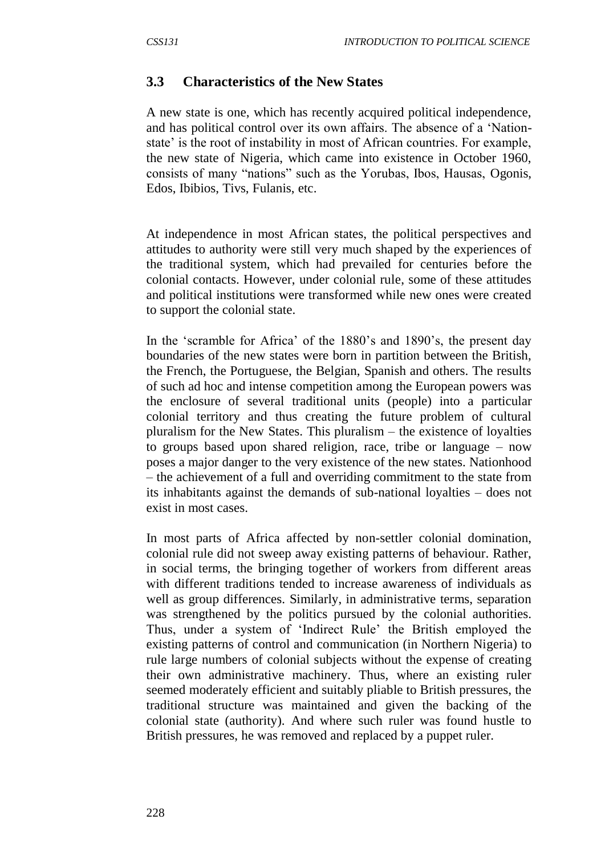#### **3.3 Characteristics of the New States**

A new state is one, which has recently acquired political independence, and has political control over its own affairs. The absence of a 'Nationstate' is the root of instability in most of African countries. For example, the new state of Nigeria, which came into existence in October 1960, consists of many "nations" such as the Yorubas, Ibos, Hausas, Ogonis, Edos, Ibibios, Tivs, Fulanis, etc.

At independence in most African states, the political perspectives and attitudes to authority were still very much shaped by the experiences of the traditional system, which had prevailed for centuries before the colonial contacts. However, under colonial rule, some of these attitudes and political institutions were transformed while new ones were created to support the colonial state.

In the 'scramble for Africa' of the 1880's and 1890's, the present day boundaries of the new states were born in partition between the British, the French, the Portuguese, the Belgian, Spanish and others. The results of such ad hoc and intense competition among the European powers was the enclosure of several traditional units (people) into a particular colonial territory and thus creating the future problem of cultural pluralism for the New States. This pluralism – the existence of loyalties to groups based upon shared religion, race, tribe or language – now poses a major danger to the very existence of the new states. Nationhood – the achievement of a full and overriding commitment to the state from its inhabitants against the demands of sub-national loyalties – does not exist in most cases.

In most parts of Africa affected by non-settler colonial domination, colonial rule did not sweep away existing patterns of behaviour. Rather, in social terms, the bringing together of workers from different areas with different traditions tended to increase awareness of individuals as well as group differences. Similarly, in administrative terms, separation was strengthened by the politics pursued by the colonial authorities. Thus, under a system of 'Indirect Rule' the British employed the existing patterns of control and communication (in Northern Nigeria) to rule large numbers of colonial subjects without the expense of creating their own administrative machinery. Thus, where an existing ruler seemed moderately efficient and suitably pliable to British pressures, the traditional structure was maintained and given the backing of the colonial state (authority). And where such ruler was found hustle to British pressures, he was removed and replaced by a puppet ruler.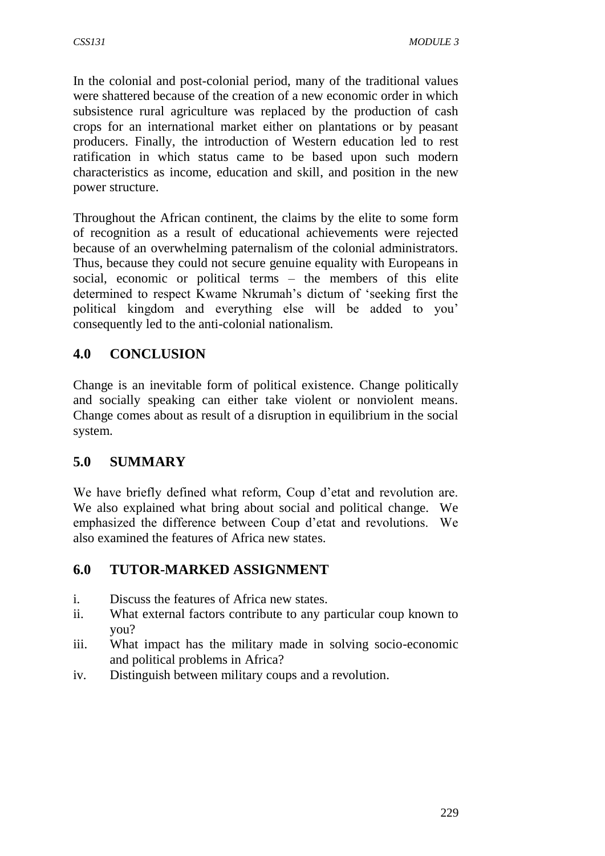In the colonial and post-colonial period, many of the traditional values were shattered because of the creation of a new economic order in which subsistence rural agriculture was replaced by the production of cash crops for an international market either on plantations or by peasant producers. Finally, the introduction of Western education led to rest ratification in which status came to be based upon such modern characteristics as income, education and skill, and position in the new power structure.

Throughout the African continent, the claims by the elite to some form of recognition as a result of educational achievements were rejected because of an overwhelming paternalism of the colonial administrators. Thus, because they could not secure genuine equality with Europeans in social, economic or political terms – the members of this elite determined to respect Kwame Nkrumah's dictum of 'seeking first the political kingdom and everything else will be added to you' consequently led to the anti-colonial nationalism.

## **4.0 CONCLUSION**

Change is an inevitable form of political existence. Change politically and socially speaking can either take violent or nonviolent means. Change comes about as result of a disruption in equilibrium in the social system.

### **5.0 SUMMARY**

We have briefly defined what reform, Coup d'etat and revolution are. We also explained what bring about social and political change. We emphasized the difference between Coup d'etat and revolutions. We also examined the features of Africa new states.

### **6.0 TUTOR-MARKED ASSIGNMENT**

- i. Discuss the features of Africa new states.
- ii. What external factors contribute to any particular coup known to you?
- iii. What impact has the military made in solving socio-economic and political problems in Africa?
- iv. Distinguish between military coups and a revolution.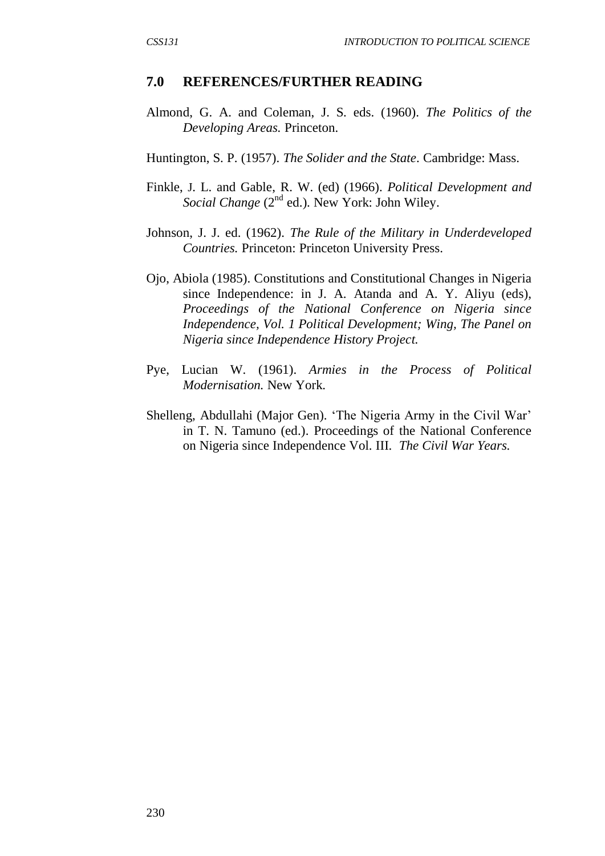#### **7.0 REFERENCES/FURTHER READING**

- Almond, G. A. and Coleman, J. S. eds. (1960). *The Politics of the Developing Areas.* Princeton.
- Huntington, S. P. (1957). *The Solider and the State*. Cambridge: Mass.
- Finkle, J. L. and Gable, R. W. (ed) (1966). *Political Development and Social Change* (2<sup>nd</sup> ed.). New York: John Wiley.
- Johnson, J. J. ed. (1962). *The Rule of the Military in Underdeveloped Countries.* Princeton: Princeton University Press.
- Ojo, Abiola (1985). Constitutions and Constitutional Changes in Nigeria since Independence: in J. A. Atanda and A. Y. Aliyu (eds), *Proceedings of the National Conference on Nigeria since Independence, Vol. 1 Political Development; Wing, The Panel on Nigeria since Independence History Project.*
- Pye, Lucian W. (1961). *Armies in the Process of Political Modernisation.* New York.
- Shelleng, Abdullahi (Major Gen). 'The Nigeria Army in the Civil War' in T. N. Tamuno (ed.). Proceedings of the National Conference on Nigeria since Independence Vol. III. *The Civil War Years.*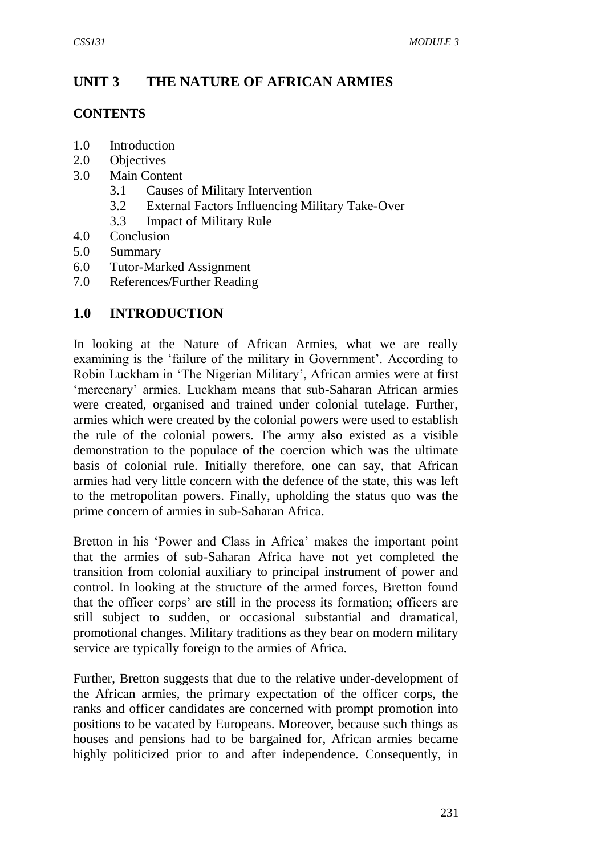### **UNIT 3 THE NATURE OF AFRICAN ARMIES**

#### **CONTENTS**

- 1.0 Introduction
- 2.0 Objectives
- 3.0 Main Content
	- 3.1 Causes of Military Intervention
	- 3.2 External Factors Influencing Military Take-Over
	- 3.3 Impact of Military Rule
- 4.0 Conclusion
- 5.0 Summary
- 6.0 Tutor-Marked Assignment
- 7.0 References/Further Reading

### **1.0 INTRODUCTION**

In looking at the Nature of African Armies, what we are really examining is the 'failure of the military in Government'. According to Robin Luckham in 'The Nigerian Military', African armies were at first 'mercenary' armies. Luckham means that sub-Saharan African armies were created, organised and trained under colonial tutelage. Further, armies which were created by the colonial powers were used to establish the rule of the colonial powers. The army also existed as a visible demonstration to the populace of the coercion which was the ultimate basis of colonial rule. Initially therefore, one can say, that African armies had very little concern with the defence of the state, this was left to the metropolitan powers. Finally, upholding the status quo was the prime concern of armies in sub-Saharan Africa.

Bretton in his 'Power and Class in Africa' makes the important point that the armies of sub-Saharan Africa have not yet completed the transition from colonial auxiliary to principal instrument of power and control. In looking at the structure of the armed forces, Bretton found that the officer corps' are still in the process its formation; officers are still subject to sudden, or occasional substantial and dramatical, promotional changes. Military traditions as they bear on modern military service are typically foreign to the armies of Africa.

Further, Bretton suggests that due to the relative under-development of the African armies, the primary expectation of the officer corps, the ranks and officer candidates are concerned with prompt promotion into positions to be vacated by Europeans. Moreover, because such things as houses and pensions had to be bargained for, African armies became highly politicized prior to and after independence. Consequently, in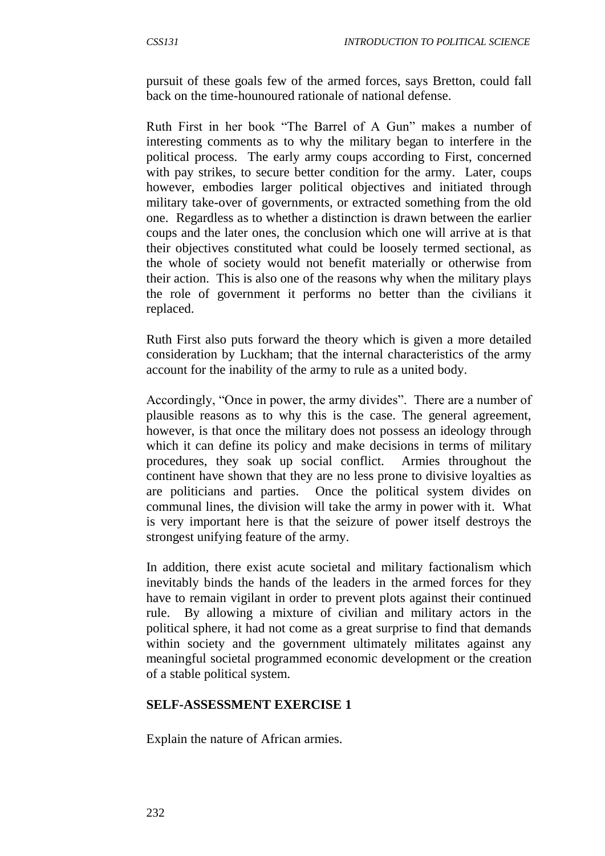pursuit of these goals few of the armed forces, says Bretton, could fall back on the time-hounoured rationale of national defense.

Ruth First in her book "The Barrel of A Gun" makes a number of interesting comments as to why the military began to interfere in the political process. The early army coups according to First, concerned with pay strikes, to secure better condition for the army. Later, coups however, embodies larger political objectives and initiated through military take-over of governments, or extracted something from the old one. Regardless as to whether a distinction is drawn between the earlier coups and the later ones, the conclusion which one will arrive at is that their objectives constituted what could be loosely termed sectional, as the whole of society would not benefit materially or otherwise from their action. This is also one of the reasons why when the military plays the role of government it performs no better than the civilians it replaced.

Ruth First also puts forward the theory which is given a more detailed consideration by Luckham; that the internal characteristics of the army account for the inability of the army to rule as a united body.

Accordingly, "Once in power, the army divides". There are a number of plausible reasons as to why this is the case. The general agreement, however, is that once the military does not possess an ideology through which it can define its policy and make decisions in terms of military procedures, they soak up social conflict. Armies throughout the continent have shown that they are no less prone to divisive loyalties as are politicians and parties. Once the political system divides on communal lines, the division will take the army in power with it. What is very important here is that the seizure of power itself destroys the strongest unifying feature of the army.

In addition, there exist acute societal and military factionalism which inevitably binds the hands of the leaders in the armed forces for they have to remain vigilant in order to prevent plots against their continued rule. By allowing a mixture of civilian and military actors in the political sphere, it had not come as a great surprise to find that demands within society and the government ultimately militates against any meaningful societal programmed economic development or the creation of a stable political system.

#### **SELF-ASSESSMENT EXERCISE 1**

Explain the nature of African armies.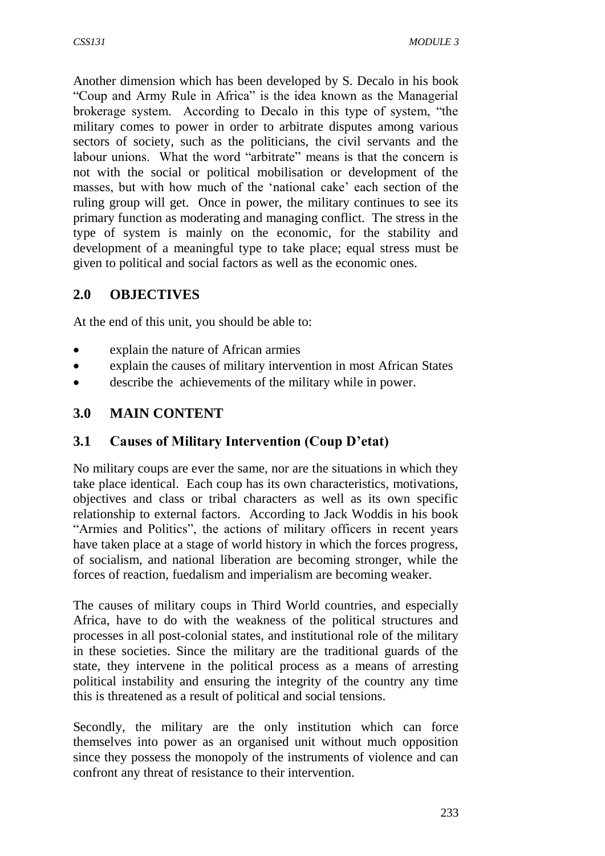Another dimension which has been developed by S. Decalo in his book "Coup and Army Rule in Africa" is the idea known as the Managerial brokerage system. According to Decalo in this type of system, "the military comes to power in order to arbitrate disputes among various sectors of society, such as the politicians, the civil servants and the labour unions. What the word "arbitrate" means is that the concern is not with the social or political mobilisation or development of the masses, but with how much of the 'national cake' each section of the ruling group will get. Once in power, the military continues to see its primary function as moderating and managing conflict. The stress in the type of system is mainly on the economic, for the stability and development of a meaningful type to take place; equal stress must be given to political and social factors as well as the economic ones.

## **2.0 OBJECTIVES**

At the end of this unit, you should be able to:

- explain the nature of African armies
- explain the causes of military intervention in most African States
- describe the achievements of the military while in power.

### **3.0 MAIN CONTENT**

### **3.1 Causes of Military Intervention (Coup D'etat)**

No military coups are ever the same, nor are the situations in which they take place identical. Each coup has its own characteristics, motivations, objectives and class or tribal characters as well as its own specific relationship to external factors. According to Jack Woddis in his book "Armies and Politics", the actions of military officers in recent years have taken place at a stage of world history in which the forces progress, of socialism, and national liberation are becoming stronger, while the forces of reaction, fuedalism and imperialism are becoming weaker.

The causes of military coups in Third World countries, and especially Africa, have to do with the weakness of the political structures and processes in all post-colonial states, and institutional role of the military in these societies. Since the military are the traditional guards of the state, they intervene in the political process as a means of arresting political instability and ensuring the integrity of the country any time this is threatened as a result of political and social tensions.

Secondly, the military are the only institution which can force themselves into power as an organised unit without much opposition since they possess the monopoly of the instruments of violence and can confront any threat of resistance to their intervention.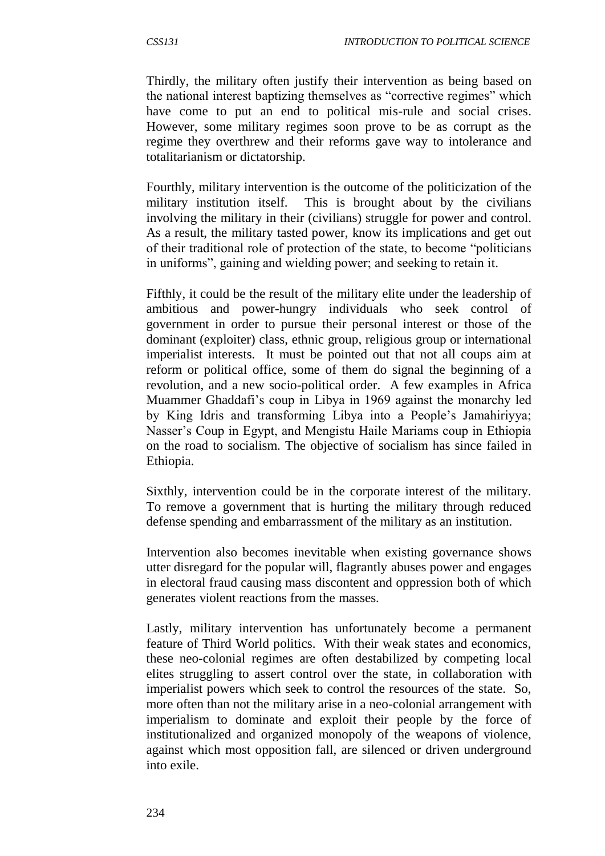Thirdly, the military often justify their intervention as being based on the national interest baptizing themselves as "corrective regimes" which have come to put an end to political mis-rule and social crises. However, some military regimes soon prove to be as corrupt as the regime they overthrew and their reforms gave way to intolerance and totalitarianism or dictatorship.

Fourthly, military intervention is the outcome of the politicization of the military institution itself. This is brought about by the civilians involving the military in their (civilians) struggle for power and control. As a result, the military tasted power, know its implications and get out of their traditional role of protection of the state, to become "politicians in uniforms", gaining and wielding power; and seeking to retain it.

Fifthly, it could be the result of the military elite under the leadership of ambitious and power-hungry individuals who seek control of government in order to pursue their personal interest or those of the dominant (exploiter) class, ethnic group, religious group or international imperialist interests. It must be pointed out that not all coups aim at reform or political office, some of them do signal the beginning of a revolution, and a new socio-political order. A few examples in Africa Muammer Ghaddafi's coup in Libya in 1969 against the monarchy led by King Idris and transforming Libya into a People's Jamahiriyya; Nasser's Coup in Egypt, and Mengistu Haile Mariams coup in Ethiopia on the road to socialism. The objective of socialism has since failed in Ethiopia.

Sixthly, intervention could be in the corporate interest of the military. To remove a government that is hurting the military through reduced defense spending and embarrassment of the military as an institution.

Intervention also becomes inevitable when existing governance shows utter disregard for the popular will, flagrantly abuses power and engages in electoral fraud causing mass discontent and oppression both of which generates violent reactions from the masses.

Lastly, military intervention has unfortunately become a permanent feature of Third World politics. With their weak states and economics, these neo-colonial regimes are often destabilized by competing local elites struggling to assert control over the state, in collaboration with imperialist powers which seek to control the resources of the state. So, more often than not the military arise in a neo-colonial arrangement with imperialism to dominate and exploit their people by the force of institutionalized and organized monopoly of the weapons of violence, against which most opposition fall, are silenced or driven underground into exile.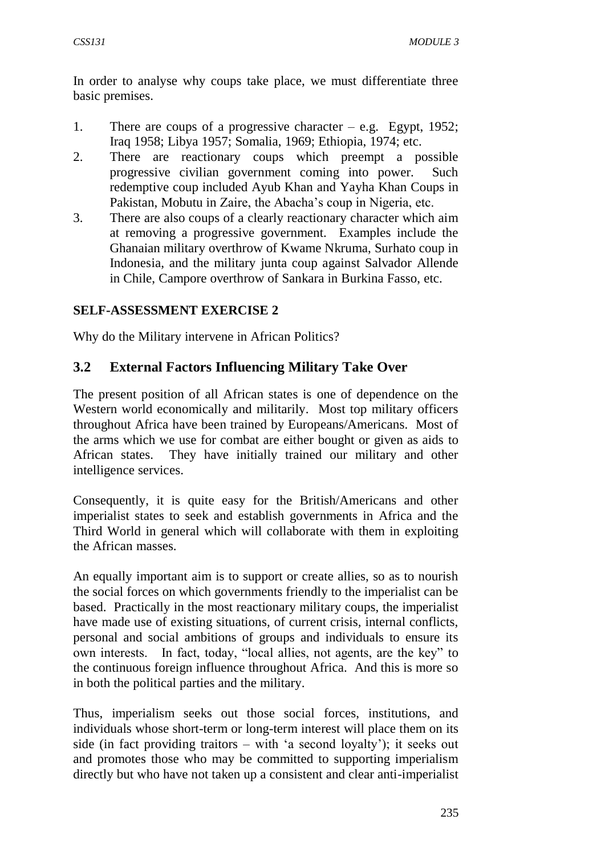In order to analyse why coups take place, we must differentiate three basic premises.

- 1. There are coups of a progressive character e.g. Egypt, 1952; Iraq 1958; Libya 1957; Somalia, 1969; Ethiopia, 1974; etc.
- 2. There are reactionary coups which preempt a possible progressive civilian government coming into power. Such redemptive coup included Ayub Khan and Yayha Khan Coups in Pakistan, Mobutu in Zaire, the Abacha's coup in Nigeria, etc.
- 3. There are also coups of a clearly reactionary character which aim at removing a progressive government. Examples include the Ghanaian military overthrow of Kwame Nkruma, Surhato coup in Indonesia, and the military junta coup against Salvador Allende in Chile, Campore overthrow of Sankara in Burkina Fasso, etc.

#### **SELF-ASSESSMENT EXERCISE 2**

Why do the Military intervene in African Politics?

### **3.2 External Factors Influencing Military Take Over**

The present position of all African states is one of dependence on the Western world economically and militarily. Most top military officers throughout Africa have been trained by Europeans/Americans. Most of the arms which we use for combat are either bought or given as aids to African states. They have initially trained our military and other intelligence services.

Consequently, it is quite easy for the British/Americans and other imperialist states to seek and establish governments in Africa and the Third World in general which will collaborate with them in exploiting the African masses.

An equally important aim is to support or create allies, so as to nourish the social forces on which governments friendly to the imperialist can be based. Practically in the most reactionary military coups, the imperialist have made use of existing situations, of current crisis, internal conflicts, personal and social ambitions of groups and individuals to ensure its own interests. In fact, today, "local allies, not agents, are the key" to the continuous foreign influence throughout Africa. And this is more so in both the political parties and the military.

Thus, imperialism seeks out those social forces, institutions, and individuals whose short-term or long-term interest will place them on its side (in fact providing traitors – with 'a second loyalty'); it seeks out and promotes those who may be committed to supporting imperialism directly but who have not taken up a consistent and clear anti-imperialist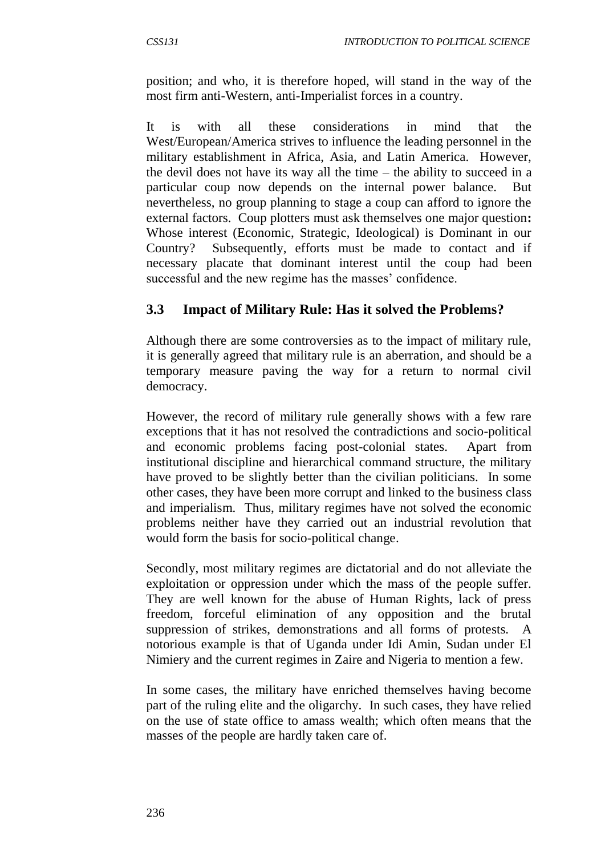position; and who, it is therefore hoped, will stand in the way of the most firm anti-Western, anti-Imperialist forces in a country.

It is with all these considerations in mind that the West/European/America strives to influence the leading personnel in the military establishment in Africa, Asia, and Latin America. However, the devil does not have its way all the time – the ability to succeed in a particular coup now depends on the internal power balance. But nevertheless, no group planning to stage a coup can afford to ignore the external factors. Coup plotters must ask themselves one major question**:**  Whose interest (Economic, Strategic, Ideological) is Dominant in our Country? Subsequently, efforts must be made to contact and if necessary placate that dominant interest until the coup had been successful and the new regime has the masses' confidence.

### **3.3 Impact of Military Rule: Has it solved the Problems?**

Although there are some controversies as to the impact of military rule, it is generally agreed that military rule is an aberration, and should be a temporary measure paving the way for a return to normal civil democracy.

However, the record of military rule generally shows with a few rare exceptions that it has not resolved the contradictions and socio-political and economic problems facing post-colonial states. Apart from institutional discipline and hierarchical command structure, the military have proved to be slightly better than the civilian politicians. In some other cases, they have been more corrupt and linked to the business class and imperialism. Thus, military regimes have not solved the economic problems neither have they carried out an industrial revolution that would form the basis for socio-political change.

Secondly, most military regimes are dictatorial and do not alleviate the exploitation or oppression under which the mass of the people suffer. They are well known for the abuse of Human Rights, lack of press freedom, forceful elimination of any opposition and the brutal suppression of strikes, demonstrations and all forms of protests. A notorious example is that of Uganda under Idi Amin, Sudan under El Nimiery and the current regimes in Zaire and Nigeria to mention a few.

In some cases, the military have enriched themselves having become part of the ruling elite and the oligarchy. In such cases, they have relied on the use of state office to amass wealth; which often means that the masses of the people are hardly taken care of.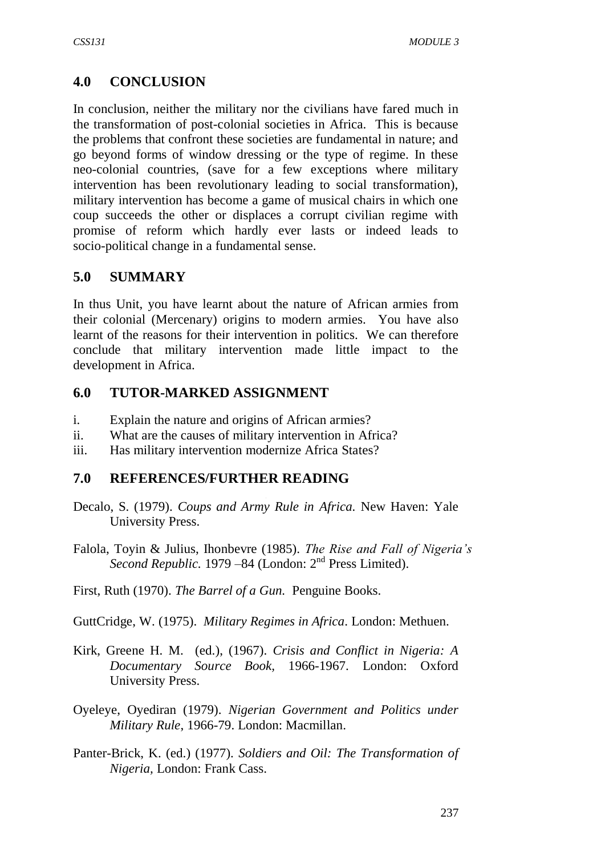## **4.0 CONCLUSION**

In conclusion, neither the military nor the civilians have fared much in the transformation of post-colonial societies in Africa. This is because the problems that confront these societies are fundamental in nature; and go beyond forms of window dressing or the type of regime. In these neo-colonial countries, (save for a few exceptions where military intervention has been revolutionary leading to social transformation), military intervention has become a game of musical chairs in which one coup succeeds the other or displaces a corrupt civilian regime with promise of reform which hardly ever lasts or indeed leads to socio-political change in a fundamental sense.

### **5.0 SUMMARY**

In thus Unit, you have learnt about the nature of African armies from their colonial (Mercenary) origins to modern armies. You have also learnt of the reasons for their intervention in politics. We can therefore conclude that military intervention made little impact to the development in Africa.

### **6.0 TUTOR-MARKED ASSIGNMENT**

- i. Explain the nature and origins of African armies?
- ii. What are the causes of military intervention in Africa?
- iii. Has military intervention modernize Africa States?

### **7.0 REFERENCES/FURTHER READING**

- Decalo, S. (1979). *Coups and Army Rule in Africa.* New Haven: Yale University Press.
- Falola, Toyin & Julius, Ihonbevre (1985). *The Rise and Fall of Nigeria's Second Republic.* 1979 –84 (London: 2<sup>nd</sup> Press Limited).

First, Ruth (1970). *The Barrel of a Gun.* Penguine Books.

GuttCridge, W. (1975). *Military Regimes in Africa*. London: Methuen.

- Kirk, Greene H. M. (ed.), (1967). *Crisis and Conflict in Nigeria: A Documentary Source Book,* 1966-1967. London: Oxford University Press.
- Oyeleye, Oyediran (1979). *Nigerian Government and Politics under Military Rule*, 1966-79. London: Macmillan.
- Panter-Brick, K. (ed.) (1977). *Soldiers and Oil: The Transformation of Nigeria,* London: Frank Cass.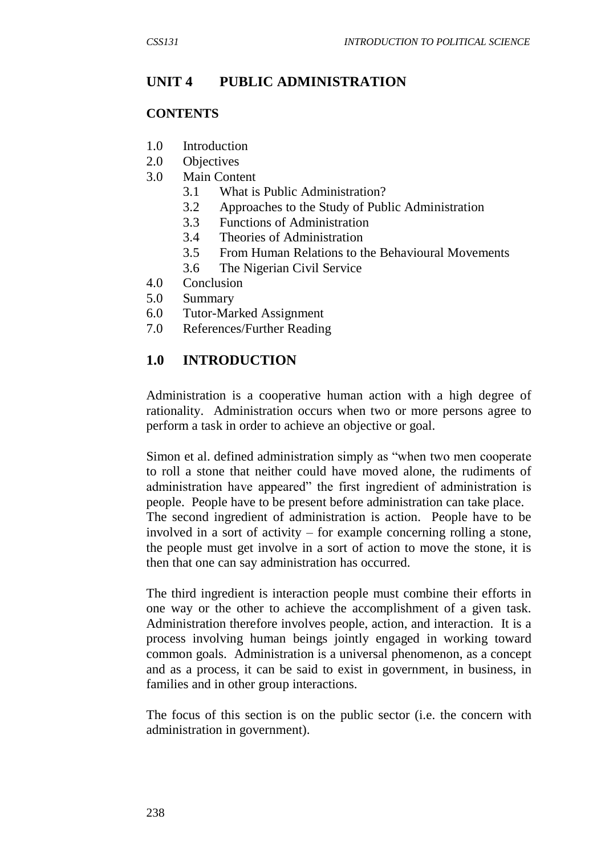## **UNIT 4 PUBLIC ADMINISTRATION**

#### **CONTENTS**

- 1.0 Introduction
- 2.0 Objectives
- 3.0 Main Content
	- 3.1 What is Public Administration?
	- 3.2 Approaches to the Study of Public Administration
	- 3.3 Functions of Administration
	- 3.4 Theories of Administration
	- 3.5 From Human Relations to the Behavioural Movements
	- 3.6 The Nigerian Civil Service
- 4.0 Conclusion
- 5.0 Summary
- 6.0 Tutor-Marked Assignment
- 7.0 References/Further Reading

### **1.0 INTRODUCTION**

Administration is a cooperative human action with a high degree of rationality. Administration occurs when two or more persons agree to perform a task in order to achieve an objective or goal.

Simon et al. defined administration simply as "when two men cooperate to roll a stone that neither could have moved alone, the rudiments of administration have appeared" the first ingredient of administration is people. People have to be present before administration can take place. The second ingredient of administration is action. People have to be involved in a sort of activity – for example concerning rolling a stone, the people must get involve in a sort of action to move the stone, it is then that one can say administration has occurred.

The third ingredient is interaction people must combine their efforts in one way or the other to achieve the accomplishment of a given task. Administration therefore involves people, action, and interaction. It is a process involving human beings jointly engaged in working toward common goals. Administration is a universal phenomenon, as a concept and as a process, it can be said to exist in government, in business, in families and in other group interactions.

The focus of this section is on the public sector (i.e. the concern with administration in government).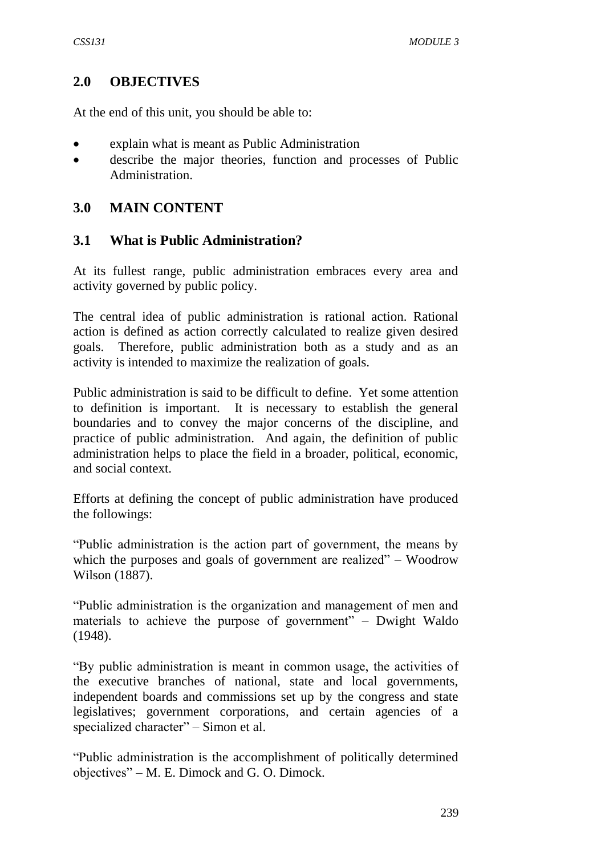#### **2.0 OBJECTIVES**

At the end of this unit, you should be able to:

- explain what is meant as Public Administration
- describe the major theories, function and processes of Public Administration.

#### **3.0 MAIN CONTENT**

#### **3.1 What is Public Administration?**

At its fullest range, public administration embraces every area and activity governed by public policy.

The central idea of public administration is rational action. Rational action is defined as action correctly calculated to realize given desired goals. Therefore, public administration both as a study and as an activity is intended to maximize the realization of goals.

Public administration is said to be difficult to define. Yet some attention to definition is important. It is necessary to establish the general boundaries and to convey the major concerns of the discipline, and practice of public administration. And again, the definition of public administration helps to place the field in a broader, political, economic, and social context.

Efforts at defining the concept of public administration have produced the followings:

"Public administration is the action part of government, the means by which the purposes and goals of government are realized" – Woodrow Wilson (1887).

"Public administration is the organization and management of men and materials to achieve the purpose of government" – Dwight Waldo (1948).

"By public administration is meant in common usage, the activities of the executive branches of national, state and local governments, independent boards and commissions set up by the congress and state legislatives; government corporations, and certain agencies of a specialized character" – Simon et al.

"Public administration is the accomplishment of politically determined objectives" – M. E. Dimock and G. O. Dimock.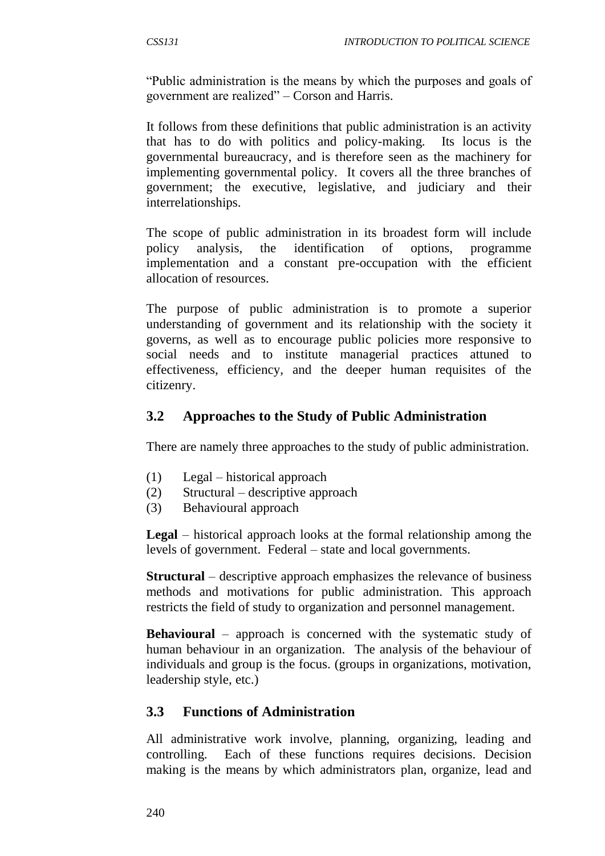"Public administration is the means by which the purposes and goals of government are realized" – Corson and Harris.

It follows from these definitions that public administration is an activity that has to do with politics and policy-making. Its locus is the governmental bureaucracy, and is therefore seen as the machinery for implementing governmental policy. It covers all the three branches of government; the executive, legislative, and judiciary and their interrelationships.

The scope of public administration in its broadest form will include policy analysis, the identification of options, programme implementation and a constant pre-occupation with the efficient allocation of resources.

The purpose of public administration is to promote a superior understanding of government and its relationship with the society it governs, as well as to encourage public policies more responsive to social needs and to institute managerial practices attuned to effectiveness, efficiency, and the deeper human requisites of the citizenry.

### **3.2 Approaches to the Study of Public Administration**

There are namely three approaches to the study of public administration.

- (1) Legal historical approach
- (2) Structural descriptive approach
- (3) Behavioural approach

**Legal** – historical approach looks at the formal relationship among the levels of government. Federal – state and local governments.

**Structural** – descriptive approach emphasizes the relevance of business methods and motivations for public administration. This approach restricts the field of study to organization and personnel management.

**Behavioural** – approach is concerned with the systematic study of human behaviour in an organization. The analysis of the behaviour of individuals and group is the focus. (groups in organizations, motivation, leadership style, etc.)

### **3.3 Functions of Administration**

All administrative work involve, planning, organizing, leading and controlling. Each of these functions requires decisions. Decision making is the means by which administrators plan, organize, lead and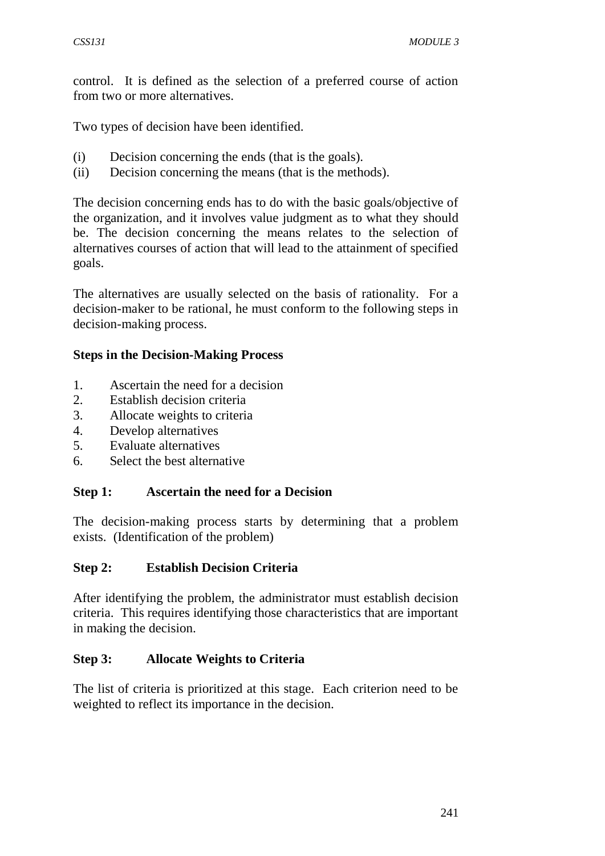control. It is defined as the selection of a preferred course of action from two or more alternatives.

Two types of decision have been identified.

- (i) Decision concerning the ends (that is the goals).
- (ii) Decision concerning the means (that is the methods).

The decision concerning ends has to do with the basic goals/objective of the organization, and it involves value judgment as to what they should be. The decision concerning the means relates to the selection of alternatives courses of action that will lead to the attainment of specified goals.

The alternatives are usually selected on the basis of rationality. For a decision-maker to be rational, he must conform to the following steps in decision-making process.

#### **Steps in the Decision-Making Process**

- 1. Ascertain the need for a decision
- 2. Establish decision criteria
- 3. Allocate weights to criteria
- 4. Develop alternatives
- 5. Evaluate alternatives
- 6. Select the best alternative

#### **Step 1: Ascertain the need for a Decision**

The decision-making process starts by determining that a problem exists. (Identification of the problem)

### **Step 2: Establish Decision Criteria**

After identifying the problem, the administrator must establish decision criteria. This requires identifying those characteristics that are important in making the decision.

### **Step 3: Allocate Weights to Criteria**

The list of criteria is prioritized at this stage. Each criterion need to be weighted to reflect its importance in the decision.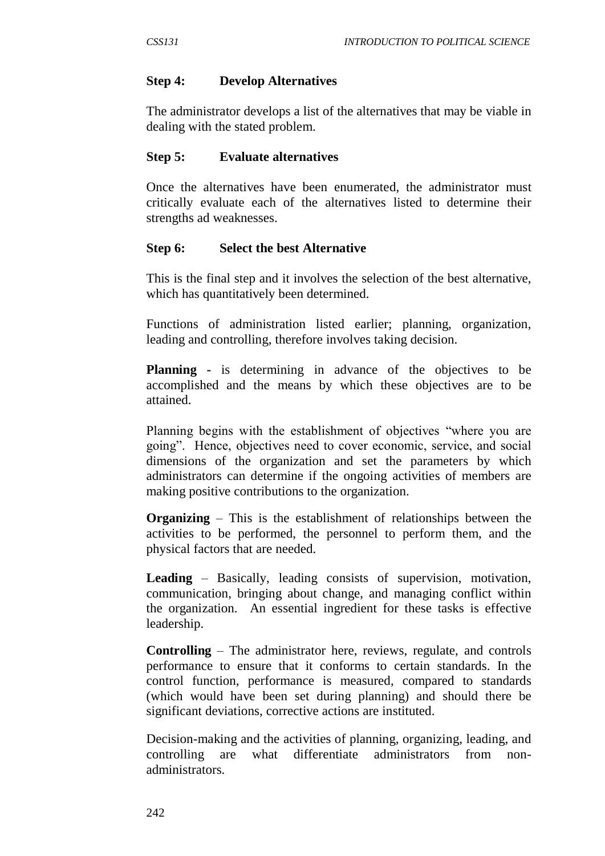#### **Step 4: Develop Alternatives**

The administrator develops a list of the alternatives that may be viable in dealing with the stated problem.

#### **Step 5: Evaluate alternatives**

Once the alternatives have been enumerated, the administrator must critically evaluate each of the alternatives listed to determine their strengths ad weaknesses.

#### **Step 6: Select the best Alternative**

This is the final step and it involves the selection of the best alternative, which has quantitatively been determined.

Functions of administration listed earlier; planning, organization, leading and controlling, therefore involves taking decision.

**Planning** - is determining in advance of the objectives to be accomplished and the means by which these objectives are to be attained.

Planning begins with the establishment of objectives "where you are going". Hence, objectives need to cover economic, service, and social dimensions of the organization and set the parameters by which administrators can determine if the ongoing activities of members are making positive contributions to the organization.

**Organizing** – This is the establishment of relationships between the activities to be performed, the personnel to perform them, and the physical factors that are needed.

**Leading** – Basically, leading consists of supervision, motivation, communication, bringing about change, and managing conflict within the organization. An essential ingredient for these tasks is effective leadership.

**Controlling** – The administrator here, reviews, regulate, and controls performance to ensure that it conforms to certain standards. In the control function, performance is measured, compared to standards (which would have been set during planning) and should there be significant deviations, corrective actions are instituted.

Decision-making and the activities of planning, organizing, leading, and controlling are what differentiate administrators from nonadministrators.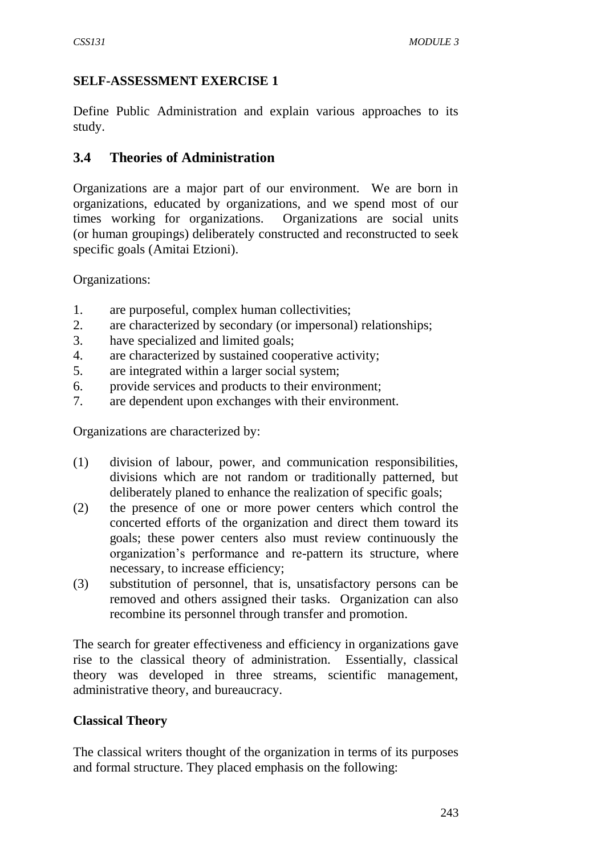### **SELF-ASSESSMENT EXERCISE 1**

Define Public Administration and explain various approaches to its study.

### **3.4 Theories of Administration**

Organizations are a major part of our environment. We are born in organizations, educated by organizations, and we spend most of our times working for organizations. Organizations are social units (or human groupings) deliberately constructed and reconstructed to seek specific goals (Amitai Etzioni).

Organizations:

- 1. are purposeful, complex human collectivities;
- 2. are characterized by secondary (or impersonal) relationships;
- 3. have specialized and limited goals;
- 4. are characterized by sustained cooperative activity;
- 5. are integrated within a larger social system;
- 6. provide services and products to their environment;
- 7. are dependent upon exchanges with their environment.

Organizations are characterized by:

- (1) division of labour, power, and communication responsibilities, divisions which are not random or traditionally patterned, but deliberately planed to enhance the realization of specific goals;
- (2) the presence of one or more power centers which control the concerted efforts of the organization and direct them toward its goals; these power centers also must review continuously the organization's performance and re-pattern its structure, where necessary, to increase efficiency;
- (3) substitution of personnel, that is, unsatisfactory persons can be removed and others assigned their tasks. Organization can also recombine its personnel through transfer and promotion.

The search for greater effectiveness and efficiency in organizations gave rise to the classical theory of administration. Essentially, classical theory was developed in three streams, scientific management, administrative theory, and bureaucracy.

### **Classical Theory**

The classical writers thought of the organization in terms of its purposes and formal structure. They placed emphasis on the following: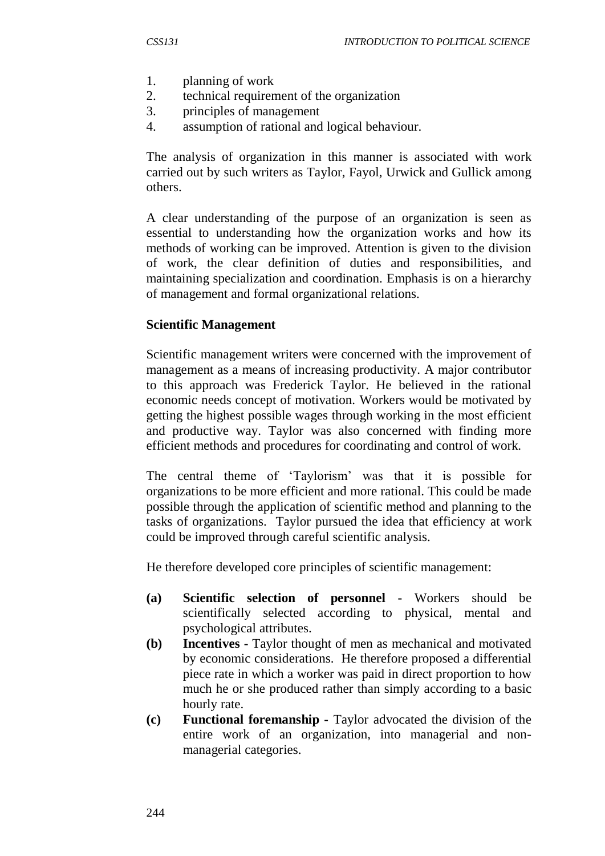- 1. planning of work
- 2. technical requirement of the organization
- 3. principles of management
- 4. assumption of rational and logical behaviour.

The analysis of organization in this manner is associated with work carried out by such writers as Taylor, Fayol, Urwick and Gullick among others.

A clear understanding of the purpose of an organization is seen as essential to understanding how the organization works and how its methods of working can be improved. Attention is given to the division of work, the clear definition of duties and responsibilities, and maintaining specialization and coordination. Emphasis is on a hierarchy of management and formal organizational relations.

#### **Scientific Management**

Scientific management writers were concerned with the improvement of management as a means of increasing productivity. A major contributor to this approach was Frederick Taylor. He believed in the rational economic needs concept of motivation. Workers would be motivated by getting the highest possible wages through working in the most efficient and productive way. Taylor was also concerned with finding more efficient methods and procedures for coordinating and control of work.

The central theme of 'Taylorism' was that it is possible for organizations to be more efficient and more rational. This could be made possible through the application of scientific method and planning to the tasks of organizations. Taylor pursued the idea that efficiency at work could be improved through careful scientific analysis.

He therefore developed core principles of scientific management:

- **(a) Scientific selection of personnel -** Workers should be scientifically selected according to physical, mental and psychological attributes.
- **(b) Incentives -** Taylor thought of men as mechanical and motivated by economic considerations. He therefore proposed a differential piece rate in which a worker was paid in direct proportion to how much he or she produced rather than simply according to a basic hourly rate.
- **(c) Functional foremanship -** Taylor advocated the division of the entire work of an organization, into managerial and nonmanagerial categories.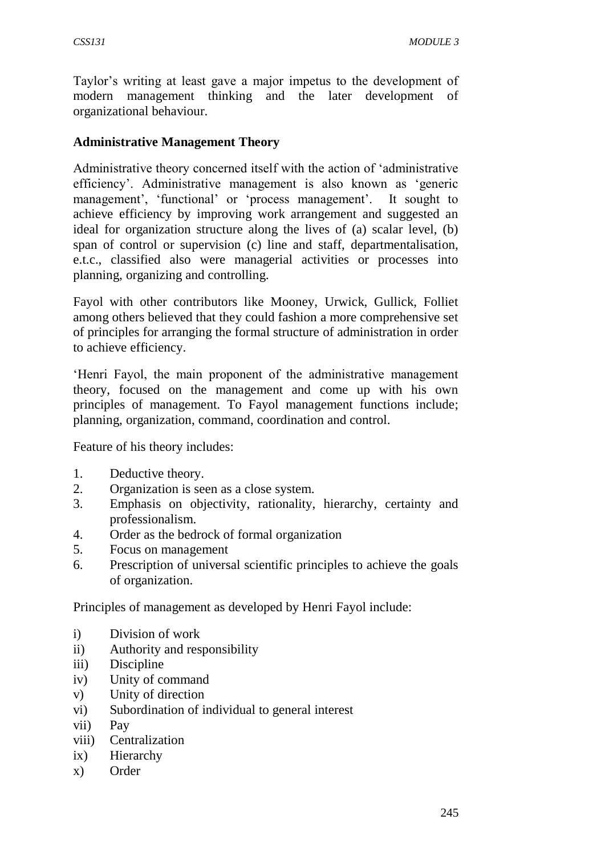Taylor's writing at least gave a major impetus to the development of modern management thinking and the later development of organizational behaviour.

#### **Administrative Management Theory**

Administrative theory concerned itself with the action of 'administrative efficiency'. Administrative management is also known as 'generic management', 'functional' or 'process management'. It sought to achieve efficiency by improving work arrangement and suggested an ideal for organization structure along the lives of (a) scalar level, (b) span of control or supervision (c) line and staff, departmentalisation, e.t.c., classified also were managerial activities or processes into planning, organizing and controlling.

Fayol with other contributors like Mooney, Urwick, Gullick, Folliet among others believed that they could fashion a more comprehensive set of principles for arranging the formal structure of administration in order to achieve efficiency.

'Henri Fayol, the main proponent of the administrative management theory, focused on the management and come up with his own principles of management. To Fayol management functions include; planning, organization, command, coordination and control.

Feature of his theory includes:

- 1. Deductive theory.
- 2. Organization is seen as a close system.
- 3. Emphasis on objectivity, rationality, hierarchy, certainty and professionalism.
- 4. Order as the bedrock of formal organization
- 5. Focus on management
- 6. Prescription of universal scientific principles to achieve the goals of organization.

Principles of management as developed by Henri Fayol include:

- i) Division of work
- ii) Authority and responsibility
- iii) Discipline
- iv) Unity of command
- v) Unity of direction
- vi) Subordination of individual to general interest
- vii) Pay
- viii) Centralization
- ix) Hierarchy
- x) Order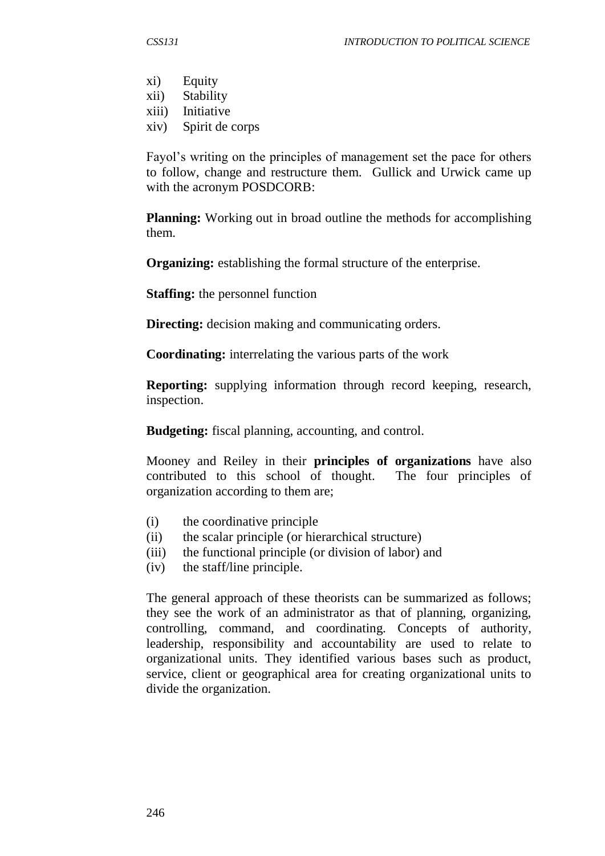- xi) Equity
- xii) Stability
- xiii) Initiative
- xiv) Spirit de corps

Fayol's writing on the principles of management set the pace for others to follow, change and restructure them. Gullick and Urwick came up with the acronym POSDCORB:

**Planning:** Working out in broad outline the methods for accomplishing them.

**Organizing:** establishing the formal structure of the enterprise.

**Staffing:** the personnel function

**Directing:** decision making and communicating orders.

**Coordinating:** interrelating the various parts of the work

**Reporting:** supplying information through record keeping, research, inspection.

**Budgeting:** fiscal planning, accounting, and control.

Mooney and Reiley in their **principles of organizations** have also contributed to this school of thought. The four principles of organization according to them are;

- (i) the coordinative principle
- (ii) the scalar principle (or hierarchical structure)
- (iii) the functional principle (or division of labor) and
- (iv) the staff/line principle.

The general approach of these theorists can be summarized as follows; they see the work of an administrator as that of planning, organizing, controlling, command, and coordinating. Concepts of authority, leadership, responsibility and accountability are used to relate to organizational units. They identified various bases such as product, service, client or geographical area for creating organizational units to divide the organization.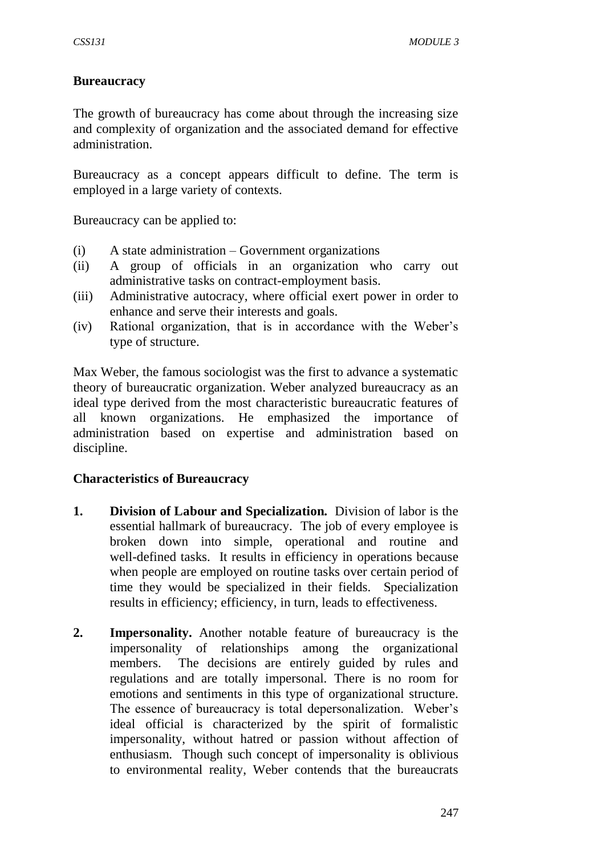#### **Bureaucracy**

The growth of bureaucracy has come about through the increasing size and complexity of organization and the associated demand for effective administration.

Bureaucracy as a concept appears difficult to define. The term is employed in a large variety of contexts.

Bureaucracy can be applied to:

- (i) A state administration Government organizations
- (ii) A group of officials in an organization who carry out administrative tasks on contract-employment basis.
- (iii) Administrative autocracy, where official exert power in order to enhance and serve their interests and goals.
- (iv) Rational organization, that is in accordance with the Weber's type of structure.

Max Weber, the famous sociologist was the first to advance a systematic theory of bureaucratic organization. Weber analyzed bureaucracy as an ideal type derived from the most characteristic bureaucratic features of all known organizations. He emphasized the importance of administration based on expertise and administration based on discipline.

#### **Characteristics of Bureaucracy**

- **1. Division of Labour and Specialization.** Division of labor is the essential hallmark of bureaucracy. The job of every employee is broken down into simple, operational and routine and well-defined tasks. It results in efficiency in operations because when people are employed on routine tasks over certain period of time they would be specialized in their fields. Specialization results in efficiency; efficiency, in turn, leads to effectiveness.
- **2. Impersonality.** Another notable feature of bureaucracy is the impersonality of relationships among the organizational members. The decisions are entirely guided by rules and regulations and are totally impersonal. There is no room for emotions and sentiments in this type of organizational structure. The essence of bureaucracy is total depersonalization. Weber's ideal official is characterized by the spirit of formalistic impersonality, without hatred or passion without affection of enthusiasm. Though such concept of impersonality is oblivious to environmental reality, Weber contends that the bureaucrats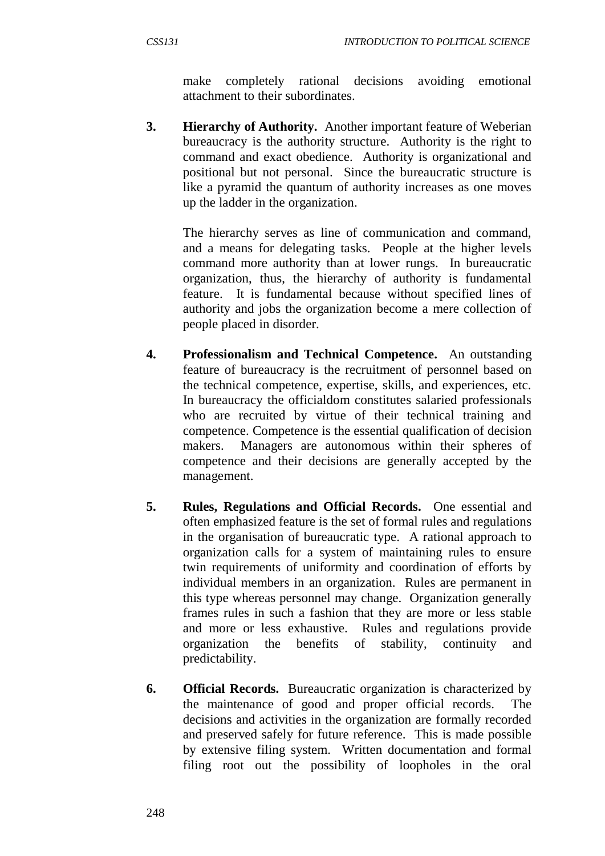make completely rational decisions avoiding emotional attachment to their subordinates.

**3. Hierarchy of Authority.** Another important feature of Weberian bureaucracy is the authority structure. Authority is the right to command and exact obedience. Authority is organizational and positional but not personal. Since the bureaucratic structure is like a pyramid the quantum of authority increases as one moves up the ladder in the organization.

The hierarchy serves as line of communication and command, and a means for delegating tasks. People at the higher levels command more authority than at lower rungs. In bureaucratic organization, thus, the hierarchy of authority is fundamental feature. It is fundamental because without specified lines of authority and jobs the organization become a mere collection of people placed in disorder.

- **4. Professionalism and Technical Competence.** An outstanding feature of bureaucracy is the recruitment of personnel based on the technical competence, expertise, skills, and experiences, etc. In bureaucracy the officialdom constitutes salaried professionals who are recruited by virtue of their technical training and competence. Competence is the essential qualification of decision makers. Managers are autonomous within their spheres of competence and their decisions are generally accepted by the management.
- **5. Rules, Regulations and Official Records.** One essential and often emphasized feature is the set of formal rules and regulations in the organisation of bureaucratic type. A rational approach to organization calls for a system of maintaining rules to ensure twin requirements of uniformity and coordination of efforts by individual members in an organization. Rules are permanent in this type whereas personnel may change. Organization generally frames rules in such a fashion that they are more or less stable and more or less exhaustive. Rules and regulations provide organization the benefits of stability, continuity and predictability.
- **6. Official Records.** Bureaucratic organization is characterized by the maintenance of good and proper official records. The decisions and activities in the organization are formally recorded and preserved safely for future reference. This is made possible by extensive filing system. Written documentation and formal filing root out the possibility of loopholes in the oral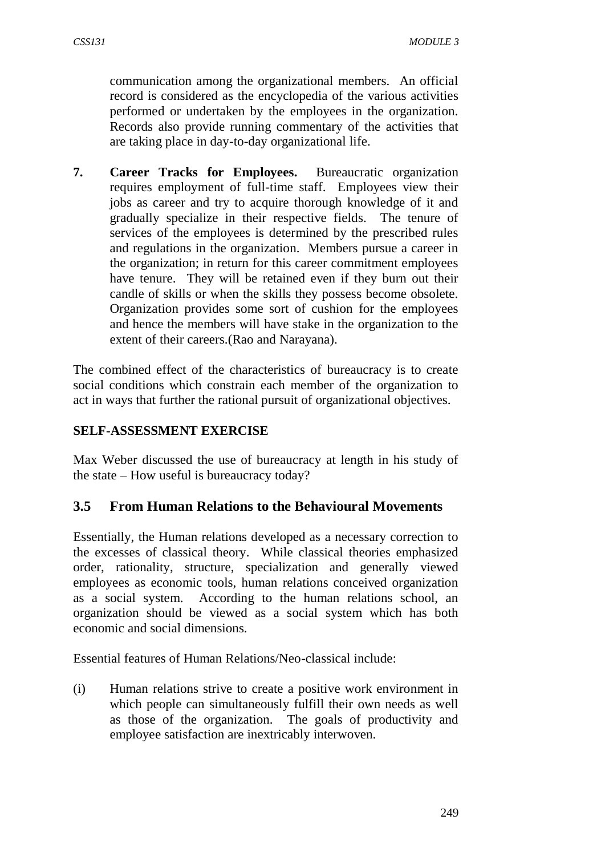communication among the organizational members. An official record is considered as the encyclopedia of the various activities performed or undertaken by the employees in the organization. Records also provide running commentary of the activities that are taking place in day-to-day organizational life.

**7. Career Tracks for Employees.** Bureaucratic organization requires employment of full-time staff. Employees view their jobs as career and try to acquire thorough knowledge of it and gradually specialize in their respective fields. The tenure of services of the employees is determined by the prescribed rules and regulations in the organization. Members pursue a career in the organization; in return for this career commitment employees have tenure. They will be retained even if they burn out their candle of skills or when the skills they possess become obsolete. Organization provides some sort of cushion for the employees and hence the members will have stake in the organization to the extent of their careers.(Rao and Narayana).

The combined effect of the characteristics of bureaucracy is to create social conditions which constrain each member of the organization to act in ways that further the rational pursuit of organizational objectives.

### **SELF-ASSESSMENT EXERCISE**

Max Weber discussed the use of bureaucracy at length in his study of the state – How useful is bureaucracy today?

### **3.5 From Human Relations to the Behavioural Movements**

Essentially, the Human relations developed as a necessary correction to the excesses of classical theory. While classical theories emphasized order, rationality, structure, specialization and generally viewed employees as economic tools, human relations conceived organization as a social system. According to the human relations school, an organization should be viewed as a social system which has both economic and social dimensions.

Essential features of Human Relations/Neo-classical include:

(i) Human relations strive to create a positive work environment in which people can simultaneously fulfill their own needs as well as those of the organization. The goals of productivity and employee satisfaction are inextricably interwoven.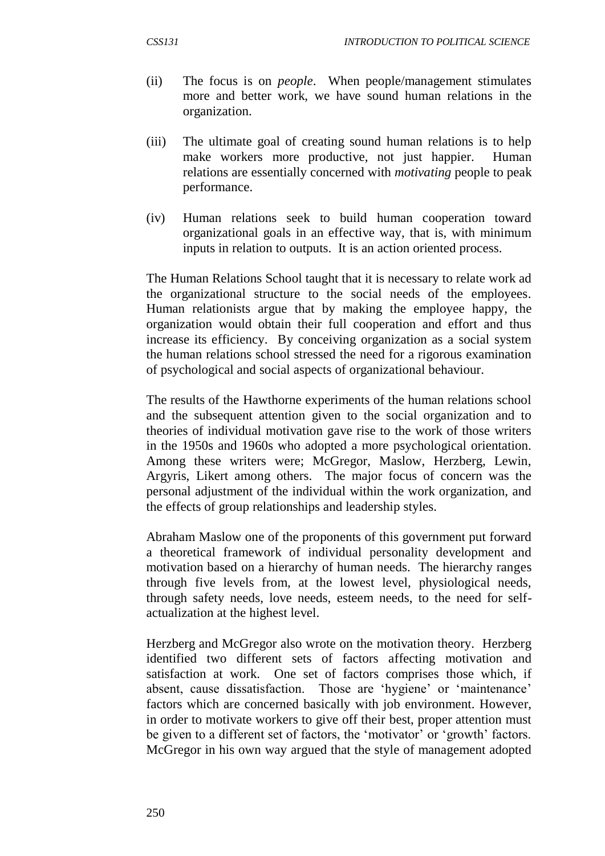- (ii) The focus is on *people*. When people/management stimulates more and better work, we have sound human relations in the organization.
- (iii) The ultimate goal of creating sound human relations is to help make workers more productive, not just happier. Human relations are essentially concerned with *motivating* people to peak performance.
- (iv) Human relations seek to build human cooperation toward organizational goals in an effective way, that is, with minimum inputs in relation to outputs. It is an action oriented process.

The Human Relations School taught that it is necessary to relate work ad the organizational structure to the social needs of the employees. Human relationists argue that by making the employee happy, the organization would obtain their full cooperation and effort and thus increase its efficiency. By conceiving organization as a social system the human relations school stressed the need for a rigorous examination of psychological and social aspects of organizational behaviour.

The results of the Hawthorne experiments of the human relations school and the subsequent attention given to the social organization and to theories of individual motivation gave rise to the work of those writers in the 1950s and 1960s who adopted a more psychological orientation. Among these writers were; McGregor, Maslow, Herzberg, Lewin, Argyris, Likert among others. The major focus of concern was the personal adjustment of the individual within the work organization, and the effects of group relationships and leadership styles.

Abraham Maslow one of the proponents of this government put forward a theoretical framework of individual personality development and motivation based on a hierarchy of human needs. The hierarchy ranges through five levels from, at the lowest level, physiological needs, through safety needs, love needs, esteem needs, to the need for selfactualization at the highest level.

Herzberg and McGregor also wrote on the motivation theory. Herzberg identified two different sets of factors affecting motivation and satisfaction at work. One set of factors comprises those which, if absent, cause dissatisfaction. Those are 'hygiene' or 'maintenance' factors which are concerned basically with job environment. However, in order to motivate workers to give off their best, proper attention must be given to a different set of factors, the 'motivator' or 'growth' factors. McGregor in his own way argued that the style of management adopted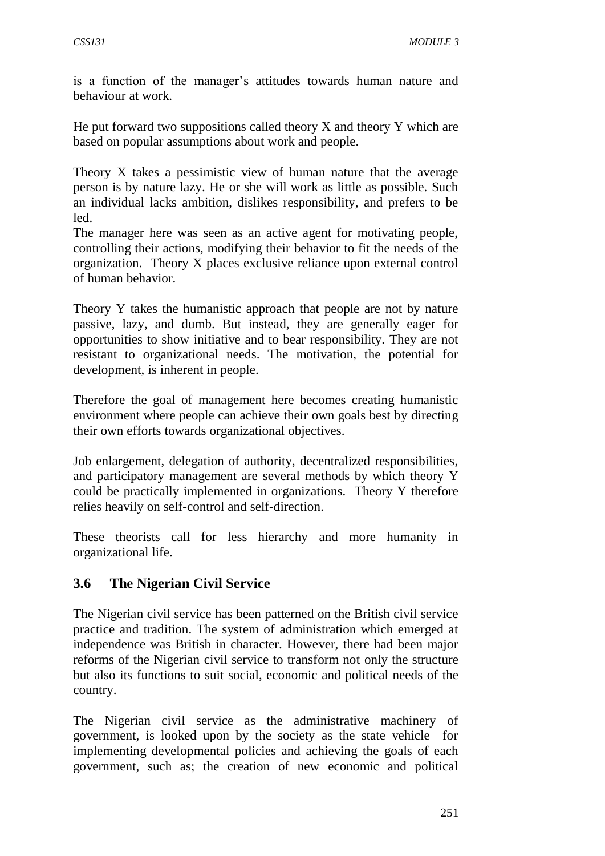is a function of the manager's attitudes towards human nature and behaviour at work.

He put forward two suppositions called theory  $X$  and theory  $Y$  which are based on popular assumptions about work and people.

Theory X takes a pessimistic view of human nature that the average person is by nature lazy. He or she will work as little as possible. Such an individual lacks ambition, dislikes responsibility, and prefers to be led.

The manager here was seen as an active agent for motivating people, controlling their actions, modifying their behavior to fit the needs of the organization. Theory X places exclusive reliance upon external control of human behavior.

Theory Y takes the humanistic approach that people are not by nature passive, lazy, and dumb. But instead, they are generally eager for opportunities to show initiative and to bear responsibility. They are not resistant to organizational needs. The motivation, the potential for development, is inherent in people.

Therefore the goal of management here becomes creating humanistic environment where people can achieve their own goals best by directing their own efforts towards organizational objectives.

Job enlargement, delegation of authority, decentralized responsibilities, and participatory management are several methods by which theory Y could be practically implemented in organizations. Theory Y therefore relies heavily on self-control and self-direction.

These theorists call for less hierarchy and more humanity in organizational life.

## **3.6 The Nigerian Civil Service**

The Nigerian civil service has been patterned on the British civil service practice and tradition. The system of administration which emerged at independence was British in character. However, there had been major reforms of the Nigerian civil service to transform not only the structure but also its functions to suit social, economic and political needs of the country.

The Nigerian civil service as the administrative machinery of government, is looked upon by the society as the state vehicle for implementing developmental policies and achieving the goals of each government, such as; the creation of new economic and political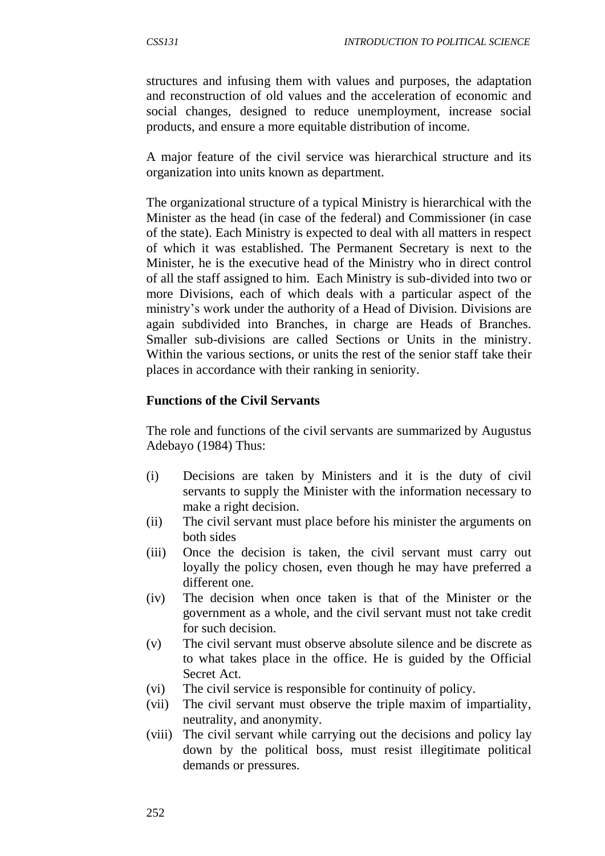structures and infusing them with values and purposes, the adaptation and reconstruction of old values and the acceleration of economic and social changes, designed to reduce unemployment, increase social products, and ensure a more equitable distribution of income.

A major feature of the civil service was hierarchical structure and its organization into units known as department.

The organizational structure of a typical Ministry is hierarchical with the Minister as the head (in case of the federal) and Commissioner (in case of the state). Each Ministry is expected to deal with all matters in respect of which it was established. The Permanent Secretary is next to the Minister, he is the executive head of the Ministry who in direct control of all the staff assigned to him. Each Ministry is sub-divided into two or more Divisions, each of which deals with a particular aspect of the ministry's work under the authority of a Head of Division. Divisions are again subdivided into Branches, in charge are Heads of Branches. Smaller sub-divisions are called Sections or Units in the ministry. Within the various sections, or units the rest of the senior staff take their places in accordance with their ranking in seniority.

#### **Functions of the Civil Servants**

The role and functions of the civil servants are summarized by Augustus Adebayo (1984) Thus:

- (i) Decisions are taken by Ministers and it is the duty of civil servants to supply the Minister with the information necessary to make a right decision.
- (ii) The civil servant must place before his minister the arguments on both sides
- (iii) Once the decision is taken, the civil servant must carry out loyally the policy chosen, even though he may have preferred a different one.
- (iv) The decision when once taken is that of the Minister or the government as a whole, and the civil servant must not take credit for such decision.
- (v) The civil servant must observe absolute silence and be discrete as to what takes place in the office. He is guided by the Official Secret Act.
- (vi) The civil service is responsible for continuity of policy.
- (vii) The civil servant must observe the triple maxim of impartiality, neutrality, and anonymity.
- (viii) The civil servant while carrying out the decisions and policy lay down by the political boss, must resist illegitimate political demands or pressures.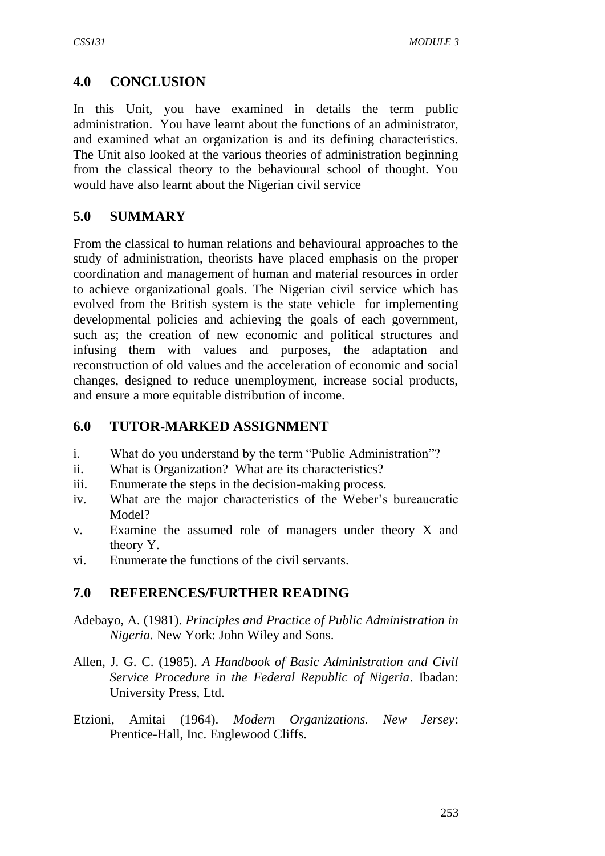## **4.0 CONCLUSION**

In this Unit, you have examined in details the term public administration. You have learnt about the functions of an administrator, and examined what an organization is and its defining characteristics. The Unit also looked at the various theories of administration beginning from the classical theory to the behavioural school of thought. You would have also learnt about the Nigerian civil service

## **5.0 SUMMARY**

From the classical to human relations and behavioural approaches to the study of administration, theorists have placed emphasis on the proper coordination and management of human and material resources in order to achieve organizational goals. The Nigerian civil service which has evolved from the British system is the state vehicle for implementing developmental policies and achieving the goals of each government, such as; the creation of new economic and political structures and infusing them with values and purposes, the adaptation and reconstruction of old values and the acceleration of economic and social changes, designed to reduce unemployment, increase social products, and ensure a more equitable distribution of income.

### **6.0 TUTOR-MARKED ASSIGNMENT**

- i. What do you understand by the term "Public Administration"?
- ii. What is Organization? What are its characteristics?
- iii. Enumerate the steps in the decision-making process.
- iv. What are the major characteristics of the Weber's bureaucratic Model?
- v. Examine the assumed role of managers under theory X and theory Y.
- vi. Enumerate the functions of the civil servants.

## **7.0 REFERENCES/FURTHER READING**

- Adebayo, A. (1981). *Principles and Practice of Public Administration in Nigeria.* New York: John Wiley and Sons.
- Allen, J. G. C. (1985). *A Handbook of Basic Administration and Civil Service Procedure in the Federal Republic of Nigeria*. Ibadan: University Press, Ltd.
- Etzioni, Amitai (1964). *Modern Organizations. New Jersey*: Prentice-Hall, Inc. Englewood Cliffs.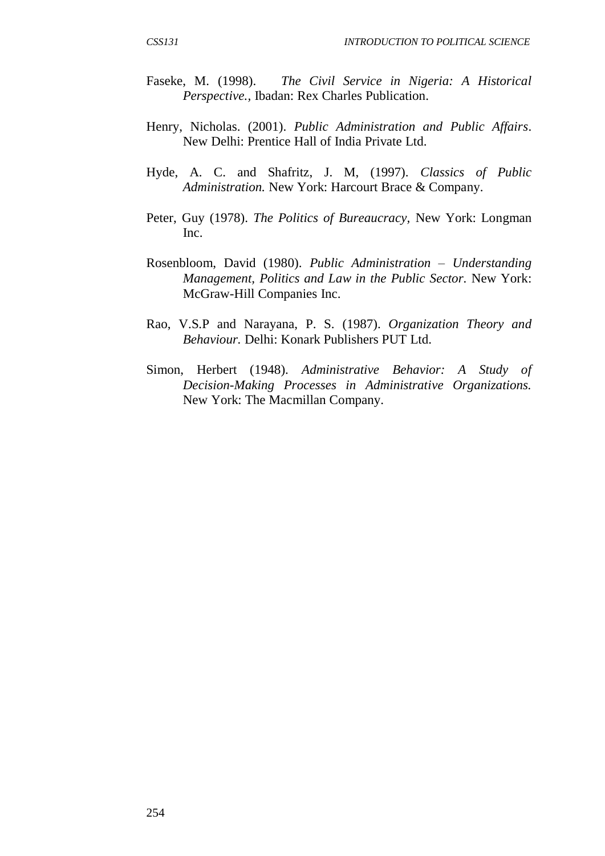- Faseke, M. (1998). *The Civil Service in Nigeria: A Historical Perspective.,* Ibadan: Rex Charles Publication.
- Henry, Nicholas. (2001). *Public Administration and Public Affairs*. New Delhi: Prentice Hall of India Private Ltd.
- Hyde, A. C. and Shafritz, J. M, (1997). *Classics of Public Administration.* New York: Harcourt Brace & Company.
- Peter, Guy (1978). *The Politics of Bureaucracy,* New York: Longman Inc.
- Rosenbloom, David (1980). *Public Administration – Understanding Management, Politics and Law in the Public Sector.* New York: McGraw-Hill Companies Inc.
- Rao, V.S.P and Narayana, P. S. (1987). *Organization Theory and Behaviour.* Delhi: Konark Publishers PUT Ltd.
- Simon, Herbert (1948). *Administrative Behavior: A Study of Decision-Making Processes in Administrative Organizations.* New York: The Macmillan Company.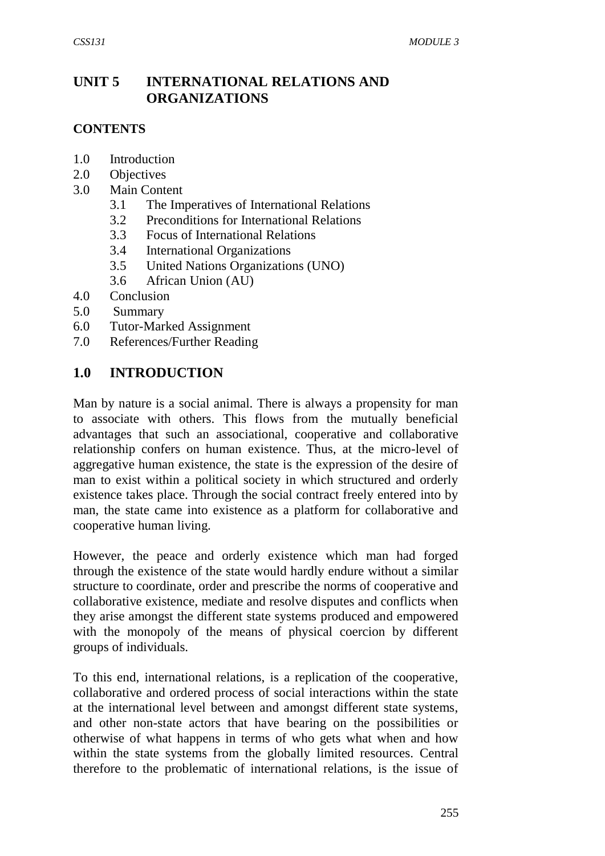## **UNIT 5 INTERNATIONAL RELATIONS AND ORGANIZATIONS**

#### **CONTENTS**

- 1.0 Introduction
- 2.0 Objectives
- 3.0 Main Content
	- 3.1 The Imperatives of International Relations
	- 3.2 Preconditions for International Relations
	- 3.3 Focus of International Relations
	- 3.4 International Organizations
	- 3.5 United Nations Organizations (UNO)
	- 3.6 African Union (AU)
- 4.0 Conclusion
- 5.0 Summary
- 6.0 Tutor-Marked Assignment
- 7.0 References/Further Reading

### **1.0 INTRODUCTION**

Man by nature is a social animal. There is always a propensity for man to associate with others. This flows from the mutually beneficial advantages that such an associational, cooperative and collaborative relationship confers on human existence. Thus, at the micro-level of aggregative human existence, the state is the expression of the desire of man to exist within a political society in which structured and orderly existence takes place. Through the social contract freely entered into by man, the state came into existence as a platform for collaborative and cooperative human living.

However, the peace and orderly existence which man had forged through the existence of the state would hardly endure without a similar structure to coordinate, order and prescribe the norms of cooperative and collaborative existence, mediate and resolve disputes and conflicts when they arise amongst the different state systems produced and empowered with the monopoly of the means of physical coercion by different groups of individuals.

To this end, international relations, is a replication of the cooperative, collaborative and ordered process of social interactions within the state at the international level between and amongst different state systems, and other non-state actors that have bearing on the possibilities or otherwise of what happens in terms of who gets what when and how within the state systems from the globally limited resources. Central therefore to the problematic of international relations, is the issue of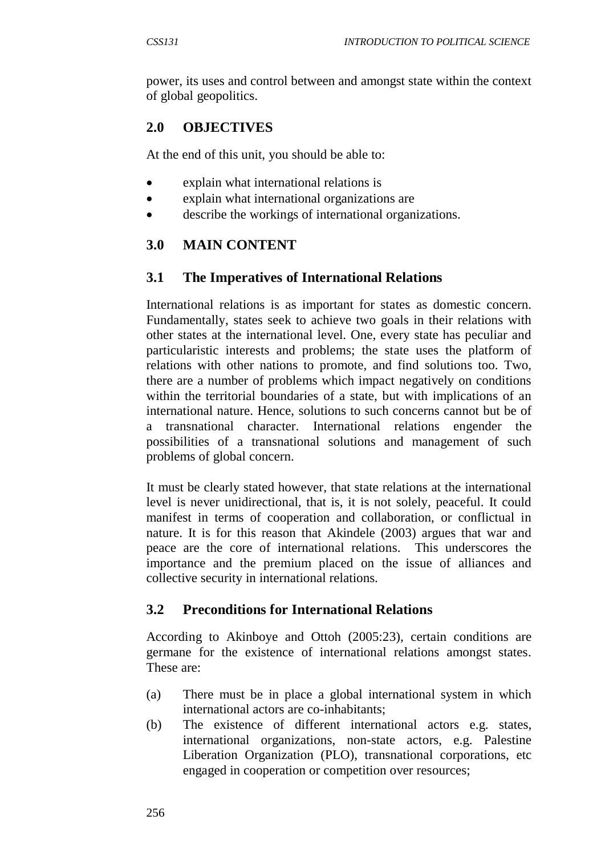power, its uses and control between and amongst state within the context of global geopolitics.

# **2.0 OBJECTIVES**

At the end of this unit, you should be able to:

- explain what international relations is
- explain what international organizations are
- describe the workings of international organizations.

# **3.0 MAIN CONTENT**

## **3.1 The Imperatives of International Relations**

International relations is as important for states as domestic concern. Fundamentally, states seek to achieve two goals in their relations with other states at the international level. One, every state has peculiar and particularistic interests and problems; the state uses the platform of relations with other nations to promote, and find solutions too. Two, there are a number of problems which impact negatively on conditions within the territorial boundaries of a state, but with implications of an international nature. Hence, solutions to such concerns cannot but be of a transnational character. International relations engender the possibilities of a transnational solutions and management of such problems of global concern.

It must be clearly stated however, that state relations at the international level is never unidirectional, that is, it is not solely, peaceful. It could manifest in terms of cooperation and collaboration, or conflictual in nature. It is for this reason that Akindele (2003) argues that war and peace are the core of international relations. This underscores the importance and the premium placed on the issue of alliances and collective security in international relations.

## **3.2 Preconditions for International Relations**

According to Akinboye and Ottoh (2005:23), certain conditions are germane for the existence of international relations amongst states. These are:

- (a) There must be in place a global international system in which international actors are co-inhabitants;
- (b) The existence of different international actors e.g. states, international organizations, non-state actors, e.g. Palestine Liberation Organization (PLO), transnational corporations, etc engaged in cooperation or competition over resources;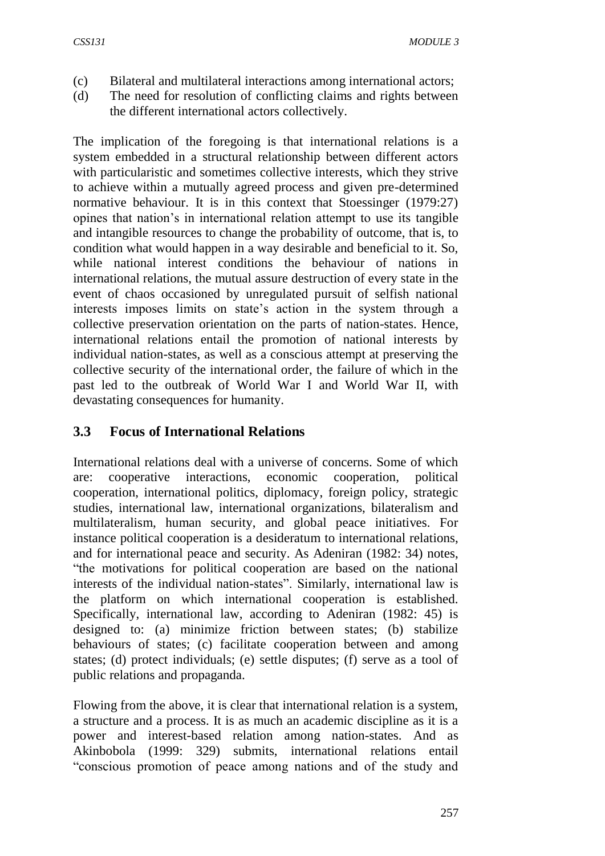- (c) Bilateral and multilateral interactions among international actors;
- (d) The need for resolution of conflicting claims and rights between the different international actors collectively.

The implication of the foregoing is that international relations is a system embedded in a structural relationship between different actors with particularistic and sometimes collective interests, which they strive to achieve within a mutually agreed process and given pre-determined normative behaviour. It is in this context that Stoessinger (1979:27) opines that nation's in international relation attempt to use its tangible and intangible resources to change the probability of outcome, that is, to condition what would happen in a way desirable and beneficial to it. So, while national interest conditions the behaviour of nations in international relations, the mutual assure destruction of every state in the event of chaos occasioned by unregulated pursuit of selfish national interests imposes limits on state's action in the system through a collective preservation orientation on the parts of nation-states. Hence, international relations entail the promotion of national interests by individual nation-states, as well as a conscious attempt at preserving the collective security of the international order, the failure of which in the past led to the outbreak of World War I and World War II, with devastating consequences for humanity.

### **3.3 Focus of International Relations**

International relations deal with a universe of concerns. Some of which are: cooperative interactions, economic cooperation, political cooperation, international politics, diplomacy, foreign policy, strategic studies, international law, international organizations, bilateralism and multilateralism, human security, and global peace initiatives. For instance political cooperation is a desideratum to international relations, and for international peace and security. As Adeniran (1982: 34) notes, "the motivations for political cooperation are based on the national interests of the individual nation-states". Similarly, international law is the platform on which international cooperation is established. Specifically, international law, according to Adeniran (1982: 45) is designed to: (a) minimize friction between states; (b) stabilize behaviours of states; (c) facilitate cooperation between and among states; (d) protect individuals; (e) settle disputes; (f) serve as a tool of public relations and propaganda.

Flowing from the above, it is clear that international relation is a system, a structure and a process. It is as much an academic discipline as it is a power and interest-based relation among nation-states. And as Akinbobola (1999: 329) submits, international relations entail "conscious promotion of peace among nations and of the study and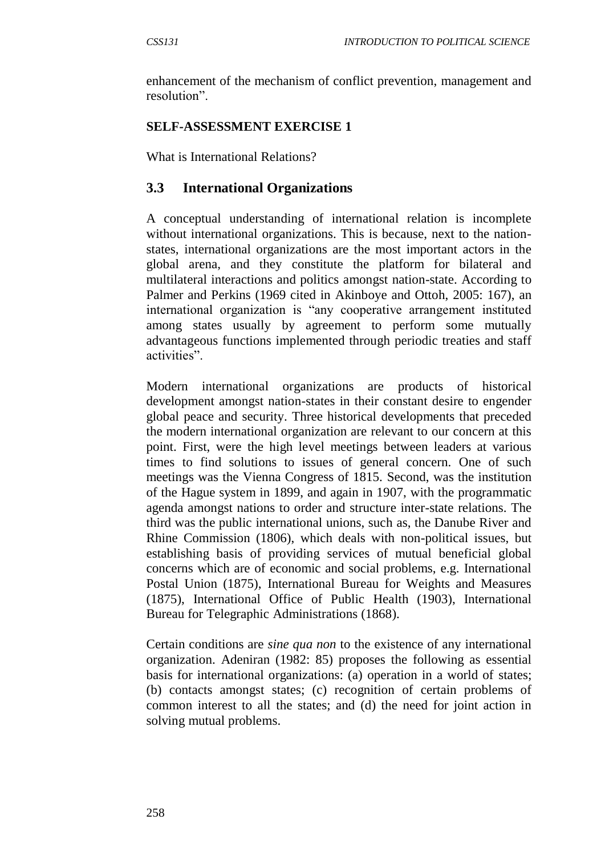enhancement of the mechanism of conflict prevention, management and resolution".

### **SELF-ASSESSMENT EXERCISE 1**

What is International Relations?

### **3.3 International Organizations**

A conceptual understanding of international relation is incomplete without international organizations. This is because, next to the nationstates, international organizations are the most important actors in the global arena, and they constitute the platform for bilateral and multilateral interactions and politics amongst nation-state. According to Palmer and Perkins (1969 cited in Akinboye and Ottoh, 2005: 167), an international organization is "any cooperative arrangement instituted among states usually by agreement to perform some mutually advantageous functions implemented through periodic treaties and staff activities".

Modern international organizations are products of historical development amongst nation-states in their constant desire to engender global peace and security. Three historical developments that preceded the modern international organization are relevant to our concern at this point. First, were the high level meetings between leaders at various times to find solutions to issues of general concern. One of such meetings was the Vienna Congress of 1815. Second, was the institution of the Hague system in 1899, and again in 1907, with the programmatic agenda amongst nations to order and structure inter-state relations. The third was the public international unions, such as, the Danube River and Rhine Commission (1806), which deals with non-political issues, but establishing basis of providing services of mutual beneficial global concerns which are of economic and social problems, e.g. International Postal Union (1875), International Bureau for Weights and Measures (1875), International Office of Public Health (1903), International Bureau for Telegraphic Administrations (1868).

Certain conditions are *sine qua non* to the existence of any international organization. Adeniran (1982: 85) proposes the following as essential basis for international organizations: (a) operation in a world of states; (b) contacts amongst states; (c) recognition of certain problems of common interest to all the states; and (d) the need for joint action in solving mutual problems.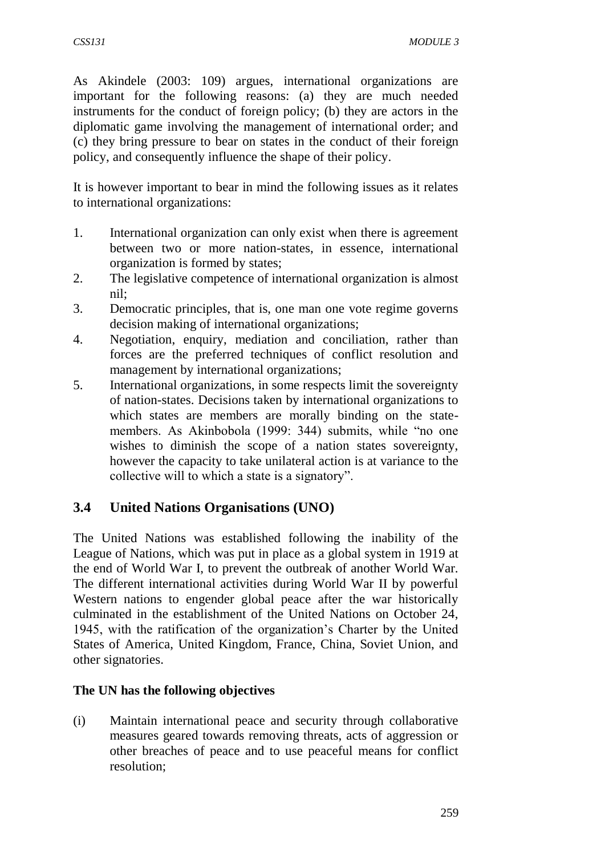As Akindele (2003: 109) argues, international organizations are important for the following reasons: (a) they are much needed instruments for the conduct of foreign policy; (b) they are actors in the diplomatic game involving the management of international order; and (c) they bring pressure to bear on states in the conduct of their foreign policy, and consequently influence the shape of their policy.

It is however important to bear in mind the following issues as it relates to international organizations:

- 1. International organization can only exist when there is agreement between two or more nation-states, in essence, international organization is formed by states;
- 2. The legislative competence of international organization is almost nil;
- 3. Democratic principles, that is, one man one vote regime governs decision making of international organizations;
- 4. Negotiation, enquiry, mediation and conciliation, rather than forces are the preferred techniques of conflict resolution and management by international organizations;
- 5. International organizations, in some respects limit the sovereignty of nation-states. Decisions taken by international organizations to which states are members are morally binding on the statemembers. As Akinbobola (1999: 344) submits, while "no one wishes to diminish the scope of a nation states sovereignty, however the capacity to take unilateral action is at variance to the collective will to which a state is a signatory".

## **3.4 United Nations Organisations (UNO)**

The United Nations was established following the inability of the League of Nations, which was put in place as a global system in 1919 at the end of World War I, to prevent the outbreak of another World War. The different international activities during World War II by powerful Western nations to engender global peace after the war historically culminated in the establishment of the United Nations on October 24, 1945, with the ratification of the organization's Charter by the United States of America, United Kingdom, France, China, Soviet Union, and other signatories.

#### **The UN has the following objectives**

(i) Maintain international peace and security through collaborative measures geared towards removing threats, acts of aggression or other breaches of peace and to use peaceful means for conflict resolution;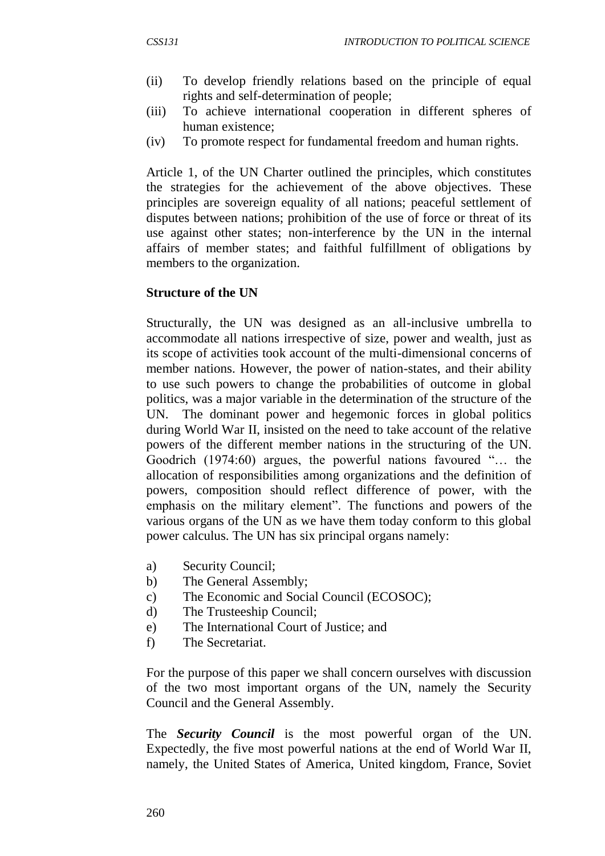- (ii) To develop friendly relations based on the principle of equal rights and self-determination of people;
- (iii) To achieve international cooperation in different spheres of human existence;
- (iv) To promote respect for fundamental freedom and human rights.

Article 1, of the UN Charter outlined the principles, which constitutes the strategies for the achievement of the above objectives. These principles are sovereign equality of all nations; peaceful settlement of disputes between nations; prohibition of the use of force or threat of its use against other states; non-interference by the UN in the internal affairs of member states; and faithful fulfillment of obligations by members to the organization.

#### **Structure of the UN**

Structurally, the UN was designed as an all-inclusive umbrella to accommodate all nations irrespective of size, power and wealth, just as its scope of activities took account of the multi-dimensional concerns of member nations. However, the power of nation-states, and their ability to use such powers to change the probabilities of outcome in global politics, was a major variable in the determination of the structure of the UN. The dominant power and hegemonic forces in global politics during World War II, insisted on the need to take account of the relative powers of the different member nations in the structuring of the UN. Goodrich (1974:60) argues, the powerful nations favoured "… the allocation of responsibilities among organizations and the definition of powers, composition should reflect difference of power, with the emphasis on the military element". The functions and powers of the various organs of the UN as we have them today conform to this global power calculus. The UN has six principal organs namely:

- a) Security Council;
- b) The General Assembly;
- c) The Economic and Social Council (ECOSOC);
- d) The Trusteeship Council;
- e) The International Court of Justice; and
- f) The Secretariat.

For the purpose of this paper we shall concern ourselves with discussion of the two most important organs of the UN, namely the Security Council and the General Assembly.

The *Security Council* is the most powerful organ of the UN. Expectedly, the five most powerful nations at the end of World War II, namely, the United States of America, United kingdom, France, Soviet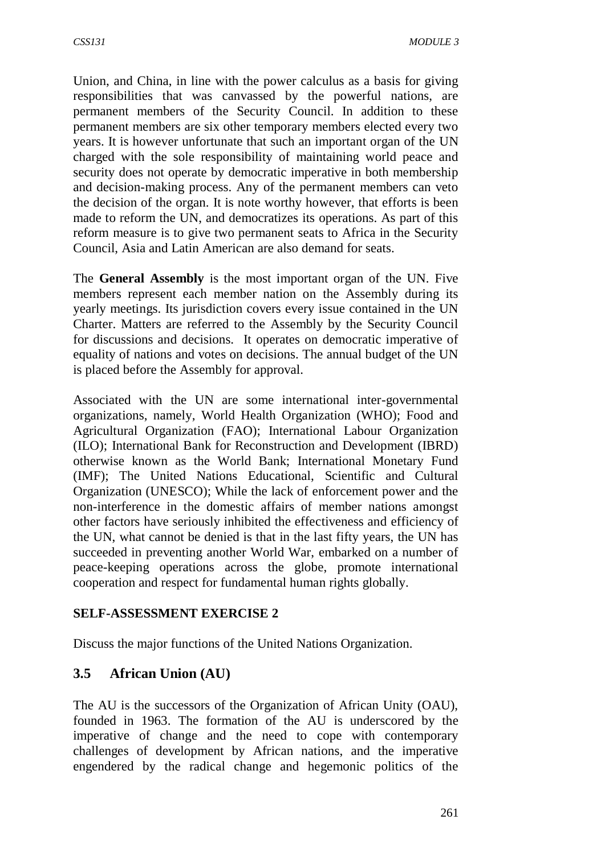Union, and China, in line with the power calculus as a basis for giving responsibilities that was canvassed by the powerful nations, are permanent members of the Security Council. In addition to these permanent members are six other temporary members elected every two years. It is however unfortunate that such an important organ of the UN charged with the sole responsibility of maintaining world peace and security does not operate by democratic imperative in both membership and decision-making process. Any of the permanent members can veto the decision of the organ. It is note worthy however, that efforts is been made to reform the UN, and democratizes its operations. As part of this reform measure is to give two permanent seats to Africa in the Security Council, Asia and Latin American are also demand for seats.

The **General Assembly** is the most important organ of the UN. Five members represent each member nation on the Assembly during its yearly meetings. Its jurisdiction covers every issue contained in the UN Charter. Matters are referred to the Assembly by the Security Council for discussions and decisions. It operates on democratic imperative of equality of nations and votes on decisions. The annual budget of the UN is placed before the Assembly for approval.

Associated with the UN are some international inter-governmental organizations, namely, World Health Organization (WHO); Food and Agricultural Organization (FAO); International Labour Organization (ILO); International Bank for Reconstruction and Development (IBRD) otherwise known as the World Bank; International Monetary Fund (IMF); The United Nations Educational, Scientific and Cultural Organization (UNESCO); While the lack of enforcement power and the non-interference in the domestic affairs of member nations amongst other factors have seriously inhibited the effectiveness and efficiency of the UN, what cannot be denied is that in the last fifty years, the UN has succeeded in preventing another World War, embarked on a number of peace-keeping operations across the globe, promote international cooperation and respect for fundamental human rights globally.

### **SELF-ASSESSMENT EXERCISE 2**

Discuss the major functions of the United Nations Organization.

## **3.5 African Union (AU)**

The AU is the successors of the Organization of African Unity (OAU), founded in 1963. The formation of the AU is underscored by the imperative of change and the need to cope with contemporary challenges of development by African nations, and the imperative engendered by the radical change and hegemonic politics of the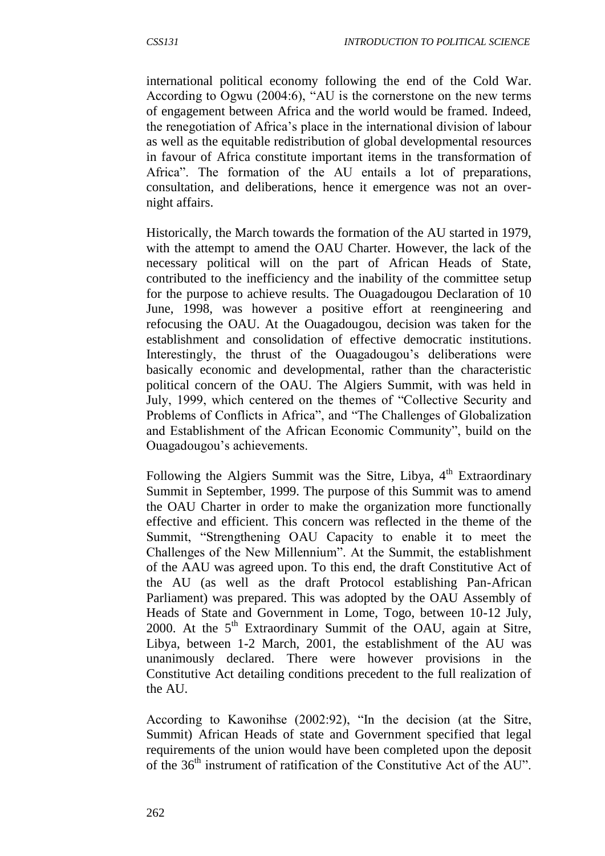international political economy following the end of the Cold War. According to Ogwu (2004:6), "AU is the cornerstone on the new terms of engagement between Africa and the world would be framed. Indeed, the renegotiation of Africa's place in the international division of labour as well as the equitable redistribution of global developmental resources in favour of Africa constitute important items in the transformation of Africa". The formation of the AU entails a lot of preparations, consultation, and deliberations, hence it emergence was not an overnight affairs.

Historically, the March towards the formation of the AU started in 1979, with the attempt to amend the OAU Charter. However, the lack of the necessary political will on the part of African Heads of State, contributed to the inefficiency and the inability of the committee setup for the purpose to achieve results. The Ouagadougou Declaration of 10 June, 1998, was however a positive effort at reengineering and refocusing the OAU. At the Ouagadougou, decision was taken for the establishment and consolidation of effective democratic institutions. Interestingly, the thrust of the Ouagadougou's deliberations were basically economic and developmental, rather than the characteristic political concern of the OAU. The Algiers Summit, with was held in July, 1999, which centered on the themes of "Collective Security and Problems of Conflicts in Africa", and "The Challenges of Globalization and Establishment of the African Economic Community", build on the Ouagadougou's achievements.

Following the Algiers Summit was the Sitre, Libya,  $4<sup>th</sup>$  Extraordinary Summit in September, 1999. The purpose of this Summit was to amend the OAU Charter in order to make the organization more functionally effective and efficient. This concern was reflected in the theme of the Summit, "Strengthening OAU Capacity to enable it to meet the Challenges of the New Millennium". At the Summit, the establishment of the AAU was agreed upon. To this end, the draft Constitutive Act of the AU (as well as the draft Protocol establishing Pan-African Parliament) was prepared. This was adopted by the OAU Assembly of Heads of State and Government in Lome, Togo, between 10-12 July, 2000. At the  $5<sup>th</sup>$  Extraordinary Summit of the OAU, again at Sitre, Libya, between 1-2 March, 2001, the establishment of the AU was unanimously declared. There were however provisions in the Constitutive Act detailing conditions precedent to the full realization of the AU.

According to Kawonihse (2002:92), "In the decision (at the Sitre, Summit) African Heads of state and Government specified that legal requirements of the union would have been completed upon the deposit of the 36<sup>th</sup> instrument of ratification of the Constitutive Act of the AU".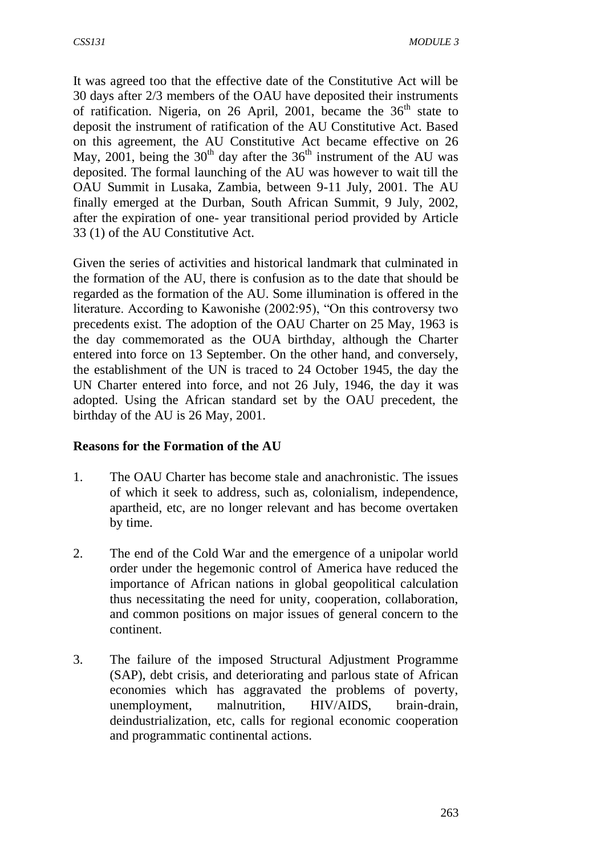It was agreed too that the effective date of the Constitutive Act will be 30 days after 2/3 members of the OAU have deposited their instruments of ratification. Nigeria, on 26 April, 2001, became the  $36<sup>th</sup>$  state to deposit the instrument of ratification of the AU Constitutive Act. Based on this agreement, the AU Constitutive Act became effective on 26 May, 2001, being the  $30<sup>th</sup>$  day after the  $36<sup>th</sup>$  instrument of the AU was deposited. The formal launching of the AU was however to wait till the OAU Summit in Lusaka, Zambia, between 9-11 July, 2001. The AU finally emerged at the Durban, South African Summit, 9 July, 2002, after the expiration of one- year transitional period provided by Article 33 (1) of the AU Constitutive Act.

Given the series of activities and historical landmark that culminated in the formation of the AU, there is confusion as to the date that should be regarded as the formation of the AU. Some illumination is offered in the literature. According to Kawonishe (2002:95), "On this controversy two precedents exist. The adoption of the OAU Charter on 25 May, 1963 is the day commemorated as the OUA birthday, although the Charter entered into force on 13 September. On the other hand, and conversely, the establishment of the UN is traced to 24 October 1945, the day the UN Charter entered into force, and not 26 July, 1946, the day it was adopted. Using the African standard set by the OAU precedent, the birthday of the AU is 26 May, 2001.

#### **Reasons for the Formation of the AU**

- 1. The OAU Charter has become stale and anachronistic. The issues of which it seek to address, such as, colonialism, independence, apartheid, etc, are no longer relevant and has become overtaken by time.
- 2. The end of the Cold War and the emergence of a unipolar world order under the hegemonic control of America have reduced the importance of African nations in global geopolitical calculation thus necessitating the need for unity, cooperation, collaboration, and common positions on major issues of general concern to the continent.
- 3. The failure of the imposed Structural Adjustment Programme (SAP), debt crisis, and deteriorating and parlous state of African economies which has aggravated the problems of poverty, unemployment, malnutrition, HIV/AIDS, brain-drain, deindustrialization, etc, calls for regional economic cooperation and programmatic continental actions.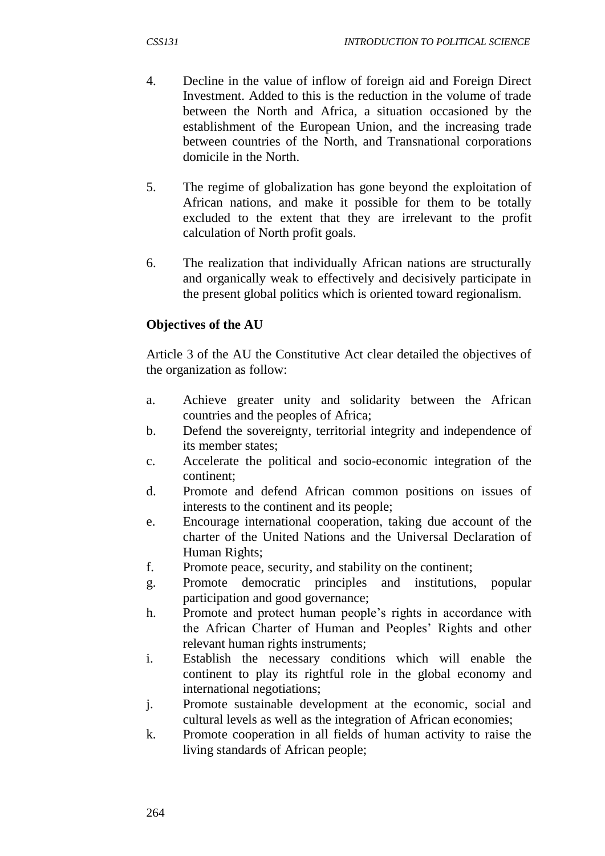- 4. Decline in the value of inflow of foreign aid and Foreign Direct Investment. Added to this is the reduction in the volume of trade between the North and Africa, a situation occasioned by the establishment of the European Union, and the increasing trade between countries of the North, and Transnational corporations domicile in the North.
- 5. The regime of globalization has gone beyond the exploitation of African nations, and make it possible for them to be totally excluded to the extent that they are irrelevant to the profit calculation of North profit goals.
- 6. The realization that individually African nations are structurally and organically weak to effectively and decisively participate in the present global politics which is oriented toward regionalism.

#### **Objectives of the AU**

Article 3 of the AU the Constitutive Act clear detailed the objectives of the organization as follow:

- a. Achieve greater unity and solidarity between the African countries and the peoples of Africa;
- b. Defend the sovereignty, territorial integrity and independence of its member states;
- c. Accelerate the political and socio-economic integration of the continent;
- d. Promote and defend African common positions on issues of interests to the continent and its people;
- e. Encourage international cooperation, taking due account of the charter of the United Nations and the Universal Declaration of Human Rights;
- f. Promote peace, security, and stability on the continent;
- g. Promote democratic principles and institutions, popular participation and good governance;
- h. Promote and protect human people's rights in accordance with the African Charter of Human and Peoples' Rights and other relevant human rights instruments;
- i. Establish the necessary conditions which will enable the continent to play its rightful role in the global economy and international negotiations;
- j. Promote sustainable development at the economic, social and cultural levels as well as the integration of African economies;
- k. Promote cooperation in all fields of human activity to raise the living standards of African people;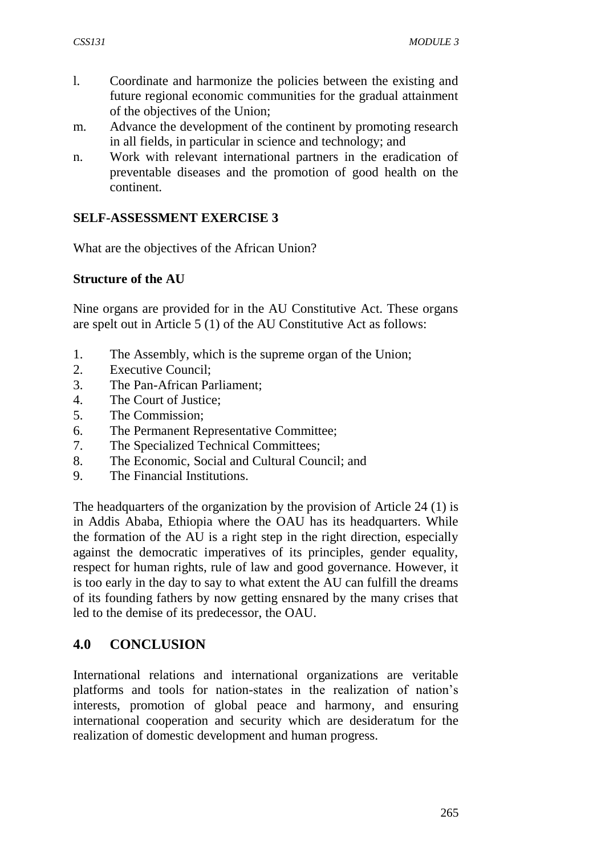- l. Coordinate and harmonize the policies between the existing and future regional economic communities for the gradual attainment of the objectives of the Union;
- m. Advance the development of the continent by promoting research in all fields, in particular in science and technology; and
- n. Work with relevant international partners in the eradication of preventable diseases and the promotion of good health on the continent.

#### **SELF-ASSESSMENT EXERCISE 3**

What are the objectives of the African Union?

#### **Structure of the AU**

Nine organs are provided for in the AU Constitutive Act. These organs are spelt out in Article 5 (1) of the AU Constitutive Act as follows:

- 1. The Assembly, which is the supreme organ of the Union;
- 2. Executive Council;
- 3. The Pan-African Parliament;
- 4. The Court of Justice;
- 5. The Commission;
- 6. The Permanent Representative Committee;
- 7. The Specialized Technical Committees;
- 8. The Economic, Social and Cultural Council; and
- 9. The Financial Institutions.

The headquarters of the organization by the provision of Article 24 (1) is in Addis Ababa, Ethiopia where the OAU has its headquarters. While the formation of the AU is a right step in the right direction, especially against the democratic imperatives of its principles, gender equality, respect for human rights, rule of law and good governance. However, it is too early in the day to say to what extent the AU can fulfill the dreams of its founding fathers by now getting ensnared by the many crises that led to the demise of its predecessor, the OAU.

### **4.0 CONCLUSION**

International relations and international organizations are veritable platforms and tools for nation-states in the realization of nation's interests, promotion of global peace and harmony, and ensuring international cooperation and security which are desideratum for the realization of domestic development and human progress.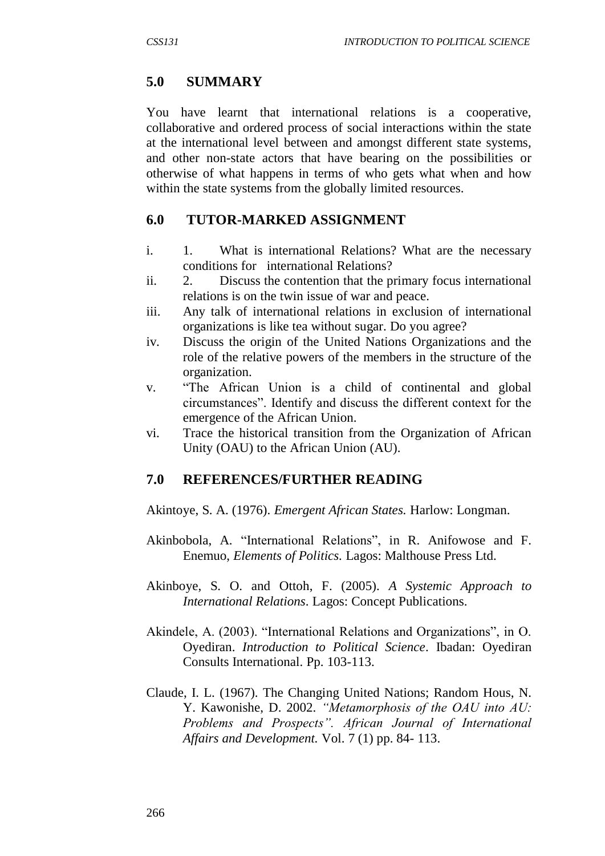### **5.0 SUMMARY**

You have learnt that international relations is a cooperative, collaborative and ordered process of social interactions within the state at the international level between and amongst different state systems, and other non-state actors that have bearing on the possibilities or otherwise of what happens in terms of who gets what when and how within the state systems from the globally limited resources.

### **6.0 TUTOR-MARKED ASSIGNMENT**

- i. 1. What is international Relations? What are the necessary conditions for international Relations?
- ii. 2. Discuss the contention that the primary focus international relations is on the twin issue of war and peace.
- iii. Any talk of international relations in exclusion of international organizations is like tea without sugar. Do you agree?
- iv. Discuss the origin of the United Nations Organizations and the role of the relative powers of the members in the structure of the organization.
- v. "The African Union is a child of continental and global circumstances". Identify and discuss the different context for the emergence of the African Union.
- vi. Trace the historical transition from the Organization of African Unity (OAU) to the African Union (AU).

## **7.0 REFERENCES/FURTHER READING**

Akintoye, S. A. (1976). *Emergent African States.* Harlow: Longman.

- Akinbobola, A. "International Relations", in R. Anifowose and F. Enemuo, *Elements of Politics.* Lagos: Malthouse Press Ltd.
- Akinboye, S. O. and Ottoh, F. (2005). *A Systemic Approach to International Relations*. Lagos: Concept Publications.
- Akindele, A. (2003). "International Relations and Organizations", in O. Oyediran. *Introduction to Political Science*. Ibadan: Oyediran Consults International. Pp. 103-113.
- Claude, I. L. (1967). The Changing United Nations; Random Hous, N. Y. Kawonishe, D. 2002. *"Metamorphosis of the OAU into AU: Problems and Prospects". African Journal of International Affairs and Development.* Vol. 7 (1) pp. 84- 113.